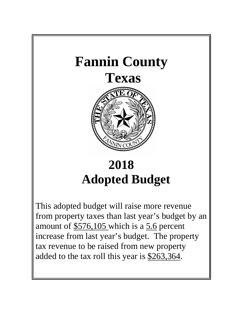

# **2018 Adopted Budget**

This adopted budget will raise more revenue from property taxes than last year's budget by an amount of  $$576,105$  which is a 5.6 percent increase from last year's budget. The property tax revenue to be raised from new property added to the tax roll this year is \$263,364.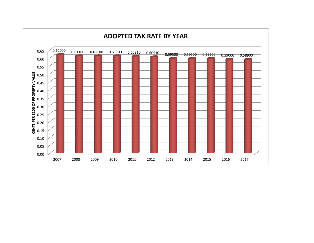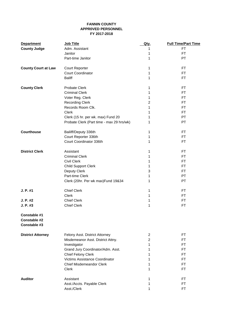### **FANNIN COUNTY APPR0VED PERSONNEL FY 2017-2018**

| <b>Department</b>                            | <b>Job Title</b>                          | Qty.           | <b>Full Time/Part Time</b> |
|----------------------------------------------|-------------------------------------------|----------------|----------------------------|
| <b>County Judge</b>                          | Adm. Assistant                            |                | FT                         |
|                                              | Janitor                                   | 1              | <b>FT</b>                  |
|                                              | Part-time Janitor                         | 1              | PT                         |
| <b>County Court at Law</b>                   | <b>Court Reporter</b>                     | 1              | <b>FT</b>                  |
|                                              | <b>Court Coordinator</b>                  | 1              | <b>FT</b>                  |
|                                              | <b>Baliff</b>                             | 1              | <b>FT</b>                  |
| <b>County Clerk</b>                          | <b>Probate Clerk</b>                      | 1              | <b>FT</b>                  |
|                                              | <b>Criminal Clerk</b>                     | 1              | <b>FT</b>                  |
|                                              | Voter Reg. Clerk                          | 1              | <b>FT</b>                  |
|                                              | <b>Recording Clerk</b>                    | $\overline{c}$ | <b>FT</b>                  |
|                                              | Records Room Clk.                         | 1              | <b>FT</b>                  |
|                                              | Clerk                                     | 1              | <b>FT</b>                  |
|                                              | Clerk (15 hr. per wk. max) Fund 20        | 1              | PT                         |
|                                              | Probate Clerk (Part time - max 29 hrs/wk) | 1              | <b>PT</b>                  |
| <b>Courthouse</b>                            | Bailiff/Deputy 336th                      | 1              | <b>FT</b>                  |
|                                              | Court Reporter 336th                      | 1              | <b>FT</b>                  |
|                                              | Court Coordinator 336th                   | 1              | <b>FT</b>                  |
| <b>District Clerk</b>                        | Assistant                                 | 1              | <b>FT</b>                  |
|                                              | <b>Criminal Clerk</b>                     | 1              | <b>FT</b>                  |
|                                              | <b>Civil Clerk</b>                        | 1              | <b>FT</b>                  |
|                                              | <b>Child Support Clerk</b>                | 1              | <b>FT</b>                  |
|                                              | Deputy Clerk                              | 3              | <b>FT</b>                  |
|                                              | Part-time Clerk                           | 1              | PT                         |
|                                              | Clerk (20hr. Per wk max)Fund 19&34        | 1              | PT                         |
| J. P. #1                                     | <b>Chief Clerk</b>                        | 1              | FT.                        |
|                                              | Clerk                                     | 1              | <b>FT</b>                  |
| J. P. #2                                     | <b>Chief Clerk</b>                        | 1              | FT                         |
| J. P. #3                                     | <b>Chief Clerk</b>                        | 1              | <b>FT</b>                  |
| Constable #1<br>Constable #2<br>Constable #3 |                                           |                |                            |
| <b>District Attorney</b>                     | Felony Asst. District Attorney            | $\overline{c}$ | FT.                        |
|                                              | Misdemeanor Asst. District Attny.         | $\overline{2}$ | <b>FT</b>                  |
|                                              | Investigator                              | 1              | <b>FT</b>                  |
|                                              | Grand Jury Coordinator/Adm. Asst.         | 1              | <b>FT</b>                  |
|                                              | Chief Felony Clerk                        | 1              | <b>FT</b>                  |
|                                              | Victims Assistance Coordinator            | 1              | <b>FT</b>                  |
|                                              | <b>Chief Misdemeandor Clerk</b>           | 1              | FT.                        |
|                                              | Clerk                                     | 1              | <b>FT</b>                  |
| <b>Auditor</b>                               | Assistant                                 | 1              | FT.                        |
|                                              | Asst./Accts. Payable Clerk                | 1              | <b>FT</b>                  |
|                                              | Asst./Clerk                               | 1              | FT                         |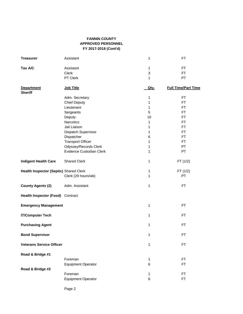### **FANNIN COUNTY APPROVED PERSONNEL FY 2017-2018 (Cont'd)**

| <b>Treasurer</b>                       | Assistant                 | 1    | <b>FT</b>                  |
|----------------------------------------|---------------------------|------|----------------------------|
| Tax A/C                                | Assistant                 | 1    | <b>FT</b>                  |
|                                        | Clerk                     | 3    | FT.                        |
|                                        | PT Clerk                  | 1    | PT                         |
| <b>Department</b><br><b>Sheriff</b>    | Job Title                 | Qty. | <b>Full Time/Part Time</b> |
|                                        | Adm. Secretary            | 1    | <b>FT</b>                  |
|                                        | <b>Chief Deputy</b>       | 1    | <b>FT</b>                  |
|                                        | Lieutenant                | 1    | <b>FT</b>                  |
|                                        | Sergeants                 | 5    | <b>FT</b>                  |
|                                        | Deputy                    | 10   | <b>FT</b>                  |
|                                        | Narcotics                 | 1    | <b>FT</b>                  |
|                                        | Jail Liaison              | 1    | <b>FT</b>                  |
|                                        | Dispatch Supervisor       | 1    | <b>FT</b>                  |
|                                        | Dispatcher                | 6    | <b>FT</b>                  |
|                                        | <b>Transport Officer</b>  | 1    | <b>FT</b>                  |
|                                        |                           |      |                            |
|                                        | Odyssey/Records Clerk     | 1    | PT                         |
|                                        | Evidence Custodian Clerk  | 1    | PT                         |
| <b>Indigent Health Care</b>            | <b>Shared Clerk</b>       | 1    | FT(1/2)                    |
| Health Inspector (Septic) Shared Clerk |                           | 1    | FT(1/2)                    |
|                                        | Clerk (29 hours/wk)       | 1    | PT                         |
| <b>County Agents (2)</b>               | Adm. Assistant            | 1    | <b>FT</b>                  |
| Health Inspector (Food) Contract       |                           |      |                            |
| <b>Emergency Management</b>            |                           | 1    | <b>FT</b>                  |
| <b>IT/Computer Tech</b>                |                           | 1    | <b>FT</b>                  |
| <b>Purchasing Agent</b>                |                           | 1    | <b>FT</b>                  |
| <b>Bond Supervisor</b>                 |                           | 1    | FT                         |
| <b>Veterans Service Officer</b>        |                           | 1    | <b>FT</b>                  |
| Road & Bridge #1                       |                           |      |                            |
|                                        | Foreman                   | 1    | <b>FT</b>                  |
|                                        | <b>Equipment Operator</b> | 6    | <b>FT</b>                  |
| Road & Bridge #2                       |                           |      |                            |
|                                        | Foreman                   | 1    | <b>FT</b>                  |
|                                        | <b>Equipment Operator</b> | 6    | <b>FT</b>                  |
|                                        |                           |      |                            |

Page 2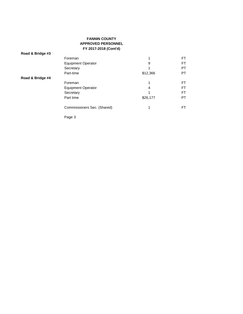### **FANNIN COUNTY APPROVED PERSONNEL FY 2017-2018 (Cont'd)**

| Road & Bridge #3 |                             |          |           |
|------------------|-----------------------------|----------|-----------|
|                  | Foreman                     | 1        | FT        |
|                  | <b>Equipment Operator</b>   | 9        | <b>FT</b> |
|                  | Secretary                   |          | PT        |
|                  | Part-time                   | \$12,366 | PT        |
| Road & Bridge #4 |                             |          |           |
|                  | Foreman                     | 1        | FT        |
|                  | <b>Equipment Operator</b>   | 4        | <b>FT</b> |
|                  | Secretary                   |          | FT        |
|                  | Part time                   | \$26,177 | PT        |
|                  | Commissioners Sec. (Shared) | 1        | FT        |
|                  |                             |          |           |

Page 3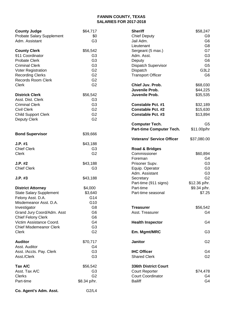### **FANNIN COUNTY, TEXAS SALARIES FOR 2017-2018**

| <b>County Judge</b>            | \$64,717       | <b>Sheriff</b>                   | \$58,247       |
|--------------------------------|----------------|----------------------------------|----------------|
| Probate Salary Supplement      | \$0            | <b>Chief Deputy</b>              | G9             |
| Adm. Assistant                 | G <sub>3</sub> | Jail Adm.                        | G <sub>6</sub> |
|                                |                | Lieutenant                       | G8             |
| <b>County Clerk</b>            | \$56,542       | Sergeant (5 max.)                | G7             |
| 911 Coordinator                | G <sub>3</sub> | Adm. Asst.                       | G <sub>3</sub> |
| <b>Probate Clerk</b>           | G <sub>3</sub> | Deputy                           | G <sub>6</sub> |
| <b>Criminal Clerk</b>          | G <sub>3</sub> | Dispatch Supervisor              | G <sub>5</sub> |
| Voter Registration             | G <sub>2</sub> | Dispatch                         | G3L2           |
| <b>Recording Clerks</b>        | G <sub>2</sub> | <b>Transport Officer</b>         | G <sub>6</sub> |
| <b>Records Room Clerk</b>      | G <sub>2</sub> |                                  |                |
| <b>Clerk</b>                   | G <sub>2</sub> | Chief Juv. Prob.                 | \$68,030       |
|                                |                | Juvenile Prob.                   | \$44,225       |
| <b>Districk Clerk</b>          | \$56,542       | Juvenile Prob.                   | \$35,535       |
| Asst. Dist. Clerk              | G <sub>3</sub> |                                  |                |
| <b>Criminal Clerk</b>          | G <sub>3</sub> | <b>Constable Pct. #1</b>         | \$32,189       |
| <b>Civil Clerk</b>             | G <sub>2</sub> | <b>Constable Pct. #2</b>         | \$15,630       |
| <b>Child Support Clerk</b>     | G <sub>2</sub> | <b>Constable Pct. #3</b>         | \$13,894       |
| <b>Deputy Clerk</b>            | G <sub>2</sub> |                                  |                |
|                                |                | <b>Computer Tech.</b>            | G <sub>5</sub> |
|                                |                | Part-time Computer Tech.         | \$11.00p/hr    |
| <b>Bond Supervisor</b>         | \$39,666       |                                  |                |
|                                |                | <b>Veterans' Service Officer</b> | \$37,080.00    |
| $J.P.$ #1                      | \$43,188       |                                  |                |
| <b>Chief Clerk</b>             | G <sub>3</sub> | <b>Road &amp; Bridges</b>        |                |
| <b>Clerk</b>                   | G <sub>2</sub> | Commissioner                     | \$60,894       |
|                                |                | Foreman                          | G4             |
| $J.P.$ #2                      | \$43,188       | Prisoner Supv.                   | G <sub>3</sub> |
| <b>Chief Clerk</b>             | G <sub>3</sub> | Equip. Operator                  | G <sub>3</sub> |
|                                |                | Adm. Assistant                   | G <sub>3</sub> |
| $J.P.$ #3                      | \$43,188       | Secretary                        | G <sub>2</sub> |
|                                |                | Part-time (911 signs)            | \$12.36 p/hr.  |
| <b>District Attorney</b>       | \$4,000        | Part-time                        | \$9.34 p/hr.   |
| <b>State Salary Supplement</b> | \$3,640        | Part-time seasonal               | \$7.25         |
| Felony Asst. D.A.              | G14            |                                  |                |
| Misdemeanor Asst. D.A.         | G10            |                                  |                |
|                                |                |                                  |                |
| Investigator                   | G8             | Treasurer                        | \$56,542       |
| Grand Jury Coord/Adm. Asst     | G <sub>6</sub> | Asst. Treasurer                  | G4             |
| Chief Felony Clerk             | G <sub>6</sub> |                                  |                |
| Victim Assistance Coord.       | G4             | <b>Health Inspector</b>          | G4             |
| <b>Chief Misdemeanor Clerk</b> | G <sub>3</sub> |                                  |                |
| <b>Clerk</b>                   | G <sub>2</sub> | Em. Mgmt/MRC                     | G <sub>3</sub> |
| <b>Auditor</b>                 | \$70,717       | <b>Janitor</b>                   | G <sub>2</sub> |
| Asst. Auditor                  | G4             |                                  |                |
| Asst. /Accts. Pay. Clerk       | G <sub>3</sub> | <b>IHC Officer</b>               | G4             |
| Asst./Clerk                    | G <sub>3</sub> | <b>Shared Clerk</b>              | G <sub>2</sub> |
|                                |                |                                  |                |
| Tax A/C                        | \$56,542       | <b>336th District Court</b>      |                |
| Asst. Tax A/C                  | G <sub>3</sub> | <b>Court Reporter</b>            | \$74,478       |
| <b>Clerks</b>                  | G <sub>2</sub> | <b>Court Coordinator</b>         | G4             |
| Part-time                      | \$8.34 p/hr.   | <b>Bailiff</b>                   | G <sub>4</sub> |
|                                |                |                                  |                |
| Co. Agent's Adm. Asst.         | G2/L4          |                                  |                |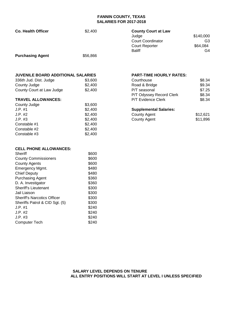### **FANNIN COUNTY, TEXAS SALARIES FOR 2017-2018**

| <b>Co. Health Officer</b>                 | \$2,400        | <b>County Court at Law</b><br>Judge<br><b>Court Coordinator</b><br><b>Court Reporter</b><br><b>Baliff</b> | \$140,000<br>G3<br>\$64,084<br>G4 |
|-------------------------------------------|----------------|-----------------------------------------------------------------------------------------------------------|-----------------------------------|
| <b>Purchasing Agent</b>                   | \$56,866       |                                                                                                           |                                   |
| <b>JUVENILE BOARD ADDITIONAL SALARIES</b> |                | <b>PART-TIME HOURLY RATES:</b>                                                                            |                                   |
| 336th Jud. Dist. Judge                    | \$3,600        | Courthouse                                                                                                | \$8.34                            |
| County Judge                              | \$2,400        | Road & Bridge                                                                                             | \$9.34                            |
| County Court at Law Judge                 | \$2,400        | P/T seasonal                                                                                              | \$7.25                            |
|                                           |                | P/T Odyssey Record Clerk                                                                                  | \$8.34                            |
| <b>TRAVEL ALLOWANCES:</b>                 |                | P/T Evidence Clerk                                                                                        | \$8.34                            |
| County Judge                              | \$3,600        |                                                                                                           |                                   |
| $J.P.$ #1                                 | \$2,400        | <b>Supplemental Salaries:</b>                                                                             |                                   |
| $J.P.$ #2                                 | \$2,400        | <b>County Agent</b>                                                                                       | \$12,621                          |
| $J.P.$ #3                                 | \$2,400        | <b>County Agent</b>                                                                                       | \$11,896                          |
| Constable #1                              | \$2,400        |                                                                                                           |                                   |
| Constable #2                              | \$2,400        |                                                                                                           |                                   |
| Constable #3                              | \$2,400        |                                                                                                           |                                   |
| <b>CELL PHONE ALLOWANCES:</b>             |                |                                                                                                           |                                   |
| <b>Sheriff</b>                            | \$600          |                                                                                                           |                                   |
| <b>County Commissioners</b>               | \$600          |                                                                                                           |                                   |
| <b>County Agents</b>                      | \$600          |                                                                                                           |                                   |
| Emergency Mgmt.                           | \$480          |                                                                                                           |                                   |
| <b>Chief Deputy</b>                       | \$480          |                                                                                                           |                                   |
| <b>Purchasing Agent</b>                   | \$360          |                                                                                                           |                                   |
| D. A. Investigator                        | \$360          |                                                                                                           |                                   |
| <b>Sheriff's Lieutenant</b>               | \$300          |                                                                                                           |                                   |
| Jail Liaison                              | \$300          |                                                                                                           |                                   |
| <b>Sheriff's Narcotics Officer</b>        | \$300          |                                                                                                           |                                   |
| Sheriffs Patrol & CID Sgt. (5)            | \$300          |                                                                                                           |                                   |
| $J.P.$ #1<br>$J.P.$ #2                    | \$240<br>\$240 |                                                                                                           |                                   |
| $J.P.$ #3                                 | \$240          |                                                                                                           |                                   |
|                                           |                |                                                                                                           |                                   |

U.P. #3<br>
Computer Tech<br>
\$240

Computer Tech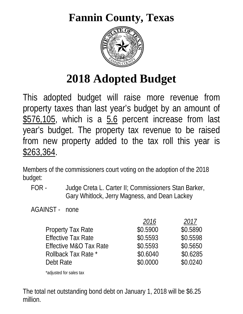## **Fannin County, Texas**



# **2018 Adopted Budget**

This adopted budget will raise more revenue from property taxes than last year's budget by an amount of \$576,105, which is a 5.6 percent increase from last year's budget. The property tax revenue to be raised from new property added to the tax roll this year is \$263,364.

Members of the commissioners court voting on the adoption of the 2018 budget:

 FOR - Judge Creta L. Carter II; Commissioners Stan Barker, Gary Whitlock, Jerry Magness, and Dean Lackey

AGAINST - none

|                                   | 2016     | 2017     |
|-----------------------------------|----------|----------|
| Property Tax Rate                 | \$0.5900 | \$0.5890 |
| <b>Effective Tax Rate</b>         | \$0.5593 | \$0.5598 |
| <b>Effective M&amp;O Tax Rate</b> | \$0.5593 | \$0.5650 |
| Rollback Tax Rate *               | \$0.6040 | \$0.6285 |
| Debt Rate                         | \$0.0000 | \$0.0240 |

\*adjusted for sales tax

The total net outstanding bond debt on January 1, 2018 will be \$6.25 million.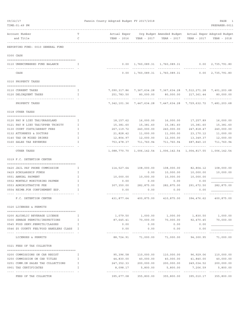| 09/22/17 |                                                                              |               | Fannin County Adopted Budget FY 2017/2018      |                         |                                                        |                                        | PAGE<br>-1                                      |
|----------|------------------------------------------------------------------------------|---------------|------------------------------------------------|-------------------------|--------------------------------------------------------|----------------------------------------|-------------------------------------------------|
|          | TIME: 01:49 PM                                                               |               |                                                |                         |                                                        |                                        | PREPARER: 0011                                  |
|          | Account Number                                                               | Т             | Actual Exper                                   |                         | Org Budget Amended Budget Actual Exper Adopted Budget  |                                        |                                                 |
|          | and Title                                                                    | C             | YEAR - 2016                                    | YEAR - 2017             | YEAR - 2017                                            | YEAR - 2017                            | YEAR - 2018                                     |
|          | REPORTING FUND: 0010 GENERAL FUND                                            |               |                                                |                         |                                                        |                                        |                                                 |
|          | 0300 CASH                                                                    |               |                                                |                         |                                                        |                                        |                                                 |
|          | 0110 UNENCUMBERED FUND BALANCE                                               | Ι.            | 0.00                                           |                         | 1,760,089.31 1,760,089.31                              | 0.00                                   | 2,735,791.80                                    |
|          | CASH                                                                         |               | 0.00                                           | 1,760,089.31            | 1,760,089.31                                           | 0.00                                   | 2,735,791.80                                    |
|          | 0310 PROPERTY TAXES                                                          |               |                                                |                         |                                                        |                                        |                                                 |
|          | 0110 CURRENT TAXES                                                           | Ι.            |                                                |                         | 7,090,317.86 7,367,634.28 7,367,634.28 7,512,271.28    |                                        | 7,401,203.68                                    |
|          | 0120 DELINQUENT TAXES                                                        | I             | 251,783.50                                     | 80,000.00               | 80,000.00                                              | 217,361.44                             | 80,000.00                                       |
|          | PROPERTY TAXES                                                               |               | -------------<br>7, 342, 101.36 7, 447, 634.28 |                         | ------------<br>7,447,634.28 7,729,632.72              | -------------                          | 7,481,203.68                                    |
|          | 0318 OTHER TAXES                                                             |               |                                                |                         |                                                        |                                        |                                                 |
|          | 0120 PAY N LIEU TAX/GRASSLAND                                                | I.            | 18,157.62                                      | 16,000.00               | 16,000.00                                              | 17,257.89                              | 16,000.00                                       |
|          | 0121 PAY N LIEU TAX/UPPER TRINITY                                            | I.            | 15,381.60                                      | 15,381.60               | 15,381.60                                              | 15,381.60                              | 15,381.60                                       |
|          | 0130 COURT COSTS/ARREST FEES                                                 | I             | 267, 119.72                                    | 240,000.00              | 240,000.00                                             | 247,818.47                             | 240,000.00                                      |
|          | 0132 ATTORNEYS & DOCTORS                                                     | I             | 21,828.42                                      | 11,000.00               | 11,000.00                                              | 23,170.12                              | 11,000.00                                       |
|          | 0140 TAX ON MIXED DRINKS                                                     | I.            | 12,804.97                                      | 12,000.00               | 12,000.00                                              | 13,349.37                              | 12,000.00                                       |
|          | 0160 SALES TAX REVENUES                                                      | I             | 753,478.37<br>-------------                    | 711,760.94              | 711,760.94                                             | 687,840.10                             | 711,760.94<br><u> - - - - - - - - - - - - -</u> |
|          | OTHER TAXES                                                                  |               | 1,088,770.70                                   | 1,006,142.54            |                                                        | 1,006,142.54 1,004,817.55 1,006,142.54 |                                                 |
|          | 0319 F.C. DETENTION CENTER                                                   |               |                                                |                         |                                                        |                                        |                                                 |
|          | 0420 JAIL PAY PHONE COMMISSION                                               | I.            | 114,527.64                                     | 108,000.00              | 108,000.00                                             | 82,804.12                              | 108,000.00                                      |
|          | 0429 SCHOLARSHIP FUNDS                                                       | I.            |                                                | 0.00                    | 10,000.00                                              | 10,000.00                              | 10,000.00                                       |
|          | 0551 ANNUAL PAYMENT                                                          | I             | 10,000.00                                      | 10,000.00               | 10,000.00                                              | 10,000.00                              |                                                 |
|          | 0552 MONTHLY MONITORING PAYMEN                                               | $\mathbbm{I}$ | 0.00                                           | 0.00                    | 0.00                                                   | 0.00                                   |                                                 |
|          | 0553 ADMINISTRATIVE FEE                                                      | I             | 307,350.00                                     | 282,875.00              | 282,875.00                                             | 291,672.50                             | 282,875.00                                      |
|          | 0554 REIMB.FOR CONFINEMENT EXP.                                              | I             | 0.00                                           | 0.00                    | 0.00                                                   | 0.00                                   |                                                 |
|          | F.C. DETENTION CENTER                                                        |               |                                                |                         | 431,877.64 400,875.00 410,875.00 394,476.62 400,875.00 |                                        |                                                 |
|          | 0320 LICENSES & PERMITS                                                      |               |                                                |                         |                                                        |                                        |                                                 |
|          |                                                                              |               |                                                |                         |                                                        |                                        |                                                 |
|          | 0200 ALCOHLIC BEVERAGE LICENSE                                               | Ι.            |                                                |                         | $1,079.50$ $1,000.00$ $1,000.00$ $1,830.50$ $1,000.00$ |                                        |                                                 |
|          | 0300 SEWAGE PERMITS/INSPECTIONS                                              | Ι.            | 87,645.41                                      | 70,000.00               | 70,000.00                                              | 92,470.45                              | 70,000.00                                       |
|          | 0545 FOOD SERV. PERMITS/CLASSES<br>0546 \$5 COUNTY FEE/FOOD HANDLERS CLASS I | I             | 0.00<br>0.00                                   | 0.00<br>0.00            | 0.00<br>0.00                                           | 0.00<br>0.00                           |                                                 |
|          |                                                                              |               |                                                | .                       | ----------                                             |                                        |                                                 |
|          | LICENSES & PERMITS                                                           |               | 88,724.91                                      | 71,000.00               | 71,000.00                                              | 94,300.95                              | 71,000.00                                       |
|          | 0321 FEES OF TAX COLLECTOR                                                   |               |                                                |                         |                                                        |                                        |                                                 |
|          | 0200 COMMISSIONS ON CAR REGIST                                               | Ι.            |                                                |                         | 95,396.58 110,000.00 110,000.00                        |                                        | 96,929.06 110,000.00                            |
|          | 0250 COMMISSION ON CAR TITLES                                                | I             | 44,830.00                                      |                         | 40,000.00 40,000.00                                    | 41,840.00                              | 40,000.00                                       |
|          | 0251 COMM.ON SALES TAX COLLECTIONS                                           | I             |                                                | 247,352.33 200,000.00   | 200,000.00                                             |                                        | 249,034.52 200,000.00                           |
|          | 0901 TAX CERTIFICATES                                                        | I.            | 8,098.17                                       | 5,800.00<br>----------- | 5,800.00                                               | 7,206.59                               | 5,800.00<br>------------                        |
|          | FEES OF TAX COLLECTOR                                                        |               | 395,677.08                                     | 355,800.00              | 355,800.00                                             | 395,010.17                             | 355,800.00                                      |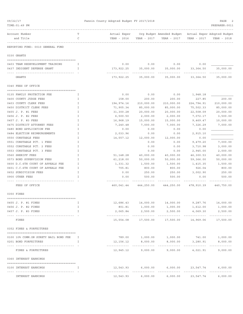| 09/22/17<br>TIME: 01:49 PM               |                                       |              | Fannin County Adopted Budget FY 2017/2018 |                          |                                                                        |                           | PAGE<br>PREPARER: 0011    |
|------------------------------------------|---------------------------------------|--------------|-------------------------------------------|--------------------------|------------------------------------------------------------------------|---------------------------|---------------------------|
|                                          |                                       |              |                                           |                          |                                                                        |                           |                           |
| Account Number<br>and Title              |                                       | т<br>C       | Actual Exper<br>YEAR - 2016               | YEAR - 2017              | Org Budget Amended Budget - Actual Exper Adopted Budget<br>YEAR - 2017 | YEAR - 2017               | YEAR - 2018               |
|                                          | REPORTING FUND: 0010 GENERAL FUND     |              |                                           |                          |                                                                        |                           |                           |
| 0330 GRANTS                              |                                       |              |                                           |                          |                                                                        |                           |                           |
|                                          | 0403 TEAM REDEVELOPMENT TRAINING      | I            | 0.00                                      | 0.00                     | 0.00                                                                   | 0.00                      |                           |
|                                          | 0437 INDIGENT DEFENSE GRANT           | I            | 173,922.25                                | 35,000.00                | 35,000.00                                                              | 33, 364.50                | 35,000.00                 |
| GRANTS                                   |                                       |              | 173,922.25                                | 35,000.00                | 35,000.00                                                              | 33,364.50                 | 35,000.00                 |
| 0340 FEES OF OFFICE                      |                                       |              |                                           |                          |                                                                        |                           |                           |
|                                          | 0135 FAMILY PROTECTION FEE            | I.           | 0.00                                      | 0.00                     | 0.00                                                                   | 1,948.18                  |                           |
| 0400 COUNTY JUDGE FEES                   |                                       | I            | 158.00                                    | 200.00                   | 200.00                                                                 | 227.85                    | 200.00                    |
| 0403 COUNTY CLERK FEES                   |                                       | I            | 194,974.16                                | 210,000.00               | 210,000.00                                                             | 224,794.91                | 210,000.00                |
| 0450 DISTRICT CLERK FEES                 |                                       | I            | 71,905.34                                 | 85,000.00                | 85,000.00                                                              | 75,502.33                 | 85,000.00                 |
| 0455 J. P. #1 FEES                       |                                       | I            | 31,300.28                                 | 20,000.00                | 20,000.00                                                              | 22,508.09                 | 20,000.00                 |
| 0456 J. P. #2 FEES                       |                                       | I            | 6,500.50                                  | 2,000.00                 | 2,000.00                                                               | 7,072.17                  | 3,500.00                  |
| 0457 J. P. #3 FEES                       |                                       | Ι            | 16,968.19                                 | 15,000.00                | 15,000.00                                                              | 9,469.47                  | 10,000.00                 |
|                                          | 0475 DISTRICT ATTORNEY FEES           | I            | 7,240.48                                  | 7,000.00                 | 7,000.00                                                               | 7,326.29                  | 7,000.00                  |
|                                          | 0480 BOND APPLICATION FEE             | I            | 0.00                                      | 0.00                     | 0.00                                                                   | 0.00                      |                           |
|                                          | 0484 ELECTION REIMBURSEMENTS          | I            | 2,033.96                                  | 0.00                     | 0.00                                                                   | 2,915.10                  |                           |
| 0550 CONSTABLE FEES                      |                                       | I            | 14,557.12                                 | 12,000.00                | 12,000.00                                                              | 0.00                      |                           |
|                                          | 0551 CONSTABLE PCT. 1 FEES            | I            |                                           | 0.00                     | 0.00                                                                   | 9,479.20                  | 7,000.00                  |
|                                          | 0552 CONSTABLE PCT. 2 FEES            | I            |                                           | 0.00                     | 0.00                                                                   | 3,710.98                  | 3,000.00                  |
|                                          | 0553 CONSTABLE PCT. 3 FEES            | Ι            |                                           | 0.00                     | 0.00                                                                   | 2,945.00                  | 2,000.00                  |
| 0560 SHERIFF FEES                        |                                       | I            | 51,148.28                                 | 40,000.00                | 40,000.00                                                              | 46,300.53                 | 40,000.00                 |
|                                          | 0573 BOND SUPERVISION FEES            | $\mathbb{I}$ | 61,218.00                                 | 50,000.00                | 50,000.00                                                              | 59,366.00                 | 50,000.00                 |
|                                          | 0600 D.C.6TH COURT OF APPEALS FEE     | I            | 1,331.32                                  | 1,500.00                 | 1,500.00                                                               | 1,415.35                  | 1,500.00                  |
|                                          | 0601 C.C.6TH COURT OF APPEALS FEE     | I            | 705.81                                    | 800.00                   | 800.00                                                                 | 926.04                    | 800.00                    |
| 0652 SUBDIVISION FEES                    |                                       | I            | 0.00                                      | 250.00                   | 250.00                                                                 | 3,002.90                  | 250.00                    |
| 0900 OTHER FEES                          |                                       | $\mathbb{I}$ | 0.00                                      | 500.00                   | 500.00                                                                 | 0.00                      | 500.00                    |
| FEES OF OFFICE                           |                                       |              | 460,041.44                                | 444,250.00               | 444,250.00                                                             | 478,910.39                | 440,750.00                |
| 0350 FINES                               |                                       |              |                                           |                          |                                                                        |                           |                           |
| 0455 J. P. #1 FINES                      |                                       | Ι.           | 12,686.43                                 | 14,000.00                | 14,000.00                                                              | 9,287.76                  | 14,000.00                 |
| 0456 J. P. #2 FINES                      |                                       | I            | 801.81                                    | 1,000.00                 | 1,000.00                                                               | 1,612.00                  | 1,000.00                  |
| 0457 J. P. #3 FINES                      |                                       | I            | 2,065.84                                  | 2,500.00                 | 2,500.00                                                               | 4,069.30                  | 2,500.00                  |
| FINES                                    |                                       |              | --------------<br>15,554.08               | -----------<br>17,500.00 | .<br>17,500.00                                                         | ----------<br>14,969.06   | -----------<br>17,500.00  |
| 0352 FINES & FORFEITURES                 |                                       |              |                                           |                          |                                                                        |                           |                           |
|                                          |                                       |              |                                           |                          |                                                                        |                           |                           |
|                                          | 0100 10% COMM.ON SURETY BAIL BOND FEE | I            |                                           |                          |                                                                        |                           | 1,000.00                  |
| 0201 BOND FORFEITURES                    |                                       | I            | 12,156.12<br>. <u>.</u> .                 | 8,000.00<br>-----------  | 8,000.00<br>.                                                          | 3,280.91<br>------------- | 8,000.00<br>------------- |
|                                          | FINES & FORFEITURES                   |              | 12,945.12                                 | 9,000.00                 | 9,000.00                                                               | 4,021.91                  | 9,000.00                  |
| 0360 INTEREST EARNINGS                   |                                       |              |                                           |                          |                                                                        |                           |                           |
| 0100 INTEREST EARNINGS<br>-------------- |                                       | T            | 12,543.93<br>-------------                | 6,000.00                 | 6,000.00                                                               | 23,547.74<br>----------   | 6,000.00<br>------        |
|                                          | INTEREST EARNINGS                     |              | 12,543.93                                 | 6,000.00                 | 6,000.00                                                               | 23,547.74                 | 6,000.00                  |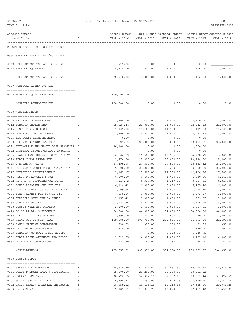| 09/22/17                                                      |              | Fannin County Adopted Budget FY 2017/2018 |                       |                                                       |                             | PAGE<br>3                   |
|---------------------------------------------------------------|--------------|-------------------------------------------|-----------------------|-------------------------------------------------------|-----------------------------|-----------------------------|
| TIME: 01:49 PM                                                |              |                                           |                       |                                                       |                             | PREPARER: 0011              |
| ----------<br>Account Number                                  |              | Actual Exper                              |                       | Org Budget Amended Budget Actual Exper Adopted Budget |                             |                             |
| and Title                                                     | C            | YEAR - 2016                               | YEAR - 2017           | YEAR - 2017                                           | YEAR - 2017                 | YEAR - 2018                 |
| REPORTING FUND: 0010 GENERAL FUND                             |              |                                           |                       |                                                       |                             |                             |
|                                                               |              |                                           |                       |                                                       |                             |                             |
| 0364 SALE OF ASSETS LAND/BUILDING                             |              |                                           |                       |                                                       |                             |                             |
| 0162 SALE OF ASSETS LAND/BUILDING                             | I            | 14,715.00                                 | 0.00                  | 0.00                                                  | 0.00                        |                             |
| 0163 SALE OF EQUIPMENT<br>----------------------------------- | I            | 8,225.00<br>.                             | 1,000.00              | 1,000.00<br>-----------                               | 116.00                      | 1,000.00                    |
| SALE OF ASSETS LAND/BUILDING                                  |              | 22,940.00                                 | 1,000.00              | 1,000.00                                              | 116.00                      | 1,000.00                    |
| 0367 HOSPITAL AUTHORITY-IHC                                   |              |                                           |                       |                                                       |                             |                             |
| 0100 HOSPITAL QUARTERLY PAYMENT                               | I            | 100,000.00                                |                       |                                                       |                             |                             |
| HOSPITAL AUTHORITY-IHC                                        |              | -----------<br>100,000.00                 | 0.00                  | 0.00                                                  | 0.00                        | 0.00                        |
| 0370 MISCELLANEOUS                                            |              |                                           |                       |                                                       |                             |                             |
| 0100 KFYN-RADIO TOWER RENT                                    | I            | 2,400.00                                  | 2,400.00              | 2,400.00                                              | 2,200.00                    | 2,400.00                    |
| 0112 TOBACCO SETTLEMENT                                       | I            | 15,627.44                                 | 21,000.00             | 21,000.00                                             | 22,942.33                   | 21,000.00                   |
| 0115 RENT- VERIZON TOWER                                      | I            | 11,109.00                                 | 11,109.00             | 11,109.00                                             | 11,109.00                   | 11,109.00                   |
| 0120 CONTRIBUTION IHC TRUST                                   | I            | 3,206.00                                  | 3,000.00              | 3,000.00                                              | 2,061.99                    | 3,000.00                    |
| 0125 IHC STATE REIMBURSEMENT                                  | I            | 0.00                                      | 0.00                  | 0.00                                                  | 0.00                        |                             |
| 0130 REFUNDS & MISCELLANEOUS                                  | I            | 14,627.53                                 | 25,000.00             | 25,000.00                                             | 18, 163.51                  | 25,000.00                   |
| 0131 AUTOMOBILE INSURANCE LOSS PAYMENTS                       | $\mathbf{I}$ | 26,100.00                                 | 0.00                  | 0.00                                                  | 1,000.00                    |                             |
| 0132 PROPERTY INSURANCE LOSS PAYMENTS                         | I            |                                           | 0.00                  | 0.00                                                  | 0.00                        |                             |
| 0135 HEALTH INS. SURPLUS DISTRIBUTION                         | I            | 16,504.99                                 | 16,505.00             | 16,505.00                                             | 4,208.77                    | 5,000.00                    |
| 0139 STATE JUROR REIMB.FEE                                    | Ι            | 12,376.00                                 | 25,000.00             | 25,000.00                                             | 23, 324.00                  | 25,000.00                   |
| 0143 D.A.SALARY REIMB.                                        | Ι            | 27,499.98                                 | 27,500.00             | 27,500.00                                             | 18, 333.32                  | 27,500.00                   |
| 0144 CO. JUDGE COURT FEES SALARY REIMB.                       | Ι            | 25,200.00                                 | 25,200.00             | 25,200.00                                             | 20,200.00                   | 25,200.00                   |
| 0147 UTILITIES REIMBURSEMENT                                  | I            | 13,163.17                                 | 17,500.00             | 17,500.00                                             | 12,420.26                   | 17,500.00                   |
| 0151 ASST. DA LONGEVITY PAY                                   | I            | 4,200.00                                  | 4,440.00              | 4,440.00                                              | 4,920.00                    | 4,440.00                    |
| 0152 HB 9 D.A. SUPPLEMENTAL FUNDS                             | I            | 4,317.72                                  | 4,317.00              | 4,317.00                                              | 3,957.91                    | 4,317.00                    |
| 0162 COURT REPORTER SERVICE FEE                               | I            | 6, 126.41                                 | 6,000.00              | 6,000.00                                              | 6,485.78                    | 6,000.00                    |
| 0163 ADM.OF COURT JUSTICE 10% SB 1417                         | I            | 1,009.65                                  | 1,000.00              | 1,000.00                                              | 1,068.36                    | 1,000.00                    |
| 0164 TIME PAYMENT FEE 40% SB 1417                             | I            | 4,038.86                                  | 3,000.00              | 3,000.00                                              | 4,273.87                    | 3,000.00                    |
| 0166 JUDICIAL SUPP.FEE(60 CENTS)                              |              | 1,157.42                                  | 1,000.00              | 1,000.00                                              | 959.35                      | 1,000.00                    |
| 0167 JUROR REIMB.FEE                                          | I            | 7,727.86                                  | 6,000.00              | 6,000.00                                              | 6,406.95                    | 6,000.00                    |
| 0408 COUNTY WELLNESS PROGRAM                                  | I            | 2,300.00                                  | 2,690.00              | 2,690.00                                              | 1,627.91                    | 3,000.00                    |
| 0410 CO CT AT LAW SUPPLEMENT                                  | I            | 84,000.00                                 | 84,000.00             | 84,000.00                                             | 84,000.00                   | 84,000.00                   |
| 0450 DIST. CLK. PASSPORT PHOTO                                | I            | 1,590.00                                  | 2,500.00              | 2,500.00                                              | 940.00                      | 2,500.00                    |
| 0453 REIMB.CEC ODYSSEY SAAS                                   | I            | 109,088.00                                | 203,995.00            | 203,995.00                                            | 21,593.00                   | 21,593.00                   |
| 0509 CANDY MACHINE COMMISSION                                 | I            | 230.53                                    | 350.00                | 350.00                                                | 99.89                       | 350.00                      |
| 0510 DR. PEPPER COMMISSION                                    | I            | 316.00                                    | 300.00                | 300.00                                                | 380.00                      | 300.00                      |
| 0553 DONATION CONST.3 RADIO EQUIP.                            | I            |                                           | 0.00                  | 6,348.75                                              | 6,348.75                    |                             |
| 0562 STATE REIMB.OFFENDER TRANSPORT                           | Ι            | 11,511.95                                 | 4,000.00              | 4,000.00                                              | 8,793.10                    | 4,000.00                    |
| 0565 COCA-COLA COMMISSIONS                                    | I            | 127.40                                    | 150.00                | 150.00                                                | 234.90                      | 150.00                      |
| MISCELLANEOUS                                                 |              |                                           | 405,555.91 497,956.00 | -------------<br>504,304.75                           | -------------<br>288,052.95 | -------------<br>304,359.00 |
| 0400 COUNTY JUDGE                                             |              |                                           |                       |                                                       |                             |                             |
| 0101 SALARY ELECTED OFFICIAL                                  | Ε            | 54,636.40                                 | 62,831.80             | 62,831.80                                             | 57,998.64                   | 64,716.75                   |
| 0104 STATE PROBATE SALARY SUPPLEMENT                          | Ε            | 25,200.00                                 | 25,200.00             | 25,200.00                                             | 23,261.52                   |                             |
| 0105 SALARY SECRETARY                                         | Ε            | 30,726.55                                 | 32,352.10             | 32,352.10                                             | 29,863.44                   | 33, 322.66                  |
| 0201 SOCIAL SECURITY TAXES                                    | Ε            | 6,496.37                                  | 7,592.03              | 7,592.03                                              | 6,590.70                    | 6,450.44                    |
| 0202 GROUP HEALTH & DENTAL INSURANCE                          | Ε            | 18,959.12                                 | 19,118.16             | 19,118.16                                             | 17,525.20                   | 20,989.25                   |
| 0203 RETIREMENT                                               | Ε            | 12,182.91                                 | 13,073.73             | 13,073.73                                             | 12,461.48                   | 11,430.01                   |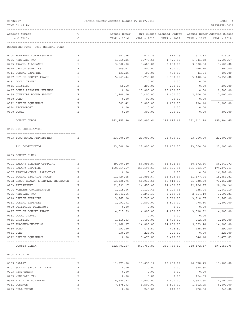| 09/22/17                                 | Fannin County Adopted Budget FY 2017/2018 |                                                |                                                       |                    | PAGE                  |
|------------------------------------------|-------------------------------------------|------------------------------------------------|-------------------------------------------------------|--------------------|-----------------------|
| TIME: 01:49 PM                           |                                           |                                                |                                                       |                    | PREPARER: 0011        |
| Account Number                           | т                                         | Actual Exper                                   | Org Budget Amended Budget Actual Exper Adopted Budget |                    |                       |
| and Title                                | C                                         | YEAR - 2016<br>YEAR - 2017                     | YEAR - 2017                                           | YEAR - 2017        | YEAR - 2018           |
|                                          |                                           |                                                |                                                       |                    |                       |
| REPORTING FUND: 0010 GENERAL FUND        |                                           |                                                |                                                       |                    |                       |
| 0204 WORKERS' COMPENSATION               | Ε                                         | 551.26<br>612.26                               | 612.26                                                | 512.32             | 436.97                |
| 0205 MEDICARE TAX                        | Ε                                         | 1,519.26<br>1,775.56                           | 1,775.56                                              | 1,541.38           | 1,508.57              |
| 0225 TRAVEL ALLOWANCE                    | Ε                                         | 3,600.00<br>3,600.00                           | 3,600.00                                              | 3,300.00           | 3,600.00              |
| 0310 OFFICE SUPPLIES                     | Ε                                         | 649.41<br>800.00                               | 800.00                                                | 740.90             | 800.00                |
| 0311 POSTAL EXPENSES                     | Ε                                         | 131.26<br>400.00                               | 400.00                                                | 41.04              | 400.00                |
| 0427 OUT OF COUNTY TRAVEL                | Ε                                         | 5,941.44<br>5,750.00                           | 5,750.00                                              | 5,440.56           | 5,750.00              |
| 0431 LOCAL TRAVEL                        | Ε                                         | 0.00                                           | 0.00                                                  | 0.00               |                       |
| 0435 PRINTING                            | Ε                                         | 58.50<br>200.00                                | 200.00                                                | 0.00               | 200.00                |
| 0437 COURT REPORTER EXPENSE              | Ε                                         | 0.00<br>15,000.00                              | 15,000.00                                             | 0.00               | 2,500.00              |
| 0468 JUVENILE BOARD SALARY               | Ε                                         | 1,200.00<br>2,400.00                           | 2,400.00                                              | 2,200.00           | 2,400.00              |
| 0480 BOND                                | Ε                                         | 0.00<br>90.00                                  | 90.00                                                 | 0.00               |                       |
| 0572 OFFICE EQUIPMENT<br>0574 TECHNOLOGY | Ε<br>Ε                                    | 1,000.00<br>603.42<br>0.00<br>0.00             | 1,000.00<br>0.00                                      | 134.10<br>0.00     | 1,000.00              |
| 0590 BOOKS                               | Ε                                         | 0.00<br>300.00                                 | 300.00                                                | 0.00               | 300.00                |
|                                          |                                           |                                                |                                                       |                    |                       |
| COUNTY JUDGE                             |                                           | 162,455.90                                     | 192,095.64 192,095.64                                 | 161,611.28         | 155,804.65            |
| 0401 911 COORDINATOR                     |                                           |                                                |                                                       |                    |                       |
| 0403 TCOG RURAL ADDRESSING               | Е                                         | 23,000.00                                      | 23,000.00<br>23,000.00                                | 23,000.00          | 23,000.00             |
|                                          |                                           |                                                |                                                       |                    |                       |
| 911 COORDINATOR                          |                                           | 23,000.00<br>23,000.00                         | 23,000.00                                             | 23,000.00          | 23,000.00             |
| 0403 COUNTY CLERK                        |                                           |                                                |                                                       |                    |                       |
| 0101 SALARY ELECTED OFFICIAL             | Е                                         | 49,904.40<br>54,894.87                         | 54,894.87                                             | 50,672.16          | 56,541.72             |
| 0104 SALARY DEPUTIES                     | Ε                                         | 150,914.57<br>169,196.53                       | 169,196.53                                            | 151,293.97         | 174, 272.43           |
| 0107 REGULAR-TEMP. PART-TIME             | Ε                                         | 0.00                                           | 0.00<br>0.00                                          | 0.00               | 16,588.00             |
| 0201 SOCIAL SECURITY TAXES               | Е                                         | 11,724.65<br>13,893.67                         | 13,893.67                                             | 11,177.94          | 15,353.81             |
| 0202 GROUP HEALTH & DENTAL INSURANCE     | Е                                         | 63,336.76<br>66,913.56                         | 66,913.56                                             | 61,338.20          | 73,462.20             |
| 0203 RETIREMENT                          | Ε                                         | 24,650.05<br>21,891.17                         | 24,650.05                                             | 22,206.87          | 28, 154.36            |
| 0204 WORKERS COMPENSATION                | Ε                                         | 1,015.06<br>1,120.46                           | 1,120.46                                              | 935.04             | 1,040.10              |
| 0205 MEDICARE TAX                        | Ε                                         | 3,249.33<br>2,741.66                           | 3,249.33                                              | 2,614.40           | 3,590.81              |
| 0310 OFFICE SUPPLIES                     | Ε                                         | 3,265.20<br>3,760.00                           | 3,760.00                                              | 3,318.57           | 3,760.00              |
| 0311 POSTAL EXPENSES                     | Ε                                         | 1,091.91<br>1,500.00                           | 1,500.00                                              | 778.56             | 1,500.00              |
| 0420 UTILITIES TELEPHONE                 | Ε                                         | 0.00<br>0.00                                   | 0.00                                                  | 0.00               |                       |
| 0427 OUT OF COUNTY TRAVEL                | Ε                                         | 4,015.59<br>4,000.00                           | 4,000.00                                              | 3,538.92           | 4,000.00              |
| 0431 LOCAL TRAVEL                        | Ε                                         |                                                | 0.00<br>0.00                                          | 0.00               |                       |
| 0435 PRINTING<br>0437 IMAGING/INDEXING   | Ε<br>Ε                                    | 1,400.00<br>1,110.03<br>11,168.07<br>14,000.00 | 1,400.00<br>14,000.00                                 | 262.08<br>9,553.78 | 1,400.00<br>14,000.00 |
| 0480 BOND                                | Ε                                         | 292.50<br>478.50                               | 478.50                                                | 435.50             | 292.50                |
| 0481 DUES                                | Ε                                         | 230.00<br>225.00                               | 225.00                                                | 0.00               | 225.00                |
| 0572 OFFICE EQUIPMENT                    | Ε                                         | 0.00<br>3,478.83                               | 3,478.83                                              | 346.18             | 3,478.83              |
|                                          |                                           |                                                |                                                       |                    |                       |
| COUNTY CLERK                             |                                           | 322,701.57 362,760.80                          | 362,760.80                                            | 318,472.17         | 397,659.76            |
| 0404 ELECTION                            |                                           |                                                |                                                       |                    |                       |
| 0109 SALARY                              | Ε                                         | 11,279.00<br>13,699.12                         | 13,699.12                                             | 16,078.75          | 11,300.00             |
| 0201 SOCIAL SECURITY TAXES               | Ε                                         | 0.00                                           | 0.00<br>0.00                                          | 658.84             |                       |
| 0203 RETIREMENT                          | Ε                                         | 0.00                                           | 0.00<br>0.00                                          | 0.00               |                       |
| 0205 MEDICARE TAX                        | Ε                                         | 0.00                                           | 0.00<br>0.00                                          | 154.09             |                       |
| 0310 ELECTION SUPPLIES                   | Ε                                         | 5,584.33<br>4,000.00                           | 4,000.00                                              | 3,667.64           | 4,000.00              |
| 0311 POSTAGE                             | Ε                                         | 7,375.93<br>8,500.00                           | 8,500.00                                              | 1,602.25           | 8,500.00              |
| 0423 CELL PHONE                          | Ε                                         | 0.00<br>240.00                                 | 240.00                                                | 220.00             | 240.00                |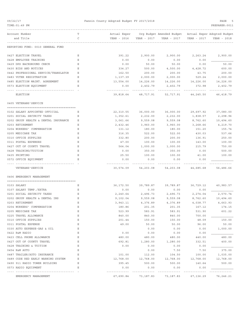| TIME: 01:49 PM                                              |   |                     |             |                                                       |             | PREPARER: 0011 |
|-------------------------------------------------------------|---|---------------------|-------------|-------------------------------------------------------|-------------|----------------|
| Account Number                                              | т | Actual Exper        |             | Org Budget Amended Budget Actual Exper Adopted Budget |             |                |
| and Title                                                   | C | YEAR - 2016         | YEAR - 2017 | YEAR - 2017                                           | YEAR - 2017 | YEAR - 2018    |
| REPORTING FUND: 0010 GENERAL FUND                           |   |                     |             |                                                       |             |                |
| 0427 ELECTION TRAVEL                                        | Е | 391.22              | 2,900.00    | 2,900.00                                              | 2,263.24    | 2,900.00       |
| 0428 EMPLOYEE TRAINING                                      | Ε | 0.00                | 0.00        | 0.00                                                  | 0.00        |                |
| 0429 DPS BACKGROUND CHECK                                   | Ε | 0.00                | 50.00       | 50.00                                                 | 0.00        | 50.00          |
| 0430 BIDS AND NOTICES                                       | Ε | 334.27              | 500.00      | 4,500.00                                              | 4,428.72    | 600.00         |
| 0442 PROFESSIONAL SERVICE/TRANSLATOR                        | Е | 162.50              | 200.00      | 200.00                                                | 43.75       | 200.00         |
| 0483 VOTER REGISTRATION                                     | Ε | 1,137.39            | 2,000.00    | 2,000.00                                              | 529.24      | 2,000.00       |
| 0485 ELECTION MAINT. AGREEMENT                              | Ε | 13,554.00           | 14,226.00   | 14,226.00                                             | 14,226.00   | 14,226.00      |
| 0573 ELECTION EQUIPMENT                                     | Ε | 0.00                | 2,402.79    | 2,402.79                                              | 372.98      | 2,402.79       |
| ELECTION                                                    |   | 39,818.64           | 48,717.91   | 52,717.91                                             | 44,245.50   | 46,418.79      |
| 0405 VETERANS'SERVICE                                       |   |                     |             |                                                       |             |                |
| 0102 SALARY APPOINTED OFFICIAL                              | Ε | 22,310.55           | 36,000.00   | 36,000.00                                             | 29,697.92   | 37,080.00      |
| 0201 SOCIAL SECURITY TAXES                                  | Ε | 1,352.61            | 2,232.00    | 2,232.00                                              | 1,838.57    | 2,298.96       |
| 0202 GROUP HEALTH & DENTAL INSURANCE                        | Е | 3,061.66            | 9,559.08    | 9,559.08                                              | 8,762.60    | 10,494.60      |
| 0203 RETIREMENT                                             | Ε | 2,432.46            | 3,960.00    | 3,960.00                                              | 3,268.66    | 4,219.70       |
| 0204 WORKERS' COMPENSATION                                  | Е | 131.12              | 180.00      | 180.00                                                | 151.20      | 155.74         |
| 0205 MEDICARE TAX                                           | Ε | 316.35              | 522.00      | 522.00                                                | 430.03      | 537.66         |
| 0310 OFFICE SUPPLIES                                        | Ε | 332.80              | 200.00      | 200.00                                                | 136.91      | 250.00         |
| 0311 POSTAL EXPENSES                                        | Е | 47.00               | 100.00      | 100.00                                                | 143.00      | 100.00         |
| 0427 OUT OF COUNTY TRAVEL                                   | Е | 564.04              | 1,000.00    | 1,000.00                                              | 215.79      | 750.00         |
| 0428 TRAINING/TUITION                                       | Ε | 0.00                | 350.00      | 350.00                                                | 0.00        | 500.00         |
| 0435 PRINTING                                               | Ε | 25.50               | 100.00      | 100.00                                                | 41.00       | 100.00         |
| 0572 OFFICE EQUIPMENT                                       | Ε | 0.00                | 0.00        | 0.00                                                  | 0.00        |                |
| VETERANS ' SERVICE                                          |   | 30,574.09           | 54,203.08   | 54,203.08                                             | 44,685.68   | 56,486.66      |
| 0406 EMERGENCY MANAGEMENT                                   |   |                     |             |                                                       |             |                |
| 0103 SALARY                                                 | Е | 36,172.50           | 39,789.87   | 39,789.87                                             | 36,729.12   | 40,983.57      |
| 0107 SALARY TEMP./EXTRA                                     | Ε | 0.00                | 0.00        | 0.00                                                  | 0.00        |                |
| 0201 SOCIAL SECURITY TAXES                                  | Е | 2,240.64            | 2,496.73    | 2,496.73                                              | 2,274.04    | 2,570.74       |
| 0202 GROUP HEALTH & DENTAL INS                              | Ε | 9,102.04            | 9,559.08    | 9,559.08                                              | 8,762.60    | 10,494.60      |
| 0203 RETIREMENT                                             | Ε | 3,943.11            | 4,376.89    | 4,376.89                                              | 4,038.77    | 4,663.93       |
| 0204 WORKERS' COMPENSATION                                  | Ε | 180.86              | 201.35      | 201.35                                                | 167.12      | 174.15         |
| 0205 MEDICARE TAX                                           | Ε | 523.99              | 583.91      | 583.91                                                | 531.90      | 601.22         |
| 0225 TRAVEL ALLOWANCE                                       | Ε | 840.00              | 840.00      | 840.00                                                | 700.00      |                |
| 0310 OFFICE SUPPLIES                                        | Ε | 201.44              | 150.00      | 150.00                                                | 48.09       | 150.00         |
| 0311 POSTAL EXPENSE                                         | Ε | 49.00               | 50.00       | 50.00                                                 | 96.00       | 50.00          |
| 0330 AUTO EXPENSE-GAS & OIL                                 | Ε |                     | 0.00        | 0.00                                                  | 0.00        | 1,000.00       |
| 0422 R&M RADIO                                              | Ε | 0.00                | 0.00        | 0.00                                                  | 0.00        |                |
| 0423 CELL PHONE ALLOWANCE                                   | Ε | 480.00              | 480.00      | 480.00                                                | 440.00      | 480.00         |
| 0427 OUT OF COUNTY TRAVEL                                   | Е | 692.81              | 1,280.00    | 1,280.00                                              | 332.51      | 400.00         |
| 0428 TRAINING & TUITION                                     | Ε | 0.00                | 0.00        | 0.00                                                  | 0.00        |                |
| 0454 R&M AUTO                                               | Ε |                     | 0.00        | 7.50                                                  | 7.50        | 375.00         |
| 0487 TRAILER/AUTO INSURANCE                                 | Ε | 101.00              | 112.00      | 104.50                                                | 100.00      | 1,035.00       |
| 0489 CODE RED EARLY WARNING SYSTEM                          | Е | 12,768.00           | 12,768.00   | 12,768.00                                             | 12,768.00   | 12,768.00      |
| 0490 911 RADIO TOWER BUILDING                               | Е | 395.45              | 500.00      | 500.00                                                | 140.64      | 500.00         |
| 0573 RADIO EQUIPMENT<br>----------------------------------- | Ε | 0.00<br>----------- | 0.00        | 0.00                                                  | 0.00        |                |
| EMERGENCY MANAGEMENT                                        |   | 67,690.84           | 73,187.83   | 73,187.83                                             | 67,136.29   | 76,246.21      |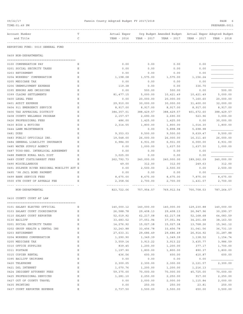| TIME:01:49 PM                              |   |              |             |                           |             | PREPARER: 0011              |
|--------------------------------------------|---|--------------|-------------|---------------------------|-------------|-----------------------------|
| Account Number                             | Т | Actual Exper |             | Org Budget Amended Budget |             | Actual Exper Adopted Budget |
| and Title                                  | C | YEAR - 2016  | YEAR - 2017 | YEAR - 2017               | YEAR - 2017 | YEAR - 2018                 |
| REPORTING FUND: 0010 GENERAL FUND          |   |              |             |                           |             |                             |
| 0409 NON-DEPARTMENTAL                      |   |              |             |                           |             |                             |
| 0100 COMPENSATION PAY                      | Е | 0.00         | 0.00        | 0.00                      | 0.00        |                             |
| 0201 SOCIAL SECURITY TAXES                 | Ε | 0.00         | 0.00        | 0.00                      | 0.00        |                             |
| 0203 RETIREMENT                            | Ε | 0.00         | 0.00        | 0.00                      | 0.00        |                             |
| 0204 WORKERS' COMPENSATION                 | Ε | 1,198.08     | 1,575.00    | 1,575.00                  | 1,156.24    |                             |
| 0205 MEDICARE TAX                          | Ε | 0.00         | 0.00        | 0.00                      | 0.00        |                             |
| 0206 UNEMPLOYMENT EXPENSE                  | Ε | 119.38       | 0.00        | 0.00                      | 336.70      |                             |
| 0395 ERRORS AND OMISSIONS                  | Ε | 0.00         | 500.00      | 500.00                    | 0.00        | 500.00                      |
| 0399 CLAIMS SETTLEMENTS                    | Ε | 81, 477.15   | 5,000.00    | 10,421.49                 | 10,421.49   | 5,000.00                    |
| 0400 LEGAL FEES                            | Ε | 0.00         | 20,000.00   | 20,000.00                 | 7,160.60    | 20,000.00                   |
| 0401 AUDIT EXPENSE                         | Ε | 29,910.00    | 30,000.00   | 30,000.00                 | 31,400.00   | 32,000.00                   |
| 0404 911 EMERGENCY SERVICE                 | Ε | 8,917.00     | 8,917.00    | 8,917.00                  | 8,917.00    | 8,917.00                    |
| 0406 TAX APPRAISAL DISTRICT                | Е | 384, 357.01  | 388,429.57  | 388,429.57                | 401,672.60  | 388,429.57                  |
| 0408 COUNTY WELLNESS PROGRAM               | Ε | 2,157.57     | 2,690.00    | 2,690.00                  | 523.96      | 3,000.00                    |
| 0426 PROFESSIONAL FEES                     | Е | 486.00       | 1,425.00    | 1,425.00                  | 0.00        | 30,000.00                   |
| 0430 BIDS & NOTICES                        | Ε | 2,314.55     | 1,800.00    | 1,800.00                  | 1,014.30    | 1,800.00                    |
| 0444 LAWN MAINTENANCE                      | Ε |              | 0.00        | 5,898.98                  | 5,698.98    |                             |
| 0481 DUES                                  | Ε | 9,353.03     | 9,500.00    | 9,500.00                  | 9,639.47    | 9,500.00                    |
| 0483 PUBLIC OFFICIALS INS.                 | Ε | 19,548.00    | 26,000.00   | 26,000.00                 | 16,311.40   | 26,000.00                   |
| 0484 GENERAL LIABILITY INSURANCE           | Ε | 6,984.00     | 6,931.00    | 6,931.00                  | 6,000.00    | 6,931.00                    |
| 0485 WATER SUPPLY AGENCY                   | Ε | 0.00         | 1,000.00    | 1,637.50                  | 1,637.50    | 1,000.00                    |
| 0487 TCOG-REG. INTERLOCAL AGREEMENT        | Ε | 0.00         | 0.00        | 0.00                      | 0.00        |                             |
| 0488 FANNIN RURAL RAIL DIST                | Ε | 3,025.00     | 0.00        | 0.00                      | 0.00        |                             |
| 0489 COURT COSTS/ARREST FEES               | Ε | 262,792.73   | 240,000.00  | 240,000.00                | 189,262.09  | 240,000.00                  |
| 0490 MISCELLANEOUS                         | Ε | 49.00        | 312.00      | 312.00                    | 249.63      | 312.00                      |
| 0491 SULPHUR RIVER REGIONAL MOBILITY AUT E |   | 0.00         | 2,500.00    | 2,500.00                  | 0.00        | 2,500.00                    |
| 0495 '98 JAIL BOND PAYMENT                 | Ε | 0.00         | 0.00        | 0.00                      | 0.00        |                             |
| 0499 BANK SERVICE FEES                     | Ε | 8,675.00     | 8,675.00    | 8,675.00                  | 7,875.00    | 8,675.00                    |
| 0500 6TH COURT OF APPEALS FEE              | Е | 2,358.56     | 2,700.00    | 2,700.00                  | 1,431.57    | 2,700.00                    |
| NON-DEPARTMENTAL                           |   | 823,722.06   | 757,954.57  | 769,912.54                | 700,708.53  | 787,264.57                  |
| 0410 COUNTY COURT AT LAW                   |   |              |             |                           |             |                             |
|                                            |   |              |             |                           |             |                             |
| 0101 SALARY ELECTED OFFICIAL               | Ε | 140,000.12   | 140,000.00  | 140,000.00                | 129,230.88  | 140,000.00                  |
| 0103 SALARY COURT COORDINATOR              | Ε | 26,588.78    | 29,408.13   | 29,408.13                 | 26,947.96   | 30,290.37                   |
| 0110 SALARY COURT REPORTER                 | Ε | 52,019.92    | 62,217.08   | 62,217.08                 | 52,168.68   | 64,083.59                   |
| 0130 BAILIFF                               | Ε | 33,683.52    | 37,051.94   | 37,051.94                 | 34,201.68   | 38,163.50                   |
| 0201 SOCIAL SECURITY TAXES                 | Ε | 14,276.92    | 15,027.38   | 15,027.38                 | 13,768.26   | 15,341.12                   |
| 0202 GROUP HEALTH & DENTAL INS             | Ε | 32, 243.88   | 33, 456.78  | 33,456.78                 | 31,041.56   | 36,731.10                   |
| 0203 RETIREMENT                            | Ε | 27,633.31    | 29,686.49   | 29,686.49                 | 26, 914.92  | 31,287.88                   |
| 0204 WORKERS COMPENSATION                  | Ε | 1,290.90     | 1,349.39    | 1,349.39                  | 1,138.52    | 1,154.74                    |
| 0205 MEDICARE TAX                          | Ε | 3,559.14     | 3,913.22    | 3,913.22                  | 3,435.77    | 3,986.59                    |
| 0310 OFFICE SUPPLIES                       | Ε | 839.45       | 1,200.00    | 1,200.00                  | 377.17      | 1,700.00                    |
| 0311 POSTAGE                               | Ε | 1,197.90     | 1,800.00    | 1,800.00                  | 890.37      | 1,800.00                    |
| 0315 COPIER RENTAL                         | Ε | 436.56       | 600.00      | 600.00                    | 410.87      | 600.00                      |
| 0395 BAILIFF UNIFORMS                      | Ε | 0.00         | 0.00        | 0.00                      | 0.00        |                             |
| 0420 TELEPHONE                             | Ε | 2,300.05     | 2,300.00    | 2,300.00                  | 2,121.57    | 2,300.00                    |
| 0421 DSL INTERNET                          | Ε | 1,070.76     | 1,200.00    | 1,200.00                  | 1,216.13    |                             |
| 0424 INDIGENT ATTORNEY FEES                | Ε | 59,375.00    | 70,000.00   | 70,000.00                 | 45,725.00   | 70,000.00                   |
| 0425 PROFESSIONAL SERVICES                 | Ε | 1,281.10     | 2,250.00    | 2,250.00                  | 917.00      | 2,250.00                    |
| 0427 OUT OF COUNTY TRAVEL                  | Ε | 0.00         | 2,000.00    | 2,000.00                  | 1,115.84    | 2,000.00                    |
| 0435 PRINTING                              | Ε | 0.00         | 250.00      | 250.00                    | 23.81       | 250.00                      |

0437 COURT REPORTER EXPENSE E 2,737.50 3,500.00 3,500.00 650.00 3,500.00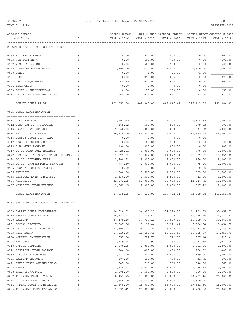| TIME:01:49 PM                                                   |             |                |                  |                           |               | PREPARER: 0011              |
|-----------------------------------------------------------------|-------------|----------------|------------------|---------------------------|---------------|-----------------------------|
| Account Number                                                  | т           | Actual Exper   |                  | Org Budget Amended Budget |               | Actual Exper Adopted Budget |
| and Title                                                       | C           | YEAR - 2016    | YEAR - 2017      | YEAR - 2017               | YEAR - 2017   | YEAR - 2018                 |
| REPORTING FUND: 0010 GENERAL FUND                               |             |                |                  |                           |               |                             |
| 0439 WITNESS EXPENSE                                            | Ε           | 0.00           | 500.00           | 500.00                    | 0.00          | 500.00                      |
| 0453 R&M EQUIPMENT                                              | Ε           | 0.00           | 400.00           | 400.00                    | 0.00          | 400.00                      |
| 0467 VISITING JUDGE                                             | Ε           | 0.00           | 500.00           | 500.00                    | 0.00          | 500.00                      |
| 0468 JUVENILE BOARD SALARY                                      | Ε           | 1,200.00       | 2,400.00         | 2,400.00                  | 2,200.00      | 2,400.00                    |
| 0480 BONDS                                                      | Ε           | 0.00           | 71.00            | 71.00                     | 71.00         |                             |
| 0481 DUES                                                       | E           | 0.00           | 295.00           | 295.00                    | 0.00          | 295.00                      |
| 0572 OFFICE EQUIPMENT                                           | Ε           | 49.99          | 600.00           | 600.00                    | 0.00          | 600.00                      |
| 0574 TECHNOLOGY                                                 | E           | 0.00           | 0.00             | 0.00                      | 0.00          |                             |
| 0590 BOOKS & PUBLICATIONS                                       | Ε           | 0.00           | 250.00           | 250.00                    | 0.00          | 250.00                      |
| 0591 LEXIS NEXIS ONLINE LEGAL                                   | Ε           | 569.00         | 621.00           | 621.00                    | 547.00        | 621.00                      |
| COUNTY COURT AT LAW                                             |             | 402,353.80     | 442,847.41       | 442,847.41                | 375, 113.99   | 451,004.89                  |
| 0425 COURT ADMINISTRATION                                       |             |                |                  |                           |               |                             |
|                                                                 |             |                |                  |                           |               |                             |
| 0311 JURY POSTAGE                                               | Ε           | 3,602.69       | 4,200.00         | 4,200.00                  | 2,908.93      | 4,200.00                    |
| 0312 DISTRICT JURY SUPPLIES                                     | Ε           | 165.12         | 500.00           | 500.00                    | 879.63        | 500.00                      |
| 0313 GRAND JURY EXPENSE                                         | Ε           | 5,860.00       | 5,000.00         | 5,000.00                  | 4,534.52      | 5,000.00                    |
| 0314 PETIT JURY EXPENSE                                         | Ε           | 20,828.00      | 46,000.00        | 46,000.00                 | 27,199.52     | 46,000.00                   |
| 0316 COUNTY COURT JURY EXP.                                     | Ε           | 0.00           | 0.00             | 0.00                      | 0.00          |                             |
| 0317 COURT REPORTER SUPPLIES                                    | Ε           | 0.00           | 100.00           | 100.00                    | 0.00          | 100.00                      |
| 0318 J.P. JURY EXPENSE                                          | Ε           | 190.00         | 800.00           | 800.00                    | 0.00          | 800.00                      |
| 0319 CO.CT.@LAW JURY EXPENSE                                    | Ε           | 1,728.01       | 5,000.00         | 5,000.00                  | 778.00        | 5,000.00                    |
| 0422 REGIONAL INDIGENT DEFENSE PROGRAM                          | Ε           | 11,822.01      | 11,822.01        | 11,822.01                 | 11,822.01     | 18,056.00                   |
| 0424 CO.CT. ATTORNEY FEES                                       | Ε           | 3,400.52       | 8,000.00         | 8,000.00                  | 150.00        | 8,000.00                    |
| 0425 CO.CT. PROFESSIONAL SERVICES<br>0426 COUNTY COURT SUPPLIES | Ε<br>Ε      | 787.50<br>0.00 | 1,000.00<br>0.00 | 1,000.00                  | 75.00<br>0.00 | 1,000.00                    |
| 0435 PRINTING                                                   | Ε           | 980.00         | 1,500.00         | 0.00                      | 985.00        | 1,500.00                    |
| 0465 PHYSICAL EVID. ANALYSES                                    | Ε           | 1,836.00       | 1,500.00         | 1,500.00<br>1,500.00      | 41.00         | 1,500.00                    |
| 0466 AUTOPSIES                                                  | E           | 32,873.25      | 50,000.00        | 50,000.00                 | 42,547.75     | 50,000.00                   |
| 0467 VISITING JUDGE EXPENSE                                     | Ε           | 3,562.15       | 2,000.00         | 2,000.00                  | 937.72        | 2,000.00                    |
|                                                                 |             |                |                  |                           |               |                             |
| COURT ADMINISTRATION                                            |             | 87,635.25      | 137,422.01       | 137,422.01                | 92,859.08     | 143,656.00                  |
| 0435 336TH DISTRICT COURT ADMINISTRATION                        |             |                |                  |                           |               |                             |
| 0103 SALARY COURT COORDINATOR                                   | Ε           | 30,810.91      | 34, 323.10       | 34, 323.10                | 31,409.63     | 35, 352.79                  |
| 0110 SALARY COURT REPORTER                                      | Ε           | 65,482.22      | 72,308.47        | 72,308.47                 | 66,746.16     | 74, 477.72                  |
| 0130 BAILIFF                                                    | Ε           | 34, 479. 38    | 37,927.18        | 37,927.18                 | 35,009.76     | 39,065.00                   |
| 0201 SOCIAL SECURITY                                            | Ε           | 7,907.86       | 9,111.44         | 9,111.44                  | 7,620.84      | 9,454.72                    |
| 0202 GROUP HEALTH INSURANCE                                     | Ε           | 27,306.12      | 28,677.24        | 28,677.24                 | 26, 287.80    | 31,483.80                   |
| 0203 RETIREMENT                                                 | Ε           | 14,516.88      | 16, 165.46       | 16, 165.46                | 15,005.97     | 17, 353.99                  |
| 0204 WORKERS COMPENSATION                                       | Ε           | 657.08         | 722.79           | 722.79                    | 607.14        | 625.36                      |
| 0205 MEDICARE                                                   | Ε           | 1,849.24       | 2,130.90         | 2,130.90                  | 1,782.45      | 2,211.18                    |
| 0310 OFFICE SUPPLIES                                            | Ε           | 2,076.25       | 1,800.00         | 1,800.00                  | 1,811.06      | 1,800.00                    |
| 0311 DISTRICT JUDGE POSTAGE                                     | Ε           | 244.30         | 400.00           | 400.00                    | 260.92        | 400.00                      |
| 0352 GPS/SCRAM MONITORS                                         | Ε           | 1,771.00       | 1,000.00         | 1,000.00                  | 579.00        | 1,000.00                    |
| 0395 BAILIFF UNIFORMS                                           | Ε           | 304.18         | 400.00           | 400.00                    | 31.75         | 400.00                      |
| 0421 LEXIS NEXIS ONLINE LEGAL                                   | Ε           | 647.00         | 768.00           | 768.00                    | 640.00        | 768.00                      |
| 0427 TRAVEL                                                     | Ε           | 2,880.27       | 3,000.00         | 3,000.00                  | 5,036.83      | 3,000.00                    |
| 0428 TRAINING/TUITION                                           | $\mathbf E$ | 1,005.00       | 2,500.00         | 2,500.00                  | 660.00        | 2,500.00                    |
| 0432 ATTORNEY FEES JUVENILE                                     | $\mathbf E$ | 18,451.75      | 15,000.00        | 15,000.00                 | 20,791.46     | 20,000.00                   |
| 0433 ATTORNEY FEES DRUG CT                                      | Ε           | 3,855.00       | 3,600.00         | 3,600.00                  | 3,510.00      |                             |
| 0434 APPEAL COURT TRANSCRIPTS                                   | Ε           | 11,668.00      | 18,000.00        | 18,000.00                 | 27,851.50     | 18,000.00                   |
| 0435 ATTORNEYS FEES APPEALS CT                                  | Ε           | 9,895.42       | 20,000.00        | 20,000.00                 | 3,700.00      | 20,000.00                   |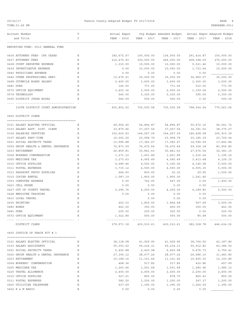09/22/17 PAGE 8<br>Fannin County Adopted Budget FY 2017/2018 PAGE 8<br>TIME:01:49 PM

| TIME: 01:49 PM                       |             |                             |                 |                                                       |             | PREPARER: 0011 |
|--------------------------------------|-------------|-----------------------------|-----------------|-------------------------------------------------------|-------------|----------------|
| Account Number                       | Т           | Actual Exper                |                 | Org Budget Amended Budget Actual Exper Adopted Budget |             |                |
| and Title                            | C           | YEAR - 2016                 | YEAR - 2017     | YEAR - 2017                                           | YEAR - 2017 | YEAR - 2018    |
|                                      |             |                             |                 |                                                       |             |                |
| REPORTING FUND: 0010 GENERAL FUND    |             |                             |                 |                                                       |             |                |
| 0436 ATTORNEY FEES- CPS CASES        | Ε           | 182,672.67                  | 100,000.00      | 134,000.00                                            | 291, 414.87 | 150,000.00     |
| 0437 ATTORNEY FEES                   | Ε           | 212,470.93                  | 300,000.00      | 266,000.00                                            | 208,398.29  | 275,000.00     |
| 0438 COURT REPORTER EXPENSE          | Ε           | 1,315.00                    | 10,000.00       | 10,000.00                                             | 5,521.46    | 10,000.00      |
| 0439 INVESTIGATOR EXPENSE            | Ε           | 0.00                        | 10,000.00       | 10,000.00                                             | 1,733.64    | 10,000.00      |
| 0440 PHYSICIANS EXPENSE              | Ε           | 0.00                        | 0.00            | 0.00                                                  | 0.00        |                |
| 0442 OTHER PROFESSIONAL SERV.        | Ε           | 13,476.21                   | 35,000.00       | 35,000.00                                             | 36,960.07   | 35,000.00      |
| 0468 JUVENILE BOARD SALARY           | Ε           | 2,400.00                    | 3,600.00        | 3,600.00                                              | 3,300.00    | 3,600.00       |
| 0481 DUES                            | Ε           | 145.00                      | 771.00          | 771.00                                                | 510.00      | 771.00         |
| 0572 OFFICE EQUIPMENT                | Ε           | 3,403.36                    | 2,500.00        | 2,500.00                                              | 1,159.04    | 2,500.00       |
| 0574 TECHNOLOGY                      | Ε           | 545.00                      | 5,300.00        | 5,300.00                                              | 595.00      | 5,300.00       |
| 0590 DISTRICT JUDGE BOOKS            | E           | 566.59                      | 500.00          | 500.00                                                | 0.00        | 500.00         |
|                                      |             |                             |                 |                                                       |             |                |
| 336TH DISTRICT COURT ADMINISTRATION  |             | 652,802.62                  | 735,505.58      | 735,505.58                                            | 798,934.64  | 770,563.56     |
| 0450 DISTRICT CLERK                  |             |                             |                 |                                                       |             |                |
|                                      |             |                             |                 |                                                       |             |                |
| 0101 SALARY ELECTED OFFICIAL         | Ε           | 49,904.40                   | 54,894.87       | 54,894.87                                             | 50,672.16   | 56, 541.72     |
| 0103 SALARY ASST. DIST. CLERK        | Ε           | 33,870.46                   | 37, 257.54      | 37, 257.54                                            | 34,391.52   | 38, 375. 27    |
| 0104 SALARIES DEPUTIES               | Ε           | 152,620.63                  | 164,267.29      | 164,267.29                                            | 146,458.08  | 165, 915.39    |
| 0107 SALARY PART-TIME                | Ε           | 10,002.20                   | 23,958.79       | 23,958.79                                             | 20,185.39   | 23,729.54      |
| 0201 SOCIAL SECURITY TAXES           | Ε           | 13,996.88                   | 17,383.47       | 17,383.47                                             | 14,596.59   | 17,642.84      |
| 0202 GROUP HEALTH & DENTAL INSURANCE | Ε           | 72,873.59                   | 76,472.64       | 76,472.64                                             | 69,304.18   | 83,956.80      |
| 0203 RETIREMENT                      | Ε           | 26,859.81                   | 30,841.63       | 30,841.63                                             | 27,676.54   | 32, 383.15     |
| 0204 WORKERS COMPENSATION            | Ε           | 1,271.12                    | 1,401.89        | 1,401.89                                              | 1,216.24    | 1,195.16       |
| 0205 MEDICARE TAX                    | Ε           | 3,273.63                    | 4,065.49        | 4,065.49                                              | 3, 413.48   | 4,126.15       |
| 0310 OFFICE SUPPLIES                 | Ε           | 4,689.46                    | 4,500.00        | 5,300.00                                              | 4,145.08    | 5,000.00       |
| 0311 POSTAL EXPENSES                 | Ε           | 3,715.12                    | 4,500.00        | 4,500.00                                              | 4,005.15    | 5,000.00       |
| 0313 PASSPORT PHOTO SUPPLIES         | Ε           | 666.60                      | 800.00          | 30.32                                                 | 29.95       | 1,500.00       |
| 0315 COPIER RENTAL                   | Ε           | 1,587.19                    | 1,800.00        | 1,800.00                                              | 1,241.46    |                |
| 0353 COMPUTER EXPENSE                | Ε           | 0.00                        | 742.00          | 567.00                                                | 0.00        | 1,400.00       |
| 0423 CELL PHONE                      | Ε           | 0.00                        | 0.00            | 0.00                                                  | 0.00        |                |
| 0427 OUT OF COUNTY TRAVEL            | Ε           | 2,296.76                    | 4,250.00        | 4,250.00                                              | 4,189.80    | 5,500.00       |
| 0428 EMPLOYEE TRAINING               | Ε           | 0.00                        | 0.00            | 0.00                                                  | 0.00        |                |
| 0431 LOCAL TRAVEL                    | Ε           |                             | 0.00            | 0.00                                                  | 0.00        |                |
| 0435 PRINTING                        | Ε           | 652.53                      | 1,800.00        | 1,894.68                                              | 567.68      | 3,000.00       |
| 0480 BONDS                           | Ε           | 443.00                      | 350.00          | 400.00                                                | 350.00      | 443.00         |
| 0481 DUES                            | Ε           | 225.00                      | 225.00          | 225.00                                                | 0.00        | 225.00         |
| 0572 OFFICE EQUIPMENT                | Ε           | 1,022.80                    | 500.00          | 500.00                                                | 85.48       | 500.00         |
| DISTRICT CLERK                       |             | -------------<br>379,971.18 | .<br>430,010.61 | 430,010.61                                            | 382,528.78  | 446,434.02     |
| 0455 JUSTICE OF PEACE PCT # 1        |             |                             |                 |                                                       |             |                |
| 0101 SALARY ELECTED OFFICIAL         | Ε           | 38,118.08                   | 41,929.90       | 41,929.90                                             | 38,704.56   | 43,187.80      |
| 0103 SALARY ASSISTANTS               | Ε           | 55, 353.52                  | 59, 234.31      | 59,234.31                                             | 55, 912.82  | 63,386.52      |
| 0201 SOCIAL SECURITY TAXES           | Ε           | 5,402.88                    | 6,420.98        | 6,420.98                                              | 5,476.73    | 6,756.41       |
| 0202 GROUP HEALTH & DENTAL INSURANCE | Ε           | 27,306.12                   | 28,677.24       | 28,677.24                                             | 26,686.10   | 31,483.80      |
| 0203 RETIREMENT                      | Ε           | 10,189.16                   | 11,101.66       | 11,101.66                                             | 10,405.30   | 12,100.85      |
| 0204 WORKERS' COMPENSATION           | Ε           | 468.36                      | 517.82          | 517.82                                                | 432.86      | 457.69         |
| 0205 MEDICARE TAX                    | Ε           | 1,263.66                    | 1,501.68        | 1,501.68                                              | 1,280.96    | 1,580.13       |
| 0225 TRAVEL ALLOWANCE                | Ε           | 2,400.00                    | 2,400.00        | 2,400.00                                              | 2,200.00    | 2,400.00       |
| 0310 OFFICE SUPPLIES                 | $\mathbf E$ | 527.21                      | 850.00          | 878.70                                                | 820.43      | 850.00         |
| 0311 POSTAL EXPENSES                 | Ε           | 582.50                      | 1,200.00        | 1,200.00                                              | 247.37      | 1,200.00       |
| 0420 UTILITIES TELEPHONE             | Ε           | 637.69                      | 1,395.00        | 1,395.00                                              | 1,264.59    | 1,395.00       |
| 0422 R & M RADIO                     | Ε           | 0.00                        | 0.00            | 0.00                                                  | 0.00        |                |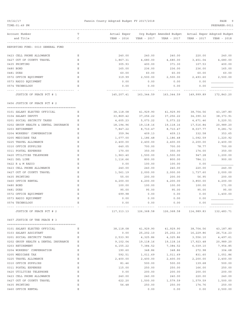| 09/22/17<br>TIME: 01:49 PM                                         |        | Fannin County Adopted Budget FY 2017/2018 |                       |                                                                      |                       | PAGE<br>q<br>PREPARER: 0011 |
|--------------------------------------------------------------------|--------|-------------------------------------------|-----------------------|----------------------------------------------------------------------|-----------------------|-----------------------------|
| Account Number<br>and Title                                        | Т<br>C | Actual Exper<br>YEAR - 2016               | YEAR - 2017           | Org Budget Amended Budget Actual Exper Adopted Budget<br>YEAR - 2017 | YEAR - 2017           | YEAR - 2018                 |
|                                                                    |        |                                           |                       |                                                                      |                       |                             |
| REPORTING FUND: 0010 GENERAL FUND                                  |        |                                           |                       |                                                                      |                       |                             |
| 0423 CELL PHONE ALLOWANCE                                          | Е      | 240.00                                    | 240.00                | 240.00                                                               | 220.00                | 240.00                      |
| 0427 OUT OF COUNTY TRAVEL                                          | Ε      | 1,867.31                                  | 4,680.00              | 4,680.00                                                             | 3,451.04              | 4,680.00                    |
| 0435 PRINTING                                                      | Ε      | 305.93                                    | 400.00                | 371.30                                                               | 107.53                | 400.00                      |
| 0480 BOND                                                          | Ε      | 165.00                                    | 236.00                | 236.00                                                               | 236.00                | 165.00                      |
| 0481 DUES                                                          | Ε      | 60.00                                     | 60.00                 | 60.00                                                                | 60.00                 | 60.00                       |
| 0572 OFFICE EQUIPMENT                                              | Ε      | 319.99                                    | 2,500.00              | 2,500.00                                                             | 2,493.60              | 2,500.00                    |
| 0573 RADIO EQUIPMENT                                               | Ε      | 0.00                                      | 0.00                  | 0.00                                                                 | 0.00                  |                             |
| 0574 TECHNOLOGY                                                    | Ε      | 0.00                                      | 0.00                  | 0.00                                                                 | 0.00                  |                             |
| JUSTICE OF PEACE PCT # 1                                           |        | 145,207.41                                | 163,344.59            | 163,344.59                                                           | 149,999.89            | 172,843.20                  |
| 0456 JUSTICE OF PEACE PCT # 2                                      |        |                                           |                       |                                                                      |                       |                             |
|                                                                    |        |                                           |                       |                                                                      |                       |                             |
| 0101 SALARY ELECTED OFFICIAL                                       | Е      | 38,118.08                                 | 41,929.90             | 41,929.90                                                            | 38,704.56             | 43,187.80                   |
| 0104 SALARY DEPUTY                                                 | Ε      | 33,869.42                                 | 37, 256.22            | 37,256.22                                                            | 34,390.32             | 38, 373.91                  |
| 0201 SOCIAL SECURITY TAXES                                         | Ε      | 4,605.23                                  | 5,073.22              | 5,073.22                                                             | 4,671.46              | 5,220.51                    |
| 0202 GROUP HEALTH & DENTAL INSURANCE                               | Ε      | 18,194.96                                 | 19,118.16             | 19,118.16                                                            | 17,516.84             | 20,989.20                   |
| 0203 RETIREMENT                                                    | Ε      | 7,847.22                                  | 8,710.47              | 8,710.47                                                             | 8,037.77              | 9,281.72                    |
| 0204 WORKERS' COMPENSATION                                         | Ε      | 359.94                                    | 409.13                | 409.13                                                               | 332.58                | 353.65                      |
| 0205 MEDICARE TAX                                                  | Ε      | 1,077.00                                  | 1,186.48              | 1,186.48                                                             | 1,092.59              | 1,220.92                    |
| 0225 TRAVEL ALLOWANCE                                              | Ε      | 2,400.00                                  | 2,400.00              | 2,400.00                                                             | 2,200.00              | 2,400.00                    |
| 0310 OFFICE SUPPLIES                                               | Ε      | 640.05                                    | 700.00                | 700.00                                                               | 78.77                 | 700.00                      |
| 0311 POSTAL EXPENSES                                               | Ε      | 170.00                                    | 350.00                | 350.00                                                               | 174.00                | 350.00                      |
| 0420 UTILITIES TELEPHONE                                           | Ε<br>Ε | 1,963.40                                  | 1,500.00              | 1,500.00                                                             | 947.28                | 1,200.00                    |
| 0421 DSL LINE<br>0422 R & M RADIO                                  | Ε      | 1,116.66<br>0.00                          | 800.00<br>100.00      | 800.00<br>100.00                                                     | 784.11<br>0.00        | 900.00                      |
| 0423 CELL PHONE ALLOWANCE                                          | Ε      | 240.00                                    | 240.00                | 240.00                                                               | 220.00                | 240.00                      |
| 0427 OUT OF COUNTY TRAVEL                                          | Ε      | 1,561.19                                  | 2,000.00              | 2,000.00                                                             | 1,737.60              | 2,000.00                    |
| 0435 PRINTING                                                      | Ε      | 55.00                                     | 200.00                | 200.00                                                               | 56.95                 | 200.00                      |
| 0460 OFFICE RENTAL                                                 | Ε      | 4,200.00                                  | 4,200.00              | 4,200.00                                                             | 3,850.00              | 4,200.00                    |
| 0480 BOND                                                          | Ε      | 100.00                                    | 100.00                | 100.00                                                               | 100.00                | 171.00                      |
| 0481 DUES                                                          | Ε      | 95.00                                     | 95.00                 | 95.00                                                                | 95.00                 | 95.00                       |
| 0572 OFFICE EQUIPMENT                                              | Ε      | 699.98                                    | 0.00                  | 0.00                                                                 | 0.00                  | 1,400.00                    |
| 0573 RADIO EQUIPMENT                                               | Ε      | 0.00                                      | 0.00                  | 0.00                                                                 | 0.00                  |                             |
| 0574 TECHNOLOGY                                                    | Ε      | 0.00                                      | 0.00                  | 0.00                                                                 | 0.00                  |                             |
|                                                                    |        | -------------                             |                       |                                                                      |                       |                             |
| JUSTICE OF PEACE PCT # 2                                           |        |                                           |                       | 117, 313.13 126, 368.58 126, 368.58 114, 989.83                      |                       | 132,483.71                  |
| 0457 JUSTICE OF THE PEACE # 3                                      |        |                                           |                       |                                                                      |                       |                             |
|                                                                    |        |                                           |                       |                                                                      |                       |                             |
| 0101 SALARY ELECTED OFFICIAL                                       | Е      | 38,118.08                                 | 41,929.90             | 41,929.90                                                            | 38,704.56             | 43,187.80                   |
| 0103 SALARY ASSISTANT                                              | Е      | 0.00                                      | 25,202.10             | 25,202.10                                                            | 16,229.86             | 26,714.23                   |
| 0201 SOCIAL SECURITY TAXES<br>0202 GROUP HEALTH & DENTAL INSURANCE | Ε<br>Ε | 2,533.90<br>9,102.04                      | 4,325.86<br>19,118.16 | 4,325.86<br>19,118.16                                                | 3,556.10              | 4,497.61<br>20,989.20       |
| 0203 RETIREMENT                                                    | Е      | 4,155.22                                  | 7,384.52              | 7,384.52                                                             | 17,923.48<br>6,039.10 | 7,954.85                    |
| 0204 WORKERS' COMPENSATION                                         | Ε      | 190.60                                    | 348.86                | 348.86                                                               | 272.98                | 304.68                      |
| 0205 MEDICARE TAX                                                  | Ε      | 592.51                                    | 1,011.69              | 1,011.69                                                             | 831.60                | 1,051.86                    |
| 0225 TRAVEL ALLOWANCE                                              | Ε      | 2,400.00                                  | 2,400.00              | 2,400.00                                                             | 2,200.00              | 2,400.00                    |
| 0310 OFFICE SUPPLIES                                               | Ε      | 81.46                                     | 500.00                | 500.00                                                               | 139.68                | 500.00                      |
| 0311 POSTAL EXPENSES                                               | Ε      | 115.00                                    | 250.00                | 250.00                                                               | 166.00                | 250.00                      |
| 0420 UTILITIES TELEPHONE                                           | Ε      | 0.00                                      | 200.00                | 200.00                                                               | 200.00                | 200.00                      |
| 0423 CELL PHONE ALLOWANCE                                          | Ε      | 240.00                                    | 240.00                | 240.00                                                               | 220.00                | 240.00                      |
| 0427 OUT OF COUNTY TRAVEL                                          | Ε      | 622.20                                    | 1,500.00              | 1,579.59                                                             | 1,579.59              | 1,500.00                    |
| 0435 PRINTING                                                      | Ε      | 56.48                                     | 250.00                | 250.00                                                               | 174.76                | 250.00                      |
| 0460 OFFICE RENTAL                                                 | Ε      |                                           | 0.00                  | 0.00                                                                 | 0.00                  | 2,500.00                    |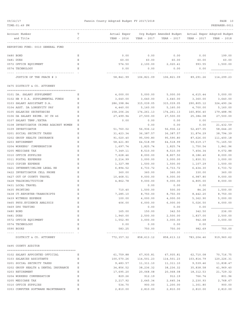| Account Number                                            | Т      | Actual Exper            |                        | Org Budget Amended Budget Actual Exper Adopted Budget |                        |                        |
|-----------------------------------------------------------|--------|-------------------------|------------------------|-------------------------------------------------------|------------------------|------------------------|
| and Title                                                 | C      | YEAR - 2016             | YEAR - 2017            | YEAR - 2017                                           | YEAR - 2017            | YEAR - 2018            |
| REPORTING FUND: 0010 GENERAL FUND                         |        |                         |                        |                                                       |                        |                        |
| 0480 BOND                                                 | Ε      | 0.00                    | 0.00                   | 0.00                                                  | 0.00                   | 199.00                 |
| 0481 DUES                                                 | Ε      | 60.00                   | 60.00                  | 60.00                                                 | 60.00                  | 60.00                  |
| 0572 OFFICE EQUIPMENT                                     | Е      | 574.50                  | 2,100.00               | 2,020.41                                              | 993.55                 | 1,500.00               |
| 0574 TECHNOLOGY                                           | Е      | 0.00                    | 0.00                   | 0.00                                                  | 0.00                   |                        |
| JUSTICE OF THE PEACE # 3                                  |        | 58,841.99               | 106,821.09             | 106,821.09                                            | 89,291.26              | 114,299.23             |
| 0475 DISTRICT & CO. ATTORNEY                              |        |                         |                        |                                                       |                        |                        |
|                                                           |        |                         |                        |                                                       |                        |                        |
| 0101 DA. SALARY SUPPLEMENT                                | Ε      | 4,000.00                | 5,000.00               | 5,000.00                                              | 4,615.44               | 5,000.00               |
| 0102 HB 9 D.A. SUPPLEMENTAL FUNDS                         | Е      | 3,640.00                | 3,640.00               | 3,640.00                                              | 3,360.00               | 3,640.00<br>324,490.24 |
| 0103 SALARY ASSISTANT D.A.<br>0104 ASST. DA LONGEVITY PAY | Ε<br>Ε | 286,398.84<br>4,440.00  | 315,039.05<br>5,160.00 | 315,039.05<br>5,160.00                                | 290,805.12<br>4,700.00 | 5,160.00               |
| 0105 SALARIES SECRETARIES                                 | Ε      | 158,206.24              | 174,261.13             | 174,261.13                                            | 160,856.40             | 179,488.96             |
| 0106 DA SALARY REIMB. GC CH 46                            | Ε      | 27,499.94               | 27,500.00              | 27,500.00                                             | 25,384.08              | 27,500.00              |
| 0107 SALARY TEMP./EXTRA                                   | Ε      | 0.00                    | 0.00                   | 0.00                                                  | 0.00                   |                        |
| 0108 INVESTIGATOR CRIMES AGAINST WOMEN                    | Ε      |                         | 0.00                   | 0.00                                                  | 0.00                   | 21,432.59              |
| 0109 INVESTIGATOR                                         | Ε      | 51,760.02               | 56,936.12              | 56,936.12                                             | 52,457.05              | 58,644.20              |
| 0201 SOCIAL SECURITY TAXES                                | Ε      | 31,423.34               | 36, 387.57             | 36, 387.57                                            | 31,874.29              | 38,794.39              |
| 0202 GROUP HEALTH INSURANCE                               | Ε      | 91,020.40               | 95,590.80              | 95,590.80                                             | 87,626.00              | 111,400.18             |
| 0203 RETIREMENT                                           | Ε      | 58,421.80               | 64,518.99              | 64,518.99                                             | 59,619.17              | 71,165.50              |
| 0204 WORKERS' COMPENSATION                                | Е      | 1,697.74                | 1,825.74               | 1,825.74                                              | 1,750.54               | 1,841.96               |
| 0205 MEDICARE TAX                                         | Ε      | 7,349.11                | 8,510.00               | 8,510.00                                              | 7,454.34               | 9,072.88               |
| 0310 OFFICE SUPPLIES                                      | Ε      | 7,628.46                | 8,000.00               | 8,807.50                                              | 8,186.40               | 8,000.00               |
| 0311 POSTAL EXPENSES                                      | Ε      | 2,214.99                | 3,000.00               | 3,000.00                                              | 1,830.51               | 3,000.00               |
| 0315 COPIER EXPENSE                                       | Ε      | 1,327.98                | 1,500.00               | 1,500.00                                              | 1,107.29               | 1,500.00               |
| 0421 INTERNET/ONLINE LEGAL RE                             | Ε      | 6,894.52                | 6,733.72               | 6,733.72                                              | 6,434.30               | 6,733.72               |
| 0422 INVESTIGATOR CELL PHONE                              | Ε      | 360.00                  | 360.00                 | 360.00                                                | 330.00                 | 360.00                 |
| 0427 OUT OF COUNTY TRAVEL                                 | Ε      | 10,468.51               | 9,000.00               | 9,000.00                                              | 6,987.80               | 9,000.00               |
| 0428 TRAINING/TUITION                                     | Ε      | 4,862.78                | 9,000.00               | 9,000.00                                              | 4,805.00               | 8,000.00               |
| 0431 LOCAL TRAVEL                                         | Ε      |                         | 0.00                   | 0.00                                                  | 0.00                   |                        |
| 0435 PRINTING                                             | Ε      | 710.40                  | 1,500.00               | 500.00                                                | 84.26                  | 1,500.00               |
| 0438 CT.REPORTER-TRANSCRIPTS                              | Ε      | 7,285.10                |                        |                                                       |                        |                        |
| 0439 WITNESS EXPENSE                                      | Ε      |                         | 8,750.00               | 8,750.00                                              | 8,442.20<br>5,362.90   | 8,750.00               |
| 0465 PHYS. EVIDENCE ANALYSIS                              | Ε      | 100.00<br>406.00        | 4,000.00<br>6,000.00   | 4,000.00<br>6,000.00                                  | 5,026.50               | 5,000.00<br>4,000.00   |
| 0469 DPS TESTING                                          |        |                         |                        |                                                       | 0.00                   |                        |
| 0480 BOND                                                 | Е<br>Ε | 165.00                  | 0.00<br>150.00         | 0.00<br>342.50                                        | 342.50                 | 236.00                 |
| 0481 DUES                                                 | Ε      |                         |                        |                                                       | 1,837.00               |                        |
| 0572 OFFICE EQUIPMENT                                     | Ε      | 1,940.00<br>1,552.90    | 2,500.00<br>3,000.00   | 2,500.00<br>3,000.00                                  | 942.68                 | 2,500.00<br>3,000.00   |
| 0574 TECHNOLOGY                                           | Ε      |                         |                        |                                                       |                        |                        |
| 0590 BOOKS                                                | Е      | 0.00<br>583.25          | 0.00<br>750.00         | 0.00<br>750.00                                        | 0.00<br>982.69         | 750.00                 |
|                                                           |        | - - - - - - - - - - - - |                        |                                                       |                        |                        |
| DISTRICT & CO. ATTORNEY                                   |        | 772,357.32              | 858,613.12             | 858,613.12                                            | 783,204.46             | 919,960.62             |
| 0495 COUNTY AUDITOR                                       |        |                         |                        |                                                       |                        |                        |
|                                                           |        |                         |                        |                                                       |                        |                        |
| 0102 SALARY APPOINTED OFFICIAL                            | Е      | 61,759.88               | 67,935.81              | 67,935.81                                             | 62,710.08              | 70,716.75              |
| 0103 SALARIES ASSISTANTS                                  | Е      | 100,570.26              | 114,501.23             | 114,501.23                                            | 103,814.79             | 120,226.31             |
| 0201 SOCIAL SECURITY TAXES                                | Ε      | 9,483.57                | 11,311.10              | 11,311.10                                             | 9,539.46               | 11,838.47              |
| 0202 GROUP HEALTH & DENTAL INSURANCE                      | Ε      | 34,856.52               | 38,236.32              | 38,236.32                                             | 35,838.58              | 41,969.40              |
| 0203 RETIREMENT                                           | Ε      | 17,695.20               | 20,068.08              | 20,068.08                                             | 18,312.53              | 21,729.32              |
| 0204 WORKERS COMPENSATION                                 | Ε      | 829.26                  | 912.19                 | 912.19                                                | 766.74                 | 801.96                 |
| 0205 MEDICARE TAX                                         | Ε      | 2,217.92                | 2,645.34               | 2,645.34                                              | 2,230.93               | 2,768.67               |
| 0310 OFFICE SUPPLIES                                      | Ε      | 534.70                  | 900.00                 | 1,200.00                                              | 1,301.80               | 900.00                 |

0353 COMPUTER SOFTWARE MAINTENANCE E 2,810.00 2,810.00 2,810.00 2,810.00 2,810.00

09/22/17 Fannin County Adopted Budget FY 2017/2018 PAGE 10

TIME:01:49 PM PREPARER:0011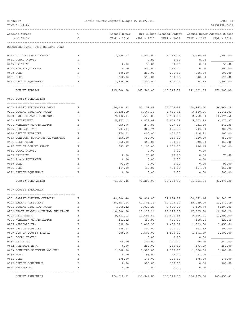| TIME: 01:49 PM                       |             |                          |                     |                                                                    |             | PREPARER: 0011      |
|--------------------------------------|-------------|--------------------------|---------------------|--------------------------------------------------------------------|-------------|---------------------|
| Account Number                       | т           |                          |                     | Actual Exper Org Budget Amended Budget Actual Exper Adopted Budget |             |                     |
| and Title                            | C           | YEAR - 2016              | YEAR - 2017         | YEAR - 2017                                                        | YEAR - 2017 | YEAR - 2018         |
| REPORTING FUND: 0010 GENERAL FUND    |             |                          |                     |                                                                    |             |                     |
| 0427 OUT OF COUNTY TRAVEL            | Е           | 2,698.01                 | 3,500.00            | 4,136.75                                                           | 3,575.75    | 3,500.00            |
| 0431 LOCAL TRAVEL                    | Е           |                          | 0.00                | 0.00                                                               | 0.00        |                     |
| 0435 PRINTING                        | Ε           | 0.00                     | 50.00               | 50.00                                                              | 0.00        | 50.00               |
| 0452 R & M EQUIPMENT                 | Ε           | 0.00                     | 500.00              | 189.00                                                             | 0.00        | 500.00              |
| 0480 BOND                            | Ε           | 100.00                   | 286.00              | 286.00                                                             | 286.00      | 100.00              |
| 0481 DUES                            | Ε           | 340.00                   | 590.00              | 590.00                                                             | 340.00      | 590.00              |
| 0572 OFFICE EQUIPMENT                | Ε           | 1,988.76                 | 1,300.00            | 674.25                                                             | 74.99       | 1,300.00            |
| COUNTY AUDITOR                       |             | ----------<br>235,884.08 |                     | 265,546.07 265,546.07                                              | 241,601.65  | 279,800.88          |
| 0496 COUNTY PURCHASING               |             |                          |                     |                                                                    |             |                     |
| 0103 SALARY PURCHASING AGENT         | Е           | 50,190.92                | 55,209.88           | 55,209.88                                                          | 50,963.04   | 56,866.18           |
| 0201 SOCIAL SECURITY TAXES           | Е           | 3,135.19                 | 3,445.33            | 3,445.33                                                           | 3,180.06    | 3,548.02            |
| 0202 GROUP HEALTH INSURANCE          | Ε           | 9,102.04                 | 9,559.08            | 9,559.08                                                           | 8,762.60    | 10,494.60           |
| 0203 RETIREMENT                      | Ε           | 5,471.11                 | 6,073.09            | 6,073.09                                                           | 5,603.99    | 6,471.37            |
| 0204 WORKERS' COMPENSATION           | Ε           | 250.96                   | 277.85              | 277.85                                                             | 231.88      | 240.35              |
| 0205 MEDICARE TAX                    | Ε           | 733.24                   | 805.76              | 805.76                                                             | 743.80      | 829.78              |
| 0310 OFFICE SUPPLIES                 | Ε           | 274.02                   | 400.00              | 400.00                                                             | 116.22      | 400.00              |
| 0353 COMPUTER SOFTWARE MAINTENANCE   | Ε           | 350.00                   | 350.00              | 350.00                                                             | 350.00      | 350.00              |
| 0421 CELL PHONE                      | Ε           | 360.00                   | 360.00              | 360.00                                                             | 330.00      | 360.00              |
| 0427 OUT OF COUNTY TRAVEL            | Ε           | 652.97                   | 1,200.00            | 1,200.00                                                           | 486.15      | 1,200.00            |
| 0431 LOCAL TRAVEL                    | Ε           |                          | 0.00                | 0.00                                                               | 0.00        |                     |
| 0435 PRINTING                        | Ε           | 0.00                     | 70.00               | 70.00                                                              | 0.00        | 70.00               |
| 0452 R & M EQUIPMENT                 | Ε           | 0.00                     | 0.00                | 0.00                                                               | 0.00        |                     |
| 0480 BOND                            | Ε           | 93.00                    | 0.00                | 0.00                                                               | 0.00        | 93.00               |
| 0481 DUES                            | Ε           | 444.00                   | 450.00              | 450.00                                                             | 454.00      | 450.00              |
| 0572 OFFICE EQUIPMENT                | Ε           | 0.00                     | 0.00                | 0.00                                                               | 0.00        | 500.00              |
| COUNTY PURCHASING                    |             |                          | 71,057.45 78,200.99 | 78,200.99                                                          |             | 71,221.74 81,873.30 |
| 0497 COUNTY TREASURER                |             |                          |                     |                                                                    |             |                     |
| 0101 SALARY ELECTED OFFICIAL         | Е           |                          |                     | 49,904.40 54,894.87 54,894.87 50,672.16 56,541.72                  |             |                     |
| 0103 SALARY ASSISTANT                | Ε           | 38,457.64                | 42,303.39           | 42,303.39                                                          | 39,049.20   | 43,572.49           |
| 0201 SOCIAL SECURITY TAXES           | Ε           | 4,269.42                 | 6,026.29            | 6,026.29                                                           | 4,400.70    | 6,207.08            |
| 0202 GROUP HEALTH & DENTAL INSURANCE | Ε           | 18,204.08                | 19, 118.16          | 19,118.16                                                          | 17,525.20   | 20,989.20           |
| 0203 RETIREMENT                      | Ε           | 9,632.12                 | 10,691.81           | 10,691.81                                                          | 9,866.01    | 11,393.00           |
| 0204 WORKERS' COMPENSATION           | Ε           | 441.82                   | 485.99              | 485.99                                                             | 408.24      | 420.48              |
| 0205 MEDICARE TAX                    | Ε           | 998.50                   | 1,409.37            | 1,409.37                                                           | 1,029.08    | 1,451.66            |
| 0310 OFFICE SUPPLIES                 | Ε           | 188.67                   | 300.00              | 300.00                                                             | 161.49      | 500.00              |
| 0427 OUT OF COUNTY TRAVEL            | $\mathbf E$ | 986.96                   | 1,500.00            | 1,500.00                                                           | 1,191.59    | 2,000.00            |
| 0431 LOCAL TRAVEL                    | Ε           |                          | 0.00                | 0.00                                                               | 0.00        |                     |
| 0435 PRINTING                        | Ε           | 60.00                    | 100.00              | 100.00                                                             | 60.00       | 350.00              |
| 0452 R&M EQUIPMENT                   | Ε           | 0.00                     | 250.00              | 250.00                                                             | 173.99      | 250.00              |
| 0453 COMPUTER SOFTWARE MAINTEN       | Ε           | 1,300.00                 | 1,300.00            | 1,300.00                                                           | 1,300.00    | 1,300.00            |
| 0480 BOND                            | Ε           | 0.00                     | 93.00               | 93.00                                                              | 93.00       |                     |
| 0481 DUES                            | Ε           | 175.00                   | 175.00              | 175.00                                                             | 175.00      | 175.00              |
| 0572 OFFICE EQUIPMENT                | Ε           | 0.00                     | 300.00              | 300.00                                                             | 0.00        | 300.00              |
| 0574 TECHNOLOGY                      | Ε           | 0.00                     | 0.00                | 0.00                                                               | 0.00        |                     |
|                                      |             |                          |                     |                                                                    |             |                     |

COUNTY TREASURER 125,450.63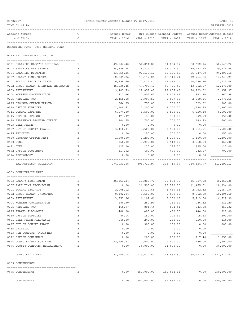| 09/22/17 |                                                                        |   | Fannin County Adopted Budget FY 2017/2018 |               |                                                       |             |                             |
|----------|------------------------------------------------------------------------|---|-------------------------------------------|---------------|-------------------------------------------------------|-------------|-----------------------------|
|          | TIME: 01:49 PM                                                         |   |                                           |               |                                                       |             | PREPARER: 0011              |
|          | Account Number                                                         | Т | Actual Exper                              |               | Org Budget Amended Budget Actual Exper Adopted Budget |             |                             |
|          | and Title                                                              | C | YEAR - 2016                               | YEAR - 2017   | YEAR - 2017                                           | YEAR - 2017 | YEAR - 2018                 |
|          | REPORTING FUND: 0010 GENERAL FUND                                      |   |                                           |               |                                                       |             |                             |
|          | 0499 TAX ASSESSOR-COLLECTOR                                            |   |                                           |               |                                                       |             |                             |
|          | 0101 SALARIES ELECTED OFFICIAL                                         | Е | 49,904.40                                 | 54,894.87     | 54,894.87                                             | 50,672.16   | 56,541.72                   |
|          | 0103 SALARIES ASSISTANTS                                               | Ε | 34,886.54                                 | 38, 375. 30   | 38, 375. 30                                           | 35, 423.28  | 39,526.56                   |
|          | 0104 SALARIES DEPUTIES                                                 | Ε | 83,759.26                                 | 92, 135. 12   | 92,135.12                                             | 85,047.60   | 94,899.18                   |
|          | 0107 SALARY TEMP./EXTRA                                                | Ε | 12,205.26                                 | 15, 117. 21   | 15,117.21                                             | 12,764.64   | 14, 243. 21                 |
|          | 0201 SOCIAL SECURITY TAXES                                             | Ε | 10,498.60                                 | 12,432.40     | 12,432.40                                             | 10,730.26   | 12,723.06                   |
|          | 0202 GROUP HEALTH & DENTAL INSURANCE                                   | Ε | 45,830.45                                 | 47,795.40     | 47,795.40                                             | 43,812.97   | 52,473.00                   |
|          | 0203 RETIREMENT                                                        | Ε | 19,703.79                                 | 22,057.48     | 22,057.48                                             | 20, 223.02  | 23, 352.97                  |
|          | 0204 WORKERS COMPENSATION                                              | Ε | 911.46                                    | 1,002.61      | 1,002.61                                              | 842.20      | 861.88                      |
|          | 0205 MEDICARE TAX                                                      | Ε | 2,455.18                                  | 2,907.58      | 2,907.58                                              | 2,509.36    | 2,975.55                    |
|          | 0225 LEONARD OFFICE TRAVEL                                             | Ε | 964.85                                    | 750.00        | 750.00                                                | 523.92      | 800.00                      |
|          | 0310 OFFICE SUPPLIES                                                   | Ε | 1,140.61                                  | 1,200.00      | 1,200.00                                              | 1,138.78    | 1,300.00                    |
|          | 0311 POSTAL EXPENSES                                                   | Ε | 6,074.80                                  | 6,500.00      | 6,500.00                                              | 6,620.18    | 6,500.00                    |
|          | 0315 COPIER EXPENSE                                                    | Ε | 473.47                                    | 450.00        | 450.00                                                | 399.99      | 450.00                      |
|          | 0420 TELEPHONE LEONARD OFFICE                                          | Ε | 704.55                                    | 700.00        | 700.00                                                | 649.23      | 700.00                      |
|          | 0423 CELL PHONE                                                        | Ε | 0.00                                      | 0.00          | 0.00                                                  | 0.00        |                             |
|          | 0427 OUT OF COUNTY TRAVEL                                              | Ε | 3,410.34                                  | 3,500.00      | 3,500.00                                              | 3,811.91    | 3,500.00                    |
|          | 0435 PRINTING                                                          | Ε | 0.00                                      | 250.00        | 250.00                                                | 0.00        | 250.00                      |
|          | 0460 LEONARD OFFICE RENT                                               | Ε | 1,200.00                                  | 1,200.00      | 1,200.00                                              | 1,100.00    | 1,200.00                    |
|          | 0480 BOND                                                              | Ε | 368.00                                    | 3,918.00      | 3,918.00                                              | 3,918.00    | 368.00                      |
|          | 0481 DUES                                                              | Ε | 125.00                                    | 125.00        | 125.00                                                | 125.00      | 125.00                      |
|          | 0572 OFFICE EQUIPMENT                                                  | Ε | 317.02                                    | 400.00        | 400.00                                                | 242.27      | 700.00                      |
|          | 0574 TECHNOLOGY                                                        | Ε | 0.00                                      | 0.00          | 0.00                                                  | 0.00        |                             |
|          | TAX ASSESSOR-COLLECTOR                                                 |   | 274,933.58                                | 305,710.97    | 305,710.97                                            | 280,554.77  | 313,490.13                  |
|          |                                                                        |   |                                           |               |                                                       |             |                             |
|          | 0503 COMPUTER/IT DEPT.                                                 |   |                                           |               |                                                       |             |                             |
|          | 0103 SALARY-TECHNICIAN                                                 | Е | 35, 353. 24                               | 38,888.70     | 38,888.70                                             | 35,897.28   | 40,055.36                   |
|          | 0107 PART TIME TECHNICIAN                                              | Ε | 0.00                                      | 16,590.00     | 16,590.00                                             | 11,465.01   | 18,934.00                   |
|          | 0201 SOCIAL SECURITY                                                   | Ε | 2,005.12                                  | 3,439.68      | 3,439.68                                              | 2,752.42    | 3,657.34                    |
|          | 0202 GROUP HEALTH INSURANCE                                            | Ε | 9,102.04                                  | 9,559.08      | 9,559.08                                              | 8,762.59    | 10,494.60                   |
|          | 0203 RETIREMENT                                                        | Ε | 3,853.86                                  | 6,102.66      | 6,102.66                                              | 5,213.08    | 6,712.99                    |
|          | 0204 WORKERS COMPENSATION                                              | Ε | 180.30                                    | 282.94        | 286.32                                                | 286.32      | 313.20                      |
|          | 0205 MEDICARE TAX                                                      | Ε | 468.97                                    | 804.44        | 804.44                                                | 643.68      | 855.32                      |
|          | 0225 TRAVEL ALLOWANCE                                                  | Ε | 480.00                                    | 480.00        | 480.00                                                | 440.00      | 828.00                      |
|          | 0310 OFFICE SUPPLIES                                                   | Ε | 80.14                                     | 150.00        | 146.62                                                | 15.63       | 200.00                      |
|          | 0421 CELL PHONE ALLOWANCE                                              | Ε | 240.00                                    | 240.00        | 240.00                                                | 220.00      | 414.00                      |
|          | 0427 OUT OF COUNTY TRAVEL                                              | Ε | 0.00                                      | 900.00        | 900.00                                                | 0.00        | 900.00                      |
|          | 0435 PRINTING                                                          | Ε | 0.00                                      | 0.00          | 0.00                                                  | 0.00        |                             |
|          | 0453 R&M COMPUTER/TRAINING                                             | Ε | 0.00                                      | 0.00          | 0.00                                                  | 0.00        |                             |
|          | 0572 OFFICE EQUIPMENT                                                  | Ε | 0.00                                      | 200.00        | 200.00                                                | 117.40      | 1,850.00                    |
|          | 0574 COMPUTER/WEB SOFTWARE                                             | Ε | 22,190.51                                 | 2,000.00      | 2,000.00                                              | 180.00      | 2,500.00                    |
|          | 0576 COUNTY COMPUTER REPLACEMENT                                       | Ε | 0.00                                      | 34,000.00     | 34,000.00                                             | 0.00        | 34,000.00                   |
|          | --------------------------------<br>COMPUTER/IT DEPT.                  |   | ----------<br>73,954.18                   | ------------- | --------------<br>113,637.50 113,637.50 65,993.41     | .           | -------------<br>121,714.81 |
|          | 0509 CONTINGENCY                                                       |   |                                           |               |                                                       |             |                             |
|          | 0475 CONTINGENCY<br><u>---- -----------</u><br>----------------------- | Ε | 0.00<br>--------------                    |               | 250,000.00 152,684.14                                 | 0.00        | 250,000.00<br>------------- |
|          | CONTINGENCY                                                            |   | 0.00                                      |               | 250,000.00 152,684.14                                 | 0.00        | 250,000.00                  |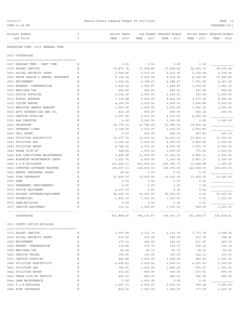| TIME:01:49 PM                                      |        |                       |                       |                                             |              | PREPARER: 0011              |
|----------------------------------------------------|--------|-----------------------|-----------------------|---------------------------------------------|--------------|-----------------------------|
| Account Number                                     | Т      | Actual Exper          |                       | Org Budget Amended Budget                   |              | Actual Exper Adopted Budget |
| and Title                                          | C      | YEAR - 2016           | YEAR - 2017           | YEAR - 2017                                 | YEAR - 2017  | YEAR - 2018                 |
| REPORTING FUND: 0010 GENERAL FUND                  |        |                       |                       |                                             |              |                             |
| 0510 COURTHOUSE                                    |        |                       |                       |                                             |              |                             |
| 0107 REGULAR TEMP.- PART TIME                      | Ε      | 0.00                  | 0.00                  | 0.00                                        | 0.00         |                             |
| 0115 SALARY JANITOR                                | Ε      | 33,871.76             | 37,258.85             | 37,258.85                                   | 34, 392. 72  | 38, 376.62                  |
| 0201 SOCIAL SECURITY TAXES                         | Ε      | 2,066.90              | 2,310.05              | 2,310.05                                    | 2,102.04     | 2,379.35                    |
| 0202 GROUP HEALTH & DENTAL INSURANCE               | Ε      | 9,102.04              | 9,559.08              | 9,559.08                                    | 8,762.59     | 10,494.60                   |
| 0203 RETIREMENT                                    | Ε      | 3,692.26              | 4,098.47              | 4,098.47                                    | 3,781.99     | 4,367.26                    |
| 0204 WORKERS' COMPENSATION                         | Ε      | 1,422.62              | 1,564.87              | 1,564.87                                    | 1,534.20     | 1,581.12                    |
| 0205 MEDICARE TAX                                  | Ε      | 483.46                | 540.25                | 540.25                                      | 491.68       | 556.46                      |
| 0310 OFFICE SUPPLIES                               | Ε      | 3,014.35              | 5,000.00              | 5,000.00                                    | 953.98       | 5,000.00                    |
| 0311 POSTAL EXPENSE                                | Ε      | 7,119.88              | 9,000.00              | 8,822.00                                    | 2,577.20     | 9,000.00                    |
| 0315 COPIER RENTAL                                 | Ε      | 4,165.59              | 5,000.00              | 5,000.00                                    | 3,454.89     | 5,000.00                    |
| 0316 EMPLOYEE AWARDS BANQUET                       | Ε      | 1,953.00              | 2,500.00              | 2,500.00                                    | 1,906.36     | 2,500.00                    |
| 0330 AUTO EXPENSE-GAS AND OIL                      | Ε      | 616.38                | 600.00                | 600.00                                      | 492.22       | 600.00                      |
| 0332 JANITOR SUPPLIES                              | Ε      | 3,957.80              | 4,500.00              | 4,500.00                                    | 4,045.18     |                             |
| 0353 R&M COMPUTER                                  | Ε      | 0.00                  | 5,000.00              | 5,000.00                                    | 0.00         | 5,000.00                    |
| 0420 TELEPHONE                                     | Ε      | 24,775.27             | 25,780.00             | 23,380.00                                   | 19,821.92    |                             |
| 0421 INTERNET LINES                                | Ε      | 3,194.09              | 3,200.00              | 3,200.00                                    | 2,953.86     |                             |
| 0423 CELL PHONE                                    | Ε      | 0.00                  | 400.00                | 400.00                                      | 287.82       | 400.00                      |
| 0440 UTILITIES ELECTRICITY                         | Ε      | 25, 177.72            | 30,000.00             | 30,000.00                                   | 19,963.11    | 15,000.00                   |
| 0441 UTILITIES GAS                                 | Ε      | 3,192.16              | 5,000.00              | 5,000.00                                    | 3,852.94     | 1,000.00                    |
| 0442 UTILITIES WATER                               | Ε      | 8,784.25              | 6,500.00              | 6,500.00                                    | 7,075.72     | 2,000.00                    |
| 0443 TRASH PICK-UP                                 | Ε      | 928.68                | 1,000.00              | 1,000.00                                    | 773.90       | 1,000.00                    |
| 0445 AIR CONDITIONER MAINTENANCE                   | Ε      | 7,449.88              | 11,000.00             | 11,000.00                                   | 6,896.01     | 5,500.00                    |
| 0446 ELEVATOR MAINTENANCE CONTR                    | Ε      | 3,023.76              | 3,200.00              | 3,200.00                                    | 2,867.37     | 3,200.00                    |
| 0450 R & M BUILDINGS                               | Ε      | 121,445.21            | 411,000.00            | 345,780.70                                  | 11,628.98    | 1,360.00                    |
| 0453 COMPUTER SOFTWARE MAINTEN                     | Ε      | 138,697.33            | 160,000.00            | 160,000.00                                  | 146,568.00   | 160,000.00                  |
| 0463 RENTAL PERSONNEL PAGER                        | Ε      | 28.54                 | 0.00                  | 0.00                                        | 0.00         |                             |
| 0482 FIRE INSURANCE                                | Ε      | 12,406.00             | 13,000.00             | 13,000.00                                   | 13,814.00    | 13,000.00                   |
| 0500 LAND                                          | Ε      | 0.00                  | 0.00                  | 0.00                                        | 0.00         |                             |
| 0530 PERMANENT IMPROVEMENTS                        | Ε      | 0.00                  | 0.00                  | 0.00                                        | 0.00         |                             |
| 0572 OFFICE EQUIPMENT                              | Ε<br>Ε | 9,107.27<br>69,295.00 | 0.00                  | 0.00                                        | 0.00         | 35,000.00                   |
| 0573 ODYSSEY SOFTWARE/EQUIPMENT<br>0574 TECHNOLOGY | Ε      |                       | 35,000.00<br>1,323.00 | 35,000.00                                   | 0.00<br>0.00 |                             |
| 0575 LAND/BUILDING                                 |        | 2,805.19<br>0.00      |                       | 1,323.00<br>0.00                            | 0.00         | 1,323.00                    |
| 0577 JANITOR EQUIPMENT                             | Е<br>Е | 112.16                | 0.00<br>1,000.00      | 1,000.00                                    | 569.99       | 1,000.00                    |
|                                                    |        |                       | .                     | --------------                              |              |                             |
| COURTHOUSE                                         |        |                       |                       | 501,888.55 794,334.57 726,537.27 301,568.67 |              | 324,638.41                  |
| 0511 COUNTY OFFICE BUILDING                        |        |                       |                       |                                             |              |                             |
| 0115 SALARY JANITOR                                | Е      | 3,397.68              | 3,112.74              | 3,112.74                                    | 3,737.76     | 3,208.24                    |
| 0201 SOCIAL SECURITY TAXES                         | Ε      | 210.66                | 192.99                | 192.99                                      | 231.76       | 198.91                      |
| 0203 RETIREMENT                                    | Ε      | 370.33                | 342.40                | 342.40                                      | 411.05       | 365.10                      |
| 0204 WORKER' COMPENSATION                          | Ε      | 118.86                | 130.73                | 130.73                                      | 128.18       | 132.18                      |
| 0205 MEDICARE TAX                                  | Ε      | 49.26                 | 45.13                 | 45.13                                       | 54.19        | 46.52                       |
| 0225 JANITOR TRAVEL                                | Е      | 155.96                | 100.00                | 100.00                                      | 122.31       | 100.00                      |
| 0332 JANITOR SUPPLIES                              | Ε      | 482.86                | 1,000.00              | 1,000.00                                    | 483.43       | 1,000.00                    |
| 0440 UTILITIES ELECTRICITY                         | Ε      | 4,694.83              | 5,000.00              | 5,000.00                                    | 4,052.90     | 5,000.00                    |
| 0441 UTILITIES GAS                                 | Е      | 780.81                | 1,000.00              | 1,000.00                                    | 670.97       | 1,000.00                    |
| 0442 UTILITIES WATER                               | Е      | 533.40                | 600.00                | 600.00                                      | 473.60       | 600.00                      |
| 0443 TRASH PICK-UP SERVICE                         | Ε      | 464.33                | 480.00                | 480.00                                      | 386.94       | 480.00                      |
| 0444 LAWN MAINTENANCE                              | Ε      | 0.00                  | 1,000.00              | 0.00                                        | 0.00         |                             |
| 0450 R & M BUILDING                                | Ε      | 1,647.37              | 5,000.00              | 5,000.00                                    | 780.28       | 5,000.00                    |
| 0482 FIRE INSURANCE                                | Е      | 802.00                | 1,000.00              | 1,000.00                                    | 777.00       | 1,000.00                    |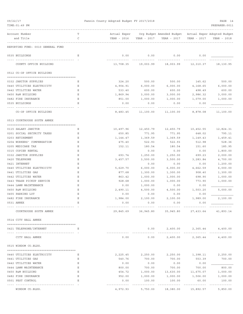| TIME: 01:49 PM                    |                                   |        |                             |                  |                                                                        |                           | PREPARER: 0011         |
|-----------------------------------|-----------------------------------|--------|-----------------------------|------------------|------------------------------------------------------------------------|---------------------------|------------------------|
| Account Number<br>and Title       |                                   | Т<br>C | Actual Exper<br>YEAR - 2016 | YEAR - 2017      | Org Budget Amended Budget - Actual Exper Adopted Budget<br>YEAR - 2017 | YEAR - 2017               | YEAR - 2018            |
|                                   | REPORTING FUND: 0010 GENERAL FUND |        |                             |                  |                                                                        |                           |                        |
| 0535 BUILDINGS                    |                                   | Е      | 0.00                        | 0.00             | 0.00                                                                   | 0.00                      |                        |
|                                   | COUNTY OFFICE BUILDING            |        | 13,708.35                   | 19,003.99        | 18,003.99                                                              | 12,310.37                 | 18,130.95              |
|                                   | 0512 CO-OP OFFICE BUILDING        |        |                             |                  |                                                                        |                           |                        |
| 0332 JANITOR SUPPLIES             |                                   | Е      | 324.20                      | 500.00           | 500.00                                                                 | 145.62                    | 500.00                 |
|                                   | 0440 UTILITIES ELECTRICITY        | Ε      | 4,904.91                    | 6,000.00         | 6,000.00                                                               | 4,168.65                  | 6,000.00               |
| 0442 UTILITIES WATER              |                                   | Ε      | 533.40                      | 600.00           | 600.00                                                                 | 498.49                    | 600.00                 |
| 0450 R&M BUILDING                 |                                   | Ε      | 1,869.94                    | 3,000.00         | 3,000.00                                                               | 2,986.32                  | 3,000.00               |
| 0482 FIRE INSURANCE               |                                   | Ε      | 851.00                      | 1,000.00         | 1,000.00                                                               | 1,079.00                  | 1,000.00               |
| 0535 BUILDINGS                    |                                   | Ε      | 0.00                        | 0.00             | 0.00                                                                   | 0.00                      |                        |
|                                   | CO-OP OFFICE BUILDING             |        | 8,483.45                    | 11,100.00        | 11,100.00                                                              | 8,878.08                  | 11,100.00              |
|                                   | 0513 COURTHOUSE SOUTH ANNEX       |        |                             |                  |                                                                        |                           |                        |
| 0115 SALARY JANITOR               |                                   | Е      | 10,497.96                   | 12,450.79        | 12,450.79                                                              | 10,452.55                 | 12,824.31              |
|                                   | 0201 SOCIAL SECURITY TAXES        | Ε      | 650.85                      | 771.95           | 771.95                                                                 | 648.02                    | 795.11                 |
| 0203 RETIREMENT                   |                                   | Ε      | 1,144.47                    | 1,369.59         | 1,369.59                                                               | 1,149.43                  | 1,459.41               |
|                                   | 0204 WORKERS' COMPENSATION        | Ε      | 475.40                      | 522.93           | 522.93                                                                 | 512.98                    | 528.36                 |
| 0205 MEDICARE TAX                 |                                   | Ε      | 152.11                      | 180.54           | 180.54                                                                 | 151.60                    | 185.95                 |
| 0315 COPIER RENTAL                |                                   | Ε      |                             | 0.00             | 0.00                                                                   | 0.00                      | 1,800.00               |
| 0332 JANITOR SUPPLIES             |                                   | Ε      | 693.74                      | 1,250.00         | 1,250.00                                                               | 699.23                    | 2,000.00               |
| 0420 TELEPHONE                    |                                   | Ε      | 3,457.57                    | 3,500.00         | 3,500.00                                                               | 3,283.84                  | 4,700.00               |
| 0421 INTERNET                     |                                   | E      |                             | 0.00             | 0.00                                                                   | 0.00                      | 1,200.00               |
|                                   | 0440 UTILITIES ELECTRICITY        | Ε      | 5,629.70                    | 6,000.00         | 6,000.00                                                               | 4,662.59                  | 6,000.00               |
| 0441 UTILITIES GAS                |                                   | Ε      | 877.68                      | 1,300.00         | 1,300.00                                                               | 908.40                    | 1,300.00               |
| 0442 UTILITIES WATER              |                                   | Ε      | 863.42                      | 1,000.00         | 1,000.00                                                               | 698.90                    | 1,000.00               |
|                                   | 0443 TRASH PICKUP SERVICE         | Ε      | 928.68                      | 1,000.00         | 1,000.00                                                               | 773.90                    | 1,000.00               |
| 0444 LAWN MAINTENANCE             |                                   | Ε      | 0.00                        | 1,000.00         | 0.00                                                                   | 0.00                      |                        |
| 0450 R&M BUILDING                 |                                   | Ε      | 2,490.11                    | 4,500.00         | 4,500.00                                                               | 1,503.20                  | 5,000.00               |
| 0455 PARKING LOT                  |                                   | Ε      | 0.00                        | 0.00             | 0.00                                                                   | 0.00                      |                        |
| 0482 FIRE INSURANCE<br>0531 ANNEX |                                   | Ε      | 1,984.00<br>0.00            | 2,100.00<br>0.00 | 2,100.00<br>0.00                                                       | 1,989.00<br>0.00          | 2,100.00               |
|                                   | COURTHOUSE SOUTH ANNEX            |        | 29,845.69                   | 36,945.80        |                                                                        | 35,945.80 27,433.64       | 41,893.14              |
| 0514 CITY HALL ANNEX              |                                   |        |                             |                  |                                                                        |                           |                        |
|                                   |                                   |        |                             |                  |                                                                        |                           |                        |
|                                   | 0421 TELEPHONE/INTERNET           | Е      |                             | 0.00             | 2,400.00                                                               |                           | 2,365.44 4,400.00      |
|                                   | CITY HALL ANNEX                   |        | 0.00                        | 0.00             |                                                                        | 2,400.00 2,365.44         | 4,400.00               |
| 0515 WINDOM CO.BLDG.              |                                   |        |                             |                  |                                                                        |                           |                        |
|                                   | 0440 UTILITIES ELECTRICITY        | Е      | 2,225.45                    | 2,250.00         | 2,250.00                                                               | 1,398.11                  | 2,250.00               |
| 0441 UTILITIES GAS                |                                   | Ε      | 540.76                      | 700.00           | 700.00                                                                 | 553.39                    | 700.00                 |
| 0442 UTILITIES WATER              |                                   | Е      | 0.00                        | 0.00             | 0.00                                                                   | 0.00                      |                        |
| 0444 LAWN MAINTENANCE             |                                   | Ε      | 800.00                      | 700.00           | 700.00                                                                 | 700.00                    | 800.00                 |
| 0450 R&M BUILDING                 |                                   | Ε      | 454.72                      | 1,000.00         | 13,630.00                                                              | 11,675.07                 | 1,000.00               |
| 0482 FIRE INSURANCE               |                                   | Ε      | 952.00                      | 1,000.00         | 1,000.00                                                               | 1,506.00                  | 1,000.00               |
| 0501 PEST CONTROL                 |                                   | E      | 0.00                        | 100.00           | 100.00                                                                 | 60.00                     | 100.00                 |
|                                   | WINDOM CO.BLDG.                   |        | 4,972.93                    | 5,750.00         | 18,380.00                                                              | . <u>.</u> .<br>15,892.57 | ----------<br>5,850.00 |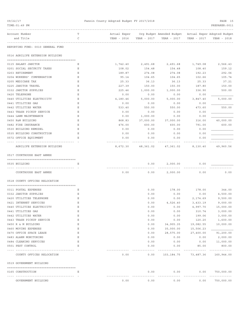| 09/22/17<br>TIME: 01:49 PM        |        | Fannin County Adopted Budget FY 2017/2018 |           |                                                                                                   |                             | PAGE 15<br>PREPARER: 0011             |
|-----------------------------------|--------|-------------------------------------------|-----------|---------------------------------------------------------------------------------------------------|-----------------------------|---------------------------------------|
| Account Number<br>and Title       | т<br>C |                                           |           | ---------------------------<br>Actual Exper Org Budget Amended Budget Actual Exper Adopted Budget | YEAR - 2017                 | YEAR - 2018                           |
| REPORTING FUND: 0010 GENERAL FUND |        |                                           |           |                                                                                                   |                             |                                       |
| 0516 AGRILIFE EXTENSION BUILDING  |        |                                           |           |                                                                                                   |                             |                                       |
| 0115 SALARY JANITOR               | Е      | 1,742.40                                  | 2,491.68  | 2,491.68                                                                                          | 1,749.08                    | 2,566.43                              |
| 0201 SOCIAL SECURITY TAXES        | Ε      | 108.02                                    | 154.48    | 154.48                                                                                            | 108.40                      | 159.12                                |
| 0203 RETIREMENT                   | Ε      | 189.87                                    | 274.08    | 274.08                                                                                            | 192.23                      | 292.06                                |
| 0204 WORKERS' COMPENSATION        | Ε      | 95.14                                     | 104.65    | 104.65                                                                                            | 102.66                      | 105.74                                |
| 0205 MEDICARE TAX                 | Ε      | 25.33                                     | 36.13     | 36.13                                                                                             | 25.33                       | 37.21                                 |
| 0225 JANITOR TRAVEL               | Ε      | 227.39                                    | 150.00    | 150.00                                                                                            | 187.80                      | 150.00                                |
| 0332 JANITOR SUPPLIES             | Ε      | 225.46                                    | 1,000.00  | 1,000.00                                                                                          | 336.90                      | 500.00                                |
| 0420 TELEPHONE                    | Ε      | 0.00                                      | 0.00      | 0.00                                                                                              | 0.00                        |                                       |
| 0440 UTILITIES ELECTRICITY        | Ε      | 4,180.46                                  | 5,000.00  | 5,000.00                                                                                          | 3,847.40                    | 5,000.00                              |
| 0441 UTILITIES GAS                | Ε      | 0.00                                      | 0.00      | 0.00                                                                                              | 0.00                        |                                       |
| 0442 UTILITIES WATER              | Ε      | 533.40                                    | 550.00    | 550.00                                                                                            | 473.60                      | 550.00                                |
| 0443 TRASH PICKUP SERVICE         | Ε      | 0.00                                      | 0.00      | 0.00                                                                                              | 0.00                        |                                       |
| 0444 LAWN MAINTENANCE             | Ε      | 0.00                                      | 1,000.00  | 0.00                                                                                              | 0.00                        |                                       |
| 0450 R&M BUILDING                 | Ε      | 868.83                                    | 37,000.00 | 37,000.00                                                                                         | 316.00                      | 40,000.00                             |
| 0482 FIRE INSURANCE               | Ε      | 476.00                                    | 600.00    | 600.00                                                                                            | 791.00                      | 600.00                                |
| 0530 BUILDING REMODEL             | Ε      | 0.00                                      | 0.00      | 0.00                                                                                              | 0.00                        |                                       |
| 0535 BUILDING CONSTRUCTION        | Ε      | 0.00                                      | 0.00      | 0.00                                                                                              | 0.00                        |                                       |
| 0572 OFFICE EQUIPMENT             | E      | 0.00                                      | 0.00      | 0.00                                                                                              | 0.00                        |                                       |
| AGRILIFE EXTENSION BUILDING       |        | 8,672.30                                  | 48,361.02 | 47,361.02                                                                                         | 8,130.40                    | 49,960.56                             |
| 0517 COURTHOUSE EAST ANNEX        |        |                                           |           |                                                                                                   |                             |                                       |
|                                   |        |                                           |           |                                                                                                   |                             |                                       |
| 0535 BUILDING                     | Е      |                                           | 0.00      | 2,000.00                                                                                          | 0.00                        |                                       |
|                                   |        |                                           |           |                                                                                                   |                             |                                       |
| COURTHOUSE EAST ANNEX             |        | 0.00                                      | 0.00      | 2,000.00                                                                                          | 0.00                        | 0.00                                  |
| 0518 COUNTY OFFICES RELOCATION    |        |                                           |           |                                                                                                   |                             |                                       |
| 0311 POSTAL EXPENSES              | Ε      |                                           | 0.00      | 178.00                                                                                            | 178.00                      | 344.00                                |
| 0332 JANITOR SUPPLIES             | Ε      |                                           | 0.00      | 0.00                                                                                              | 0.00                        | 4,500.00                              |
| 0420 UTILITIES TELEPHONE          | Ε      |                                           | 0.00      | 0.00                                                                                              | 2,174.69                    | 9,500.00                              |
| 0421 INTERNET SERVICES            | Ε      |                                           | 0.00      | 4,526.40                                                                                          | 3,433.19                    | 9,000.00                              |
| 0440 UTILITIES ELECTRICITY        | Ε      |                                           | 0.00      | 0.00                                                                                              | 4,997.70                    | 15,000.00                             |
| 0441 UTILITIES GAS                | Ε      |                                           | 0.00      | 0.00                                                                                              | 310.74                      | 3,000.00                              |
| 0442 UTILITIES WATER              | Ε      |                                           | 0.00      | 0.00                                                                                              | 199.06                      | 3,000.00                              |
| 0443 TRASH PICKUP SERVICE         | Ε      |                                           | 0.00      | 0.00                                                                                              | 120.20                      | 1,600.00                              |
| 0450 R & M BUILDING               | Ε      |                                           | 0.00      | 34,905.35                                                                                         | 19,082.55                   | 10,000.00                             |
| 0460 MOVING EXPENSES              | Ε      |                                           | 0.00      | 35,000.00                                                                                         | 15,506.23                   |                                       |
| 0470 OFFICE SPACE LEASE           | Ε      |                                           | 0.00      | 28,575.00                                                                                         | 27,400.00                   | 91,200.00                             |
| 0483 ALARM MONITORING             | Ε      |                                           | 0.00      | 0.00                                                                                              | 0.00                        | 2,000.00                              |
| 0484 CLEANING SERVICES            | Ε      |                                           | 0.00      | 0.00                                                                                              | 0.00                        | 11,000.00                             |
| 0501 PEST CONTROL                 | Ε      |                                           | 0.00      | 0.00                                                                                              | 85.00<br>-------------      | 800.00<br>-------------               |
| COUNTY OFFICES RELOCATION         |        | 0.00                                      | 0.00      |                                                                                                   |                             | 103, 184. 75 73, 487. 36 160, 944. 00 |
| 0519 GOVERNMENT BUILDING          |        |                                           |           |                                                                                                   |                             |                                       |
| 0165 CONSTRUCTION                 | Е      |                                           | 0.00      | 0.00                                                                                              | 0.00                        | 750,000.00                            |
| GOVERNMENT BUILDING               |        | 0.00                                      | .<br>0.00 | ---------<br>0.00                                                                                 | - - - - - - - - - -<br>0.00 | -------------<br>750,000.00           |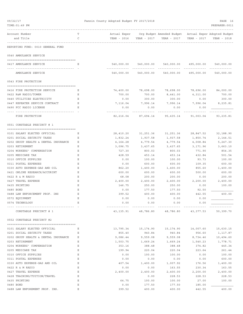| 09/22/17<br>TIME: 01:49 PM                                     |        | Fannin County Adopted Budget FY 2017/2018 |                    |                                                                      |                  | PAGE 16<br>PREPARER: 0011 |
|----------------------------------------------------------------|--------|-------------------------------------------|--------------------|----------------------------------------------------------------------|------------------|---------------------------|
| Account Number<br>and Title                                    | т<br>C | Actual Exper<br>YEAR - 2016               | YEAR - 2017        | Org Budget Amended Budget Actual Exper Adopted Budget<br>YEAR - 2017 | YEAR - 2017      | YEAR - 2018               |
| REPORTING FUND: 0010 GENERAL FUND                              |        |                                           |                    |                                                                      |                  |                           |
| 0540 AMBULANCE SERVICE                                         |        |                                           |                    |                                                                      |                  |                           |
| 0417 AMBULANCE SERVICE                                         | Е      | 540,000.00                                |                    | 540,000.00 540,000.00 495,000.00 540,000.00                          |                  |                           |
| AMBULANCE SERVICE                                              |        | 540,000.00                                | 540,000.00         | 540,000.00                                                           | 495,000.00       | 540,000.00                |
| 0543 FIRE PROTECTION                                           |        |                                           |                    |                                                                      |                  |                           |
| 0416 FIRE PROTECTION SERVICE                                   | Е      | 74,400.00                                 | 78,698.00          | 78,698.00                                                            | 78,696.00        | 84,000.00                 |
| 0422 R&M RADIO/TOWER                                           | Е      | 700.00                                    | 700.00             | 8,441.00                                                             | 4,311.00         | 700.00                    |
| 0440 UTILITIES ELECTRICITY                                     | Е      | 0.00                                      | 300.00             | 300.00                                                               | 0.00             | 300.00                    |
| 0447 REPEATER SERVICE CONTRACT                                 | Ε      | 7,116.04                                  | 7,996.14           | 7,996.14                                                             | 7,996.04         | 8,235.81                  |
| 0490 FCC RADIO LICENSE                                         | Е      | 0.00                                      | 0.00               | 0.00                                                                 | 0.00             |                           |
| FIRE PROTECTION                                                |        | 82,216.04                                 | 87,694.14          | 95,435.14                                                            | 91,003.04        | 93,235.81                 |
| 0551 CONSTABLE PRECINCT # 1                                    |        |                                           |                    |                                                                      |                  |                           |
| 0101 SALARY ELECTED OFFICIAL                                   | Е      | 28,410.20                                 | 31,251.36          | 31,251.36                                                            | 28,847.52        | 32,188.90                 |
| 0201 SOCIAL SECURITY TAXES                                     | Е      | 1,832.24                                  | 1,937.58           | 1,937.58                                                             | 1,850.74         | 2,144.51                  |
| 0202 GROUP HEALTH & DENTAL INSURANCE                           | Е      | 4,164.28                                  | 4,779.54           | 4,779.54                                                             | 4,008.84         | 5,247.30                  |
| 0203 RETIREMENT                                                | Ε      | 3,096.75                                  | 3,437.65           | 3,437.65                                                             | 3,171.96         | 3,663.10                  |
| 0204 WORKERS' COMPENSATION                                     | Ε      | 727.30                                    | 800.03             | 800.03                                                               | 771.90           | 854.35                    |
| 0205 MEDICARE TAX                                              | Ε      | 428.59                                    | 453.14             | 453.14                                                               | 432.84           | 501.54                    |
| 0310 OFFICE SUPPLIES                                           | Ε      | 0.00                                      | 100.00             | 100.00                                                               | 93.73            | 100.00                    |
| 0311 POSTAL EXPENSES                                           | Ε<br>Ε | 0.00                                      | 600.00             | 600.00                                                               | 109.35           | 600.00                    |
| 0330 AUTO EXPENSE-GAS AND OIL<br>0421 ONLINE RESEARCH/ACCURINT | Ε      | 862.20<br>600.00                          | 1,400.00<br>600.00 | 1,400.00<br>600.00                                                   | 855.60<br>500.00 | 1,400.00<br>600.00        |
| 0422 R & M RADIO                                               | Ε      | 68.08                                     | 200.00             | 200.00                                                               | 0.00             | 200.00                    |
| 0427 TRAVEL EXPENSE                                            | Ε      | 2,400.00                                  | 2,400.00           | 2,400.00                                                             | 2,200.00         | 2,400.00                  |
| 0435 PRINTING                                                  | Ε      | 146.75                                    | 250.00             | 250.00                                                               | 0.00             | 100.00                    |
| 0480 BOND                                                      | Ε      | 0.00                                      | 177.50             | 177.50                                                               | 92.50            |                           |
| 0488 LAW ENFORCEMENT PROF. INS                                 | Ε      | 399.52                                    | 400.00             | 400.00                                                               | 442.55           | 400.00                    |
| 0572 EQUIPMENT                                                 | Ε      | 0.00                                      | 0.00               | 0.00                                                                 | 0.00             |                           |
| 0574 TECHNOLOGY                                                | Е      | 0.00                                      | 0.00               | 0.00                                                                 | 0.00             |                           |
| CONSTABLE PRECINCT # 1                                         |        | 43,135.91                                 | 48,786.80          | 48,786.80                                                            | 43,377.53        | 50,399.70                 |
| 0552 CONSTABLE PRECINCT #2                                     |        |                                           |                    |                                                                      |                  |                           |
| 0101 SALARY ELECTED OFFICIAL                                   | Ε      | 13,795.34                                 | 15,174.90          | 15,174.90                                                            | 14,007.60        | 15,630.15                 |
| 0201 SOCIAL SECURITY TAXES                                     | Ε      | 855.40                                    | 940.84             | 940.84                                                               | 956.60           | 1,117.87                  |
| 0202 GROUP HEALTH & DENTAL INSURANCE                           | Е      | 9,086.44                                  | 9,559.08           | 9,559.08                                                             | 8,734.46         | 10,494.60                 |
| 0203 RETIREMENT                                                | Ε      | 1,503.75                                  | 1,669.24           | 1,669.24                                                             | 1,540.23         | 1,778.71                  |
| 0204 WORKERS' COMPENSATION                                     | Ε      | 353.16                                    | 388.48             | 388.48                                                               | 374.82           | 445.34                    |
| 0205 MEDICARE TAX                                              | Ε      | 199.94                                    | 220.04             | 220.04                                                               | 223.64           | 261.44                    |
| 0310 OFFICE SUPPLIES                                           | Ε      | 0.00                                      | 100.00             | 100.00                                                               | 0.00             | 100.00                    |
| 0311 POSTAL EXPENSES                                           | Ε      | 0.00                                      | 0.00               | 0.00                                                                 | 0.00             | 600.00                    |
| 0330 AUTO EXPENSE-GAS AND OIL<br>0422 R & M RADIO              | Ε<br>Ε | 407.54<br>0.00                            | 1,400.00<br>0.00   | 1,007.92<br>163.55                                                   | 176.56<br>230.34 | 1,400.00<br>163.55        |
| 0427 TRAVEL EXPENSE                                            | Ε      | 2,400.00                                  | 2,400.00           | 2,400.00                                                             | 2,200.00         | 2,400.00                  |
| 0428 TRAINING/TUITION/TRAVEL                                   | Ε      |                                           | 0.00               | 228.53                                                               | 228.53           | 228.53                    |
| 0435 PRINTING                                                  | Ε      | 64.75                                     | 100.00             | 100.00                                                               | 27.00            | 100.00                    |
| 0480 BOND                                                      | Ε      | 0.00                                      | 177.50             | 177.50                                                               | 185.00           |                           |
| 0488 LAW ENFOREMENT PROF. INS.                                 | Ε      | 399.52                                    | 400.00             | 400.00                                                               | 442.55           | 400.00                    |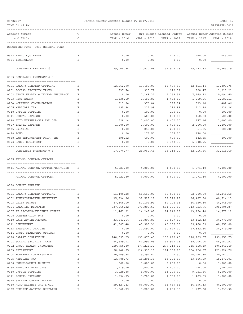| 09/22/17<br>TIME: 01:49 PM                | Fannin County Adopted Budget FY 2017/2018 |                     |                                                                      |             | PAGE 17<br>PREPARER: 0011 |
|-------------------------------------------|-------------------------------------------|---------------------|----------------------------------------------------------------------|-------------|---------------------------|
| Account Number<br>Т<br>and Title<br>C     | Actual Exper<br>YEAR - 2016               | YEAR - 2017         | Org Budget Amended Budget Actual Exper Adopted Budget<br>YEAR - 2017 | YEAR - 2017 | YEAR - 2018               |
| REPORTING FUND: 0010 GENERAL FUND         |                                           |                     |                                                                      |             |                           |
| 0573 RADIO EQUIPMENT<br>Ε                 | 0.00                                      | 0.00                | 445.00                                                               | 445.00      | 445.00                    |
| 0574 TECHNOLOGY<br>Ε                      | 0.00                                      | 0.00                | 0.00                                                                 | 0.00        |                           |
| CONSTABLE PRECINCT #2                     |                                           |                     | 29,065.84 32,530.08 32,975.08                                        | 29,772.33   | 35,565.19                 |
| 0553 CONSTABLE PRECINCT # 3               |                                           |                     |                                                                      |             |                           |
| 0101 SALARY ELECTED OFFICIAL<br>Е         | 12,262.90                                 | 13,489.09           | 13,489.09                                                            | 12,451.44   | 13,893.76                 |
| 0201 SOCIAL SECURITY TAXES<br>Ε           | 837.74                                    | 910.72              | 910.72                                                               | 908.47      | 1,010.21                  |
| 0202 GROUP HEALTH & DENTAL INSURANCE<br>Ε | 0.00                                      | 7,169.31            | 7,169.31                                                             | 7,169.22    | 10,494.60                 |
| 0203 RETIREMENT<br>Ε                      | 1,336.69                                  | 1,483.80            | 1,483.80                                                             | 1,369.26    | 1,581.11                  |
| 0204 WORKERS' COMPENSATION<br>Ε           | 313.94                                    | 376.04              | 376.04                                                               | 333.18      | 402.46                    |
| 0205 MEDICARE TAX<br>Ε                    | 195.84                                    | 212.99              | 212.99                                                               | 212.38      | 236.26                    |
| 0310 OFFICE SUPPLIES<br>Ε                 | 0.00                                      | 100.00              | 100.00                                                               | 0.00        | 100.00                    |
| 0311 POSTAL EXPENSES<br>Ε                 | 0.00                                      | 600.00              | 600.00                                                               | 162.00      | 600.00                    |
| 0330 AUTO EXPENSE-GAS AND OIL<br>Ε        | 528.14                                    | 1,400.00            | 1,400.00                                                             | 177.16      | 1,400.00                  |
| 0427 TRAVEL EXPENSE<br>Ε                  | 1,200.00                                  | 2,400.00            | 2,400.00                                                             | 2,200.00    | 2,400.00                  |
| 0435 PRINTING<br>Ε                        | 0.00                                      | 250.00              | 250.00                                                               | 64.25       | 100.00                    |
| 0480 BOND<br>Ε                            | 0.00                                      | 177.50              | 177.50                                                               | 178.00      |                           |
| 0488 LAW ENFORCEMENT PROF. INS<br>Ε       | 399.52                                    | 400.00              | 400.00                                                               | 442.55      | 400.00                    |
| 0573 RADIO EQUIPMENT<br>Ε                 | 0.00                                      | 0.00                | 6,348.75                                                             | 6,348.75    |                           |
|                                           |                                           |                     |                                                                      |             |                           |
| CONSTABLE PRECINCT # 3                    | 17,074.77                                 | 28,969.45           | 35,318.20                                                            | 32,016.66   | 32,618.40                 |
| 0555 ANIMAL CONTROL OFFICER               |                                           |                     |                                                                      |             |                           |
|                                           |                                           |                     |                                                                      |             |                           |
| 0441 ANIMAL CONTROL OFFICER/SERVICES<br>Е | 5,923.80                                  | 4,000.00            | 4,000.00                                                             | 1,271.40    | 4,000.00                  |
| ANIMAL CONTROL OFFICER                    | 5,923.80                                  | 4,000.00            | 4,000.00                                                             | 1,271.40    | 4,000.00                  |
| 0560 COUNTY SHERIFF                       |                                           |                     |                                                                      |             |                           |
|                                           |                                           |                     |                                                                      |             |                           |
| 0101 SALARY ELECTED OFFICIAL<br>Е         |                                           | 51,409.28 56,550.08 | 56,550.08                                                            | 52,200.00   | 58,246.58                 |
| Ε<br>0102 ADMINISTRATIVE SECRETARY        | 35,934.86                                 | 39,528.28           | 39,528.28                                                            | 36,487.68   | 40,714.13                 |
| 0103 CHIEF DEPUTY<br>Ε                    | 47,368.10                                 | 52,104.93           | 52,104.93                                                            | 46,450.40   | 44,945.00                 |
| 0104 SALARIES DEPUTIES<br>Ε               | 537,860.32                                | 575,805.68          | 594,386.06                                                           | 543, 523.76 | 598,904.87                |
| 0107 PT RECORDS/EVIDENCE CLERKS<br>Ε      | 11,463.01                                 | 14,249.09           | 14,249.09                                                            | 13,154.40   | 14,678.12                 |
| 0108 COMPENSATION PAY<br>Ε                | 0.00                                      | 0.00                | 0.00                                                                 | 0.00        |                           |
| 0110 JAIL ADMINISTRATOR<br>Ε              | 33, 543.64                                | 36,897.89           | 36,897.89                                                            | 33,402.43   | 34,779.99                 |
| 0111 LIEUTENANT<br>Ε                      | 41,807.48                                 | 45,988.36           | 45,988.36                                                            | 39,460.89   | 40,859.00                 |
| 0113 TRANSPORT OFFICER<br>Ε               | 0.00                                      | 30,697.00           | 30,697.00                                                            | 17,532.86   | 34,779.99                 |
| 0114 PROF. STANDARDS OFFICER<br>Ε         | 0.00                                      | 0.00                | 0.00                                                                 | 0.00        |                           |
| 0120 SALARY DISPATCHER<br>Ε               | 140,895.25                                | 193,070.48          | 193,070.48                                                           | 170,109.37  | 199,050.75                |
| 0201 SOCIAL SECURITY TAXES<br>Ε           | 54,689.01                                 | 64,999.05           | 64,999.05                                                            | 58,006.06   | 66,151.92                 |
| 0202 GROUP HEALTH INSURANCE<br>Ε          | 229,756.80                                | 277, 213.32         | 277, 213.32                                                          | 235,818.39  | 304, 343.40               |
| 0203 RETIREMENT<br>Ε                      | 98,140.85                                 | 114,938.10          | 114,938.10                                                           | 104,726.97  | 121,024.76                |
| 0204 WORKERS' COMPENSATION<br>Ε           | 20,209.88                                 | 19,794.52           | 20,744.30                                                            | 20,744.30   | 20,161.12                 |
| 0205 MEDICARE TAX<br>Ε                    | 12,789.73                                 | 15,201.39           | 15,201.39                                                            | 13,566.29   | 15,471.01                 |
| 0206 UNEMPLOYMENT EXPENSE<br>Ε            | 662.00                                    | 3,000.00            | 3,000.00                                                             | 0.00        | 3,000.00                  |
| 0250 EMPLOYEE PHYSICALS<br>Ε              | 1,219.00                                  | 1,000.00            | 1,000.00                                                             | 754.00      | 1,000.00                  |
| 0310 OFFICE SUPPLIES<br>Ε                 | 3,029.88                                  | 8,000.00            | 11,200.00                                                            | 9,051.86    | 8,000.00                  |
| 0311 POSTAL EXPENSES<br>Ε                 | 1,934.35                                  | 1,700.00            | 1,700.00                                                             | 1,489.63    | 1,700.00                  |
| 0315 SHERIFF COPIER RENTAL<br>Ε           | 0.00                                      | 0.00                | 0.00                                                                 | 0.00        |                           |
| 0330 AUTO EXPENSE GAS & OIL<br>Ε          | 59, 427. 43                               | 84,000.00           | 64,469.84                                                            | 46,696.43   | 84,000.00                 |
| 0332 SHERIFF JANITOR SUPPLIES<br>Ε        | 1,048.79                                  | 1,200.00            | 1,237.38                                                             | 1,237.38    | 1,237.38                  |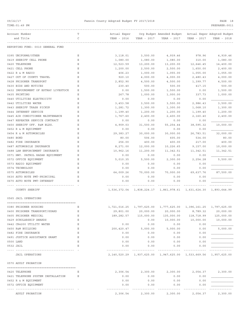TIME:01:49 PM PREPARER:0011 ------------------------------------------------------------------------------------------------------------------------------------ Account Number **T** Territorial Exper Org Budget Amended Budget Actual Exper Adopted Budget and Title C YEAR - 2016 YEAR - 2017 YEAR - 2017 YEAR - 2017 YEAR - 2018 ------------------------------------------------------------------------------------------------------------------------------------ REPORTING FUND: 0010 GENERAL FUND 0395 UNIFORMS/OTHER E 3,118.01 3,500.00 4,939.46 978.96 4,939.46 0419 SHERIFF CELL PHONE E 1,080.00 1,080.00 1,080.00 310.00 1,080.00 0420 TELEPHONE E 12,523.59 13,200.00 13,200.00 12,646.45 14,400.00 0421 CELL PHONE E 1,200.00 2,500.00 2,500.00 1,650.00 2,400.00 0422 R & M RADIO E 406.23 1,000.00 1,055.00 1,055.00 1,055.00 0427 OUT OF COUNTY TRAVEL E 920.10 4,000.00 4,000.00 2,480.43 4,000.00 0428 PRISONER TRANSPORT B E 2,852.90 4,500.00 4,500.00 1,399.77 4,500.00 0430 BIDS AND NOTICES B B B 230.40 500.00 500.00 417.15 500.00 0432 IMPOUNDMENT OF ESTRAY LIVESTOCK E 0.00 0.00 1,500.00 1,500.00 0.00 0.00 1,500.00 0435 PRINTING E 267.78 1,000.00 1,000.00 337.73 1,000.00 0440 UTILITIES ELECTRICITY E 0.00 0.00 0.00 0.00 \_\_\_\_\_\_\_\_\_\_\_\_\_

| 0440 UTILITIES ELECTRICITY       |    | 0.00       | 0.00                                   | 0.00       | 0.00                                                                 |              |
|----------------------------------|----|------------|----------------------------------------|------------|----------------------------------------------------------------------|--------------|
| 0442 UTILITIES WATER             | Ε  | 3,453.58   | 3,500.00                               | 3,500.00   | 2,986.43                                                             | 3,500.00     |
| 0443 SHERIFF TRASH PICKUP        | E. | 1,281.72   | 1,300.00                               | 1,300.00   | 1,068.10                                                             | 1,300.00     |
| 0444 INTERNET SERVICE            | Ε  | 1,199.40   | 1,200.00                               | 1,200.00   | 1,199.40                                                             | 1,200.00     |
| 0445 AIR CONDITIONER MAINTENANCE | Ε  | 1,767.60   | 2,400.00                               | 2,400.00   | 2,160.40                                                             | 2,400.00     |
| 0447 REPEATER SERVICE CONTRACT   | Ε  | 0.00       | 0.00                                   | 0.00       | 0.00                                                                 |              |
| 0450 SHERIFF OFF. R&M BLDG.      | E. | 4,909.03   | 31,500.00                              | 55, 254.44 | 38,595.32                                                            | 10,000.00    |
| 0452 R & M EQUIPMENT             | Ε  | 0.00       | 0.00                                   | 0.00       | 0.00                                                                 |              |
| 0454 R & M AUTOMOBILES           | Ε  | 29,383.27  | 30,000.00                              | 30,000.00  | 26,783.51                                                            | 32,000.00    |
| 0480 BOND                        | E. | 80.00      | 506.00                                 | 605.00     | 534.00                                                               | 80.00        |
| 0482 FIRE INSURANCE              | E. | 256.00     | 400.00                                 | 400.00     | 217.00                                                               | 400.00       |
| 0487 AUTOMOBILE INSURANCE        | E  | 8,271.00   | 12,000.00                              | 10,226.65  | 9,157.00                                                             | 10,000.00    |
| 0488 LAW ENFORCEMENT INSURANCE   | E. | 10,962.16  | 11,200.00                              | 11,342.51  | 11,342.51                                                            | 11,342.51    |
| 0571 HWY. PATROL RADAR EOUIPMENT | Ε  | 0.00       | 0.00                                   | 0.00       | 0.00                                                                 |              |
| 0572 OFFICE EQUIPMENT            | Ε  | 5,010.35   | 5,500.00                               | 2,300.00   | 2,254.28                                                             | 5,500.00     |
| 0573 RADIO EQUIPMENT             | Е  | 0.00       | 0.00                                   | 0.00       | 0.00                                                                 |              |
| 0574 TECHNOLOGY                  | E. | 0.00       | 0.00                                   | 0.00       | 0.00                                                                 |              |
| 0575 AUTOMOBILES                 | Ε  | 64,009.26  | 70,000.00                              | 70,000.00  | 69,637.76                                                            | 87,500.00    |
| 0630 AUTO NOTE PMT-PRINCIPAL     | E. | 0.00       | 0.00                                   | 0.00       | 0.00                                                                 |              |
| 0670 AUTO NOTE PMT-INTEREST      | E. | 0.00       | 0.00                                   | 0.00       | 0.00                                                                 |              |
|                                  |    |            |                                        |            |                                                                      |              |
| <b>COUNTY SHERIFF</b>            |    |            |                                        |            | 1,536,372.04  1,838,224.17  1,861,978.61  1,631,624.30  1,893,644.99 |              |
| 0565 JAIL OPERATIONS             |    |            |                                        |            |                                                                      |              |
|                                  |    |            |                                        |            |                                                                      |              |
| 0380 PRISONER HOUSING            | Ε  |            | 1,721,016.25 1,797,625.00 1,777,625.00 |            | 1,396,161.25                                                         | 1,797,625.00 |
| 0400 PRISONER TRANSPORT/GUARD    | Е  | 29,801.00  | 20,000.00                              | 20,000.00  | 8,789.32                                                             | 20,000.00    |
| 0405 PRISONER MEDICAL            | Ε  | 189,282.57 | 115,000.00                             | 135,000.00 | 118,718.99                                                           | 125,000.00   |
| 0429 SCHOLARSHIP AWARDS          | E. |            | 0.00                                   | 10,000.00  | 10,000.00                                                            | 10,000.00    |
| 0442 CR4200 UTILITY WATER        | Ε  | 0.00       | 0.00                                   | 0.00       | 0.00                                                                 |              |

| 0450 R&M BUILDING                  | Ε | 200,420.47   | 5,000.00     | 5,000.00     | 0.00         | 5,000.00     |
|------------------------------------|---|--------------|--------------|--------------|--------------|--------------|
| 0482 FIRE INSURANCE                | Ε | 0.00         | 0.00         | 0.00         | 0.00         |              |
| 0491 JUSTICE ASSISTANCE GRANT      | Ε | 0.00         | 0.00         | 0.00         | 0.00         |              |
| 0500 LAND                          | Ε | 0.00         | 0.00         | 0.00         | 0.00         |              |
| 0532 JAIL                          | Ε | 0.00         | 0.00         | 0.00         | 0.00         |              |
|                                    |   |              |              |              |              |              |
| <b>JAIL OPERATIONS</b>             |   | 2,140,520.29 | 1,937,625.00 | 1,947,625.00 | 1,533,669.56 | 1,957,625.00 |
|                                    |   |              |              |              |              |              |
| 0570 ADULT PROBATION               |   |              |              |              |              |              |
|                                    |   |              |              |              |              |              |
| 0420 TELEPHONE                     | Ε | 2,306.54     | 2,300.00     | 2,300.00     | 2,054.37     | 2,300.00     |
| 0421 TELEPHONE SYSTEM INSTALLATION | Ε | 0.00         | 0.00         | 0.00         | 0.00         |              |
| 0452 R & M EOUIPMENT               |   | 0.00         | 0.00         | 0.00         | 0.00         |              |
|                                    |   |              |              |              |              |              |

| 0452 K & M EVUIFMENI  | u.uu     | U.UU | v.vv              | v.vv     |          |
|-----------------------|----------|------|-------------------|----------|----------|
| 0572 OFFICE EOUIPMENT | 0.00     | 0.00 | 0.00              | 0.00     |          |
|                       |          |      |                   |          |          |
| ADULT PROBATION       | 2,306.54 |      | 2,300.00 2,300.00 | 2,054.37 | 2,300.00 |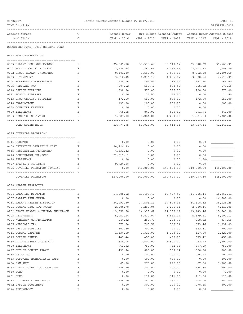| 09/22/17                                                           |             | Fannin County Adopted Budget FY 2017/2018 |                       |                                                                                   |                         |                       |
|--------------------------------------------------------------------|-------------|-------------------------------------------|-----------------------|-----------------------------------------------------------------------------------|-------------------------|-----------------------|
| TIME: 01:49 PM                                                     |             |                                           |                       |                                                                                   |                         | PREPARER: 0011        |
| Account Number<br>and Title                                        | т<br>C      | YEAR - 2016  YEAR - 2017                  |                       | Actual Exper Org Budget Amended Budget Actual Exper Adopted Budget<br>YEAR - 2017 | YEAR - 2017             | YEAR - 2018           |
| REPORTING FUND: 0010 GENERAL FUND                                  |             |                                           |                       |                                                                                   |                         |                       |
| 0573 BOND SUPERVISION                                              |             |                                           |                       |                                                                                   |                         |                       |
| 0103 SALARY-BOND SUPERVISOR                                        | Е           | 35,009.78                                 | 38,510.67             | 38,510.67                                                                         | 35,548.32               | 39,665.99             |
| 0201 SOCIAL SECURITY TAXES                                         | Ε           | 2,170.48                                  | 2,387.66              | 2,387.66                                                                          | 2,203.92                | 2,459.29              |
| 0202 GROUP HEALTH INSURANCE                                        | Ε           | 9,101.80                                  | 9,559.08              | 9,559.08                                                                          | 8,762.38                | 10,494.60             |
| 0203 RETIREMENT                                                    | Ε           | 3,816.42                                  | 4,236.17              | 4,236.17                                                                          | 3,908.94                | 4,513.99              |
| 0204 WORKERS' COMPENSATION                                         | Ε           | 175.06                                    | 192.55                | 192.55                                                                            | 161.74                  | 166.60                |
| 0205 MEDICARE TAX                                                  | Е           | 507.52                                    | 558.40                | 558.40                                                                            | 515.52                  | 575.16                |
| 0310 OFFICE SUPPLIES                                               | Ε           | 338.84                                    | 575.00                | 575.00                                                                            | 208.08                  | 575.00                |
| 0311 POSTAL EXPENSES                                               | Ε           | 0.00                                      | 24.50                 | 24.50                                                                             | 0.00                    | 24.50                 |
| 0313 DRUG TESTING SUPPLIES                                         | Ε           | 472.50                                    | 650.00                | 650.00                                                                            | 472.50                  | 650.00                |
| 0340 EVALUATIONS                                                   | Ε           | 133.00                                    | 200.00                | 200.00                                                                            | 0.00                    | 200.00                |
| 0353 COMPUTER EXPENSE                                              | Е           | 0.00                                      | 0.00                  | 0.00                                                                              | 0.00                    |                       |
| 0420 TELEPHONE                                                     | Ε           | 768.55                                    | 840.00                | 840.00                                                                            | 691.74                  | 840.00                |
| 0453 COMPUTER SOFTWARE                                             | Ε           | 1,284.00                                  | 1,284.00              | 1,284.00                                                                          | 1,284.00                | 1,284.00              |
| BOND SUPERVISION                                                   |             | 53,777.95                                 | 59,018.03             |                                                                                   | 59,018.03 53,757.14     | 61,449.13             |
| 0575 JUVENILE PROBATION                                            |             |                                           |                       |                                                                                   |                         |                       |
| 0311 POSTAGE                                                       | Е           | 0.00                                      | 0.00                  | 0.00                                                                              | 0.00                    |                       |
| 0408 DETENTION OPERATING COST                                      | Ε           | 90,724.89                                 | 0.00                  | 0.00                                                                              | 0.00                    |                       |
| 0415 RESIDENTIAL PLACEMENT                                         | Е           | 4,631.42                                  | 0.00                  | 0.00                                                                              | 0.00                    |                       |
| 0416 COUNSELING SERVICES                                           | Е           | 21,919.11                                 | 0.00                  | 0.00                                                                              | 0.00                    |                       |
| 0420 TELEPHONE                                                     | Е           | 0.00                                      | 0.00                  | 0.00                                                                              | $2.60 -$                |                       |
| 0427 TRAVEL & TRAINING                                             | Ε           | 9,724.58                                  | 0.00                  | 0.00                                                                              | 0.00                    |                       |
| 0995 JUVENILE PROBATION FUNDING                                    | Ε           | 0.00                                      | 140,000.00            | 140,000.00                                                                        | 140,000.00              | 145,000.00            |
| JUVENILE PROBATION                                                 |             |                                           | 127,000.00 140,000.00 | 140,000.00                                                                        | 139,997.40              | 145,000.00            |
| 0590 HEALTH INSPECTOR                                              |             |                                           |                       |                                                                                   |                         |                       |
|                                                                    |             |                                           |                       |                                                                                   |                         |                       |
| 0104 SALARIES DEPUTIES                                             | Е           |                                           | 14,088.62 15,497.49   | 15,497.49                                                                         | 14,305.44               | 15,962.41             |
| 0107 SALARY TEMP/EXTRA                                             | Ε           | 0.00                                      | 0.00                  | 0.00                                                                              | 0.00                    | 16,588.00             |
| 0151 SALARY HEALTH INSPECTOR                                       | Ε           | 34,093.80                                 | 37,503.16             | 37,503.16                                                                         | 34,618.32               | 38,628.25             |
| 0201 SOCIAL SECURITY TAXES<br>0202 GROUP HEALTH & DENTAL INSURANCE | Ε<br>Ε      | 2,880.78<br>13,652.58                     | 3,286.04<br>14,338.62 | 3,286.04                                                                          | 2,880.46<br>13, 143. 46 | 4,413.08<br>15,741.90 |
| 0203 RETIREMENT                                                    | Ε           | 5,252.24                                  | 5,830.07              | 14,338.62<br>5,830.07                                                             | 5,379.61                | 8,100.13              |
| 0204 WORKERS' COMPENSATION                                         | Ε           | 244.32                                    | 268.75                | 268.75                                                                            | 258.62                  | 337.58                |
| 0205 MEDICARE TAX                                                  | Ε           | 673.54                                    | 768.51                | 768.51                                                                            | 673.46                  | 1,032.09              |
| 0310 OFFICE SUPPLIES                                               | Ε           | 502.80                                    | 700.00                | 700.00                                                                            | 652.31                  | 700.00                |
| 0311 POSTAL EXPENSE                                                | Ε           | 1,134.59                                  | 1,323.00              | 1,323.00                                                                          | 427.00                  | 1,323.00              |
| 0315 COPIER RENTAL                                                 | Ε           | 443.44                                    | 450.00                | 450.00                                                                            | 375.42                  | 450.00                |
| 0330 AUTO EXPENSE GAS & OIL                                        | Ε           | 836.15                                    | 1,500.00              | 1,500.00                                                                          | 752.77                  | 1,500.00              |
| 0420 TELEPHONE                                                     | Ε           | 763.02                                    | 750.00                | 762.36                                                                            | 697.29                  | 750.00                |
| 0427 OUT OF COUNTY TRAVEL                                          | Ε           | 433.74                                    | 600.00                | 587.64                                                                            | 300.28                  | 600.00                |
| 0435 PRINTING                                                      | Ε           | 0.00                                      | 100.00                | 100.00                                                                            | 46.23                   | 100.00                |
| 0453 SOFTWARE MAINTENANCE SAFE                                     | Ε           | 0.00                                      | 400.00                | 400.00                                                                            | 0.00                    | 400.00                |
| 0454 R&M AUTO                                                      | Ε           | 65.00                                     | 275.00                | 275.00                                                                            | 67.00                   | 1,000.00              |
| 0467 VISITING HEALTH INSPECTOR                                     | Ε           | 128.20                                    | 300.00                | 300.00                                                                            | 174.35                  | 300.00                |
| 0480 BOND                                                          | Ε           | 0.00                                      | 0.00                  | 0.00                                                                              | 0.00                    | 71.00                 |
| 0481 DUES                                                          | Ε           | 0.00                                      | 111.00                | 111.00                                                                            | 111.00                  | 111.00                |
| 0487 AUTOMOBILE INSURANCE                                          | Ε           | 226.00                                    | 350.00                | 350.00                                                                            | 208.00                  | 350.00                |
| 0572 OFFICE EQUIPMENT                                              | Ε           | 0.00                                      | 300.00                | 300.00                                                                            | 278.15                  | 300.00                |
| 0574 TECHNOLOGY                                                    | $\mathbf E$ | 0.00                                      | 0.00                  | 0.00                                                                              | 0.00                    |                       |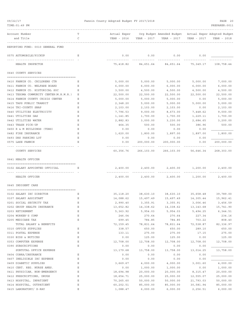| 09/22/17                                | Fannin County Adopted Budget FY 2017/2018 |                            |                     |                                                         | PAGE 20           |                     |
|-----------------------------------------|-------------------------------------------|----------------------------|---------------------|---------------------------------------------------------|-------------------|---------------------|
| TIME: 01:49 PM                          |                                           |                            |                     |                                                         |                   | PREPARER: 0011      |
| Account Number                          | т                                         | Actual Exper               |                     | Org Budget Amended Budget - Actual Exper Adopted Budget |                   |                     |
| and Title                               | C                                         | YEAR - 2016                | YEAR - 2017         | YEAR - 2017                                             | YEAR - 2017       | YEAR - 2018         |
| REPORTING FUND: 0010 GENERAL FUND       |                                           |                            |                     |                                                         |                   |                     |
| 0575 AUTOMOBILE/PICKUP                  | Е                                         | 0.00                       | 0.00                | 0.00                                                    | 0.00              |                     |
| HEALTH INSPECTOR                        |                                           | -------------<br>75,418.82 |                     | 84,651.64 84,651.64                                     | 75,349.17         | 108,758.44          |
| 0640 COUNTY SERVICES                    |                                           |                            |                     |                                                         |                   |                     |
| 0410 FANNIN CO. CHILDRENS CTR           | Е                                         | 5,000.00                   | 5,000.00            | 5,000.00                                                | 5,000.00          | 7,000.00            |
| 0411 FANNIN CO. WELFARE BOARD           | Ε                                         | 6,000.00                   | 6,000.00            | 6,000.00                                                | 6,000.00          | 6,000.00            |
| 0412 FANNIN CO. HISTORICAL SOC          | Ε                                         | 3,500.00                   | 4,500.00            | 4,500.00                                                | 4,500.00          | 4,500.00            |
| 0413 TEXOMA COMMUNITY CENTER (M.H.M.R.) | Ε                                         | 22,500.00                  | 22,500.00           | 22,500.00                                               | 22,500.00         | 22,500.00           |
| 0414 FANNIN COUNTY CRISIS CENTER        | Ε                                         | 5,000.00                   | 5,000.00            | 5,000.00                                                | 0.00              | 5,000.00            |
| 0415 TAPS PUBLIC TRANSIT                | Ε                                         | 2,348.20                   | 5,000.00            | 5,000.00                                                | 5,000.00          | 5,000.00            |
| 0416 TRI-COUNTY SNAP                    | Ε                                         | 2,103.00                   | 2,103.00            | 2,103.00                                                | 0.00              | 2,103.00            |
| 0440 UTILITIES ELECTRICITY              | Ε                                         | 7,796.53                   | 9,000.00            | 8,673.00                                                | 7,448.62          | 9,000.00            |
| 0441 UTILITIES GAS                      | Ε                                         | 1,141.85                   | 1,700.00            | 1,700.00                                                | 1,229.11          | 1,700.00            |
| 0442 UTILITIES WATER                    | Ε                                         | 2,882.83                   | 3,000.00            | 3,230.00                                                | 2,684.65          | 3,200.00            |
| 0443 TRASH PICK-UP                      | Е                                         | 464.35                     | 500.00              | 500.00                                                  | 386.96            | 500.00              |
| 0450 R & M BUILDINGS (TDHS)             | Ε                                         | 0.00                       | 0.00                | 0.00                                                    | 0.00              |                     |
| 0482 FIRE INSURANCE                     | Ε                                         | 1,620.00                   | 1,800.00            | 1,897.00                                                | 1,897.00          | 1,800.00            |
| 0493 DHS PARKING LOT                    | Ε                                         | 0.00                       | 0.00                | 0.00                                                    | 0.00              |                     |
| 0575 LAKE FANNIN                        | Ε                                         | 0.00                       | 200,000.00          | 200,000.00                                              | 0.00              | 200,000.00          |
| COUNTY SERVICES                         |                                           | 60,356.76                  | 266,103.00          | 266,103.00                                              | 56,646.34         | 268,303.00          |
| 0641 HEALTH OFFICER                     |                                           |                            |                     |                                                         |                   |                     |
| 0102 SALARY APPOINTED OFFICIAL          | Ε                                         | 2,400.00                   | 2,400.00            |                                                         | 2,400.00 1,200.00 | 2,400.00            |
| HEALTH OFFICER                          |                                           | 2,400.00                   | 2,400.00            |                                                         | 2,400.00 1,200.00 | 2,400.00            |
| 0645 INDIGENT CARE                      |                                           |                            |                     |                                                         |                   |                     |
|                                         |                                           |                            |                     |                                                         |                   |                     |
| 0102 SALARY IHC DIRECTOR                | Е                                         |                            | 35,118.20 38,630.10 | 38,630.10                                               |                   | 35,658.48 39,789.00 |
| 0107 SALARY ASSISTANT                   | Ε                                         | 14,088.62                  | 15,497.49           | 15,497.49                                               | 14,305.44         | 15,962.41           |
| 0201 SOCIAL SECURITY TAX                | Ε                                         | 2,990.40                   | 3,355.91            | 3,355.91                                                | 3,006.46          | 3,456.59            |
| 0202 GROUP HEALTH INSURANCE             | Ε                                         | 13,652.82                  | 14,338.62           | 14,338.62                                               | 13, 143.68        | 15,741.90           |
| 0203 RETIREMENT                         | Ε                                         | 5,363.92                   | 5,954.03            | 5,954.03                                                | 5,494.25          | 6,344.51            |
| 0204 WORKER'S COMP                      | Ε                                         | 246.04                     | 270.64              | 270.64                                                  | 227.34            | 234.16              |
| 0205 MEDICARE TAX                       | Ε                                         | 699.45                     | 784.85              | 784.85                                                  | 703.22            | 808.40              |
| TOTAL SALARY & BENEFITS                 |                                           | 72,159.45                  | 78,831.64           | 78,831.64                                               | 72,538.87         | 82,336.97           |
| 0310 OFFICE SUPPLIES                    | Ε                                         | 338.57                     | 650.00              | 650.00                                                  | 289.10            | 650.00              |
| 0311 POSTAL EXPENSE                     | Ε                                         | 133.11                     | 275.00              | 275.00                                                  | 17.15             | 275.00              |
| 0330 BIDS & NOTICES                     | $\mathbf E$                               | 0.00                       | 125.00              | 125.00                                                  | 0.00              | 125.00              |
| 0353 COMPUTER EXPENSE                   | Ε                                         | 12,708.00                  | 12,708.00           | 12,708.00                                               | 12,708.00         | 12,708.00           |
| 0390 SUBSCRIPTIONS                      | Ε                                         | 0.00                       | 0.00                | 0.00                                                    | 0.00              |                     |
| SUBTOTAL OFFICE EXPENSE                 |                                           | 13,179.68                  | 13,758.00           | 13,758.00                                               | 13,014.25         | 13,758.00           |
| 0404 COBRA/INSURANCE                    | Ε                                         | 0.00                       | 0.00                | 0.00                                                    | 0.00              |                     |
| 0407 INELIGIBLE IHC EXPENSE             | Ε                                         | 0.00                       | 0.00                | 0.00                                                    | 0.00              |                     |
| 0409 DIABETIC SUPPLIES                  | Ε                                         | 3,669.67                   | 4,000.00            | 4,000.00                                                | 3,001.60          | 4,000.00            |
| 0410 CERT. REG. NURSE ANES.             | Ε                                         | 0.00                       | 1,000.00            | 1,000.00                                                | 0.00              | 1,000.00            |
| 0411 PHYSICIAN, NON-EMERGENCY           | Ε                                         | 18,694.98                  | 20,000.00           | 20,000.00                                               | 8,315.47          | 20,000.00           |
| 0412 PRESCRIPTIONS, DRUGS               | Ε                                         | 18,654.71                  | 25,000.00           | 25,000.00                                               | 12,555.07         | 25,000.00           |
| 0413 HOSPITAL, INPATIENT                | Ε                                         | 70,265.60                  | 50,000.00           | 50,000.00                                               | 21,793.03         | 50,000.00           |
| 0414 HOSPITAL, OUTPATIENT               | Ε                                         | 60,202.51                  | 85,000.00           | 85,000.00                                               | 30,581.94         | 85,000.00           |

0415 LABORATORY/ X-RAY E 1,088.47 6,000.00 6,000.00 2,256.51 6,000.00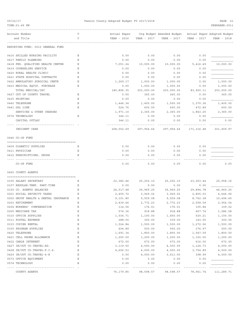TIME:01:49 PM PREPARER:0011

## 09/22/17 Fannin County Adopted Budget FY 2017/2018 PAGE 21

| Account Number                       | Т           | Actual Exper |             | Org Budget Amended Budget Actual Exper Adopted Budget |             |             |
|--------------------------------------|-------------|--------------|-------------|-------------------------------------------------------|-------------|-------------|
| and Title                            | C           | YEAR - 2016  | YEAR - 2017 | YEAR - 2017                                           | YEAR - 2017 | YEAR - 2018 |
|                                      |             |              |             |                                                       |             |             |
| REPORTING FUND: 0010 GENERAL FUND    |             |              |             |                                                       |             |             |
| 0416 SKILLED NURSING FACILITY        | Ε           | 0.00         | 0.00        | 0.00                                                  | 0.00        |             |
| 0417 FAMILY PLANNING                 | Ε           | 0.00         | 0.00        | 0.00                                                  | 0.00        |             |
| 0418 FED. QUALIFIED HEALTH CENTER    | Ε           | 7,051.24     | 10,000.00   | 10,000.00                                             | 5,416.49    | 10,000.00   |
| 0419 COUNSELING SERVICE              | Ε           | 0.00         | 0.00        | 0.00                                                  | 0.00        |             |
| 0420 RURAL HEALTH CLINIC             | Ε           | 0.00         | 0.00        | 0.00                                                  | 0.00        |             |
| 0421 STATE HOSPITAL CONTRACTS        | Ε           | 0.00         | 0.00        | 0.00                                                  | 0.00        |             |
| 0422 AMBULATORY SURGICAL CENTE       | Ε           | 1,269.17     | 1,000.00    | 1,000.00                                              | 0.00        | 1,000.00    |
| 0423 MEDICAL EQUIP. PURCHASE         | Ε           | 0.00         | 1,000.00    | 1,000.00                                              | 0.00        | 1,000.00    |
| TOTAL MEDICAL/IHC                    |             | 180,896.35   | 203,000.00  | 203,000.00                                            | 83,920.11   | 203,000.00  |
| 0427 OUT OF COUNTY TRAVEL            | Ε           | 0.00         | 365.00      | 265.00                                                | 0.00        | 365.00      |
| 0435 PRINTING                        | Ε           | 0.00         | 0.00        | 0.00                                                  | 0.00        |             |
| 0440 TELEPHONE                       | Ε           | 1,446.34     | 1,400.00    | 1,500.00                                              | 1,370.36    | 1,400.00    |
| 0441 DSL LINE                        | Ε           | 524.76       | 600.00      | 600.00                                                | 472.89      | 600.00      |
| SERVICES & OTHER CHARGES             |             | 1,971.10     | 2,365.00    | 2,365.00                                              | 1,843.25    | 2,365.00    |
| 0574 TECHNOLOGY                      | Ε           | 346.11       | 0.00        | 0.00                                                  | 0.00        |             |
| CAPITAL OUTLAY                       |             | 346.11       | 0.00        | 0.00                                                  | 0.00        | 0.00        |
|                                      |             |              |             |                                                       |             |             |
| INDIGENT CARE                        |             | 268,552.69   | 297,954.64  | 297,954.64                                            | 171,316.48  | 301,459.97  |
| 0646 CO-OP FUND                      |             |              |             |                                                       |             |             |
| 0409 DIABETIC SUPPLIES               | Е           | 0.00         | 0.00        | 0.00                                                  | 0.00        |             |
| 0411 PHYSICIAN                       | Ε           | 0.00         | 0.00        | 0.00                                                  | 0.00        |             |
| 0412 PRESCRIPTIONS, DRUGS            | Ε           | 0.00         | 0.00        | 0.00                                                  | 0.00        |             |
|                                      |             |              |             |                                                       |             |             |
| CO-OP FUND                           |             | 0.00         | 0.00        | 0.00                                                  | 0.00        | 0.00        |
| 0665 COUNTY AGENTS                   |             |              |             |                                                       |             |             |
|                                      |             |              |             |                                                       |             |             |
| 0105 SALARY SECRETARY                | Ε           | 22,382.46    | 25,202.10   | 25,202.10                                             | 23, 263.44  | 25,958.16   |
| 0107 REGULAR-TEMP. PART-TIME         | Ε           | 0.00         | 0.00        | 0.00                                                  | 0.00        |             |
| 0150 CO. AGENTS SALARIES             | Ε           | 24,517.48    | 36,969.25   | 36,969.25                                             | 29,894.78   | 46,969.25   |
| 0201 SOCIAL SECURITY TAXES           | Ε           | 2,455.72     | 3,929.02    | 3,929.02                                              | 2,855.03    | 4,646.06    |
| 0202 GROUP HEALTH & DENTAL INSURANCE | Ε           | 9,101.80     | 9,559.08    | 9,559.08                                              | 8,762.38    | 10,494.60   |
| 0203 RETIREMENT                      | Ε           | 2,439.66     | 2,772.23    | 2,772.23                                              | 2,558.09    | 2,954.04    |
| 0204 WORKERS' COMPENSATION           | Ε           | 114.56       | 176.01      | 176.01                                                | 105.84      | 109.02      |
| 0205 MEDICARE TAX                    | Ε           | 574.36       | 918.88      | 918.88                                                | 667.74      | 1,086.58    |
| 0310 OFFICE SUPPLIES                 | Ε           | 1,036.71     | 1,100.00    | 1,450.00                                              | 520.21      | 1,100.00    |
| 0311 POSTAL EXPENSE                  | Ε           | 288.00       | 300.00      | 339.00                                                | 143.00      | 300.00      |
| 0315 COPIER RENTAL                   | $\mathbf E$ | 1,524.84     | 1,500.00    | 1,500.00                                              | 1,272.06    | 1,500.00    |
| 0335 PROGRAM SUPPLIES                | Ε           | 404.89       | 500.00      | 500.00                                                | 376.97      | 500.00      |
| 0420 TELEPHONE                       | Ε           | 1,691.34     | 1,800.00    | 1,800.00                                              | 1,547.59    | 1,800.00    |
| 0421 CELL PHONE ALLOWANCE            | Ε           | 1,200.00     | 1,200.00    | 1,200.00                                              | 1,100.00    | 1,200.00    |
| 0422 CABLE INTERNET                  | Ε           | 672.00       | 672.00      | 672.00                                                | 616.00      | 672.00      |
| 0427 IN/OUT CO.TRAVEL-AG.            | Ε           | 3,119.50     | 4,000.00    | 4,000.00                                              | 1,124.73    | 4,000.00    |
| 0428 IN/OUT CO.TRAVEL-F.C.S.         | Ε           | 4,656.53     | 4,000.00    | 4,000.00                                              | 3,754.89    | 4,000.00    |
| 0429 IN/OUT CO.TRAVEL-4-H            | Ε           | 0.00         | 4,000.00    | 3,611.00                                              | 398.99      | 4,000.00    |
| 0572 OFFICE EQUIPMENT                | Ε           | 0.00         | 0.00        | 0.00                                                  | 0.00        |             |
| 0574 TECHNOLOGY                      | Ε           | 0.00         | 0.00        | 0.00                                                  | 0.00        |             |
| ------------------------------       |             |              |             |                                                       |             |             |

COUNTY AGENTS 76,179.85 98,598.57 98,598.57 78,961.74 111,289.71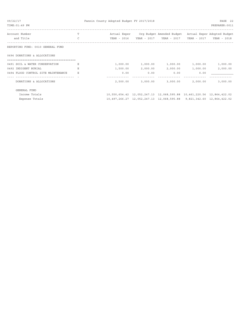| 09/22/17<br>TIME: 01:49 PM          |               | Fannin County Adopted Budget FY 2017/2018 |          |                                                                       |             | PAGE 22<br>PREPARER: 0011 |
|-------------------------------------|---------------|-------------------------------------------|----------|-----------------------------------------------------------------------|-------------|---------------------------|
| Account Number                      |               |                                           |          | Actual Exper Org Budget Amended Budget Actual Exper Adopted Budget    |             |                           |
| and Title                           | $\mathcal{C}$ | YEAR - 2016                               |          | YEAR - 2017 YEAR - 2017                                               | YEAR - 2017 | YEAR - 2018               |
| REPORTING FUND: 0010 GENERAL FUND   |               |                                           |          |                                                                       |             |                           |
| 0696 DONATIONS & ALLOCATIONS        |               |                                           |          |                                                                       |             |                           |
| 0491 SOIL & WATER CONSERVATION      |               | 1,000.00                                  | 1,000.00 | 1,000.00                                                              | 1,000.00    | 1,000.00                  |
| 0492 INDIGENT BURIAL                |               | 1,500.00                                  | 2,000.00 | 2,000.00                                                              | 1,000.00    | 2,000.00                  |
| 0494 FLOOD CONTROL SITE MAINTENANCE | E             | 0.00                                      | 0.00     | 0.00                                                                  | 0.00        |                           |
|                                     |               |                                           |          |                                                                       |             |                           |
| DONATIONS & ALLOCATIONS             |               | 2,500.00                                  | 3,000.00 | 3,000.00                                                              | 2,000.00    | 3,000.00                  |
| GENERAL FUND                        |               |                                           |          |                                                                       |             |                           |
| Income Totals                       |               |                                           |          | 10,550,654.42 12,052,247.13 12,068,595.88 10,461,220.56 12,864,422.02 |             |                           |
| Expense Totals                      |               |                                           |          | 10,497,266.27 12,052,247.13 12,068,595.88 9,821,342.60 12,864,422.02  |             |                           |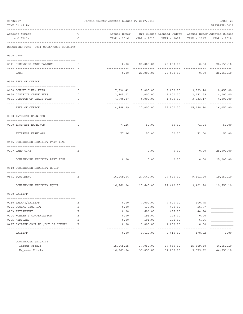| 09/22/17<br>TIME: 01:49 PM               |              | Fannin County Adopted Budget FY 2017/2018 |                         |                                                                    |                | PAGE 23<br>PREPARER: 0011 |
|------------------------------------------|--------------|-------------------------------------------|-------------------------|--------------------------------------------------------------------|----------------|---------------------------|
|                                          |              |                                           |                         |                                                                    |                |                           |
| Account Number<br>and Title              | т<br>C       |                                           |                         | Actual Exper Org Budget Amended Budget Actual Exper Adopted Budget | YEAR - 2017    | YEAR - 2018               |
|                                          |              |                                           |                         |                                                                    |                |                           |
| REPORTING FUND: 0011 COURTHOUSE SECURITY |              |                                           |                         |                                                                    |                |                           |
| 0300 CASH                                |              |                                           |                         |                                                                    |                |                           |
| 0111 BEGINNING CASH BALANCE              | $\mathbb{I}$ |                                           |                         | $0.00$ 20,000.00 20,000.00                                         |                | $0.00$ 28,151.10          |
| CASH                                     |              | 0.00                                      | 20,000.00               | 20,000.00                                                          | 0.00           | 28,151.10                 |
| 0340 FEES OF OFFICE                      |              |                                           |                         |                                                                    |                |                           |
| 0600 COUNTY CLERK FEES                   | Ι.           |                                           |                         | 7,936.41 9,000.00 9,000.00 9,393.78                                |                | 8,450.00                  |
| 0650 DISTRICT CLERK FEES                 | Ι.           |                                           |                         | 2,345.01 4,000.00 4,000.00 2,471.59                                |                | 4,000.00                  |
| 0651 JUSTICE OF PEACE FEES               | I            | 4,706.87                                  | 4,000.00                | 4,000.00                                                           | 3,633.47       | 4,000.00                  |
| FEES OF OFFICE                           |              | ------------<br>14,988.29                 | ----------<br>17,000.00 | 17,000.00                                                          | .<br>15,498.84 | . <u>.</u> .<br>16,450.00 |
| 0360 INTEREST EARNINGS                   |              |                                           |                         |                                                                    |                |                           |
| 0100 INTEREST EARNINGS                   | $\mathbf{I}$ | 77.26                                     | 50.00                   | 50.00                                                              | 71.04          | 50.00                     |
| <b>INTEREST EARNINGS</b>                 |              | 77.26                                     | 50.00                   | 50.00                                                              | 71.04          | 50.00                     |
| 0435 COURTHOUSE SECURITY PART TIME       |              |                                           |                         |                                                                    |                |                           |
| 0107 PART TIME                           | Е            |                                           | 0.00                    | 0.00                                                               | 0.00           | 25,000.00                 |
| COURTHOUSE SECURITY PART TIME            |              | 0.00                                      | 0.00                    | 0.00                                                               | 0.00           | 25,000.00                 |
| 0510 COURTHOUSE SECURITY EQUIP           |              |                                           |                         |                                                                    |                |                           |
| 0571 EQUIPMENT                           | E            |                                           |                         | 16,269.04  27,640.00  27,640.00  9,401.20  19,651.10               |                |                           |
|                                          |              |                                           |                         |                                                                    |                |                           |
| COURTHOUSE SECURITY EQUIP                |              | 16,269.04                                 |                         | 27,640.00 27,640.00                                                |                | 9,401.20 19,651.10        |
| 0560 BAILIFF                             |              |                                           |                         |                                                                    |                |                           |
| 0130 SALARY/BAILIFF                      | Ε            | 0.00                                      | 7,000.00                | 7,000.00                                                           | 400.75         |                           |
| 0201 SOCIAL SECURITY                     | Ε            | 0.00                                      | 430.00                  | 430.00                                                             | 26.77          |                           |
| 0203 RETIREMENT                          | Ε            | 0.00                                      | 686.00                  | 686.00                                                             | 44.24          |                           |
| 0204 WORKER'S COMPENSATION               | Ε            | 0.00                                      | 193.00                  | 193.00                                                             | 0.00           |                           |
| 0205 MEDICARE                            | Ε            | 0.00                                      | 101.00                  | 101.00                                                             | 6.26           |                           |
| 0427 BAILIFF CONT.ED./OUT OF COUNTY      | Ε            | 0.00                                      | 1,000.00                | 1,000.00                                                           | 0.00           |                           |
| BAILIFF                                  |              | 0.00                                      | 9,410.00                | 9,410.00                                                           | 478.02         | 0.00                      |
| COURTHOUSE SECURITY                      |              |                                           |                         |                                                                    |                |                           |
| Income Totals                            |              | 15,065.55                                 | 37,050.00               | 37,050.00                                                          | 15,569.88      | 44,651.10                 |
| Expense Totals                           |              | 16,269.04                                 | 37,050.00               | 37,050.00                                                          | 9,879.22       | 44,651.10                 |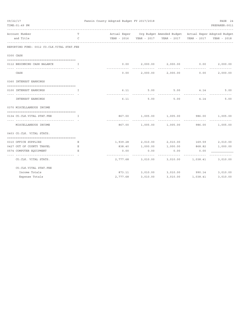| 09/22/17<br>TIME: 01:49 PM                           |         | Fannin County Adopted Budget FY 2017/2018 |                |                  |                                                                    |                 | PAGE 24<br>PREPARER: 0011 |
|------------------------------------------------------|---------|-------------------------------------------|----------------|------------------|--------------------------------------------------------------------|-----------------|---------------------------|
| Account Number<br>and Title                          | т<br>C  |                                           |                |                  | Actual Exper Org Budget Amended Budget Actual Exper Adopted Budget |                 | YEAR - 2018               |
| REPORTING FUND: 0012 CO.CLK.VITAL STAT.FEE           |         |                                           |                |                  |                                                                    |                 |                           |
| 0300 CASH                                            |         |                                           |                |                  |                                                                    |                 |                           |
| 0112 BEGINNING CASH BALANCE                          | I       |                                           | 0.00           | 2,000.00         | 2,000.00                                                           | 0.00            | 2,000.00                  |
| CASH                                                 |         |                                           | 0.00           | 2,000.00         | 2,000.00                                                           | 0.00            | 2,000.00                  |
| 0360 INTEREST EARNINGS                               |         |                                           |                |                  |                                                                    |                 |                           |
| 0100 INTEREST EARNINGS                               | I       |                                           | 6.11           | 5.00             | 5.00                                                               | 4.14            | 5.00                      |
| INTEREST EARNINGS                                    |         |                                           | 6.11           | 5.00             | 5.00                                                               | 4.14            | 5.00                      |
| 0370 MISCELLANEOUS INCOME                            |         |                                           |                |                  |                                                                    |                 |                           |
| 0134 CO.CLK.VITAL STAT.FEE                           | T.      |                                           | 867.00         | 1,005.00         | 1,005.00                                                           | 986.00          | 1,005.00                  |
| --------------<br>MISCELLANEOUS INCOME               |         |                                           | 867.00         | 1,005.00         | 1,005.00                                                           | 986.00          | 1,005.00                  |
| 0403 CO.CLK. VITAL STATS.                            |         |                                           |                |                  |                                                                    |                 |                           |
|                                                      |         |                                           |                |                  |                                                                    |                 |                           |
| 0310 OFFICE SUPPLIES                                 | Е       |                                           | 1,939.28       | 2,010.00         | 2,010.00                                                           | 169.59          | 2,010.00                  |
| 0427 OUT OF COUNTY TRAVEL<br>0574 COMPUTER EQUIPMENT | Е<br>E. |                                           | 838.40<br>0.00 | 1,000.00<br>0.00 | 1,000.00<br>0.00                                                   | 868.82<br>0.00  | 1,000.00                  |
| CO.CLK. VITAL STATS.                                 |         | ---------                                 | 2,777.68       | 3,010.00         | 3,010.00                                                           | 1,038.41        | 3,010.00                  |
| CO. CLK. VITAL STAT. FEE                             |         |                                           |                |                  |                                                                    |                 |                           |
| Income Totals                                        |         |                                           | 873.11         | 3,010.00         |                                                                    | 3,010.00 990.14 | 3,010.00                  |
| Expense Totals                                       |         |                                           | 2,777.68       | 3,010.00         | 3,010.00                                                           | 1,038.41        | 3,010.00                  |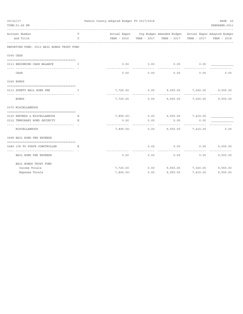| 09/22/17                      |                                            | Fannin County Adopted Budget FY 2017/2018 | PAGE 25      |             |                                                                    |          |                |
|-------------------------------|--------------------------------------------|-------------------------------------------|--------------|-------------|--------------------------------------------------------------------|----------|----------------|
| TIME: 01:49 PM                |                                            |                                           |              |             |                                                                    |          | PREPARER: 0011 |
| Account Number                | T                                          |                                           |              |             | Actual Exper Org Budget Amended Budget Actual Exper Adopted Budget |          |                |
| and Title                     | $\mathsf{C}$                               |                                           |              |             |                                                                    |          |                |
|                               | REPORTING FUND: 0013 BAIL BONDS TRUST FUND |                                           |              |             |                                                                    |          |                |
| 0300 CASH                     |                                            |                                           |              |             |                                                                    |          |                |
| 0113 BEGINNING CASH BALANCE   | T.                                         |                                           | 0.00         | 0.00        | 0.00                                                               | 0.00     |                |
| CASH                          |                                            | ----------                                | 0.00         | 0.00        | 0.00                                                               | 0.00     | 0.00           |
| 0345 BONDS                    |                                            |                                           |              |             |                                                                    |          |                |
| 0113 SURETY BAIL BOND FEE     | $\mathbf{I}$ . The state of $\mathbf{I}$   |                                           | 7,725.00     |             | $0.00$ 9,555.00 7,020.00                                           |          | 9,555.00       |
| BONDS                         | ---------------------------------          |                                           |              | ----------- | ------------                                                       | .        | 9,555.00       |
| 0370 MISCELLANEOUS            |                                            |                                           |              |             |                                                                    |          |                |
| 0130 REFUNDS & MISCELLANEOUS  | Е                                          |                                           |              |             |                                                                    |          |                |
| 0132 TEMPORARY BOND SECURITY  | E.                                         | -------------                             | 0.00         | 0.00        | 0.00<br>----------                                                 | 0.00     |                |
| MISCELLANEOUS                 |                                            |                                           |              |             | 7,890.00- 0.00 9,555.00 7,410.00                                   |          | 0.00           |
| 0498 BAIL BOND FEE EXPENSE    |                                            |                                           |              |             |                                                                    |          |                |
| 0489 10% TO STATE COMPTROLLER | E.                                         |                                           |              | 0.00        | 0.00                                                               | 0.00     | 9,555.00       |
| BAIL BOND FEE EXPENSE         |                                            |                                           | 0.00         | 0.00        | 0.00                                                               | 0.00     | 9,555.00       |
| BAIL BONDS TRUST FUND         |                                            |                                           |              |             |                                                                    |          |                |
| Income Totals                 |                                            |                                           | 7,725.00     |             | $0.00$ 9,555.00 7,020.00                                           |          | 9,555.00       |
| Expense Totals                |                                            |                                           | $7,890.00 -$ | 0.00        | 9,555.00                                                           | 7,410.00 | 9,555.00       |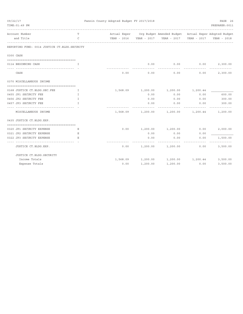| 09/22/17<br>TIME: 01:49 PM                    |                         | Fannin County Adopted Budget FY 2017/2018 |          |                                                                    |                       | PAGE 26<br>PREPARER: 0011         |
|-----------------------------------------------|-------------------------|-------------------------------------------|----------|--------------------------------------------------------------------|-----------------------|-----------------------------------|
| Account Number                                | T                       |                                           |          | Actual Exper Org Budget Amended Budget Actual Exper Adopted Budget |                       |                                   |
| and Title                                     | C                       |                                           |          |                                                                    |                       | YEAR - 2017 YEAR - 2018           |
| REPORTING FUND: 0014 JUSTICE CT.BLDG.SECURITY |                         |                                           |          |                                                                    |                       |                                   |
| 0300 CASH                                     |                         |                                           |          |                                                                    |                       |                                   |
| 0114 BEGINNING CASH                           | I                       |                                           | 0.00     | $0.00$ 0.00                                                        |                       | 2,300.00                          |
| CASH                                          |                         | 0.00                                      | 0.00     | 0.00                                                               | 0.00                  | 2,300.00                          |
| 0370 MISCELLANEOUS INCOME                     |                         |                                           |          |                                                                    |                       |                                   |
| 0168 JUSTICE CT.BLDG.SEC.FEE                  | and the state of the Ta |                                           |          | 1,568.09 1,200.00 1,200.00 1,200.44                                |                       |                                   |
| 0455 JP1 SECURITY FEE                         | T.                      |                                           | 0.00     | 0.00                                                               | 0.00                  | 600.00                            |
| 0456 JP2 SECURITY FEE                         | T                       |                                           | 0.00     | 0.00                                                               | 0.00                  | 300.00                            |
| 0457 JP3 SECURITY FEE                         | $\mathsf{T}$            |                                           | 0.00     | 0.00<br>- - - - - - - - - - -                                      | 0.00<br>------------- | 300.00<br>-------------           |
| MISCELLANEOUS INCOME                          |                         |                                           |          | $1,568.09$ $1,200.00$ $1,200.00$ $1,200.44$                        |                       | 1,200.00                          |
| 0435 JUSTICE CT.BLDG.EXP.                     |                         |                                           |          |                                                                    |                       |                                   |
| 0320 JP1 SECURITY EXPENSE                     | Е                       | 0.00                                      |          | 1,200.00 1,200.00                                                  | 0.00                  | 2,000.00                          |
| 0321 JP2 SECURITY EXPENSE                     | E.                      |                                           | 0.00     | 0.00                                                               | 0.00                  |                                   |
| 0322 JP3 SECURITY EXPENSE                     | E.                      |                                           | 0.00     | 0.00                                                               | 0.00                  | 1,500.00                          |
| JUSTICE CT.BLDG.EXP.                          |                         | 0.00                                      |          | 1,200.00 1,200.00                                                  | 0.00                  | - - - - - - - - - - -<br>3,500.00 |
| JUSTICE CT.BLDG.SECURITY                      |                         |                                           |          |                                                                    |                       |                                   |
| Income Totals                                 |                         | 1,568.09                                  |          | 1,200.00    1,200.00    1,200.44                                   |                       | 3,500.00                          |
| Expense Totals                                |                         | 0.00                                      | 1,200.00 | 1,200.00                                                           | 0.00                  | 3,500.00                          |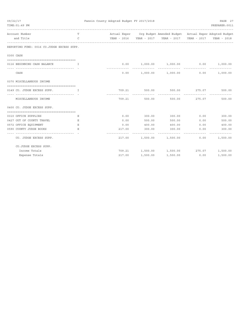| 09/22/17<br>TIME: 01:49 PM                 |                                                | Fannin County Adopted Budget FY 2017/2018 |                         |                                                                    |               | PAGE 27<br>PREPARER: 0011 |
|--------------------------------------------|------------------------------------------------|-------------------------------------------|-------------------------|--------------------------------------------------------------------|---------------|---------------------------|
|                                            |                                                |                                           |                         |                                                                    |               |                           |
| Account Number                             | T.                                             |                                           |                         | Actual Exper Org Budget Amended Budget Actual Exper Adopted Budget |               |                           |
| and Title                                  | $\mathcal{C}$                                  |                                           |                         | YEAR - 2016  YEAR - 2017  YEAR - 2017  YEAR - 2017  YEAR - 2018    |               |                           |
| REPORTING FUND: 0016 CO.JUDGE EXCESS SUPP. |                                                |                                           |                         |                                                                    |               |                           |
| 0300 CASH                                  |                                                |                                           |                         |                                                                    |               |                           |
|                                            |                                                |                                           |                         |                                                                    |               |                           |
| 0116 BEGINNING CASH BALANCE                | $\mathbf{I}$ and $\mathbf{I}$ and $\mathbf{I}$ |                                           |                         | $0.00$ $1,000.00$ $1,000.00$ $0.00$                                |               | 1,000.00                  |
| CASH                                       |                                                |                                           |                         | $0.00$ 1,000.00 1,000.00                                           | 0.00          | 1,000.00                  |
| 0370 MISCELLANEOUS INCOME                  |                                                |                                           |                         |                                                                    |               |                           |
| 0149 CO. JUDGE EXCESS SUPP.                | and the contract of the Table                  | 709.21                                    | 500.00                  |                                                                    | 500.00 275.07 | 500.00                    |
|                                            |                                                |                                           | -----------             |                                                                    | ------------- | -------------             |
| MISCELLANEOUS INCOME                       |                                                | 709.21                                    | 500.00                  |                                                                    | 500.00 275.07 | 500.00                    |
| 0400 CO. JUDGE EXCESS SUPP.                |                                                |                                           |                         |                                                                    |               |                           |
|                                            |                                                |                                           |                         |                                                                    |               |                           |
| 0310 OFFICE SUPPLIES                       | Е                                              | 0.00                                      | 300.00                  | 300.00                                                             | 0.00          | 300.00                    |
| 0427 OUT OF COUNTY TRAVEL                  | Ε                                              | 0.00                                      | 500.00                  | 500.00                                                             | 0.00          | 500.00                    |
| 0572 OFFICE EQUIPMENT                      | Ε                                              | 0.00                                      | 400.00                  | 400.00                                                             | 0.00          | 400.00                    |
| 0590 COUNTY JUDGE BOOKS                    | Е.                                             | 217.00<br>---------                       | 300.00<br>_____________ | 300.00                                                             | 0.00          | 300.00                    |
| CO. JUDGE EXCESS SUPP.                     |                                                |                                           |                         | 217.00 1,500.00 1,500.00                                           | 0.00          | 1,500.00                  |
| CO.JUDGE EXCESS SUPP.                      |                                                |                                           |                         |                                                                    |               |                           |
| Income Totals                              |                                                |                                           |                         | 709.21 1,500.00 1,500.00 275.07 1,500.00                           |               |                           |
| Expense Totals                             |                                                | 217.00                                    | 1,500.00                | 1,500.00                                                           | 0.00          | 1,500.00                  |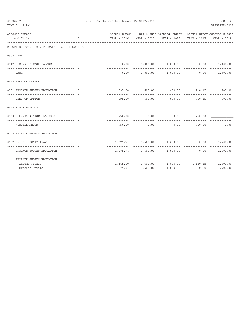| 09/22/17 | TIME: 01:49 PM                                                         |               | Fannin County Adopted Budget FY 2017/2018 |          |                                 |                                                                                                          |                                 | PAGE 28<br>PREPARER: 0011 |
|----------|------------------------------------------------------------------------|---------------|-------------------------------------------|----------|---------------------------------|----------------------------------------------------------------------------------------------------------|---------------------------------|---------------------------|
|          | Account Number                                                         | T             |                                           |          |                                 | ----------------------------------<br>Actual Exper Org Budget Amended Budget Actual Exper Adopted Budget |                                 |                           |
|          | and Title                                                              | $\mathcal{C}$ |                                           |          |                                 | YEAR - 2016  YEAR - 2017  YEAR - 2017  YEAR - 2017  YEAR - 2018                                          |                                 |                           |
|          | REPORTING FUND: 0017 PROBATE JUDGES EDUCATION                          |               |                                           |          |                                 |                                                                                                          |                                 |                           |
|          | 0300 CASH                                                              |               |                                           |          |                                 |                                                                                                          |                                 |                           |
|          | 0117 BEGINNING CASH BALANCE<br>$\mathbf{I}$ . The state $\mathbf{I}$   |               |                                           |          |                                 | $0.00$ $1,000.00$ $1,000.00$ $0.00$                                                                      |                                 | 1,000.00                  |
|          | ------------------------------------                                   |               |                                           |          |                                 |                                                                                                          |                                 | -------------             |
|          | CASH                                                                   |               |                                           |          |                                 | $0.00$ 1,000.00 1,000.00                                                                                 | 0.00                            | 1,000.00                  |
|          | 0340 FEES OF OFFICE                                                    |               |                                           |          |                                 |                                                                                                          |                                 |                           |
|          | 0131 PROBATE JUDGES EDUCATION                                          | $\mathbf{I}$  |                                           |          |                                 | 595.00 600.00 600.00 710.15 600.00                                                                       |                                 |                           |
|          | FEES OF OFFICE                                                         |               |                                           |          | -----------<br>595.00<br>600.00 | 600.00                                                                                                   | <u> - - - - - - - - - - - -</u> | 710.15 600.00             |
|          | 0370 MISCELLANEOUS                                                     |               |                                           |          |                                 |                                                                                                          |                                 |                           |
|          | 0130 REFUNDS & MISCELLANEOUS<br>$\mathbf{I}$ . The set of $\mathbf{I}$ |               |                                           |          | 750.00 0.00                     | $0.00$ 750.00                                                                                            |                                 |                           |
|          | --------------------------------<br>MISCELLANEOUS                      |               |                                           | 750.00   | .<br>0.00                       | 0.00                                                                                                     | 750.00                          | 0.00                      |
|          | 0400 PROBATE JUDGES EDUCATION                                          |               |                                           |          |                                 |                                                                                                          |                                 |                           |
|          | 0427 OUT OF COUNTY TRAVEL                                              | E.            |                                           |          |                                 | $1,275.74$ $1,600.00$ $1,600.00$ 0.00                                                                    |                                 | 1,600.00                  |
|          | PROBATE JUDGES EDUCATION                                               |               |                                           |          | ------------- --------------    | $1,275.74$ $1,600.00$ $1,600.00$                                                                         | 0.00                            | ------------<br>1,600.00  |
|          | PROBATE JUDGES EDUCATION                                               |               |                                           |          |                                 |                                                                                                          |                                 |                           |
|          | Income Totals                                                          |               |                                           |          |                                 | $1,345.00$ $1,600.00$ $1,600.00$ $1,460.15$ $1,600.00$                                                   |                                 |                           |
|          | Expense Totals                                                         |               |                                           | 1,275.74 | 1,600.00                        | 1,600.00                                                                                                 | 0.00                            | 1,600.00                  |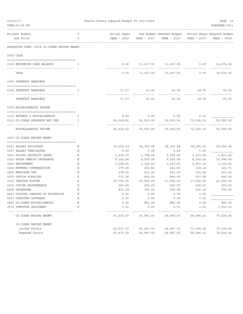| 09/22/17<br>TIME: 01:49 PM |                                                      |        | Fannin County Adopted Budget FY 2017/2018<br>PAGE 29<br>PREPARER: 0011 |                   |                                                                    |                    |                          |  |  |
|----------------------------|------------------------------------------------------|--------|------------------------------------------------------------------------|-------------------|--------------------------------------------------------------------|--------------------|--------------------------|--|--|
|                            | Account Number<br>and Title                          | т<br>C |                                                                        |                   | Actual Exper Org Budget Amended Budget Actual Exper Adopted Budget |                    |                          |  |  |
|                            |                                                      |        | YEAR - 2016                                                            | YEAR - 2017       | YEAR - 2017                                                        | YEAR - 2017        | YEAR - 2018              |  |  |
|                            | REPORTING FUND: 0018 CO. CLERK RECORD MNGMT.         |        |                                                                        |                   |                                                                    |                    |                          |  |  |
|                            | 0300 CASH                                            |        |                                                                        |                   |                                                                    |                    |                          |  |  |
|                            | 0118 BEGINNING CASH BALANCE                          | T      | 0.00                                                                   |                   | 11, 437.55 11, 437.55                                              |                    | $0.00$ 14,974.64         |  |  |
|                            | CASH                                                 |        | 0.00                                                                   | 11,437.55         | 11,437.55                                                          | 0.00               | -----------<br>14,974.64 |  |  |
|                            | 0360 INTEREST EARNINGS                               |        |                                                                        |                   |                                                                    |                    |                          |  |  |
|                            |                                                      |        |                                                                        |                   |                                                                    |                    |                          |  |  |
|                            | 0100 INTEREST EARNINGS                               | T      | 17.97                                                                  | 50.00             | 50.00                                                              | 18.75              | 50.00                    |  |  |
|                            | INTEREST EARNINGS                                    |        | 17.97                                                                  | 50.00             | 50.00                                                              | 18.75              | 50.00                    |  |  |
|                            | 0370 MISCELLANEOUS INCOME                            |        |                                                                        |                   |                                                                    |                    |                          |  |  |
|                            | 0130 REFUNDS & MISCELLANEOUS                         | I.     | 0.00                                                                   | 0.00              | 0.00                                                               | 0.00               |                          |  |  |
|                            | 0133 CO.CLERK PRESERVE REC FEE                       | I      | 62,519.62                                                              | 55,500.00         | 55,500.00                                                          | 73,165.33          | 55,500.00                |  |  |
|                            | MISCELLANEOUS INCOME                                 |        | 62,519.62                                                              | 55,500.00         | 55,500.00                                                          | 73,165.33          | 55,500.00                |  |  |
|                            | 0402 CO. CLERK RECORD MNGMT.                         |        |                                                                        |                   |                                                                    |                    |                          |  |  |
|                            |                                                      |        |                                                                        |                   |                                                                    |                    |                          |  |  |
|                            | 0103 SALARY ASSISTANT                                | Е<br>Ε | 30,252.19<br>0.00                                                      | 28,365.48<br>0.00 | 28,365.48<br>0.00                                                  | 26, 183.52<br>0.00 | 29,216.44                |  |  |
|                            | 0107 SALARY TEMP/EXTRA<br>0201 SOCIAL SECURITY TAXES | Ε      | 1,618.79                                                               | 1,758.66          | 1,758.66                                                           | 1,331.94           | 1,811.42                 |  |  |
|                            | 0202 GROUP HEALTH INSURANCE                          | Ε      |                                                                        | 9,559.08          |                                                                    | 8,762.60           | 10,494.60                |  |  |
|                            | 0203 RETIREMENT                                      | Е      | 9,102.04<br>3,298.62                                                   | 3,120.20          | 9,559.08<br>3,120.20                                               | 2,879.15           | 3,324.83                 |  |  |
|                            | 0204 WORKERS COMPENSATION                            | Ε      | 179.68                                                                 | 141.83            | 141.83                                                             | 119.14             | 122.71                   |  |  |
|                            | 0205 MEDICARE TAX                                    | Ε      | 378.55                                                                 | 411.30            | 411.30                                                             | 311.44             | 423.64                   |  |  |
|                            | 0310 OFFICE SUPPLIES                                 | Ε      | 771.08                                                                 | 800.00            | 800.00                                                             | 237.98             | 800.00                   |  |  |
|                            | 0312 IMAGING SYSTEM                                  | Ε      | 20,700.00                                                              | 21,000.00         | 21,000.00                                                          | 17,250.00          | 21,000.00                |  |  |
|                            | 0315 COPIER MAINTENANCE                              | Ε      | 360.00                                                                 | 250.00            | 250.00                                                             | 408.50             | 250.00                   |  |  |
|                            | 0420 TELEPHONE                                       | Ε      | 811.14                                                                 | 700.00            | 700.00                                                             | 602.16             | 700.00                   |  |  |
|                            | 0437 DIGITAL IMAGING OF MICROFILM                    | Ε      | 0.00                                                                   | 0.00              | 0.00                                                               | 0.00               |                          |  |  |
|                            | 0453 COMPUTER SOFTWARE                               | Ε      | 0.00                                                                   | 0.00              | 0.00                                                               | 0.00               |                          |  |  |
|                            | 0490 CO. CLERK MISCELLANEOUS                         | Ε      | 0.00                                                                   | 881.00            | 881.00                                                             | 0.00               | 881.00                   |  |  |
|                            | 0574 COMPUTER EQUIPMENT                              | Ε      | 0.00                                                                   | 0.00              | 0.00                                                               | 0.00               | 1,500.00                 |  |  |
|                            | CO. CLERK RECORD MNGMT.                              |        | 67,472.09                                                              | 66,987.55         | 66,987.55                                                          | 58,086.43          | 70,524.64                |  |  |
|                            | CO. CLERK RECORD MNGMT.                              |        |                                                                        |                   |                                                                    |                    |                          |  |  |
|                            | Income Totals                                        |        | 62,537.59                                                              | 66,987.55         | 66,987.55                                                          | 73,184.08          | 70,524.64                |  |  |
|                            | Expense Totals                                       |        | 67,472.09                                                              | 66,987.55         | 66,987.55                                                          | 58,086.43          | 70,524.64                |  |  |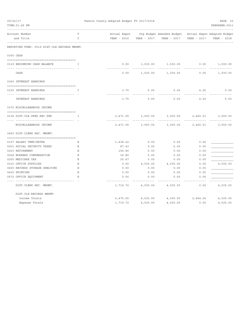| 09/22/17                                     |              | Fannin County Adopted Budget FY 2017/2018 | PAGE 30  |                                                       |                               |                |
|----------------------------------------------|--------------|-------------------------------------------|----------|-------------------------------------------------------|-------------------------------|----------------|
| TIME: 01:49 PM                               |              |                                           |          |                                                       |                               | PREPARER: 0011 |
| Account Number                               | T            | Actual Exper                              |          | Org Budget Amended Budget Actual Exper Adopted Budget |                               |                |
| and Title                                    | C            |                                           |          |                                                       | YEAR - 2017                   | YEAR - 2018    |
| REPORTING FUND: 0019 DIST.CLK.RECORDS MNGMT. |              |                                           |          |                                                       |                               |                |
| 0300 CASH                                    |              |                                           |          |                                                       |                               |                |
| 0119 BEGINNING CASH BALANCE                  | Ι.           | 0.00                                      | 1,030.00 | 1,030.00                                              | 0.00                          | 1,030.00       |
| CASH                                         |              | - - - - - - - - - - - - -<br>0.00         |          | 1,030.00 1,030.00                                     | - - - - - - - - - - -<br>0.00 | 1,030.00       |
| 0360 INTEREST EARNINGS                       |              |                                           |          |                                                       |                               |                |
| 0100 INTEREST EARNINGS                       | $\mathsf{T}$ | 3.75                                      | 5.00     | 5.00                                                  | 4.25                          | 5.00           |
| <b>INTEREST EARNINGS</b>                     |              | 3.75                                      | 5.00     | 5.00                                                  | 4.25                          | 5.00           |
| 0370 MISCELLEANEOUS INCOME                   |              |                                           |          |                                                       |                               |                |
| 0136 DIST.CLK.PRES.REC.FEE                   | T            | 2,471.90                                  | 3,000.00 | 3,000.00                                              | 2,460.01                      | 3,000.00       |
|                                              |              |                                           |          |                                                       |                               |                |
| MISCELLEANEOUS INCOME                        |              | 2,471.90                                  | 3,000.00 | 3,000.00                                              | 2,460.01                      | 3,000.00       |
| 0450 DIST. CLERK REC. MNGMT.                 |              |                                           |          |                                                       |                               |                |
|                                              |              |                                           |          |                                                       |                               |                |
| 0107 SALARY TEMP/EXTRA                       | Е            | 1,438.22                                  | 0.00     | 0.00                                                  | 0.00                          |                |
| 0201 SOCIAL SECURITY TAXES                   | Е            | 87.43                                     | 0.00     | 0.00                                                  | 0.00                          |                |
| 0203 RETIREMENT                              | $\mathbf E$  | 156.80                                    | 0.00     | 0.00                                                  | 0.00                          |                |
| 0204 WORKERS COMPENSATION                    | $\mathbf E$  | 16.80                                     | 0.00     | 0.00                                                  | 0.00                          |                |
| 0205 MEDICARE TAX                            | $\mathbf E$  | 20.47                                     | 0.00     | 0.00                                                  | 0.00                          |                |
| 0310 OFFICE SUPPLIES                         | Ε            | 0.00                                      | 4,035.00 | 4,035.00                                              | 0.00                          | 4,035.00       |
| 0400 RECORDS STORAGE SHELVING                | Ε            | 0.00                                      | 0.00     | 0.00                                                  | 0.00                          |                |
| 0435 PRINTING                                | $\mathbf E$  | 0.00                                      | 0.00     | 0.00                                                  | 0.00                          |                |
| 0572 OFFICE EQUIPMENT                        | Ε            | 0.00                                      | 0.00     | 0.00                                                  | 0.00                          |                |
| -------------                                |              | -------------                             |          |                                                       |                               |                |
| DIST. CLERK REC. MNGMT.                      |              | 1,719.72                                  | 4,035.00 | 4,035.00                                              | 0.00                          | 4,035.00       |
| DIST.CLK.RECORDS MNGMT.                      |              |                                           |          |                                                       |                               |                |
| Income Totals                                |              | 2,475.65                                  | 4,035.00 | 4,035.00 2,464.26                                     |                               | 4,035.00       |
| Expense Totals                               |              | 1,719.72                                  | 4,035.00 | 4,035.00                                              | 0.00                          | 4,035.00       |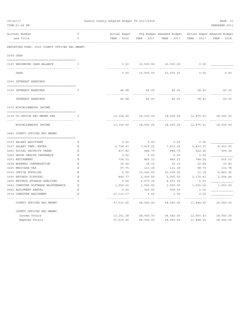| 09/22/17<br>TIME: 01:49 PM                             |                    | Fannin County Adopted Budget FY 2017/2018 |                      |                                          |                  | PAGE 31<br>PREPARER: 0011                  |
|--------------------------------------------------------|--------------------|-------------------------------------------|----------------------|------------------------------------------|------------------|--------------------------------------------|
| Account Number<br>and Title                            | т<br>$\mathcal{C}$ | Actual Exper<br>YEAR - 2016               | YEAR - 2017          | Org Budget Amended Budget<br>YEAR - 2017 | YEAR - 2017      | Actual Exper Adopted Budget<br>YEAR - 2018 |
| REPORTING FUND: 0020 COUNTY OFFICES REC.MNGMT.         |                    |                                           |                      |                                          |                  |                                            |
| 0300 CASH                                              |                    |                                           |                      |                                          |                  |                                            |
| 0120 BEGINNING CASH BALANCE                            | I                  | 0.00                                      | 10,000.00            | 10,000.00                                | 0.00             |                                            |
| CASH                                                   |                    | 0.00                                      | 10,000.00            | 10,000.00                                | 0.00             | 0.00                                       |
| 0360 INTEREST EARNINGS                                 |                    |                                           |                      |                                          |                  |                                            |
| 0100 INTEREST EARNINGS                                 | I                  | 46.98                                     | 40.00                | 40.00                                    | 28.42            | 40.00                                      |
| --------------<br><b>INTEREST EARNINGS</b>             |                    | 46.98                                     | 40.00                | 40.00                                    | 28.42            | 40.00                                      |
| 0370 MISCELLENEOUS INCOME                              |                    |                                           |                      |                                          |                  |                                            |
| 0135 CO.OFFICE REC.MNGMT.FEE                           | $\mathbf{T}$       | 13,104.40                                 | 18,000.00            | 18,000.00                                | 12,875.01        | 18,000.00                                  |
| <u>-- --------------------</u><br>MISCELLENEOUS INCOME |                    | -------------<br>13,104.40                | 18,000.00            | 18,000.00                                | 12,875.01        | 18,000.00                                  |
| 0449 COUNTY OFFICES REC.MNGMT.                         |                    |                                           |                      |                                          |                  |                                            |
| 0103 SALARY ASSISTANT                                  | Ε                  | 0.00                                      | 0.00                 | 0.00                                     | 0.00             |                                            |
| 0107 SALARY TEMP./EXTRA                                | Ε                  | 6,738.87                                  | 7,819.25             | 7,819.25                                 | 6,810.57         | 8,053.83                                   |
| 0201 SOCIAL SECURITY TAXES                             | Ε                  | 417.82                                    | 484.79               | 484.79                                   | 422.26           | 499.34                                     |
| 0202 GROUP HEALTH INSURANCE                            | $\mathbf E$        | 0.00                                      | 0.00                 | 0.00                                     | 0.00             |                                            |
| 0203 RETIREMENT                                        | Ε                  | 734.53                                    | 860.12               | 860.12                                   | 748.26           | 916.53                                     |
| 0204 WORKERS COMPENSATION                              | Ε                  | 35.54                                     | 39.10                | 39.10                                    | 32.84            | 33.83                                      |
| 0205 MEDICARE TAX                                      | E.                 | 97.75                                     | 113.38               | 113.38                                   | 98.73            | 116.78                                     |
| 0310 OFFICE SUPPLIES<br>0350 RECORDS DISPOSAL          | $\mathbf E$<br>Ε   | 0.00<br>845.77                            | 10,000.00            | 10,000.00                                | 11.18            | 4,863.25                                   |
| 0400 RECORDS STORAGE SHELVING                          | Ε                  | 0.00                                      | 2,000.00<br>4,673.36 | 2,000.00<br>4,673.36                     | 2,174.41<br>0.00 | 2,006.44                                   |
| 0453 COMPUTER SOFTWARE MAINTENANCE                     | Ε                  | 1,550.00                                  | 1,550.00             | 1,550.00                                 | 1,550.00         | 1,550.00                                   |
| 0460 EQUIPMENT RENTAL                                  | $\mathbf E$        | 0.00                                      | 500.00               | 500.00                                   | 0.00             |                                            |
| 0574 COMPUTER EQUIPMENT                                | $\mathbf E$        | 27, 113. 17                               | 0.00                 | 0.00                                     | 0.00             |                                            |
| COUNTY OFFICES REC.MNGMT.                              |                    | ---------<br>37,533.45                    | 28,040.00            | 28,040.00                                | 11,848.25        | 18,040.00                                  |
| COUNTY OFFICES REC.MNGMT.                              |                    |                                           |                      |                                          |                  |                                            |
| Income Totals                                          |                    | 13, 151.38                                | 28,040.00            | 28,040.00                                | 12,903.43        | 18,040.00                                  |
| Expense Totals                                         |                    | 37,533.45                                 | 28,040.00            | 28,040.00                                | 11,848.25        | 18,040.00                                  |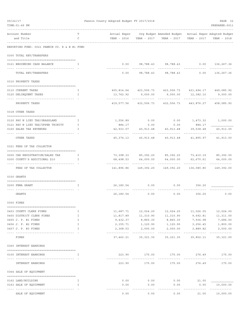| 09/22/17<br>TIME: 01:49 PM                    |        | Fannin County Adopted Budget FY 2017/2018 |                         |                                                                    |                      | PAGE 32<br>PREPARER: 0011   |
|-----------------------------------------------|--------|-------------------------------------------|-------------------------|--------------------------------------------------------------------|----------------------|-----------------------------|
| Account Number                                | т      |                                           |                         | Actual Exper Org Budget Amended Budget Actual Exper Adopted Budget |                      |                             |
| and Title                                     | C      |                                           |                         |                                                                    | YEAR - 2017          | YEAR - 2018                 |
| REPORTING FUND: 0021 FANNIN CO. R & B #1 FUND |        |                                           |                         |                                                                    |                      |                             |
| 0300 TOTAL REV/TRANSFERS                      |        |                                           |                         |                                                                    |                      |                             |
| 0121 BEGINNING CASH BALANCE                   | I      |                                           |                         | $0.00$ 98,788.43 98,788.43                                         |                      | $0.00$ 136,267.36           |
| TOTAL REV/TRANSFERS                           |        | 0.00                                      |                         | 98,788.43 98,788.43                                                | 0.00                 | 136,267.36                  |
| 0310 PROPERTY TAXES                           |        |                                           |                         |                                                                    |                      |                             |
| 0110 CURRENT TAXES                            | I.     |                                           |                         | 405,814.64 423,506.73 423,506.73 431,494.17 449,085.92             |                      |                             |
| 0120 DELINQUENT TAXES                         | I      | ------------- --------------              |                         | $13,762.92$ $9,000.00$ $9,000.00$ $12,382.10$<br>--------------    | -------------        | 9,000.00                    |
| PROPERTY TAXES                                |        |                                           |                         | 419,577.56 432,506.73 432,506.73                                   | 443,876.27           | 458,085.92                  |
| 0318 OTHER TAXES                              |        |                                           |                         |                                                                    |                      |                             |
| 0120 PAY N LIEU TAX/GRASSLAND                 | T      | 1,556.89                                  | 0.00                    | $0.00$ $1,473.32$ $1,000.00$                                       |                      |                             |
| 0121 PAY N LIEU TAX/UPPER TRINITY             | Ι.     | 884.17                                    | 0.00                    | 0.00                                                               | 884.17               |                             |
| 0160 SALES TAX REVENUES                       | I      | 42,933.07                                 | 40,913.48               | 40,913.48                                                          | 39,538.48            | 40,913.00                   |
| OTHER TAXES                                   |        | 45,374.13                                 | 40,913.48               | 40,913.48                                                          | 41,895.97            | 41,913.00                   |
| 0321 FEES OF TAX COLLECTOR                    |        |                                           |                         |                                                                    |                      |                             |
| 0200 CAR REGISTRATION/SALES TAX               | Ι.     |                                           |                         | 73,398.33 85,392.20 85,392.20 73,410.19 85,392.00                  |                      |                             |
| 0300 COUNTY'S ADDITIONAL \$10                 | I      | 68,498.53                                 | 64,000.00               | 64,000.00                                                          | 62,670.61            | 64,000.00                   |
| FEES OF TAX COLLECTOR                         |        |                                           | 141,896.86 149,392.20   | 149,392.20                                                         | 136,080.80           | 149,392.00                  |
| 0330 GRANTS                                   |        |                                           |                         |                                                                    |                      |                             |
| 0200 FEMA GRANT                               | Ι.     | 26,180.54                                 | 0.00                    | 0.00                                                               | 356.20               |                             |
| GRANTS                                        |        | 26,180.54                                 | 0.00                    | 0.00                                                               | 356.20               | 0.00                        |
| 0350 FINES                                    |        |                                           |                         |                                                                    |                      |                             |
| 0403 COUNTY CLERK FINES                       | Ι.     |                                           | 11,687.71 12,024.20     | 12,024.20                                                          | 11,026.05            | 12,024.00                   |
| 0450 DISTRICT CLERK FINES                     | I.     | 11,817.89                                 | 11,310.90               | 11,310.90                                                          |                      | 9,692.81 11,311.00          |
| 0455 J. P. #1 FINES                           | I      | 9,432.37                                  | 8,865.30                | 8,865.30                                                           | 7,936.98             | 7,686.00                    |
| 0456 J. P. #2 FINES<br>0457 J. P. #3 FINES    | I<br>I | 2,155.71<br>2,368.53                      | 1,120.90<br>2,000.00    | 1,120.90<br>2,000.00                                               | 3,256.45<br>3,889.82 | 1,800.00<br>2,500.00        |
| FINES                                         |        | 37,462.21                                 | ----------<br>35,321.30 | 35,321.30                                                          | .<br>35,802.11       | -------------<br>35, 321.00 |
| 0360 INTEREST EARNINGS                        |        |                                           |                         |                                                                    |                      |                             |
| 0100 INTEREST EARNINGS                        | I      | 223.90                                    | 175.00                  | 175.00                                                             | 276.49               | 175.00                      |
| <u>---- ---------------</u>                   |        | . <u>.</u> .                              | -----------             | ------------                                                       | -----------          | . <u>.</u> .                |
| INTEREST EARNINGS                             |        | 223.90                                    | 175.00                  | 175.00                                                             | 276.49               | 175.00                      |
| 0364 SALE OF EQUIPMENT                        |        |                                           |                         |                                                                    |                      |                             |
| 0162 LAND/BUILDING                            | I.     | 0.00                                      | 0.00                    | 0.00                                                               | 21.00                |                             |
| 0163 SALE OF EQUIPMENT                        | I      | 0.00                                      | 0.00                    | 0.00                                                               | 0.00                 | 10,000.00<br>.              |
| SALE OF EQUIPMENT                             |        | 0.00                                      | 0.00                    | 0.00                                                               | ---------<br>21.00   | 10,000.00                   |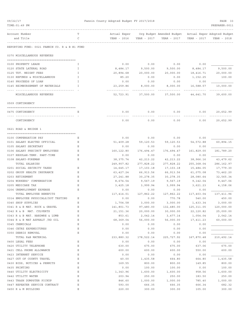| 09/22/17                                          |             | Fannin County Adopted Budget FY 2017/2018 |                  |                                                       |             | PAGE 33          |
|---------------------------------------------------|-------------|-------------------------------------------|------------------|-------------------------------------------------------|-------------|------------------|
| TIME: 01:49 PM                                    |             |                                           |                  |                                                       |             | PREPARER: 0011   |
|                                                   |             |                                           |                  |                                                       |             |                  |
| Account Number                                    |             | Actual Exper                              |                  | Org Budget Amended Budget Actual Exper Adopted Budget |             |                  |
| and Title                                         | C           | YEAR - 2016                               |                  | YEAR - 2017 YEAR - 2017                               | YEAR - 2017 | YEAR - 2018      |
| REPORTING FUND: 0021 FANNIN CO. R & B #1 FUND     |             |                                           |                  |                                                       |             |                  |
| 0370 MISCELLANEOUS REVENUES                       |             |                                           |                  |                                                       |             |                  |
|                                                   |             |                                           |                  |                                                       |             |                  |
| 0100 PROPERTY LEASE                               | I           | 0.00                                      | 0.00             | 0.00                                                  | 0.00        |                  |
| 0120 STATE LATERAL ROAD                           | Ι.          | 8,484.17                                  | 9,500.00         | 9,500.00                                              | 8,484.17    | 9,500.00         |
| 0125 TDT. WEIGHT FEES                             | I           | 20,894.68                                 | 20,000.00        | 20,000.00                                             | 18,416.71   | 20,000.00        |
| 0130 REFUNDS & MISCELLANEOUS                      | I           | 85.20                                     | 0.00             | 0.00                                                  | 1,152.25    | 100.00           |
| 0140 PROCEEDS OF LOAN                             | I           | 0.00                                      | 0.00             | 0.00                                                  | 0.00        |                  |
| 0145 REIMBURSEMENT OF MATERIALS<br>-------------- | I           | 23, 259.86                                | 8,000.00         | 8,000.00                                              | 16,588.57   | 10,000.00        |
| MISCELLANEOUS REVENUES                            |             | 52,723.91                                 | 37,500.00        | 37,500.00                                             | 44,641.70   | 39,600.00        |
| 0509 CONTINGENCY                                  |             |                                           |                  |                                                       |             |                  |
| 0475 CONTINGENCY                                  | Ε           | 0.00                                      | 0.00             | 0.00                                                  | 0.00        | 20,652.99        |
|                                                   |             |                                           |                  |                                                       |             |                  |
| CONTINGENCY                                       |             | 0.00                                      | 0.00             | 0.00                                                  | 0.00        | 20,652.99        |
| 0621 ROAD & BRIDGE 1                              |             |                                           |                  |                                                       |             |                  |
| 0100 COMPENSATION PAY                             | Ε           | 0.00                                      | 0.00             | 0.00                                                  | 0.00        |                  |
| 0101 SALARY ELECTED OFFICIAL                      | Е           | 51,409.28                                 | 59,120.53        | 59,120.53                                             | 54, 572.88  | 60,894.15        |
| 0105 SALARY SECRETARY                             | Ε           | 0.00                                      | 0.00             | 0.00                                                  | 0.00        |                  |
| 0106 SALARY PRECINCT EMPLOYEES                    | Ε           | 160,122.80                                | 176,494.47       | 176,494.47                                            | 161,829.00  | 181,789.20       |
| 0107 REGULAR-TEMP. PART-TIME                      | Ε           | 0.00                                      | 0.00             | 0.00                                                  | 0.00        |                  |
| 0108 SALARY-FOREMAN                               | Ε           | 38, 375. 74                               | 42, 213.22       | 42, 213. 22                                           | 38,966.16   | 43, 479.62       |
| TOTAL SALARIES                                    |             | 249,907.82                                | 277,828.22       | 277,828.22                                            | 255,368.04  | 286, 162.97      |
| 0201 SOCIAL SECURITY TAXES                        | Ε           | 14,645.17                                 | 17,103.18        | 17,103.18                                             | 15,484.05   | 17,779.30        |
| 0202 GROUP HEALTH INSURANCE                       | Ε           | 63,427.24                                 | 66,913.56        | 66,913.56                                             | 61,075.08   | 73,462.20        |
| 0203 RETIREMENT                                   | Ε           | 27, 241.88                                | 30,278.35        | 30,278.35                                             | 28,080.64   | 32,565.34        |
| 0204 WORKERS' COMPENSATION                        | Ε           | 8,674.54                                  | 9,567.19         | 9,567.19                                              | 9,142.04    | 9,447.06         |
| 0205 MEDICARE TAX                                 | Ε           | 3,425.18                                  | 3,999.94         | 3,999.94                                              | 3,621.23    | 4,158.06         |
| 0206 UNEMPLOYMENT EXPENSE                         | Ε           | 0.00                                      | 0.00             | 0.00                                                  | 0.00        |                  |
| TOTAL EMPLOYEE BENEFITS                           |             | 117,414.01                                | 127,862.22       | 127,862.22                                            | 117,403.04  | 137,411.96       |
| 0314 EMPLOYEE PHYSICALS/DOT TESTING               | Ε           | 0.00                                      | 0.00             | 770.78                                                | 540.00      | 450.00           |
| 0340 SHOP SUPPLIES                                | Ε           | 1,704.58                                  | 3,000.00         | 3,000.00                                              | 1,433.34    | 3,000.00         |
| 0341 R & B MAT. ROCK & GRAVEL                     | Ε           | 141,801.73                                | 97,480.00        | 132,480.00                                            | 125, 311.05 | 120,000.00       |
| 0342 R & B MAT. CULVERTS                          | Ε           | 21,151.36                                 | 20,000.00        | 30,000.00                                             | 22,120.82   | 25,000.00        |
| 0343 R & B MAT. HARDWRE & LUMB                    | Ε           | 853.61                                    | 2,042.14         | 3,477.14                                              | 1,054.04    | 2,042.14         |
| 0344 R & B MAT ASPHALT /RD OIL                    | Ε           | 68,369.04                                 | 56,000.00        | 56,000.00                                             | 17,411.23   | 60,000.00        |
| 0345 CHEMICALS                                    | Ε           | 0.00                                      | 0.00             | 0.00                                                  | 0.00        |                  |
| 0346 CETRZ EXPENDITURES                           | Ε           | 0.00                                      | 0.00             | 0.00                                                  | 0.00        |                  |
| 0350 DEBRIS REMOVAL                               | Ε           | 0.00                                      | 0.00             | 0.00                                                  | 0.00        |                  |
| TOTAL R&B MATERIAL                                |             | 233,880.32                                | 178,522.14       | 225,727.92                                            | 167,870.48  | 210,492.14       |
| 0400 LEGAL FEES                                   | Ε           | 0.00                                      | 0.00             | 0.00                                                  | 0.00        |                  |
| 0420 UTILITY TELEPHONE                            | Ε           | 630.00                                    | 675.00           | 675.00                                                | 637.06      | 675.00           |
| 0421 CELL PHONE ALLOWANCE                         | $\mathbf E$ | 600.00                                    | 600.00           | 600.00                                                | 550.00      | 600.00           |
| 0423 INTERNET SERVICE                             | Ε           | 0.00                                      | 0.00             | 0.00                                                  | 0.00        |                  |
| 0427 OUT OF COUNTY TRAVEL                         | Ε           | 40.00                                     | 1,435.58         | 664.80                                                | 664.80      | 1,435.58         |
| 0430 BIDS, NOTICES & PERMITS                      | Ε           | 169.55                                    | 800.00           | 800.00                                                | 149.85      | 800.00           |
| 0435 PRINTING                                     | Ε           | 0.00                                      | 100.00           | 100.00                                                | 0.00        | 100.00           |
| 0440 UTILITY ELECTRICITY                          | $\mathbf E$ | 1,343.96                                  | 1,600.00         | 1,600.00                                              | 958.56      | 1,600.00         |
| 0442 UTILITY WATER                                | Ε           | 203.94                                    | 250.00           | 250.00                                                | 183.50      | 250.00           |
| 0443 TRASH DUMPSTER PICKUP                        | Ε           | 846.60                                    | 1,000.00         | 1,000.00                                              | 785.40      | 1,000.00         |
| 0447 REPEATER SERVICE CONTRACT                    | Ε<br>Ε      | 593.00<br>220.00                          | 666.35<br>300.00 | 666.35                                                | 666.34      | 682.32<br>300.00 |
| 0450 R & M BUILDING                               |             |                                           |                  | 300.00                                                | 105.00      |                  |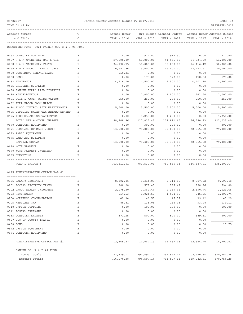| 09/22/17<br>TIME: 01:49 PM                    |        | Fannin County Adopted Budget FY 2017/2018 |             |                                                                      |             | PAGE 34<br>PREPARER: 0011 |
|-----------------------------------------------|--------|-------------------------------------------|-------------|----------------------------------------------------------------------|-------------|---------------------------|
| Account Number<br>and Title                   | Т<br>C | Actual Exper<br>YEAR - 2016               | YEAR - 2017 | Org Budget Amended Budget Actual Exper Adopted Budget<br>YEAR - 2017 | YEAR - 2017 | YEAR - 2018               |
| REPORTING FUND: 0021 FANNIN CO. R & B #1 FUND |        |                                           |             |                                                                      |             |                           |
| 0453 COMPUTER SOFTWARE                        | Ε      | 0.00                                      | 912.50      | 912.50                                                               | 0.00        | 912.50                    |
| 0457 R & M MACHINERY GAS & OIL                | Ε      | 27,896.89                                 | 51,000.00   | 44,565.00                                                            | 24,834.99   | 51,000.00                 |
| 0458 R & M MACHINERY PARTS                    | Ε      | 34,196.75                                 | 30,000.00   | 30,000.00                                                            | 14, 416.42  | 30,000.00                 |
| 0459 R & M MACH. TIRES & TUBES                | Ε      | 10,582.86                                 | 15,000.00   | 15,000.00                                                            | 12,257.51   | 20,000.00                 |
| 0460 EQUIPMENT RENTAL/LEASE                   | Ε      | 919.31                                    | 0.00        | 0.00                                                                 | 0.00        |                           |
| 0480 BOND                                     | Ε      | 0.00                                      | 178.00      | 178.00                                                               | 178.00      | 178.00                    |
| 0482 INSURANCE                                | Ε      | 4,716.00                                  | 4,500.00    | 4,500.00                                                             | 4,401.90    | 4,500.00                  |
| 0485 PRISONER SUPPLIES                        | Ε      | 0.00                                      | 0.00        | 0.00                                                                 | 0.00        |                           |
| 0488 FANNIN RURAL RAIL DISTRICT               | Ε      | 0.00                                      | 0.00        | 0.00                                                                 | 0.00        |                           |
| 0490 MISCELLANEOUS                            | Ε      | 0.00                                      | 1,000.00    | 1,000.00                                                             | 241.50      | 1,000.00                  |
| 0491 SOIL & WATER CONSERVATION                | Ε      | 250.00                                    | 250.00      | 250.00                                                               | 250.00      | 250.00                    |
| 0492 TDRA FLOOD CASH MATCH                    | Ε      | 0.00                                      | 0.00        | 0.00                                                                 | 0.00        |                           |
| 0494 FLOOD CONTROL SITE MAINTENANCE           | Ε      | 5,500.00                                  | 5,500.00    | 5,500.00                                                             | 5,500.00    | 5,500.00                  |
| 0495 PIPELINE SALES TAX REIMBURSEMENT         | Ε      | 0.00                                      | 0.00        | 0.00                                                                 | 0.00        |                           |
| 0496 TCOG HAZARDOUS WASTEMATCH                | Ε      | 0.00                                      | 1,250.00    | 1,250.00                                                             | 0.00        | 1,250.00                  |
| TOTAL SER. & OTHER CHARGES                    |        | 88,708.86                                 | 117,017.43  | 109,811.65                                                           | 66,780.83   | 122,033.40                |
| 0570 COMPUTER EQUIPMENT                       | Ε      | 0.00                                      | 300.00      | 300.00                                                               | 0.00        | 300.00                    |
| 0571 PURCHASE OF MACH./EQUIP.                 | Ε      | 13,900.00                                 | 79,000.00   | 39,000.00                                                            | 38,965.52   | 79,000.00                 |
| 0573 RADIO EQUIPMENT                          | Ε      | 0.00                                      | 0.00        | 0.00                                                                 | 0.00        |                           |
| 0575 LAND AND BUILDING                        | Ε      | 0.00                                      | 0.00        | 0.00                                                                 | 0.00        |                           |
| CAPITAL OUTLAY                                |        | 13,900.00                                 | 79,300.00   | 39,300.00                                                            | 38,965.52   | 79,300.00                 |
| 0630 NOTE PAYMENT                             | Ε      | 0.00                                      | 0.00        | 0.00                                                                 | 0.00        |                           |
| 0670 NOTE PAYMENT-INTEREST                    | Ε      | 0.00                                      | 0.00        | 0.00                                                                 | 0.00        |                           |
| 0695 SURVEYING                                | E.     | 0.00                                      | 0.00        | 0.00                                                                 | 0.00        |                           |
| ROAD & BRIDGE 1                               |        | 703,811.01                                | 780,530.01  | 780,530.01                                                           | 646,387.91  | 835,400.47                |
| 0625 ADMINISTRATIVE OFFICE R&B #1             |        |                                           |             |                                                                      |             |                           |
| 0105 SALARY SECRETARY                         | Ε      | 8,392.86                                  | 9,314.05    | 9,314.05                                                             | 8,597.52    | 9,593.48                  |
| 0201 SOCIAL SECURITY TAXES                    | Ε      | 380.28                                    | 577.47      | 577.47                                                               | 398.96      | 594.80                    |
| 0202 GROUP HEALTH INSURANCE                   | Ε      | 2,275.30                                  | 2,369.44    | 2,369.44                                                             | 2,190.76    | 2,623.65                  |
| 0203 RETIREMENT                               | Ε      | 914.53                                    | 1,024.55    | 1,024.55                                                             | 945.25      | 1,091.74                  |
| 0204 WORKERS' COMPENSATION                    | Ε      | 42.34                                     | 46.57       | 46.57                                                                | 39.12       | 40.29                     |
| 0205 MEDICARE TAX                             | Ε      | 88.81                                     | 135.05      | 135.05                                                               | 93.28       | 139.11                    |
| 0310 OFFICE SUPPLIES                          | Ε      | 0.00                                      | 100.00      | 100.00                                                               | 0.00        | 100.00                    |
| 0311 POSTAL EXPENSES                          | Ε      | 0.00                                      | 0.00        | 0.00                                                                 | 0.00        |                           |
| 0353 COMPUTER EXPENSE                         | Ε      | 371.25                                    | 500.00      | 500.00                                                               | 389.81      | 500.00                    |
| 0427 OUT OF COUNTY TRAVEL                     | Ε      | 0.00                                      | 0.00        | 0.00                                                                 | 0.00        |                           |
| 0480 BOND                                     | Ε      | 0.00                                      | 0.00        | 0.00                                                                 | 0.00        | 17.75                     |
| 0572 OFFICE EQUIPMENT                         | Ε      | 0.00                                      | 0.00        | 0.00                                                                 | 0.00        |                           |
| 0574 COMPUTER EQUIPMENT                       | Ε      | 0.00                                      | 0.00        | 0.00                                                                 | 0.00        |                           |
|                                               |        |                                           |             |                                                                      |             |                           |
| ADMINISTRATIVE OFFICE R&B #1                  |        | 12,465.37                                 | 14,067.13   | 14,067.13                                                            | 12,654.70   | 14,700.82                 |
| FANNIN CO. R & B #1 FUND                      |        |                                           |             |                                                                      |             |                           |
| Income Totals                                 |        | 723,439.11                                | 794,597.14  | 794,597.14                                                           | 702,950.54  | 870,754.28                |

Expense Totals 716,276.38 794,597.14 794,597.14 659,042.61 870,754.28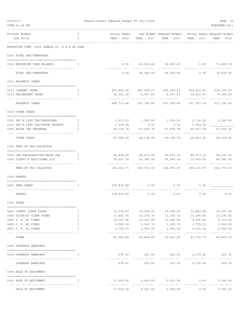| 09/22/17<br>TIME: 01:49 PM<br>--------------------------------- |              | Fannin County Adopted Budget FY 2017/2018 |                              |                                                                                                             |                                | PAGE 35<br>PREPARER: 0011  |
|-----------------------------------------------------------------|--------------|-------------------------------------------|------------------------------|-------------------------------------------------------------------------------------------------------------|--------------------------------|----------------------------|
| Account Number<br>and Title                                     | т<br>C       |                                           |                              | Actual Exper Org Budget Amended Budget Actual Exper Adopted Budget                                          |                                |                            |
| REPORTING FUND: 0022 FANNIN CO. R & B #2 FUND                   |              |                                           |                              |                                                                                                             |                                |                            |
| 0300 TOTAL REV/TRANSFERS                                        |              |                                           |                              |                                                                                                             |                                |                            |
| 0122 BEGINNING CASH BALANCE                                     | Ι.           |                                           |                              | $0.00$ 66,049.49 66,049.49 0.00 72,428.09                                                                   |                                |                            |
| -----------------------------------                             |              |                                           | . <u>.</u> .                 | .                                                                                                           |                                |                            |
| TOTAL REV/TRANSFERS                                             |              |                                           |                              | $0.00$ 66,049.49 66,049.49 0.00                                                                             |                                | 72,428.09                  |
| 0310 PROPERTY TAXES                                             |              |                                           |                              |                                                                                                             |                                |                            |
| 0110 CURRENT TAXES                                              | Ι.           |                                           |                              | 472,692.06 493,329.23 493,329.23 502,633.61 523,125.60                                                      |                                |                            |
| 0120 DELINQUENT TAXES                                           | T            |                                           |                              | 16,021.38 8,067.62 8,067.62 14,423.53 8,068.00                                                              |                                |                            |
| ---------------------<br>PROPERTY TAXES                         |              | -------------                             | . <u>.</u> .                 | -------------<br>488,713.44 501,396.85 501,396.85 517,057.14 531,193.60                                     | -------------- -------------   |                            |
| 0318 OTHER TAXES                                                |              |                                           |                              |                                                                                                             |                                |                            |
|                                                                 |              |                                           |                              |                                                                                                             |                                |                            |
| 0120 PAY N LIEU TAX/GRASSLAND                                   | $\mathbf{I}$ |                                           |                              |                                                                                                             |                                | 1,716.22 1,500.00          |
| 0121 PAY N LIEU TAX/UPPER TRINITY                               | $\mathbf{I}$ | 1,029.94                                  | 0.00                         | 0.00                                                                                                        | 1,029.94                       |                            |
| 0160 SALES TAX REVENUES                                         | $\mathbf{I}$ | 49,738.74<br>--------------               | 47,658.78<br>--------------- | 47,658.78                                                                                                   | 46,057.09                      | 47,659.00<br>------------- |
| OTHER TAXES                                                     |              | 52,582.25                                 |                              | 49,158.78 49,158.78                                                                                         | 48,803.25                      | 49,159.00                  |
| 0321 FEES OF TAX COLLECTOR                                      |              |                                           |                              |                                                                                                             |                                |                            |
| 0200 CAR REGISTRATION/SALES TAX                                 | $\mathbf{I}$ |                                           |                              | 85,499.35 99,470.00 99,470.00 85,513.15                                                                     |                                | 99,470.00                  |
| 0300 COUNTY'S ADDITIONAL \$10                                   | <b>T</b>     |                                           |                              |                                                                                                             |                                | 65,285.00                  |
| -------------------------------------<br>FEES OF TAX COLLECTOR  |              |                                           |                              | 165, 166. 73   164, 755. 00   164, 755. 00   158, 515. 97   164, 755. 00                                    |                                |                            |
| 0330 GRANTS                                                     |              |                                           |                              |                                                                                                             |                                |                            |
|                                                                 |              |                                           |                              |                                                                                                             |                                |                            |
| 0200 FEMA GRANT                                                 | Ι.           |                                           | 139,819.89 0.00              |                                                                                                             | 0.00<br>0.00                   |                            |
| GRANTS                                                          |              | 139,819.89                                | 0.00                         | 0.00                                                                                                        | 0.00                           | 0.00                       |
| 0350 FINES                                                      |              |                                           |                              |                                                                                                             |                                |                            |
| 0403 COUNTY CLERK FINES                                         | I.           |                                           |                              | $13,306.87 \qquad \qquad 14,006.50 \qquad \qquad 14,006.50 \qquad \qquad 12,843.89 \qquad \qquad 14,007.00$ |                                |                            |
| 0450 DISTRICT CLERK FINES                                       | Ι.           | 13,645.05                                 | 13,175.70                    |                                                                                                             | 13, 175. 70 11, 290. 85        | 13,176.00                  |
| 0455 J. P. #1 FINES                                             | $\mathbf{I}$ | 10,753.80                                 | 10,326.90                    | 10,326.90                                                                                                   | 9,245.54                       | 9,133.00                   |
| 0456 J. P. #2 FINES                                             | $\mathbf{I}$ |                                           | 2,509.54 1,305.70            |                                                                                                             | 1,305.70 3,793.31              | 2,000.00                   |
| 0457 J. P. #3 FINES                                             | I.           | 2,741.57                                  | 2,000.00                     |                                                                                                             | 2,000.00 4,531.14              | 2,500.00                   |
| FINES                                                           |              |                                           |                              | 42,956.83 40,814.80 40,814.80 41,704.73                                                                     |                                | 40,816.00                  |
| 0360 INTEREST EARNINGS                                          |              |                                           |                              |                                                                                                             |                                |                            |
| 0100 INTEREST EARNINGS                                          | T            |                                           |                              | 970.41 225.00 225.00                                                                                        |                                | 2,274.49 225.00            |
| INTEREST EARNINGS                                               |              | -------------                             | -------------                | --------------<br>970.41 225.00 225.00                                                                      | ------------------------------ | 2,274.49 225.00            |
| 0364 SALE OF EQUIPMENT                                          |              |                                           |                              |                                                                                                             |                                |                            |
| 0163 SALE OF EQUIPMENT                                          | Ι.           |                                           | 17,250.00 5,000.00           | 5,000.00                                                                                                    | 0.00                           | 5,000.00                   |
| -------------------------------------                           |              |                                           |                              | -------------                                                                                               |                                |                            |
| SALE OF EQUIPMENT                                               |              | 17,250.00                                 | 5,000.00                     | 5,000.00                                                                                                    | 0.00                           | 5,000.00                   |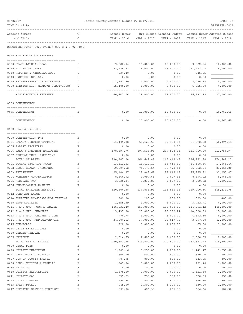| 09/22/17<br>TIME: 01:49 PM                      |               | Fannin County Adopted Budget FY 2017/2018 |                      |                                                                      |                      | PAGE 36<br>PREPARER: 0011 |
|-------------------------------------------------|---------------|-------------------------------------------|----------------------|----------------------------------------------------------------------|----------------------|---------------------------|
| Account Number<br>and Title                     | T<br>C        | Actual Exper<br>YEAR - 2016               | YEAR - 2017          | Org Budget Amended Budget Actual Exper Adopted Budget<br>YEAR - 2017 | YEAR - 2017          | YEAR - 2018               |
| REPORTING FUND: 0022 FANNIN CO. R & B #2 FUND   |               |                                           |                      |                                                                      |                      |                           |
| 0370 MISCELLANEOUS REVENUES                     |               |                                           |                      |                                                                      |                      |                           |
| 0120 STATE LATERAL ROAD                         | I             | 9,882.94                                  | 10,000.00            | 10,000.00                                                            | 9,882.94             | 10,000.00                 |
| 0125 TDT WEIGHT FEES                            | I             | 23, 176.92                                | 18,000.00            | 18,000.00                                                            | 21,453.02            | 18,000.00                 |
| 0130 REFUNDS & MISCELLANEOUS                    | I             | 534.40                                    | 0.00                 | 0.00                                                                 | 845.55               |                           |
| 0140 PROCEEDS OF LOAN                           | I             | 0.00                                      | 0.00                 | 0.00                                                                 | 0.00                 |                           |
| 0145 REIMBURSEMENT OF MATERIALS                 | $\mathbbm{I}$ | 11,252.80                                 | 5,000.00             | 5,000.00                                                             | 7,026.47             | 5,000.00                  |
| 0150 TRENTON HIGH MEADOWS SUBDIVISION           | I             | 15,400.00                                 | 6,000.00             | 6,000.00                                                             | 6,625.00             | 4,000.00                  |
| MISCELLANEOUS REVENUES                          |               | 60,247.06                                 | 39,000.00            | 39,000.00                                                            | 45,832.98            | 37,000.00                 |
| 0509 CONTINGENCY                                |               |                                           |                      |                                                                      |                      |                           |
|                                                 | Ε             |                                           |                      |                                                                      |                      |                           |
| 0475 CONTINGENCY                                |               | 0.00                                      | 10,000.00            | 10,000.00                                                            | 0.00                 | 10,760.65                 |
| CONTINGENCY                                     |               | 0.00                                      | 10,000.00            | 10,000.00                                                            | 0.00                 | 10,760.65                 |
| 0622 ROAD & BRIDGE 2                            |               |                                           |                      |                                                                      |                      |                           |
| 0100 COMPENSATION PAY                           | Ε             | 0.00                                      | 0.00                 | 0.00                                                                 | 0.00                 |                           |
| 0101 SALARY ELECTED OFFICIAL                    | Е             | 51,409.28                                 | 59,120.53            | 59,120.53                                                            | 54, 572.88           | 60,894.15                 |
| 0105 SALARY SECRETARY                           | Ε             | 0.00                                      | 0.00                 | 0.00                                                                 | 0.00                 |                           |
| 0106 SALARY PRECINCT EMPLOYEES                  | Ε             | 178,897.76                                | 207,528.95           | 207,528.95                                                           | 181,710.00           | 213,754.97                |
| 0107 REGULAR-TEMP. PART-TIME                    | Ε             | 0.00                                      | 0.00                 | 0.00                                                                 | 0.00                 |                           |
| TOTAL SALARIES                                  |               | 230,307.04                                | 266,649.48           | 266,649.48                                                           | 236,282.88           | 274,649.12                |
| 0201 SOCIAL SECURITY TAXES                      | Е             | 13,813.53                                 | 16,410.10            | 16,410.10                                                            | 14,108.16            | 17,065.44                 |
| 0202 GROUP HEALTH INSURANCE                     | Ε             | 69,794.62                                 | 76,472.64            | 76,472.64                                                            | 66,912.74            | 83,956.80                 |
| 0203 RETIREMENT                                 | Ε<br>Ε        | 25,104.97                                 | 29,048.69            | 29,048.69<br>9,097.68                                                | 25,985.92            | 31,255.07<br>8,965.36     |
| 0204 WORKERS' COMPENSATION<br>0205 MEDICARE TAX | Ε             | 8,660.92<br>3,230.34                      | 9,097.68<br>3,837.85 | 3,837.85                                                             | 8,694.02<br>3,299.72 | 3,991.11                  |
| 0206 UNEMPLOYMENT EXPENSE                       | Ε             | 0.00                                      | 0.00                 | 0.00                                                                 | 0.00                 |                           |
| TOTAL EMPLOYEE BENEFITS                         |               | 120,604.38                                | 134,866.96           | 134,866.96                                                           | 119,000.56           | 145, 233.78               |
| 0312 CONTRACT LABOR                             | Ε             | 0.00                                      | 0.00                 | 0.00                                                                 | 0.00                 |                           |
| 0314 EMPLOYEE PHYSICALS/DOT TESTING             | Ε             | 309.00                                    | 200.00               | 200.00                                                               | 523.00               | 400.00                    |
| 0340 SHOP SUPPLIES                              | Ε             | 1,855.39                                  | 3,000.00             | 4,000.00                                                             | 3,722.71             | 4,000.00                  |
| 0341 R & B MAT. ROCK & GRAVEL                   | Ε             | 186,531.40                                | 155,000.00           | 155,000.00                                                           | 114,391.42           | 145,000.00                |
| 0342 R & B MAT. CULVERTS                        | Ε             | 13,437.90                                 | 15,000.00            | 16,382.24                                                            | 14,528.99            | 15,000.00                 |
| 0343 R & B MAT. HARDWRE & LUMB                  | Ε             | 770.78                                    | 6,000.00             | 6,000.00                                                             | 4,892.50             | 6,000.00                  |
| 0344 R & B MAT. ASPHALT/RD OIL                  | Ε             | 34,804.63                                 | 37,000.00            | 35,617.76                                                            | 3,097.60             | 42,000.00                 |
| 0345 CHEMICALS<br>0346 CETRZ EXPENDITURES       | Ε<br>Ε        | 228.00                                    | 1,000.00             | 1,000.00                                                             | 65.00<br>0.00        | 1,000.00                  |
| 0350 DEBRIS REMOVAL                             | Ε             | 0.00<br>0.00                              | 0.00<br>0.00         | 0.00<br>0.00                                                         | 0.00                 |                           |
| 0395 UNIFORMS                                   | Ε             | 2,914.65                                  | 2,600.00             | 2,600.00                                                             | 2,300.55             | 2,800.00                  |
| TOTAL R&B MATERIALS                             |               | 240,851.75                                | 219,800.00           | 220,800.00                                                           | 143,521.77           | 216,200.00                |
| 0400 LEGAL FEES                                 | Ε             | 0.00                                      | 0.00                 | 0.00                                                                 | 0.00                 |                           |
| 0420 UTILITY TELEPHONE                          | Ε             | 1,203.16                                  | 1,250.00             | 1,250.00                                                             | 1,441.77             | 1,250.00                  |
| 0421 CELL PHONE ALLOWANCE                       | Ε             | 600.00                                    | 600.00               | 600.00                                                               | 550.00               | 600.00                    |
| 0427 OUT OF COUNTY TRAVEL                       | Ε             | 787.95                                    | 800.00               | 800.00                                                               | 843.95               | 800.00                    |
| 0430 BIDS, NOTICES & PERMITS                    | Ε             | 247.94                                    | 1,000.00             | 1,000.00                                                             | 191.70               | 1,000.00                  |
| 0435 PRINTING                                   | Ε             | 0.00                                      | 100.00               | 100.00                                                               | 0.00                 | 100.00                    |
| 0440 UTILITY ELECTRICITY                        | $\mathbf E$   | 1,678.50                                  | 2,000.00             | 2,000.00                                                             | 1,421.58             | 2,000.00                  |
| 0441 UTILITY GAS                                | Ε<br>Ε        | 655.23                                    | 750.00               | 750.00                                                               | 620.89               | 750.00                    |
| 0442 UTILITY WATER<br>0443 TRASH PICKUP         | Ε             | 794.84<br>945.00                          | 800.00<br>1,300.00   | 800.00<br>1,300.00                                                   | 866.80<br>630.00     | 800.00<br>1,300.00        |
| 0447 REPEATER SERVICE CONTRACT                  | $\mathbf E$   | 593.00                                    | 666.35               | 666.35                                                               | 666.34               | 682.32                    |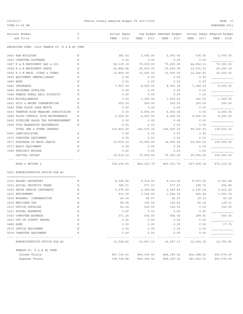# 09/22/17 Fannin County Adopted Budget FY 2017/2018 PAGE 37

| TIME: 01:49 PM                                |   |              |             |                           |             | PREPARER: 0011              |
|-----------------------------------------------|---|--------------|-------------|---------------------------|-------------|-----------------------------|
| Account Number                                | Т | Actual Exper |             | Org Budget Amended Budget |             | Actual Exper Adopted Budget |
| and Title                                     | C | YEAR - 2016  | YEAR - 2017 | YEAR - 2017               | YEAR - 2017 | YEAR - 2018                 |
| REPORTING FUND: 0022 FANNIN CO. R & B #2 FUND |   |              |             |                           |             |                             |
| 0450 R&M BUILDING                             | Ε | 383.50       | 2,000.00    | 2,000.00                  | 535.00      | 2,000.00                    |
| 0453 COMPUTER SOFTWARE                        | Ε | 0.00         | 0.00        | 0.00                      | 0.00        |                             |
| 0457 R & M MACHINERY GAS & OIL                | Ε | 56,130.39    | 75,000.00   | 75,000.00                 | 44,052.11   | 70,000.00                   |
| 0458 R & M MACHINERY PARTS                    | Ε | 25,886.84    | 25,000.00   | 25,000.00                 | 23,530.23   | 25,000.00                   |
| 0459 R & M MACH. TIRES & TUBES                | Ε | 12,800.25    | 15,000.00   | 15,000.00                 | 12, 146.83  | 15,000.00                   |
| 0460 EQUIPMENT RENTAL/LEASE                   | Ε | 0.00         | 0.00        | 0.00                      | 0.00        |                             |
| 0480 BOND                                     | Ε | 0.00         | 0.00        | 0.00                      | 0.00        |                             |
| 0482 INSURANCE                                | Ε | 7,947.00     | 8,500.00    | 8,500.00                  | 7,189.23    | 8,500.00                    |
| 0485 PRISONER SUPPLIES                        | Ε | 0.00         | 0.00        | 0.00                      | 0.00        |                             |
| 0488 FANNIN RURAL RAIL DISTRICT               | Ε | 0.00         | 0.00        | 0.00                      | 0.00        |                             |
| 0490 MISCELLANEOUS                            | Ε | 0.00         | 1,000.00    | 1,000.00                  | 166.50      | 1,000.00                    |
| 0491 SOIL & WATER CONSERVATION                | Ε | 250.00       | 250.00      | 250.00                    | 250.00      | 250.00                      |
| 0492 TDRA FLOOD CASH MATCH                    | Ε | 0.00         | 0.00        | 0.00                      | 0.00        |                             |
| 0493 TRENTON HIGH MEADOWS SUBDIVISION         | Ε | 0.00         | 6,000.00    | 6,000.00                  | 0.00        | 4,000.00                    |
| 0494 FLOOD CONTROL SITE MAINTENANCE           | Ε | 4,000.00     | 4,000.00    | 4,000.00                  | 4,000.00    | 4,000.00                    |
| 0495 PIPELINE SALES TAX REIMBURSEMENT         | Ε | 0.00         | 0.00        | 0.00                      | 0.00        |                             |
| 0496 TCOG HAZARDOUS WASTEMATCH                | Ε | 0.00         | 0.00        | 0.00                      | 0.00        |                             |
| TOTAL SER. & OTHER CHARGES                    |   | 114,903.60   | 146,016.35  | 146,016.35                | 99,102.93   | 139,032.32                  |
| 0562 LAND/BUILDING                            | Ε | 0.00         | 0.00        | 0.00                      | 0.00        |                             |
| 0570 COMPUTER EQUIPMENT                       | Ε | 0.00         | 0.00        | 0.00                      | 0.00        |                             |
| 0571 PURCHASE OF MACH./EQUIP.                 | Ε | 19,539.23    | 75,000.00   | 74,000.00                 | 29,500.00   | 100,000.00                  |
| 0573 RADIO EQUIPMENT                          | Ε | 0.00         | 0.00        | 0.00                      | 0.00        |                             |
| 0580 PRECINCT BRIDGE                          | Ε | 0.00         | 0.00        | 0.00                      | 0.00        |                             |
| CAPITAL OUTLAY                                |   | 19,539.23    | 75,000.00   | 74,000.00                 | 29,500.00   | 100,000.00                  |
|                                               |   |              |             |                           |             |                             |
| ROAD & BRIDGE 2                               |   | 726,206.00   | 842, 332.79 | 842, 332.79               | 627,408.14  | 875, 115.22                 |
| 0625 ADMINISTRATIVE OFFICE R&B #2             |   |              |             |                           |             |                             |
| 0105 SALARY SECRETARY                         | Ε | 8,392.86     | 9,314.05    | 9,314.05                  | 8,597.52    | 9,593.48                    |
| 0201 SOCIAL SECURITY TAXES                    | Ε | 380.51       | 577.47      | 577.47                    | 398.72      | 594.80                      |
| 0202 GROUP HEALTH INSURANCE                   | Ε | 2,275.50     | 2,369.44    | 2,369.44                  | 2,190.54    | 2,623.65                    |
| 0203 RETIREMENT                               | Ε | 915.00       | 1,024.55    | 1,024.55                  | 945.42      | 1,091.74                    |
| 0204 WORKERS' COMPENSATION                    | Ε | 42.34        | 46.57       | 46.57                     | 39.12       | 40.29                       |
| 0205 MEDICARE TAX                             | Ε | 89.06        | 135.05      | 135.05                    | 93.26       | 139.11                      |
| 0310 OFFICE SUPPLIES                          | Ε | 62.34        | 100.00      | 100.00                    | 0.00        | 100.00                      |
| 0311 POSTAL EXPENSES                          | Ε | 0.00         | 0.00        | 0.00                      | 0.00        |                             |
| 0353 COMPUTER EXPENSE                         | Ε | 371.25       | 500.00      | 500.00                    | 389.81      | 500.00                      |
| 0427 OUT OF COUNTY TRAVEL                     | Ε | 0.00         | 0.00        | 0.00                      | 0.00        |                             |
| 0480 BOND                                     | Ε | 0.00         | 0.00        | 0.00                      | 0.00        | 17.75                       |
| 0572 OFFICE EQUIPMENT                         | Ε | 0.00         | 0.00        | 0.00                      | 0.00        |                             |
| 0574 COMPUTER EQUIPMENT                       | Ε | 0.00         | 0.00        | 0.00                      | 0.00        |                             |
|                                               |   |              |             |                           |             |                             |
| ADMINISTRATIVE OFFICE R&B #2                  |   | 12,528.86    | 14,067.13   | 14,067.13                 | 12,654.39   | 14,700.82                   |
| FANNIN CO. R & B #2 FUND                      |   |              |             |                           |             |                             |
| Income Totals                                 |   | 967,706.61   | 866,399.92  | 866,399.92                | 814,188.56  | 900,576.69                  |

Expense Totals 738,734.86 866,399.92 866,399.92 640,062.53 900,576.69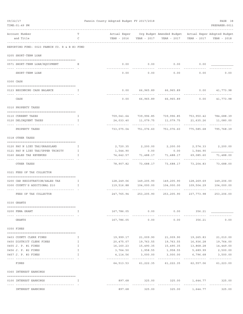| 09/22/17 |                                               |              | Fannin County Adopted Budget FY 2017/2018 |                            |                                                                    |                          | PAGE 38                  |
|----------|-----------------------------------------------|--------------|-------------------------------------------|----------------------------|--------------------------------------------------------------------|--------------------------|--------------------------|
|          | TIME: 01:49 PM                                |              |                                           |                            |                                                                    |                          | PREPARER: 0011           |
|          | Account Number                                | т            |                                           |                            | Actual Exper Org Budget Amended Budget Actual Exper Adopted Budget |                          |                          |
|          | and Title                                     | C            |                                           |                            |                                                                    | YEAR - 2017              | YEAR - 2018              |
|          | REPORTING FUND: 0023 FANNIN CO. R & B #3 FUND |              |                                           |                            |                                                                    |                          |                          |
|          | 0205 SHORT-TERM LOAN                          |              |                                           |                            |                                                                    |                          |                          |
|          |                                               |              |                                           |                            |                                                                    |                          |                          |
|          | 0571 SHORT-TERM LOAN/EQUIPMENT                | Ε            | 0.00                                      | 0.00                       | 0.00                                                               | 0.00                     |                          |
|          | SHORT-TERM LOAN                               |              | 0.00                                      | 0.00                       | 0.00                                                               | 0.00                     | 0.00                     |
|          | 0300 CASH                                     |              |                                           |                            |                                                                    |                          |                          |
|          | 0123 BEGINNING CASH BALANCE                   | I            | 0.00                                      |                            | 66,965.89 66,965.89                                                | 0.00                     | 41,773.98                |
|          | CASH                                          |              | 0.00                                      |                            | 66,965.89 66,965.89                                                | 0.00                     | 41,773.98                |
|          | 0310 PROPERTY TAXES                           |              |                                           |                            |                                                                    |                          |                          |
|          |                                               | I            |                                           |                            | 709,041.64 739,996.85 739,996.85 753,950.42 784,688.39             |                          |                          |
|          | 0110 CURRENT TAXES<br>0120 DELINQUENT TAXES   | I            | 24,033.40                                 |                            |                                                                    |                          | 11,080.00                |
|          |                                               |              |                                           |                            | -----------                                                        | -----------              |                          |
|          | PROPERTY TAXES                                |              |                                           |                            | 733,075.04 751,076.60 751,076.60                                   | 775,585.68               | 795,768.39               |
|          | 0318 OTHER TAXES                              |              |                                           |                            |                                                                    |                          |                          |
|          | 0120 PAY N LIEU TAX/GRASSLAND                 | I            | 2,720.35                                  | 2,200.00                   | 2,200.00                                                           | 2,574.33                 | 2,200.00                 |
|          | 0121 PAY N LIEU TAX/UPPER TRINITY             | $\mathbb{I}$ | 1,544.90                                  | 0.00                       | 0.00                                                               | 1,544.90                 |                          |
|          | 0160 SALES TAX REVENUES                       | I            | 74,642.57                                 | 71,488.17                  | 71,488.17                                                          | 69,085.60                | 71,488.00                |
|          | OTHER TAXES                                   |              | 78,907.82                                 | 73,688.17                  | 73,688.17                                                          | 73,204.83                | 73,688.00                |
|          | 0321 FEES OF TAX COLLECTOR                    |              |                                           |                            |                                                                    |                          |                          |
|          | 0200 CAR REGISTRATION/SALES TAX               | $\mathbf{I}$ |                                           |                            | 128,249.06  149,205.90  149,205.90                                 |                          | 128,269.69  149,206.00   |
|          | 0300 COUNTY'S ADDITIONAL \$10                 | I            |                                           | 119,516.88 104,000.00      | 104,000.00                                                         | 109,504.29               | 104,000.00               |
|          | FEES OF TAX COLLECTOR                         |              | 247,765.94                                | 253,205.90                 | 253,205.90                                                         | 237,773.98               | 253,206.00               |
|          | 0330 GRANTS                                   |              |                                           |                            |                                                                    |                          |                          |
|          |                                               |              |                                           |                            |                                                                    |                          |                          |
|          | 0200 FEMA GRANT<br>----------------------- -  | T            | 167,786.05                                |                            | $0.00$ $0.00$                                                      | 356.21                   |                          |
|          | GRANTS                                        |              | 167,786.05                                | 0.00                       | 0.00                                                               | 356.21                   | 0.00                     |
|          | 0350 FINES                                    |              |                                           |                            |                                                                    |                          |                          |
|          | 0403 COUNTY CLERK FINES                       | I            | 19,999.17                                 | 21,009.90                  |                                                                    | 21,009.90 19,265.83      | 21,010.00                |
|          | 0450 DISTRICT CLERK FINES                     | I            |                                           | 20,475.07 19,763.55        | 19,763.55                                                          |                          | 16,936.28 19,764.00      |
|          | 0455 J. P. #1 FINES                           | Ι.           | 16,160.23                                 | 15,490.35                  | 15,490.35                                                          | 13,868.28                | 14,449.00                |
|          | 0456 J. P. #2 FINES                           | I            | 3,764.50                                  | 1,958.55                   | 1,958.55                                                           | 5,689.99                 | 2,500.00                 |
|          | 0457 J. P. #3 FINES                           | I            | 4,114.56                                  | 3,000.00                   | 3,000.00                                                           | 6,796.68                 | 3,500.00                 |
|          | FINES                                         |              | --------------<br>64,513.53               | -------------<br>61,222.35 | -------------<br>61,222.35                                         | -----------<br>62,557.06 | -----------<br>61,223.00 |
|          | 0360 INTEREST EARNINGS                        |              |                                           |                            |                                                                    |                          |                          |
|          | 0100 INTEREST EARNINGS                        | I            | 897.68                                    | 325.00                     | 325.00                                                             | 1,644.77                 | 325.00                   |
|          | INTEREST EARNINGS                             |              | 897.68                                    | 325.00                     | 325.00                                                             | 1,644.77                 | 325.00                   |
|          |                                               |              |                                           |                            |                                                                    |                          |                          |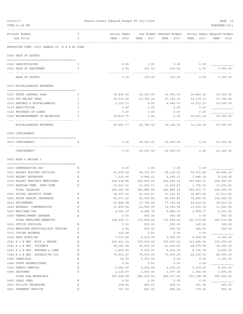| 09/22/17<br>TIME: 01:49 PM |                                                            |                  | Fannin County Adopted Budget FY 2017/2018 |                   |                                                                      |                   |             |
|----------------------------|------------------------------------------------------------|------------------|-------------------------------------------|-------------------|----------------------------------------------------------------------|-------------------|-------------|
|                            | Account Number<br>and Title                                | Т<br>C           | Actual Exper<br>YEAR - 2016               | YEAR - 2017       | Org Budget Amended Budget Actual Exper Adopted Budget<br>YEAR - 2017 | YEAR - 2017       | YEAR - 2018 |
|                            | REPORTING FUND: 0023 FANNIN CO. R & B #3 FUND              |                  |                                           |                   |                                                                      |                   |             |
|                            | 0364 SALE OF ASSETS                                        |                  |                                           |                   |                                                                      |                   |             |
|                            | 0162 LAND/BUILDING                                         | T                | 0.00                                      | 0.00              | 0.00                                                                 | 0.00              |             |
|                            | 0163 SALE OF EQUIPMENT                                     | I                | 0.00                                      | 100.00            | 100.00                                                               | 0.00              | 5,000.00    |
|                            |                                                            |                  |                                           |                   |                                                                      |                   | ------      |
|                            | SALE OF ASSETS                                             |                  | 0.00                                      | 100.00            | 100.00                                                               | 0.00              | 5,000.00    |
|                            | 0370 MISCELLANEOUS REVENUES                                |                  |                                           |                   |                                                                      |                   |             |
|                            | 0120 STATE LATERAL ROAD                                    | I                | 14,824.40                                 | 16,000.00         | 16,000.00                                                            | 14,824.40         | 16,000.00   |
|                            | 0125 TDT WEIGHT FEES                                       | I.               | 34,912.45                                 | 27,740.32         | 27,740.32                                                            | 32,179.53         | 27,740.00   |
|                            | 0130 REFUNDS & MISCELLANEOUS                               | I                | 3,132.17                                  | 0.00              | 6,454.03                                                             | 10,513.27         | 10,000.00   |
|                            | 0139 RESTITUTION                                           | I                | 0.00                                      | 0.00              | 0.00                                                                 | 0.00              |             |
|                            | 0140 PROCEEDS OF LOANS                                     | I                | 0.00                                      | 0.00              | 0.00                                                                 | 0.00              |             |
|                            | 0145 REIMBURSEMENT OF MATERIALS                            | T                | 16,812.75                                 | 0.00              | 0.00                                                                 | 14,601.14         | 10,000.00   |
|                            | MISCELLANEOUS REVENUES                                     |                  | 69,681.77                                 | 43,740.32         | 50,194.35                                                            | 72,118.34         | 63,740.00   |
|                            | 0509 CONTINGENCY                                           |                  |                                           |                   |                                                                      |                   |             |
|                            | 0475 CONTINGENCY                                           | Е                | 0.00                                      | 20,000.00         | 20,000.00                                                            | 0.00              | 21,140.96   |
|                            | CONTINGENCY                                                |                  | 0.00                                      | 20,000.00         | 20,000.00                                                            | 0.00              | 21,140.96   |
|                            | 0623 ROAD & BRIDGE 3                                       |                  |                                           |                   |                                                                      |                   |             |
|                            |                                                            |                  |                                           |                   |                                                                      |                   |             |
|                            | 0100 COMPENSATION PAY<br>0101 SALARY ELECTED OFFICIAL      | Е<br>Ε           | 0.00<br>51,409.28                         | 0.00<br>59,120.53 | 0.00<br>59,120.53                                                    | 0.00<br>54,572.88 | 60,894.15   |
|                            | 0105 SALARY SECRETARY                                      | Ε                | 7,515.90                                  | 9,066.21          | 9,066.21                                                             | 7,486.26          | 9,338.20    |
|                            | 0106 SALARY PRECINCT EMPLOYEES                             | Ε                | 226,634.85                                | 264,490.24        | 264,490.24                                                           | 205,689.21        | 262,555.20  |
|                            | 0107 REGULAR-TEMP. PART-TIME                               | Ε                | 13,523.42                                 | 13,206.61         | 13,206.61                                                            | 1,725.36          | 13,602.81   |
|                            | TOTAL SALARIES                                             |                  | 299,083.45                                | 345,883.59        | 345,883.59                                                           | 269, 473. 71      | 346,390.36  |
|                            | 0201 SOCIAL SECURITY TAXES                                 | Ε                | 18,307.04                                 | 21,322.61         | 21,322.61                                                            | 16,497.89         | 21,513.40   |
|                            | 0202 GROUP HEALTH INSURANCE                                | Ε                | 82,671.22                                 | 95,590.80         | 95,590.80                                                            | 79,658.05         | 104,946.00  |
|                            | 0203 RETIREMENT                                            | Ε                | 31,844.38                                 | 37,764.45         | 37,764.45                                                            | 29,629.05         | 39,419.22   |
|                            | 0204 WORKERS' COMPENSATION                                 | Ε                | 11,499.98                                 | 12,090.06         | 12,090.06                                                            | 11,636.76         | 11,526.90   |
|                            | 0205 MEDICARE TAX                                          | E                | 4,281.49                                  | 4,986.74          | 4,986.74                                                             | 3,858.17          | 5,031.36    |
|                            | 0206 UNEMPLOYMENT EXPENSE                                  | $\mathbb E$      | 0.00                                      | 900.00            | 900.00                                                               | 0.00              | 900.00      |
|                            | TOTAL EMPLOYEE BENEFITS                                    |                  | 148,604.11                                | 172,654.66        | 172,654.66                                                           | 141,279.92        | 183, 336.88 |
|                            | 0310 OFFICE SUPPLIES                                       | Ε                | 0.00                                      | 500.00            | 500.00                                                               | 145.23            | 500.00      |
|                            | 0314 EMPLOYEE PHYSICALS/DOT TESTING<br>0315 COPIER EXPENSE | Ε                | 0.00<br>533.28                            | 200.00<br>0.00    | 300.00<br>0.00                                                       | 240.00<br>0.00    | 250.00      |
|                            | 0340 SHOP SUPPLIES                                         | Ε<br>$\mathbf E$ | 7,513.82                                  | 6,500.00          | 6,500.00                                                             | 4,659.69          | 6,500.00    |
|                            | 0341 R & B MAT. ROCK & GRAVEL                              | E                | 239,463.14                                | 155,000.00        | 155,000.00                                                           | 121,695.94        | 155,000.00  |
|                            | 0342 R & B MAT. CULVERTS                                   | E                | 38,240.58                                 | 35,000.00         | 41,000.00                                                            | 28,578.08         | 35,000.00   |
|                            | 0343 R & B MAT. HARDWRE & LUMB                             | Ε                | 1,604.80                                  | 5,000.00          | 5,000.00                                                             | 4,706.74          | 5,000.00    |
|                            | 0344 R & B MAT. ASPHALT/RD OIL                             | Ε                | 75,510.40                                 | 70,000.00         | 70,000.00                                                            | 68,192.00         | 85,000.00   |
|                            | 0345 CHEMICALS                                             | Ε                | 54.00                                     | 3,000.00          | 0.00                                                                 | 0.00              | 3,000.00    |
|                            | 0346 CETRZ EXPENDITURES                                    | E                | 0.00                                      | 0.00              | 0.00                                                                 | 0.00              |             |
|                            | 0350 DEBRIS REMOVAL                                        | Ε                | 2,583.00                                  | 4,000.00          | 4,000.00                                                             | 2,214.00          | 4,000.00    |
|                            | 0395 UNIFORMS                                              | Ε                | 2,125.97                                  | 1,000.00          | 1,677.00                                                             | 1,366.50          | 1,000.00    |
|                            | TOTAL R&B MATERIALS                                        |                  | 367,628.99                                | 280,200.00        | 283,977.00                                                           | 231,798.18        | 295,250.00  |
|                            | 0400 LEGAL FEES                                            | Ε                | 0.00                                      | 0.00              | 0.00                                                                 | 0.00              |             |
|                            | 0420 UTILITY TELEPHONE                                     | Ε                | 358.80                                    | 400.00            | 400.00                                                               | 361.94            | 400.00      |
|                            | 0421 INTERNET SERVICE                                      | $\mathbb E$      | 797.40                                    | 825.00            | 854.40                                                               | 779.45            | 825.00      |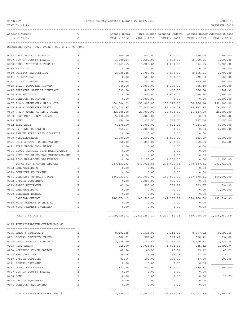# 09/22/17 Fannin County Adopted Budget FY 2017/2018 PAGE 40

| Account Number<br>Actual Exper<br>Org Budget Amended Budget<br>Actual Exper Adopted Budget<br>Т<br>C<br>and Title<br>YEAR - 2016<br>YEAR - 2017<br>YEAR - 2017<br>YEAR - 2017<br>YEAR - 2018<br>REPORTING FUND: 0023 FANNIN CO. R & B #3 FUND<br>0423 CELL PHONE ALLOWANCE<br>600.00<br>Ε<br>600.00<br>600.00<br>600.00<br>550.00<br>Ε<br>0427 OUT OF COUNTY TRAVEL<br>3,305.24<br>3,500.00<br>3,500.00<br>2,019.95<br>3,500.00<br>0430 BIDS, NOTICES & PERMITS<br>Ε<br>1,200.00<br>1,141.55<br>1,200.00<br>1,200.00<br>994.95<br>0435 PRINTING<br>Ε<br>100.00<br>0.00<br>100.00<br>100.00<br>0.00<br>0440 UTILITY ELECTRICITY<br>Ε<br>2,536.45<br>2,700.00<br>2,850.00<br>2,415.31<br>2,700.00<br>0441 UTILITY GAS<br>Ε<br>500.00<br>0.00<br>500.00<br>500.00<br>232.50<br>0442 UTILITY WATER<br>Ε<br>386.48<br>700.00<br>700.00<br>349.80<br>700.00<br>Ε<br>1,000.00<br>0443 TRASH DUMPSTER PICKUP<br>846.60<br>1,000.00<br>1,230.00<br>785.40<br>0447 REPEATER SERVICE CONTRACT<br>Ε<br>682.32<br>593.00<br>666.35<br>666.35<br>666.34<br>1,500.00<br>0450 R&M BUILDING<br>Ε<br>10.00<br>1,500.00<br>1,653.45<br>1,540.74<br>0453 COMPUTER SOFTWARE<br>0.00<br>1,000.00<br>0.00<br>0.00<br>1,000.00<br>Ε<br>0457 R & M MACHINERY GAS & OIL<br>Ε<br>88,004.23<br>150,000.00<br>138,320.05<br>66,266.14<br>150,000.00<br>0458 R & M MACHINERY PARTS<br>Ε<br>103,029.87<br>70,000.00<br>87,454.03<br>78,932.27<br>76,454.03<br>Ε<br>25,000.00<br>0459 R & M MACH. TIRES & TUBES<br>32,589.08<br>25,000.00<br>25,000.00<br>14, 147.90<br>0460 EQUIPMENT RENTAL/LEASE<br>Ε<br>5,000.00<br>5,100.00<br>5,000.00<br>0.00<br>0.00<br>150.00<br>0480 BOND<br>Ε<br>150.00<br>327.50<br>327.50<br>327.50<br>Ε<br>0482 INSURANCE<br>6,379.00<br>6,000.00<br>7,644.23<br>7,644.23<br>6,000.00<br>0485 PRISONER SUPPLIES<br>Ε<br>355.63<br>2,000.00<br>0.00<br>0.00<br>2,000.00<br>0488 FANNIN RURAL RAIL DISTRICT<br>Ε<br>0.00<br>0.00<br>0.00<br>0.00<br>Ε<br>0490 MISCELLANEOUS<br>1,000.00<br>1,500.00<br>1,500.00<br>183.09<br>1,500.00<br>0491 SOIL & WATER CONSERVATION<br>Ε<br>250.00<br>250.00<br>250.00<br>250.00<br>250.00<br>0492 TDRA FLOOD CASH MATCH<br>Ε<br>0.00<br>0.00<br>0.00<br>0.00<br>0494 FLOOD CONTROL SITE MAINTENANCE<br>Ε<br>0.00<br>0.00<br>0.00<br>0.00<br>0495 PIPELINE SALES TAX REIMBURSEMENT<br>Ε<br>0.00<br>0.00<br>0.00<br>0.00<br>0496 TCOG HAZARDOUS WASTEMATCH<br>Ε<br>1,250.00<br>0.00<br>1,250.00<br>1,250.00<br>0.00<br>TOTAL SER.& OTHER CHARGES<br>247, 433.33<br>276,018.85<br>276,000.01<br>178,447.51<br>282, 311.35<br>0562 LAND/BUILDING<br>Е<br>0.00<br>0.00<br>0.00<br>0.00<br>0570 COMPUTER EQUIPMENT<br>Ε<br>0.00<br>0.00<br>0.00<br>0.00<br>0571 PURCHASE OF MACH./EQUIP.<br>146,933.93<br>Ε<br>140,000.00<br>142,500.00<br>127,478.81<br>150,000.00<br>0572 OFFICE EQUIPMENT<br>Ε<br>1,000.00<br>906.00<br>0.00<br>0.00<br>$\mathbf E$<br>0573 RADIO EQUIPMENT<br>42.20<br>500.00<br>789.87<br>789.87<br>594.00<br>Ε<br>1,000.00<br>0575 LAND/BUILDING<br>0.00<br>0.00<br>0.00<br>0.00<br>0580 PRECINCT BRIDGE<br>Ε<br>0.00<br>0.00<br>0.00<br>0.00<br>CAPITAL OUTLAY<br>146, 976.13<br>141,500.00<br>144, 195.87<br>128,268.68<br>151,594.00<br>0630 NOTE PAYMENT-PRINCIPAL<br>0.00<br>0.00<br>0.00<br>0.00<br>0670 NOTE PAYMENT-INTEREST<br>0.00<br>0.00<br>Ε<br>0.00<br>0.00<br>------------------------------------<br>-----------<br>1, 209, 726.01 1, 216, 257.10 1, 222, 711.13 949, 268.00<br>1,258,882.59<br>ROAD & BRIDGE 3<br>0625 ADMINISTRATIVE OFFICE R&B #3<br>0105 SALARY SECRETARY<br>Ε<br>8,392.85<br>9,314.05<br>9,314.05<br>8,597.52<br>9,593.48<br>0201 SOCIAL SECURITY TAXES<br>398.72<br>594.80<br>Ε<br>380.51<br>577.47<br>577.47<br>0202 GROUP HEALTH INSURANCE<br>Е<br>2,275.50<br>2,369.44<br>2,369.44<br>2,190.54<br>2,623.65<br>0203 RETIREMENT<br>915.00<br>945.42<br>1,091.74<br>Ε<br>1,024.55<br>1,024.55<br>0204 WORKERS' COMPENSATION<br>Ε<br>42.34<br>46.57<br>46.57<br>39.12<br>40.29<br>0205 MEDICARE TAX<br>Ε<br>89.06<br>135.05<br>135.05<br>93.26<br>139.11<br>0310 OFFICE SUPPLIES<br>Ε<br>83.66<br>100.00<br>100.00<br>47.00<br>100.00<br>0311 POSTAL EXPENSES<br>Ε<br>0.00<br>0.00<br>0.00<br>0.00<br>0353 COMPUTER EXPENSE<br>371.25<br>500.00<br>500.00<br>389.81<br>500.00<br>Ε<br>0427 OUT OF COUNTY TRAVEL<br>Ε<br>0.00<br>0.00<br>0.00<br>0.00<br>0480 BOND<br>Ε<br>0.00<br>0.00<br>0.00<br>17.75<br>0.00<br>0572 OFFICE EQUIPMENT<br>Ε<br>0.00<br>0.00<br>0.00<br>0.00<br>0574 COMPUTER EQUIPMENT<br>Ε<br>0.00<br>0.00<br>0.00<br>0.00<br>ADMINISTRATIVE OFFICE R&B #3<br>12,550.17<br>14,067.13 14,067.13<br>12,701.39<br>14,700.82 | TIME: 01:49 PM |  |  | PREPARER: 0011 |
|-----------------------------------------------------------------------------------------------------------------------------------------------------------------------------------------------------------------------------------------------------------------------------------------------------------------------------------------------------------------------------------------------------------------------------------------------------------------------------------------------------------------------------------------------------------------------------------------------------------------------------------------------------------------------------------------------------------------------------------------------------------------------------------------------------------------------------------------------------------------------------------------------------------------------------------------------------------------------------------------------------------------------------------------------------------------------------------------------------------------------------------------------------------------------------------------------------------------------------------------------------------------------------------------------------------------------------------------------------------------------------------------------------------------------------------------------------------------------------------------------------------------------------------------------------------------------------------------------------------------------------------------------------------------------------------------------------------------------------------------------------------------------------------------------------------------------------------------------------------------------------------------------------------------------------------------------------------------------------------------------------------------------------------------------------------------------------------------------------------------------------------------------------------------------------------------------------------------------------------------------------------------------------------------------------------------------------------------------------------------------------------------------------------------------------------------------------------------------------------------------------------------------------------------------------------------------------------------------------------------------------------------------------------------------------------------------------------------------------------------------------------------------------------------------------------------------------------------------------------------------------------------------------------------------------------------------------------------------------------------------------------------------------------------------------------------------------------------------------------------------------------------------------------------------------------------------------------------------------------------------------------------------------------------------------------------------------------------------------------------------------------------------------------------------------------------------------------------------------------------------------------------------------------------------------------------------------------------------------------------------------------------------------------------------------------------------------------------------------------------------------------------------------------------------------------------------------------------------------------------------------------------------------------------------------------------------------------------------------------------------------------------------------------------------------------------------------------------------------------------------------------------------------------------------------------------------------------------------------------------------------------------------------------------------------------------------------------------------------------------------------------------------------------------------------------------------------------------------------------------------------------------------------------------------------------------------------------------------------------------------------------|----------------|--|--|----------------|
|                                                                                                                                                                                                                                                                                                                                                                                                                                                                                                                                                                                                                                                                                                                                                                                                                                                                                                                                                                                                                                                                                                                                                                                                                                                                                                                                                                                                                                                                                                                                                                                                                                                                                                                                                                                                                                                                                                                                                                                                                                                                                                                                                                                                                                                                                                                                                                                                                                                                                                                                                                                                                                                                                                                                                                                                                                                                                                                                                                                                                                                                                                                                                                                                                                                                                                                                                                                                                                                                                                                                                                                                                                                                                                                                                                                                                                                                                                                                                                                                                                                                                                                                                                                                                                                                                                                                                                                                                                                                                                                                                                                                                                   |                |  |  |                |
|                                                                                                                                                                                                                                                                                                                                                                                                                                                                                                                                                                                                                                                                                                                                                                                                                                                                                                                                                                                                                                                                                                                                                                                                                                                                                                                                                                                                                                                                                                                                                                                                                                                                                                                                                                                                                                                                                                                                                                                                                                                                                                                                                                                                                                                                                                                                                                                                                                                                                                                                                                                                                                                                                                                                                                                                                                                                                                                                                                                                                                                                                                                                                                                                                                                                                                                                                                                                                                                                                                                                                                                                                                                                                                                                                                                                                                                                                                                                                                                                                                                                                                                                                                                                                                                                                                                                                                                                                                                                                                                                                                                                                                   |                |  |  |                |
|                                                                                                                                                                                                                                                                                                                                                                                                                                                                                                                                                                                                                                                                                                                                                                                                                                                                                                                                                                                                                                                                                                                                                                                                                                                                                                                                                                                                                                                                                                                                                                                                                                                                                                                                                                                                                                                                                                                                                                                                                                                                                                                                                                                                                                                                                                                                                                                                                                                                                                                                                                                                                                                                                                                                                                                                                                                                                                                                                                                                                                                                                                                                                                                                                                                                                                                                                                                                                                                                                                                                                                                                                                                                                                                                                                                                                                                                                                                                                                                                                                                                                                                                                                                                                                                                                                                                                                                                                                                                                                                                                                                                                                   |                |  |  |                |
|                                                                                                                                                                                                                                                                                                                                                                                                                                                                                                                                                                                                                                                                                                                                                                                                                                                                                                                                                                                                                                                                                                                                                                                                                                                                                                                                                                                                                                                                                                                                                                                                                                                                                                                                                                                                                                                                                                                                                                                                                                                                                                                                                                                                                                                                                                                                                                                                                                                                                                                                                                                                                                                                                                                                                                                                                                                                                                                                                                                                                                                                                                                                                                                                                                                                                                                                                                                                                                                                                                                                                                                                                                                                                                                                                                                                                                                                                                                                                                                                                                                                                                                                                                                                                                                                                                                                                                                                                                                                                                                                                                                                                                   |                |  |  |                |
|                                                                                                                                                                                                                                                                                                                                                                                                                                                                                                                                                                                                                                                                                                                                                                                                                                                                                                                                                                                                                                                                                                                                                                                                                                                                                                                                                                                                                                                                                                                                                                                                                                                                                                                                                                                                                                                                                                                                                                                                                                                                                                                                                                                                                                                                                                                                                                                                                                                                                                                                                                                                                                                                                                                                                                                                                                                                                                                                                                                                                                                                                                                                                                                                                                                                                                                                                                                                                                                                                                                                                                                                                                                                                                                                                                                                                                                                                                                                                                                                                                                                                                                                                                                                                                                                                                                                                                                                                                                                                                                                                                                                                                   |                |  |  |                |
|                                                                                                                                                                                                                                                                                                                                                                                                                                                                                                                                                                                                                                                                                                                                                                                                                                                                                                                                                                                                                                                                                                                                                                                                                                                                                                                                                                                                                                                                                                                                                                                                                                                                                                                                                                                                                                                                                                                                                                                                                                                                                                                                                                                                                                                                                                                                                                                                                                                                                                                                                                                                                                                                                                                                                                                                                                                                                                                                                                                                                                                                                                                                                                                                                                                                                                                                                                                                                                                                                                                                                                                                                                                                                                                                                                                                                                                                                                                                                                                                                                                                                                                                                                                                                                                                                                                                                                                                                                                                                                                                                                                                                                   |                |  |  |                |
|                                                                                                                                                                                                                                                                                                                                                                                                                                                                                                                                                                                                                                                                                                                                                                                                                                                                                                                                                                                                                                                                                                                                                                                                                                                                                                                                                                                                                                                                                                                                                                                                                                                                                                                                                                                                                                                                                                                                                                                                                                                                                                                                                                                                                                                                                                                                                                                                                                                                                                                                                                                                                                                                                                                                                                                                                                                                                                                                                                                                                                                                                                                                                                                                                                                                                                                                                                                                                                                                                                                                                                                                                                                                                                                                                                                                                                                                                                                                                                                                                                                                                                                                                                                                                                                                                                                                                                                                                                                                                                                                                                                                                                   |                |  |  |                |
|                                                                                                                                                                                                                                                                                                                                                                                                                                                                                                                                                                                                                                                                                                                                                                                                                                                                                                                                                                                                                                                                                                                                                                                                                                                                                                                                                                                                                                                                                                                                                                                                                                                                                                                                                                                                                                                                                                                                                                                                                                                                                                                                                                                                                                                                                                                                                                                                                                                                                                                                                                                                                                                                                                                                                                                                                                                                                                                                                                                                                                                                                                                                                                                                                                                                                                                                                                                                                                                                                                                                                                                                                                                                                                                                                                                                                                                                                                                                                                                                                                                                                                                                                                                                                                                                                                                                                                                                                                                                                                                                                                                                                                   |                |  |  |                |
|                                                                                                                                                                                                                                                                                                                                                                                                                                                                                                                                                                                                                                                                                                                                                                                                                                                                                                                                                                                                                                                                                                                                                                                                                                                                                                                                                                                                                                                                                                                                                                                                                                                                                                                                                                                                                                                                                                                                                                                                                                                                                                                                                                                                                                                                                                                                                                                                                                                                                                                                                                                                                                                                                                                                                                                                                                                                                                                                                                                                                                                                                                                                                                                                                                                                                                                                                                                                                                                                                                                                                                                                                                                                                                                                                                                                                                                                                                                                                                                                                                                                                                                                                                                                                                                                                                                                                                                                                                                                                                                                                                                                                                   |                |  |  |                |
|                                                                                                                                                                                                                                                                                                                                                                                                                                                                                                                                                                                                                                                                                                                                                                                                                                                                                                                                                                                                                                                                                                                                                                                                                                                                                                                                                                                                                                                                                                                                                                                                                                                                                                                                                                                                                                                                                                                                                                                                                                                                                                                                                                                                                                                                                                                                                                                                                                                                                                                                                                                                                                                                                                                                                                                                                                                                                                                                                                                                                                                                                                                                                                                                                                                                                                                                                                                                                                                                                                                                                                                                                                                                                                                                                                                                                                                                                                                                                                                                                                                                                                                                                                                                                                                                                                                                                                                                                                                                                                                                                                                                                                   |                |  |  |                |
|                                                                                                                                                                                                                                                                                                                                                                                                                                                                                                                                                                                                                                                                                                                                                                                                                                                                                                                                                                                                                                                                                                                                                                                                                                                                                                                                                                                                                                                                                                                                                                                                                                                                                                                                                                                                                                                                                                                                                                                                                                                                                                                                                                                                                                                                                                                                                                                                                                                                                                                                                                                                                                                                                                                                                                                                                                                                                                                                                                                                                                                                                                                                                                                                                                                                                                                                                                                                                                                                                                                                                                                                                                                                                                                                                                                                                                                                                                                                                                                                                                                                                                                                                                                                                                                                                                                                                                                                                                                                                                                                                                                                                                   |                |  |  |                |
|                                                                                                                                                                                                                                                                                                                                                                                                                                                                                                                                                                                                                                                                                                                                                                                                                                                                                                                                                                                                                                                                                                                                                                                                                                                                                                                                                                                                                                                                                                                                                                                                                                                                                                                                                                                                                                                                                                                                                                                                                                                                                                                                                                                                                                                                                                                                                                                                                                                                                                                                                                                                                                                                                                                                                                                                                                                                                                                                                                                                                                                                                                                                                                                                                                                                                                                                                                                                                                                                                                                                                                                                                                                                                                                                                                                                                                                                                                                                                                                                                                                                                                                                                                                                                                                                                                                                                                                                                                                                                                                                                                                                                                   |                |  |  |                |
|                                                                                                                                                                                                                                                                                                                                                                                                                                                                                                                                                                                                                                                                                                                                                                                                                                                                                                                                                                                                                                                                                                                                                                                                                                                                                                                                                                                                                                                                                                                                                                                                                                                                                                                                                                                                                                                                                                                                                                                                                                                                                                                                                                                                                                                                                                                                                                                                                                                                                                                                                                                                                                                                                                                                                                                                                                                                                                                                                                                                                                                                                                                                                                                                                                                                                                                                                                                                                                                                                                                                                                                                                                                                                                                                                                                                                                                                                                                                                                                                                                                                                                                                                                                                                                                                                                                                                                                                                                                                                                                                                                                                                                   |                |  |  |                |
|                                                                                                                                                                                                                                                                                                                                                                                                                                                                                                                                                                                                                                                                                                                                                                                                                                                                                                                                                                                                                                                                                                                                                                                                                                                                                                                                                                                                                                                                                                                                                                                                                                                                                                                                                                                                                                                                                                                                                                                                                                                                                                                                                                                                                                                                                                                                                                                                                                                                                                                                                                                                                                                                                                                                                                                                                                                                                                                                                                                                                                                                                                                                                                                                                                                                                                                                                                                                                                                                                                                                                                                                                                                                                                                                                                                                                                                                                                                                                                                                                                                                                                                                                                                                                                                                                                                                                                                                                                                                                                                                                                                                                                   |                |  |  |                |
|                                                                                                                                                                                                                                                                                                                                                                                                                                                                                                                                                                                                                                                                                                                                                                                                                                                                                                                                                                                                                                                                                                                                                                                                                                                                                                                                                                                                                                                                                                                                                                                                                                                                                                                                                                                                                                                                                                                                                                                                                                                                                                                                                                                                                                                                                                                                                                                                                                                                                                                                                                                                                                                                                                                                                                                                                                                                                                                                                                                                                                                                                                                                                                                                                                                                                                                                                                                                                                                                                                                                                                                                                                                                                                                                                                                                                                                                                                                                                                                                                                                                                                                                                                                                                                                                                                                                                                                                                                                                                                                                                                                                                                   |                |  |  |                |
|                                                                                                                                                                                                                                                                                                                                                                                                                                                                                                                                                                                                                                                                                                                                                                                                                                                                                                                                                                                                                                                                                                                                                                                                                                                                                                                                                                                                                                                                                                                                                                                                                                                                                                                                                                                                                                                                                                                                                                                                                                                                                                                                                                                                                                                                                                                                                                                                                                                                                                                                                                                                                                                                                                                                                                                                                                                                                                                                                                                                                                                                                                                                                                                                                                                                                                                                                                                                                                                                                                                                                                                                                                                                                                                                                                                                                                                                                                                                                                                                                                                                                                                                                                                                                                                                                                                                                                                                                                                                                                                                                                                                                                   |                |  |  |                |
|                                                                                                                                                                                                                                                                                                                                                                                                                                                                                                                                                                                                                                                                                                                                                                                                                                                                                                                                                                                                                                                                                                                                                                                                                                                                                                                                                                                                                                                                                                                                                                                                                                                                                                                                                                                                                                                                                                                                                                                                                                                                                                                                                                                                                                                                                                                                                                                                                                                                                                                                                                                                                                                                                                                                                                                                                                                                                                                                                                                                                                                                                                                                                                                                                                                                                                                                                                                                                                                                                                                                                                                                                                                                                                                                                                                                                                                                                                                                                                                                                                                                                                                                                                                                                                                                                                                                                                                                                                                                                                                                                                                                                                   |                |  |  |                |
|                                                                                                                                                                                                                                                                                                                                                                                                                                                                                                                                                                                                                                                                                                                                                                                                                                                                                                                                                                                                                                                                                                                                                                                                                                                                                                                                                                                                                                                                                                                                                                                                                                                                                                                                                                                                                                                                                                                                                                                                                                                                                                                                                                                                                                                                                                                                                                                                                                                                                                                                                                                                                                                                                                                                                                                                                                                                                                                                                                                                                                                                                                                                                                                                                                                                                                                                                                                                                                                                                                                                                                                                                                                                                                                                                                                                                                                                                                                                                                                                                                                                                                                                                                                                                                                                                                                                                                                                                                                                                                                                                                                                                                   |                |  |  |                |
|                                                                                                                                                                                                                                                                                                                                                                                                                                                                                                                                                                                                                                                                                                                                                                                                                                                                                                                                                                                                                                                                                                                                                                                                                                                                                                                                                                                                                                                                                                                                                                                                                                                                                                                                                                                                                                                                                                                                                                                                                                                                                                                                                                                                                                                                                                                                                                                                                                                                                                                                                                                                                                                                                                                                                                                                                                                                                                                                                                                                                                                                                                                                                                                                                                                                                                                                                                                                                                                                                                                                                                                                                                                                                                                                                                                                                                                                                                                                                                                                                                                                                                                                                                                                                                                                                                                                                                                                                                                                                                                                                                                                                                   |                |  |  |                |
|                                                                                                                                                                                                                                                                                                                                                                                                                                                                                                                                                                                                                                                                                                                                                                                                                                                                                                                                                                                                                                                                                                                                                                                                                                                                                                                                                                                                                                                                                                                                                                                                                                                                                                                                                                                                                                                                                                                                                                                                                                                                                                                                                                                                                                                                                                                                                                                                                                                                                                                                                                                                                                                                                                                                                                                                                                                                                                                                                                                                                                                                                                                                                                                                                                                                                                                                                                                                                                                                                                                                                                                                                                                                                                                                                                                                                                                                                                                                                                                                                                                                                                                                                                                                                                                                                                                                                                                                                                                                                                                                                                                                                                   |                |  |  |                |
|                                                                                                                                                                                                                                                                                                                                                                                                                                                                                                                                                                                                                                                                                                                                                                                                                                                                                                                                                                                                                                                                                                                                                                                                                                                                                                                                                                                                                                                                                                                                                                                                                                                                                                                                                                                                                                                                                                                                                                                                                                                                                                                                                                                                                                                                                                                                                                                                                                                                                                                                                                                                                                                                                                                                                                                                                                                                                                                                                                                                                                                                                                                                                                                                                                                                                                                                                                                                                                                                                                                                                                                                                                                                                                                                                                                                                                                                                                                                                                                                                                                                                                                                                                                                                                                                                                                                                                                                                                                                                                                                                                                                                                   |                |  |  |                |
|                                                                                                                                                                                                                                                                                                                                                                                                                                                                                                                                                                                                                                                                                                                                                                                                                                                                                                                                                                                                                                                                                                                                                                                                                                                                                                                                                                                                                                                                                                                                                                                                                                                                                                                                                                                                                                                                                                                                                                                                                                                                                                                                                                                                                                                                                                                                                                                                                                                                                                                                                                                                                                                                                                                                                                                                                                                                                                                                                                                                                                                                                                                                                                                                                                                                                                                                                                                                                                                                                                                                                                                                                                                                                                                                                                                                                                                                                                                                                                                                                                                                                                                                                                                                                                                                                                                                                                                                                                                                                                                                                                                                                                   |                |  |  |                |
|                                                                                                                                                                                                                                                                                                                                                                                                                                                                                                                                                                                                                                                                                                                                                                                                                                                                                                                                                                                                                                                                                                                                                                                                                                                                                                                                                                                                                                                                                                                                                                                                                                                                                                                                                                                                                                                                                                                                                                                                                                                                                                                                                                                                                                                                                                                                                                                                                                                                                                                                                                                                                                                                                                                                                                                                                                                                                                                                                                                                                                                                                                                                                                                                                                                                                                                                                                                                                                                                                                                                                                                                                                                                                                                                                                                                                                                                                                                                                                                                                                                                                                                                                                                                                                                                                                                                                                                                                                                                                                                                                                                                                                   |                |  |  |                |
|                                                                                                                                                                                                                                                                                                                                                                                                                                                                                                                                                                                                                                                                                                                                                                                                                                                                                                                                                                                                                                                                                                                                                                                                                                                                                                                                                                                                                                                                                                                                                                                                                                                                                                                                                                                                                                                                                                                                                                                                                                                                                                                                                                                                                                                                                                                                                                                                                                                                                                                                                                                                                                                                                                                                                                                                                                                                                                                                                                                                                                                                                                                                                                                                                                                                                                                                                                                                                                                                                                                                                                                                                                                                                                                                                                                                                                                                                                                                                                                                                                                                                                                                                                                                                                                                                                                                                                                                                                                                                                                                                                                                                                   |                |  |  |                |
|                                                                                                                                                                                                                                                                                                                                                                                                                                                                                                                                                                                                                                                                                                                                                                                                                                                                                                                                                                                                                                                                                                                                                                                                                                                                                                                                                                                                                                                                                                                                                                                                                                                                                                                                                                                                                                                                                                                                                                                                                                                                                                                                                                                                                                                                                                                                                                                                                                                                                                                                                                                                                                                                                                                                                                                                                                                                                                                                                                                                                                                                                                                                                                                                                                                                                                                                                                                                                                                                                                                                                                                                                                                                                                                                                                                                                                                                                                                                                                                                                                                                                                                                                                                                                                                                                                                                                                                                                                                                                                                                                                                                                                   |                |  |  |                |
|                                                                                                                                                                                                                                                                                                                                                                                                                                                                                                                                                                                                                                                                                                                                                                                                                                                                                                                                                                                                                                                                                                                                                                                                                                                                                                                                                                                                                                                                                                                                                                                                                                                                                                                                                                                                                                                                                                                                                                                                                                                                                                                                                                                                                                                                                                                                                                                                                                                                                                                                                                                                                                                                                                                                                                                                                                                                                                                                                                                                                                                                                                                                                                                                                                                                                                                                                                                                                                                                                                                                                                                                                                                                                                                                                                                                                                                                                                                                                                                                                                                                                                                                                                                                                                                                                                                                                                                                                                                                                                                                                                                                                                   |                |  |  |                |
|                                                                                                                                                                                                                                                                                                                                                                                                                                                                                                                                                                                                                                                                                                                                                                                                                                                                                                                                                                                                                                                                                                                                                                                                                                                                                                                                                                                                                                                                                                                                                                                                                                                                                                                                                                                                                                                                                                                                                                                                                                                                                                                                                                                                                                                                                                                                                                                                                                                                                                                                                                                                                                                                                                                                                                                                                                                                                                                                                                                                                                                                                                                                                                                                                                                                                                                                                                                                                                                                                                                                                                                                                                                                                                                                                                                                                                                                                                                                                                                                                                                                                                                                                                                                                                                                                                                                                                                                                                                                                                                                                                                                                                   |                |  |  |                |
|                                                                                                                                                                                                                                                                                                                                                                                                                                                                                                                                                                                                                                                                                                                                                                                                                                                                                                                                                                                                                                                                                                                                                                                                                                                                                                                                                                                                                                                                                                                                                                                                                                                                                                                                                                                                                                                                                                                                                                                                                                                                                                                                                                                                                                                                                                                                                                                                                                                                                                                                                                                                                                                                                                                                                                                                                                                                                                                                                                                                                                                                                                                                                                                                                                                                                                                                                                                                                                                                                                                                                                                                                                                                                                                                                                                                                                                                                                                                                                                                                                                                                                                                                                                                                                                                                                                                                                                                                                                                                                                                                                                                                                   |                |  |  |                |
|                                                                                                                                                                                                                                                                                                                                                                                                                                                                                                                                                                                                                                                                                                                                                                                                                                                                                                                                                                                                                                                                                                                                                                                                                                                                                                                                                                                                                                                                                                                                                                                                                                                                                                                                                                                                                                                                                                                                                                                                                                                                                                                                                                                                                                                                                                                                                                                                                                                                                                                                                                                                                                                                                                                                                                                                                                                                                                                                                                                                                                                                                                                                                                                                                                                                                                                                                                                                                                                                                                                                                                                                                                                                                                                                                                                                                                                                                                                                                                                                                                                                                                                                                                                                                                                                                                                                                                                                                                                                                                                                                                                                                                   |                |  |  |                |
|                                                                                                                                                                                                                                                                                                                                                                                                                                                                                                                                                                                                                                                                                                                                                                                                                                                                                                                                                                                                                                                                                                                                                                                                                                                                                                                                                                                                                                                                                                                                                                                                                                                                                                                                                                                                                                                                                                                                                                                                                                                                                                                                                                                                                                                                                                                                                                                                                                                                                                                                                                                                                                                                                                                                                                                                                                                                                                                                                                                                                                                                                                                                                                                                                                                                                                                                                                                                                                                                                                                                                                                                                                                                                                                                                                                                                                                                                                                                                                                                                                                                                                                                                                                                                                                                                                                                                                                                                                                                                                                                                                                                                                   |                |  |  |                |
|                                                                                                                                                                                                                                                                                                                                                                                                                                                                                                                                                                                                                                                                                                                                                                                                                                                                                                                                                                                                                                                                                                                                                                                                                                                                                                                                                                                                                                                                                                                                                                                                                                                                                                                                                                                                                                                                                                                                                                                                                                                                                                                                                                                                                                                                                                                                                                                                                                                                                                                                                                                                                                                                                                                                                                                                                                                                                                                                                                                                                                                                                                                                                                                                                                                                                                                                                                                                                                                                                                                                                                                                                                                                                                                                                                                                                                                                                                                                                                                                                                                                                                                                                                                                                                                                                                                                                                                                                                                                                                                                                                                                                                   |                |  |  |                |
|                                                                                                                                                                                                                                                                                                                                                                                                                                                                                                                                                                                                                                                                                                                                                                                                                                                                                                                                                                                                                                                                                                                                                                                                                                                                                                                                                                                                                                                                                                                                                                                                                                                                                                                                                                                                                                                                                                                                                                                                                                                                                                                                                                                                                                                                                                                                                                                                                                                                                                                                                                                                                                                                                                                                                                                                                                                                                                                                                                                                                                                                                                                                                                                                                                                                                                                                                                                                                                                                                                                                                                                                                                                                                                                                                                                                                                                                                                                                                                                                                                                                                                                                                                                                                                                                                                                                                                                                                                                                                                                                                                                                                                   |                |  |  |                |
|                                                                                                                                                                                                                                                                                                                                                                                                                                                                                                                                                                                                                                                                                                                                                                                                                                                                                                                                                                                                                                                                                                                                                                                                                                                                                                                                                                                                                                                                                                                                                                                                                                                                                                                                                                                                                                                                                                                                                                                                                                                                                                                                                                                                                                                                                                                                                                                                                                                                                                                                                                                                                                                                                                                                                                                                                                                                                                                                                                                                                                                                                                                                                                                                                                                                                                                                                                                                                                                                                                                                                                                                                                                                                                                                                                                                                                                                                                                                                                                                                                                                                                                                                                                                                                                                                                                                                                                                                                                                                                                                                                                                                                   |                |  |  |                |
|                                                                                                                                                                                                                                                                                                                                                                                                                                                                                                                                                                                                                                                                                                                                                                                                                                                                                                                                                                                                                                                                                                                                                                                                                                                                                                                                                                                                                                                                                                                                                                                                                                                                                                                                                                                                                                                                                                                                                                                                                                                                                                                                                                                                                                                                                                                                                                                                                                                                                                                                                                                                                                                                                                                                                                                                                                                                                                                                                                                                                                                                                                                                                                                                                                                                                                                                                                                                                                                                                                                                                                                                                                                                                                                                                                                                                                                                                                                                                                                                                                                                                                                                                                                                                                                                                                                                                                                                                                                                                                                                                                                                                                   |                |  |  |                |
|                                                                                                                                                                                                                                                                                                                                                                                                                                                                                                                                                                                                                                                                                                                                                                                                                                                                                                                                                                                                                                                                                                                                                                                                                                                                                                                                                                                                                                                                                                                                                                                                                                                                                                                                                                                                                                                                                                                                                                                                                                                                                                                                                                                                                                                                                                                                                                                                                                                                                                                                                                                                                                                                                                                                                                                                                                                                                                                                                                                                                                                                                                                                                                                                                                                                                                                                                                                                                                                                                                                                                                                                                                                                                                                                                                                                                                                                                                                                                                                                                                                                                                                                                                                                                                                                                                                                                                                                                                                                                                                                                                                                                                   |                |  |  |                |
|                                                                                                                                                                                                                                                                                                                                                                                                                                                                                                                                                                                                                                                                                                                                                                                                                                                                                                                                                                                                                                                                                                                                                                                                                                                                                                                                                                                                                                                                                                                                                                                                                                                                                                                                                                                                                                                                                                                                                                                                                                                                                                                                                                                                                                                                                                                                                                                                                                                                                                                                                                                                                                                                                                                                                                                                                                                                                                                                                                                                                                                                                                                                                                                                                                                                                                                                                                                                                                                                                                                                                                                                                                                                                                                                                                                                                                                                                                                                                                                                                                                                                                                                                                                                                                                                                                                                                                                                                                                                                                                                                                                                                                   |                |  |  |                |
|                                                                                                                                                                                                                                                                                                                                                                                                                                                                                                                                                                                                                                                                                                                                                                                                                                                                                                                                                                                                                                                                                                                                                                                                                                                                                                                                                                                                                                                                                                                                                                                                                                                                                                                                                                                                                                                                                                                                                                                                                                                                                                                                                                                                                                                                                                                                                                                                                                                                                                                                                                                                                                                                                                                                                                                                                                                                                                                                                                                                                                                                                                                                                                                                                                                                                                                                                                                                                                                                                                                                                                                                                                                                                                                                                                                                                                                                                                                                                                                                                                                                                                                                                                                                                                                                                                                                                                                                                                                                                                                                                                                                                                   |                |  |  |                |
|                                                                                                                                                                                                                                                                                                                                                                                                                                                                                                                                                                                                                                                                                                                                                                                                                                                                                                                                                                                                                                                                                                                                                                                                                                                                                                                                                                                                                                                                                                                                                                                                                                                                                                                                                                                                                                                                                                                                                                                                                                                                                                                                                                                                                                                                                                                                                                                                                                                                                                                                                                                                                                                                                                                                                                                                                                                                                                                                                                                                                                                                                                                                                                                                                                                                                                                                                                                                                                                                                                                                                                                                                                                                                                                                                                                                                                                                                                                                                                                                                                                                                                                                                                                                                                                                                                                                                                                                                                                                                                                                                                                                                                   |                |  |  |                |
|                                                                                                                                                                                                                                                                                                                                                                                                                                                                                                                                                                                                                                                                                                                                                                                                                                                                                                                                                                                                                                                                                                                                                                                                                                                                                                                                                                                                                                                                                                                                                                                                                                                                                                                                                                                                                                                                                                                                                                                                                                                                                                                                                                                                                                                                                                                                                                                                                                                                                                                                                                                                                                                                                                                                                                                                                                                                                                                                                                                                                                                                                                                                                                                                                                                                                                                                                                                                                                                                                                                                                                                                                                                                                                                                                                                                                                                                                                                                                                                                                                                                                                                                                                                                                                                                                                                                                                                                                                                                                                                                                                                                                                   |                |  |  |                |
|                                                                                                                                                                                                                                                                                                                                                                                                                                                                                                                                                                                                                                                                                                                                                                                                                                                                                                                                                                                                                                                                                                                                                                                                                                                                                                                                                                                                                                                                                                                                                                                                                                                                                                                                                                                                                                                                                                                                                                                                                                                                                                                                                                                                                                                                                                                                                                                                                                                                                                                                                                                                                                                                                                                                                                                                                                                                                                                                                                                                                                                                                                                                                                                                                                                                                                                                                                                                                                                                                                                                                                                                                                                                                                                                                                                                                                                                                                                                                                                                                                                                                                                                                                                                                                                                                                                                                                                                                                                                                                                                                                                                                                   |                |  |  |                |
|                                                                                                                                                                                                                                                                                                                                                                                                                                                                                                                                                                                                                                                                                                                                                                                                                                                                                                                                                                                                                                                                                                                                                                                                                                                                                                                                                                                                                                                                                                                                                                                                                                                                                                                                                                                                                                                                                                                                                                                                                                                                                                                                                                                                                                                                                                                                                                                                                                                                                                                                                                                                                                                                                                                                                                                                                                                                                                                                                                                                                                                                                                                                                                                                                                                                                                                                                                                                                                                                                                                                                                                                                                                                                                                                                                                                                                                                                                                                                                                                                                                                                                                                                                                                                                                                                                                                                                                                                                                                                                                                                                                                                                   |                |  |  |                |
|                                                                                                                                                                                                                                                                                                                                                                                                                                                                                                                                                                                                                                                                                                                                                                                                                                                                                                                                                                                                                                                                                                                                                                                                                                                                                                                                                                                                                                                                                                                                                                                                                                                                                                                                                                                                                                                                                                                                                                                                                                                                                                                                                                                                                                                                                                                                                                                                                                                                                                                                                                                                                                                                                                                                                                                                                                                                                                                                                                                                                                                                                                                                                                                                                                                                                                                                                                                                                                                                                                                                                                                                                                                                                                                                                                                                                                                                                                                                                                                                                                                                                                                                                                                                                                                                                                                                                                                                                                                                                                                                                                                                                                   |                |  |  |                |
|                                                                                                                                                                                                                                                                                                                                                                                                                                                                                                                                                                                                                                                                                                                                                                                                                                                                                                                                                                                                                                                                                                                                                                                                                                                                                                                                                                                                                                                                                                                                                                                                                                                                                                                                                                                                                                                                                                                                                                                                                                                                                                                                                                                                                                                                                                                                                                                                                                                                                                                                                                                                                                                                                                                                                                                                                                                                                                                                                                                                                                                                                                                                                                                                                                                                                                                                                                                                                                                                                                                                                                                                                                                                                                                                                                                                                                                                                                                                                                                                                                                                                                                                                                                                                                                                                                                                                                                                                                                                                                                                                                                                                                   |                |  |  |                |
|                                                                                                                                                                                                                                                                                                                                                                                                                                                                                                                                                                                                                                                                                                                                                                                                                                                                                                                                                                                                                                                                                                                                                                                                                                                                                                                                                                                                                                                                                                                                                                                                                                                                                                                                                                                                                                                                                                                                                                                                                                                                                                                                                                                                                                                                                                                                                                                                                                                                                                                                                                                                                                                                                                                                                                                                                                                                                                                                                                                                                                                                                                                                                                                                                                                                                                                                                                                                                                                                                                                                                                                                                                                                                                                                                                                                                                                                                                                                                                                                                                                                                                                                                                                                                                                                                                                                                                                                                                                                                                                                                                                                                                   |                |  |  |                |
|                                                                                                                                                                                                                                                                                                                                                                                                                                                                                                                                                                                                                                                                                                                                                                                                                                                                                                                                                                                                                                                                                                                                                                                                                                                                                                                                                                                                                                                                                                                                                                                                                                                                                                                                                                                                                                                                                                                                                                                                                                                                                                                                                                                                                                                                                                                                                                                                                                                                                                                                                                                                                                                                                                                                                                                                                                                                                                                                                                                                                                                                                                                                                                                                                                                                                                                                                                                                                                                                                                                                                                                                                                                                                                                                                                                                                                                                                                                                                                                                                                                                                                                                                                                                                                                                                                                                                                                                                                                                                                                                                                                                                                   |                |  |  |                |
|                                                                                                                                                                                                                                                                                                                                                                                                                                                                                                                                                                                                                                                                                                                                                                                                                                                                                                                                                                                                                                                                                                                                                                                                                                                                                                                                                                                                                                                                                                                                                                                                                                                                                                                                                                                                                                                                                                                                                                                                                                                                                                                                                                                                                                                                                                                                                                                                                                                                                                                                                                                                                                                                                                                                                                                                                                                                                                                                                                                                                                                                                                                                                                                                                                                                                                                                                                                                                                                                                                                                                                                                                                                                                                                                                                                                                                                                                                                                                                                                                                                                                                                                                                                                                                                                                                                                                                                                                                                                                                                                                                                                                                   |                |  |  |                |
|                                                                                                                                                                                                                                                                                                                                                                                                                                                                                                                                                                                                                                                                                                                                                                                                                                                                                                                                                                                                                                                                                                                                                                                                                                                                                                                                                                                                                                                                                                                                                                                                                                                                                                                                                                                                                                                                                                                                                                                                                                                                                                                                                                                                                                                                                                                                                                                                                                                                                                                                                                                                                                                                                                                                                                                                                                                                                                                                                                                                                                                                                                                                                                                                                                                                                                                                                                                                                                                                                                                                                                                                                                                                                                                                                                                                                                                                                                                                                                                                                                                                                                                                                                                                                                                                                                                                                                                                                                                                                                                                                                                                                                   |                |  |  |                |
|                                                                                                                                                                                                                                                                                                                                                                                                                                                                                                                                                                                                                                                                                                                                                                                                                                                                                                                                                                                                                                                                                                                                                                                                                                                                                                                                                                                                                                                                                                                                                                                                                                                                                                                                                                                                                                                                                                                                                                                                                                                                                                                                                                                                                                                                                                                                                                                                                                                                                                                                                                                                                                                                                                                                                                                                                                                                                                                                                                                                                                                                                                                                                                                                                                                                                                                                                                                                                                                                                                                                                                                                                                                                                                                                                                                                                                                                                                                                                                                                                                                                                                                                                                                                                                                                                                                                                                                                                                                                                                                                                                                                                                   |                |  |  |                |
|                                                                                                                                                                                                                                                                                                                                                                                                                                                                                                                                                                                                                                                                                                                                                                                                                                                                                                                                                                                                                                                                                                                                                                                                                                                                                                                                                                                                                                                                                                                                                                                                                                                                                                                                                                                                                                                                                                                                                                                                                                                                                                                                                                                                                                                                                                                                                                                                                                                                                                                                                                                                                                                                                                                                                                                                                                                                                                                                                                                                                                                                                                                                                                                                                                                                                                                                                                                                                                                                                                                                                                                                                                                                                                                                                                                                                                                                                                                                                                                                                                                                                                                                                                                                                                                                                                                                                                                                                                                                                                                                                                                                                                   |                |  |  |                |
|                                                                                                                                                                                                                                                                                                                                                                                                                                                                                                                                                                                                                                                                                                                                                                                                                                                                                                                                                                                                                                                                                                                                                                                                                                                                                                                                                                                                                                                                                                                                                                                                                                                                                                                                                                                                                                                                                                                                                                                                                                                                                                                                                                                                                                                                                                                                                                                                                                                                                                                                                                                                                                                                                                                                                                                                                                                                                                                                                                                                                                                                                                                                                                                                                                                                                                                                                                                                                                                                                                                                                                                                                                                                                                                                                                                                                                                                                                                                                                                                                                                                                                                                                                                                                                                                                                                                                                                                                                                                                                                                                                                                                                   |                |  |  |                |
|                                                                                                                                                                                                                                                                                                                                                                                                                                                                                                                                                                                                                                                                                                                                                                                                                                                                                                                                                                                                                                                                                                                                                                                                                                                                                                                                                                                                                                                                                                                                                                                                                                                                                                                                                                                                                                                                                                                                                                                                                                                                                                                                                                                                                                                                                                                                                                                                                                                                                                                                                                                                                                                                                                                                                                                                                                                                                                                                                                                                                                                                                                                                                                                                                                                                                                                                                                                                                                                                                                                                                                                                                                                                                                                                                                                                                                                                                                                                                                                                                                                                                                                                                                                                                                                                                                                                                                                                                                                                                                                                                                                                                                   |                |  |  |                |
|                                                                                                                                                                                                                                                                                                                                                                                                                                                                                                                                                                                                                                                                                                                                                                                                                                                                                                                                                                                                                                                                                                                                                                                                                                                                                                                                                                                                                                                                                                                                                                                                                                                                                                                                                                                                                                                                                                                                                                                                                                                                                                                                                                                                                                                                                                                                                                                                                                                                                                                                                                                                                                                                                                                                                                                                                                                                                                                                                                                                                                                                                                                                                                                                                                                                                                                                                                                                                                                                                                                                                                                                                                                                                                                                                                                                                                                                                                                                                                                                                                                                                                                                                                                                                                                                                                                                                                                                                                                                                                                                                                                                                                   |                |  |  |                |
|                                                                                                                                                                                                                                                                                                                                                                                                                                                                                                                                                                                                                                                                                                                                                                                                                                                                                                                                                                                                                                                                                                                                                                                                                                                                                                                                                                                                                                                                                                                                                                                                                                                                                                                                                                                                                                                                                                                                                                                                                                                                                                                                                                                                                                                                                                                                                                                                                                                                                                                                                                                                                                                                                                                                                                                                                                                                                                                                                                                                                                                                                                                                                                                                                                                                                                                                                                                                                                                                                                                                                                                                                                                                                                                                                                                                                                                                                                                                                                                                                                                                                                                                                                                                                                                                                                                                                                                                                                                                                                                                                                                                                                   |                |  |  |                |
|                                                                                                                                                                                                                                                                                                                                                                                                                                                                                                                                                                                                                                                                                                                                                                                                                                                                                                                                                                                                                                                                                                                                                                                                                                                                                                                                                                                                                                                                                                                                                                                                                                                                                                                                                                                                                                                                                                                                                                                                                                                                                                                                                                                                                                                                                                                                                                                                                                                                                                                                                                                                                                                                                                                                                                                                                                                                                                                                                                                                                                                                                                                                                                                                                                                                                                                                                                                                                                                                                                                                                                                                                                                                                                                                                                                                                                                                                                                                                                                                                                                                                                                                                                                                                                                                                                                                                                                                                                                                                                                                                                                                                                   |                |  |  |                |
|                                                                                                                                                                                                                                                                                                                                                                                                                                                                                                                                                                                                                                                                                                                                                                                                                                                                                                                                                                                                                                                                                                                                                                                                                                                                                                                                                                                                                                                                                                                                                                                                                                                                                                                                                                                                                                                                                                                                                                                                                                                                                                                                                                                                                                                                                                                                                                                                                                                                                                                                                                                                                                                                                                                                                                                                                                                                                                                                                                                                                                                                                                                                                                                                                                                                                                                                                                                                                                                                                                                                                                                                                                                                                                                                                                                                                                                                                                                                                                                                                                                                                                                                                                                                                                                                                                                                                                                                                                                                                                                                                                                                                                   |                |  |  |                |
|                                                                                                                                                                                                                                                                                                                                                                                                                                                                                                                                                                                                                                                                                                                                                                                                                                                                                                                                                                                                                                                                                                                                                                                                                                                                                                                                                                                                                                                                                                                                                                                                                                                                                                                                                                                                                                                                                                                                                                                                                                                                                                                                                                                                                                                                                                                                                                                                                                                                                                                                                                                                                                                                                                                                                                                                                                                                                                                                                                                                                                                                                                                                                                                                                                                                                                                                                                                                                                                                                                                                                                                                                                                                                                                                                                                                                                                                                                                                                                                                                                                                                                                                                                                                                                                                                                                                                                                                                                                                                                                                                                                                                                   |                |  |  |                |
|                                                                                                                                                                                                                                                                                                                                                                                                                                                                                                                                                                                                                                                                                                                                                                                                                                                                                                                                                                                                                                                                                                                                                                                                                                                                                                                                                                                                                                                                                                                                                                                                                                                                                                                                                                                                                                                                                                                                                                                                                                                                                                                                                                                                                                                                                                                                                                                                                                                                                                                                                                                                                                                                                                                                                                                                                                                                                                                                                                                                                                                                                                                                                                                                                                                                                                                                                                                                                                                                                                                                                                                                                                                                                                                                                                                                                                                                                                                                                                                                                                                                                                                                                                                                                                                                                                                                                                                                                                                                                                                                                                                                                                   |                |  |  |                |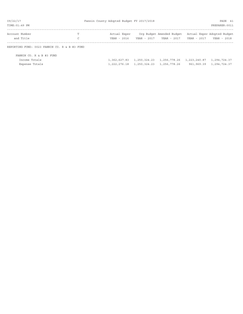| 09/22/17                                      |   | Fannin County Adopted Budget FY 2017/2018 |              |                           |             | PAGE 41                     |
|-----------------------------------------------|---|-------------------------------------------|--------------|---------------------------|-------------|-----------------------------|
| TIME: 01:49 PM                                |   |                                           |              |                           |             | PREPARER: 0011              |
| Account Number                                | т | Actual Exper                              |              | Org Budget Amended Budget |             | Actual Exper Adopted Budget |
| and Title                                     | C | YEAR - 2016                               | YEAR - 2017  | YEAR - 2017               | YEAR - 2017 | YEAR - 2018                 |
| REPORTING FUND: 0023 FANNIN CO. R & B #3 FUND |   |                                           |              |                           |             |                             |
| FANNIN CO. R & B #3 FUND                      |   |                                           |              |                           |             |                             |
| Income Totals                                 |   | 1,362,627.83                              | 1,250,324.23 | 1,256,778.26 1,223,240.87 |             | 1,294,724.37                |
| Expense Totals                                |   | 1,222,276.18                              | 1,250,324.23 | 1,256,778.26              |             | 961,969.39 1,294,724.37     |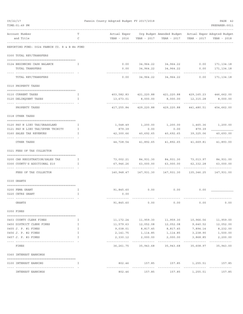| 09/22/17 |                                                              |                   | Fannin County Adopted Budget FY 2017/2018 |               |                                                                                                        |                          | PAGE 42                   |
|----------|--------------------------------------------------------------|-------------------|-------------------------------------------|---------------|--------------------------------------------------------------------------------------------------------|--------------------------|---------------------------|
|          | TIME: 01:49 PM                                               |                   |                                           |               |                                                                                                        |                          | PREPARER: 0011            |
|          | Account Number<br>and Title                                  | т<br>$\mathsf{C}$ |                                           |               | Actual Exper Org Budget Amended Budget Actual Exper Adopted Budget                                     | YEAR - 2017              | YEAR - 2018               |
|          | -----------<br>REPORTING FUND: 0024 FANNIN CO. R & B #4 FUND |                   |                                           |               |                                                                                                        |                          |                           |
|          | 0300 TOTAL REV/TRANSFERS                                     |                   |                                           |               |                                                                                                        |                          |                           |
|          | 0124 BEGINNING CASH BALANCE                                  | I.                |                                           |               | $0.00$ $34,964.22$ $34,964.22$ $0.00$ $171,134.18$                                                     |                          |                           |
|          | TOTAL TRANSFERS<br>-------------------------------           |                   | 0.00<br>---------                         | 34,964.22     | 34,964.22                                                                                              | 0.00                     | 171,134.18<br>----------- |
|          | TOTAL REV/TRANSFERS                                          |                   | 0.00                                      |               | 34,964.22 34,964.22 0.00                                                                               |                          | 171, 134. 18              |
|          | 0310 PROPERTY TAXES                                          |                   |                                           |               |                                                                                                        |                          |                           |
|          | 0110 CURRENT TAXES                                           | I.                |                                           |               | 403,582.83 421,220.88 421,220.88 429,165.23 446,662.00                                                 |                          |                           |
|          | 0120 DELINQUENT TAXES                                        | $\mathbf{I}$      | ------------- --------------              |               | $13,673.01$ 8,000.00 8,000.00 12,315.28 8,000.00<br>-------------                                      |                          |                           |
|          | --------------------<br>PROPERTY TAXES                       |                   |                                           |               | 417, 255.84 429, 220.88 429, 220.88 441, 480.51 454, 662.00                                            | -------------            | _____________             |
|          | 0318 OTHER TAXES                                             |                   |                                           |               |                                                                                                        |                          |                           |
|          | 0120 PAY N LIEU TAX/GRASSLAND                                | $\mathbf{I}$      |                                           |               | $1,548.49 \qquad \qquad 1,200.00 \qquad \qquad 1,200.00 \qquad \qquad 1,465.36 \qquad \qquad 1,200.00$ |                          |                           |
|          | 0121 PAY N LIEU TAX/UPPER TRINITY                            | I                 | 879.39                                    | 0.00          | 0.00                                                                                                   | 879.39                   |                           |
|          | 0160 SALES TAX REVENUES                                      | $\mathbf{I}$      | 42,300.66                                 | 40,692.65     | 40,692.65                                                                                              | 39,325.06                | 40,693.00                 |
|          | -- ------------------------<br>OTHER TAXES                   |                   | ---------------                           | _____________ | .<br>44,728.54 41,892.65 41,892.65 41,669.81 41,893.00                                                 | ------------             |                           |
|          | 0321 FEES OF TAX COLLECTOR                                   |                   |                                           |               |                                                                                                        |                          |                           |
|          | 0200 CAR REGISTRATION/SALES TAX                              | $\mathbb{I}$      |                                           |               | 73,002.21 84,931.30 84,931.30 73,013.97 84,931.00                                                      |                          |                           |
|          | 0300 COUNTY'S ADDITIONAL \$10                                | I                 |                                           |               | $67,946.26$ $63,000.00$ $63,000.00$ $62,332.28$                                                        |                          | 63,000.00                 |
|          | FEES OF TAX COLLECTOR                                        |                   |                                           |               | 140,948.47  147,931.30  147,931.30  135,346.25  147,931.00                                             |                          |                           |
|          | 0330 GRANTS                                                  |                   |                                           |               |                                                                                                        |                          |                           |
|          |                                                              |                   |                                           |               |                                                                                                        |                          |                           |
|          | 0200 FEMA GRANT<br>0220 CETRZ GRANT                          | Ι.                | 91,845.60                                 | 0.00          | 0.00                                                                                                   | 0.00                     |                           |
|          |                                                              | Ι.                | 0.00                                      |               |                                                                                                        |                          |                           |
|          | GRANTS                                                       |                   | 91,845.60                                 | 0.00          | 0.00                                                                                                   | 0.00                     | 0.00                      |
|          | 0350 FINES                                                   |                   |                                           |               |                                                                                                        |                          |                           |
|          | 0403 COUNTY CLERK FINES                                      | I.                | 11,172.24                                 | 11,959.30     | 11,959.30                                                                                              | 10,966.56                | 11,959.00                 |
|          | 0450 DISTRICT CLERK FINES                                    | Ι.                | 11,579.63                                 | 12,052.08     | 12,052.08                                                                                              | 9,640.52                 | 12,052.00                 |
|          | 0455 J. P. #1 FINES                                          | $\mathbf I$       | 9,038.01                                  | 8,817.45      | 8,817.45                                                                                               | 7,894.14                 | 8,232.00                  |
|          | 0456 J. P. #2 FINES                                          | Ι.                | 2,141.75                                  | 1,114.85      | 1,114.85                                                                                               | 3,238.90                 | 1,500.00                  |
|          | 0457 J. P. #3 FINES                                          | I                 | 2,330.12                                  | 2,000.00      | 2,000.00<br>------------                                                                               | 3,868.85<br>. <i>.</i> . | 2,200.00<br>------------- |
|          | FINES                                                        |                   | 36,261.75                                 | 35,943.68     | 35,943.68                                                                                              | 35,608.97                | 35,943.00                 |
|          | 0360 INTEREST EARNINGS                                       |                   |                                           |               |                                                                                                        |                          |                           |
|          | 0100 INTEREST EARNING<br>--------------                      | I                 | 802.46<br>----------                      | 157.85        | 157.85                                                                                                 | 1,255.51                 | 157.85<br>. <u>.</u> .    |
|          | INTEREST EARNINGS                                            |                   | 802.46                                    | 157.85        | 157.85                                                                                                 | 1,255.51                 | 157.85                    |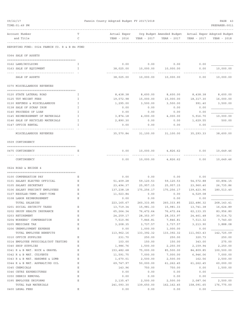| 09/22/17<br>TIME: 01:49 PM                 |                                               |             | Fannin County Adopted Budget FY 2017/2018 |                     |                                                                        |                    | PAGE 43<br>PREPARER: 0011 |
|--------------------------------------------|-----------------------------------------------|-------------|-------------------------------------------|---------------------|------------------------------------------------------------------------|--------------------|---------------------------|
| Account Number<br>and Title                |                                               | т<br>C      | Actual Exper<br>YEAR - 2016               | YEAR - 2017         | Org Budget Amended Budget - Actual Exper Adopted Budget<br>YEAR - 2017 | YEAR - 2017        | YEAR - 2018               |
|                                            | REPORTING FUND: 0024 FANNIN CO. R & B #4 FUND |             |                                           |                     |                                                                        |                    |                           |
| 0364 SALE OF ASSETS                        |                                               |             |                                           |                     |                                                                        |                    |                           |
| 0162 LAND/BUILDING                         |                                               | I           | 0.00                                      |                     | $0.00$ 0.00                                                            | 0.00               |                           |
| 0163 SALE OF EQUIPMENT                     |                                               | I.          | 38,025.00                                 | 10,000.00           | 10,000.00                                                              | 0.00               | 10,000.00                 |
| SALE OF ASSETS                             |                                               |             | 38,025.00                                 | 10,000.00           | 10,000.00                                                              | 0.00               | 10,000.00                 |
| 0370 MISCELLANEOUS REVENUES                |                                               |             |                                           |                     |                                                                        |                    |                           |
| 0120 STATE LATERAL ROAD                    |                                               | I           | 8,438.38                                  | 8,600.00            | 8,600.00                                                               |                    | 8,438.38 8,600.00         |
| 0125 TDT WEIGHT FEES                       |                                               | I           | 19,072.98                                 | 15,000.00           | 15,000.00                                                              | 18,317.30          | 16,000.00                 |
| 0130 REFUNDS & MISCELLANEOUS               |                                               | Ι           | 1,295.00                                  | 3,500.00            | 3,500.00                                                               | 991.40             | 3,500.00                  |
| 0138 SALE OF SCRAP IRON                    |                                               | I           | 0.00                                      | 0.00                | 0.00                                                                   | 0.00               |                           |
| 0140 PROCEEDS OF LOAN                      |                                               | I           | 0.00                                      | 0.00                | 0.00                                                                   | 0.00               |                           |
| 0145 REIMBURSEMENT OF MATERIALS            |                                               | I           | 3,874.18                                  | 4,000.00            | 4,000.00                                                               | 5,916.70           | 10,000.00                 |
| 0146 SALE OF RECYCLED MATERIALS            |                                               | I           | 2,890.30                                  | 0.00                | 0.00                                                                   | 1,629.55           | 500.00                    |
| 0147 OFFICE RENTAL                         |                                               | I           | 0.00                                      | 0.00                | 0.00                                                                   | 0.00               |                           |
|                                            | MISCELLANEOUS REVENUES                        |             | 35,570.84                                 | 31,100.00           | 31,100.00                                                              | 35,293.33          | 38,600.00                 |
| 0509 CONTINGENCY                           |                                               |             |                                           |                     |                                                                        |                    |                           |
| 0475 CONTINGENCY                           |                                               | Е           | 0.00                                      | 10,000.00           | 4,826.62                                                               | 0.00               | 10,649.46                 |
|                                            |                                               |             |                                           |                     |                                                                        |                    |                           |
| CONTINGENCY                                |                                               |             | 0.00                                      | 10,000.00           | 4,826.62                                                               | 0.00               | 10,649.46                 |
| 0624 ROAD & BRIDGE 4                       |                                               |             |                                           |                     |                                                                        |                    |                           |
|                                            |                                               |             |                                           |                     |                                                                        |                    |                           |
| 0100 COMPENSATION PAY                      |                                               | Е           | 0.00                                      | 0.00                | 0.00                                                                   | 0.00               |                           |
| 0101 SALARY ELECTED OFFICIAL               |                                               | Ε           | 51,409.28                                 | 59,120.53           | 59,120.53                                                              | 54,572.88          | 60,894.15                 |
| 0105 SALARY SECRETARY                      |                                               | Е           | 23,494.37                                 | 25,957.15           | 25,957.15                                                              | 23,960.40          | 26,735.86                 |
| 0106 SALARY PRECINCT EMPLOYEES             |                                               | Ε           | 137,238.18                                | 175,256.17          | 175,256.17                                                             | 139,423.96         | 180,513.40                |
| 0107 REGULAR-TEMP. PART-TIME               |                                               | Ε<br>Ε      | 11,023.84                                 | 0.00                | 0.00                                                                   | 4,529.08           |                           |
| 0108 LABOR REIMBURSEMENT<br>TOTAL SALARIES |                                               |             | 0.00<br>223, 165.67                       | 0.00<br>260, 333.85 | 0.00<br>260, 333.85                                                    | 0.00<br>222,486.32 | 268, 143.41               |
| 0201 SOCIAL SECURITY TAXES                 |                                               | Ε           | 13,719.34                                 | 15,981.33           | 15,981.33                                                              | 13,741.38          | 16,624.89                 |
| 0202 GROUP HEALTH INSURANCE                |                                               | Ε           | 65,264.34                                 | 76,472.64           | 76,472.64                                                              | 62, 133.35         | 83,956.80                 |
| 0203 RETIREMENT                            |                                               | Ε           | 24, 259.17                                | 28, 353.97          | 28, 353.97                                                             | 24, 461.48         | 30,514.72                 |
| 0204 WORKERS' COMPENSATION                 |                                               | $\mathbf E$ | 7,510.96                                  | 7,846.81            | 7,846.81                                                               | 7,513.32           | 7,740.60                  |
| 0205 MEDICARE TAX                          |                                               | $\mathbf E$ | 3,208.35                                  | 3,737.57            | 3,737.57                                                               | 3,213.90           | 3,888.08                  |
| 0206 UNEMPLOYMENT EXPENSE                  |                                               | Ε           | 0.00                                      | 1,000.00            | 1,000.00                                                               | 0.00               |                           |
|                                            | TOTAL EMPLOYEE BENEFITS                       |             | 113,962.16                                | 133, 392.32         | 133, 392.32                                                            | 111,063.43         | 142,725.09                |
| 0310 OFFICE SUPPLIES                       |                                               | Ε           | 231.70                                    | 250.00              | 250.00                                                                 | 320.73             | 250.00                    |
|                                            | 0314 EMPLOYEE PHYSICALS/DOT TESTING           | Ε           | 103.00                                    | 150.00              | 150.00                                                                 | 343.00             | 275.00                    |
| 0340 SHOP SUPPLIES                         |                                               | Ε           | 1,986.76                                  | 1,500.00            | 2,250.00                                                               | 2,159.94           | 2,250.00                  |
| 0341 R & B MAT. ROCK & GRAVEL              |                                               | $\mathbf E$ | 153,482.68                                | 75,000.00           | 85,500.00                                                              | 84,809.85          | 100,500.00                |
| 0342 R & B MAT. CULVERTS                   |                                               | Ε           | 11,591.75                                 | 7,000.00            | 7,000.00                                                               | 6,946.06           | 7,000.00                  |
| 0343 R & B MAT. HARDWRE & LUMB             |                                               | Ε           | 1,670.01                                  | 2,500.00            | 2,500.00                                                               | 162.56             | 2,500.00                  |
| 0344 R & B MAT. ASPHALT/RD OIL             |                                               | Ε           | 69,747.97                                 | 50,000.00           | 61,262.45                                                              | 61,262.45          | 60,000.00                 |
| 0345 CHEMICALS                             |                                               | Ε           | 143.96                                    | 750.00              | 750.00                                                                 | 0.00               | 1,500.00                  |
| 0346 CETRZ EXPENDITURES                    |                                               | $\mathbf E$ | 0.00                                      | 0.00                | 0.00                                                                   | 0.00               |                           |
| 0350 DEBRIS REMOVAL                        |                                               | Ε           | 0.00                                      | 0.00                | 0.00                                                                   | 0.00               |                           |
| 0395 EMPLOYEE UNIFORMS                     |                                               | Ε           | 2,135.47                                  | 2,500.00            | 2,500.00                                                               | 2,087.06           | 2,500.00                  |
| TOTAL R&B MATERIALS                        |                                               |             | 241,093.30                                | 139,650.00          | 162, 162.45                                                            | 158,091.65         | 176,775.00                |
| 0400 LEGAL FEES                            |                                               | Ε           | 0.00                                      | 0.00                | 0.00                                                                   | 0.00               |                           |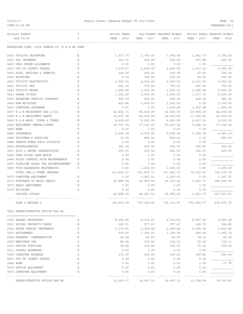| 09/22/17                                      | Fannin County Adopted Budget FY 2017/2018 |              |                       |                           |             |                             |  |  |
|-----------------------------------------------|-------------------------------------------|--------------|-----------------------|---------------------------|-------------|-----------------------------|--|--|
| TIME: 01:49 PM                                |                                           |              |                       |                           |             | PREPARER: 0011              |  |  |
| Account Number                                | Т                                         | Actual Exper |                       | Org Budget Amended Budget |             | Actual Exper Adopted Budget |  |  |
| and Title                                     | C                                         | YEAR - 2016  | YEAR - 2017           | YEAR - 2017               | YEAR - 2017 | YEAR - 2018                 |  |  |
| REPORTING FUND: 0024 FANNIN CO. R & B #4 FUND |                                           |              |                       |                           |             |                             |  |  |
| 0420 UTILITY TELEPHONE                        | Ε                                         | 1,537.77     | 1,700.00              | 1,700.00                  | 1,441.77    | 1,700.00                    |  |  |
| 0421 DSL INTERNET                             | E                                         | 561.75       | 600.00                | 600.00                    | 507.88      | 600.00                      |  |  |
| 0423 CELL PHONE ALLOWANCE                     | E                                         | 0.00         | 0.00                  | 0.00                      | 0.00        |                             |  |  |
| 0427 OUT OF COUNTY TRAVEL                     | Ε                                         | 3,219.27     | 4,600.00              | 4,600.00                  | 1,517.63    | 4,600.00                    |  |  |
| 0430 BIDS, NOTICES & PERMITS                  | Ε                                         | 226.34       | 200.00                | 200.00                    | 47.25       | 200.00                      |  |  |
| 0435 PRINTING                                 | Ε                                         | 0.00         | 100.00                | 100.00                    | 58.50       | 100.00                      |  |  |
| 0440 UTILITY ELECTRICITY                      | Ε                                         | 2,525.06     | 4,000.00              | 4,000.00                  | 2,411.59    | 4,000.00                    |  |  |
| 0441 UTILITY GAS                              | E                                         | 662.10       | 750.00                | 750.00                    | 681.04      | 750.00                      |  |  |
| 0442 UTILITY WATER                            | Ε                                         | 1,550.80     | 1,500.00              | 1,500.00                  | 2,568.08    | 2,500.00                    |  |  |
| 0443 TRASH PICKUP                             | $\mathbf E$                               | 1,303.29     | 2,500.00              | 2,500.00                  | 1,317.72    | 2,500.00                    |  |  |
| 0447 REPEATER SERVICE CONTRACT                | Ε                                         | 593.00       | 666.35                | 666.35                    | 666.34      | 682.32                      |  |  |
| 0450 R&M BUILDING                             | Ε                                         | 832.84       | 2,000.00              | 2,000.00                  | 0.00        | 2,000.00                    |  |  |
| 0453 COMPUTER SOFTWARE                        | E                                         | 0.00         | 0.00                  | 1,479.48                  | 1,479.48    | 1,044.00                    |  |  |
| 0457 R & M MACHINERY GAS & OIL                | Ε                                         | 42,802.71    | 55,000.00             | 44,500.00                 | 33,855.30   | 44,500.00                   |  |  |
| 0458 R & M MACHINERY PARTS                    | Ε                                         | 23, 271.38   | 20,000.00             | 20,000.00                 | 17, 154.40  | 20,000.00                   |  |  |
| 0459 R & M MACH. TIRES & TUBES                | Ε                                         | 9,409.02     | 8,000.00              | 8,000.00                  | 6,657.16    | 9,000.00                    |  |  |
| 0460 EQUIPMENT RENTAL/LEASE                   | Ε                                         | 16,751.00    | 17,103.42             | 20,047.32                 | 3,296.32    | 17,103.42                   |  |  |
| 0480 BOND                                     | E                                         | 0.00         | 0.00                  | 0.00                      | 0.00        |                             |  |  |
| 0482 INSURANCE                                | Ε                                         | 5,654.00     | 6,000.00              | 6,000.00                  | 5,262.24    | 6,000.00                    |  |  |
| 0485 PRISONER'S SUPPLIES                      | Ε                                         | 91.00        | 800.00                | 800.00                    | 0.00        | 800.00                      |  |  |
| FANNIN RURAL RAIL DISTRICT<br>0488            | Ε                                         | 0.00         | 0.00                  | 0.00                      | 0.00        |                             |  |  |
| 0490 MISCELLANEOUS                            | Ε                                         | 263.14       | 500.00                | 500.00                    | 166.50      | 500.00                      |  |  |
| 0491 SOIL & WATER CONSERVATION                | Ε                                         | 250.00       | 250.00                | 250.00                    | 250.00      | 250.00                      |  |  |
| 0492 TDRA FLOOD CASH MATCH                    | Ε                                         | 0.00         | 0.00                  | 0.00                      | 0.00        |                             |  |  |
| 0494 FLOOD CONTROL SITE MAINTENANCE           | Ε                                         | 0.00         | 0.00                  | 0.00                      | 0.00        |                             |  |  |
| 0495 PIPELINE SALES TAX REIMBURSEMENT         | Ε                                         | 0.00         | 0.00                  | 0.00                      | 0.00        |                             |  |  |
| 0496 TCOG HAZARDOUS WASTEMATCH                | Ε                                         | 0.00         | 1,250.00              | 1,250.00                  | 0.00        | 1,250.00                    |  |  |
| TOTAL SER. & OTHER CHARGES                    |                                           | 111,504.47   | 127,519.77            | 121, 443. 15              | 79,339.20   | 120,079.74                  |  |  |
| 0570 COMPUTER EQUIPMENT                       | Ε                                         | 0.00         | 1,247.51              | 1,247.51                  | 0.00        | 1,247.51                    |  |  |
| 0571 PURCHASE OF MACH./EQUIP.                 | Ε                                         | 42,886.99    | 45,000.00             | 33,737.55                 | 2,402.77    | 166,000.00                  |  |  |
| 0573 RADIO EQUIPMENT                          | Ε                                         | 0.00         | 0.00                  | 0.00                      | 0.00        |                             |  |  |
| 0575 BUILDING                                 | $\mathbf E$                               | 0.00         | 0.00                  | 0.00                      | 0.00        |                             |  |  |
| CAPITAL OUTLAY                                |                                           | 42,886.99    | 46, 247.51            | 34,985.06                 | 2,402.77    | 167, 247.51                 |  |  |
| ROAD & BRIDGE 4                               |                                           |              | 732,612.59 707,143.45 | 712,316.83                |             | 573, 383.37 874, 970.75     |  |  |
| 0625 ADMINISTRATIVE OFFICE R&B #4             |                                           |              |                       |                           |             |                             |  |  |
| 0105 SALARY SECRETARY                         | Е                                         | 8,392.85     | 9,314.05              | 9,314.05                  | 8,597.52    | 9,593.48                    |  |  |
| 0201 SOCIAL SECURITY TAXES                    | Е                                         | 380.51       | 577.47                | 577.47                    | 398.72      | 594.80                      |  |  |
| 0202 GROUP HEALTH INSURANCE                   | Ε                                         | 2,275.50     | 2,369.44              | 2,369.44                  | 2,190.54    | 2,623.65                    |  |  |
| 0203 RETIREMENT                               | Ε                                         | 915.00       | 1,024.55              | 1,024.55                  | 945.42      | 1,091.74                    |  |  |
| 0204 WORKERS' COMPENSATION                    | Ε                                         | 42.34        | 46.57                 | 46.57                     | 39.12       | 40.29                       |  |  |
| 0205 MEDICARE TAX                             | Ε                                         | 89.06        | 135.05                | 135.05                    | 93.26       | 139.11                      |  |  |
| 0310 OFFICE SUPPLIES                          | Ε                                         | 36.66        | 100.00                | 100.00                    | 70.14       | 100.00                      |  |  |
| 0311 POSTAL EXPENSES                          | Ε                                         | 0.00         | 0.00                  | 0.00                      | 0.00        |                             |  |  |
| 0353 COMPUTER EXPENSE                         | Ε                                         | 371.25       | 500.00                | 500.00                    | 389.82      | 500.00                      |  |  |
| 0427 OUT OF COUNTY TRAVEL                     | Ε                                         | 0.00         | 0.00                  | 0.00                      | 0.00        |                             |  |  |
| 0480 BOND                                     | Ε                                         | 0.00         | 0.00                  | 0.00                      | 0.00        | 17.75                       |  |  |
| 0572 OFFICE EQUIPMENT                         | Ε                                         | 0.00         | 0.00                  | 0.00                      | 0.00        |                             |  |  |
| 0574 COMPUTER EQUIPMENT                       | Ε                                         | 0.00         | 0.00                  | 0.00                      | 0.00        |                             |  |  |
|                                               |                                           |              |                       |                           |             |                             |  |  |
| ADMINISTRATIVE OFFICE R&B #4                  |                                           | 12,503.17    | 14,067.13             | 14,067.13                 | 12,724.54   | 14,700.82                   |  |  |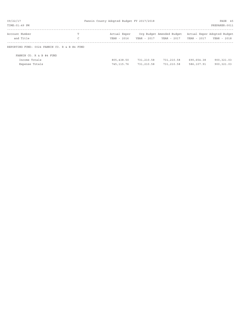| 09/22/17                                      |   | Fannin County Adopted Budget FY 2017/2018 |             |                           |             | PAGE 45                     |
|-----------------------------------------------|---|-------------------------------------------|-------------|---------------------------|-------------|-----------------------------|
| TIME: 01:49 PM                                |   |                                           |             |                           |             | PREPARER: 0011              |
| Account Number                                | T | Actual Exper                              |             | Org Budget Amended Budget |             | Actual Exper Adopted Budget |
| and Title                                     | C | YEAR - 2016                               | YEAR - 2017 | YEAR - 2017               | YEAR - 2017 | YEAR - 2018                 |
| REPORTING FUND: 0024 FANNIN CO. R & B #4 FUND |   |                                           |             |                           |             |                             |
| FANNIN CO. R & B #4 FUND                      |   |                                           |             |                           |             |                             |
| Income Totals                                 |   | 805,438.50                                | 731,210.58  | 731,210.58                | 690,654.38  | 900,321.03                  |
| Expense Totals                                |   | 745, 115.76                               | 731,210.58  | 731,210.58                | 586,107.91  | 900, 321.03                 |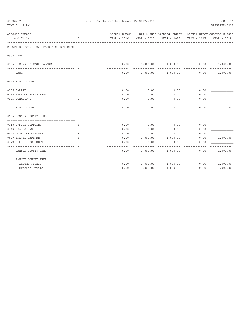| 09/22/17 | TIME: 01:49 PM                          |              | Fannin County Adopted Budget FY 2017/2018 |      |          |                                                                    |             | PAGE 46<br>PREPARER: 0011 |
|----------|-----------------------------------------|--------------|-------------------------------------------|------|----------|--------------------------------------------------------------------|-------------|---------------------------|
|          | Account Number                          | T            |                                           |      |          | Actual Exper Org Budget Amended Budget Actual Exper Adopted Budget |             |                           |
|          | and Title                               | $\mathsf{C}$ |                                           |      |          | YEAR - 2016  YEAR - 2017  YEAR - 2017                              | YEAR - 2017 | YEAR - 2018               |
|          | REPORTING FUND: 0025 FANNIN COUNTY BEES |              |                                           |      |          |                                                                    |             |                           |
|          | 0300 CASH                               |              |                                           |      |          |                                                                    |             |                           |
|          |                                         |              |                                           |      |          |                                                                    |             |                           |
|          | 0125 BEGINNING CASH BALANCE             | $\mathbb{I}$ |                                           | 0.00 |          | 1,000.00 1,000.00                                                  | 0.00        | 1,000.00                  |
|          | CASH                                    |              |                                           | 0.00 |          | $1,000.00$ $1,000.00$                                              | 0.00        | 1,000.00                  |
|          | 0370 MISC. INCOME                       |              |                                           |      |          |                                                                    |             |                           |
|          | 0105 SALARY                             |              |                                           | 0.00 | 0.00     | 0.00                                                               | 0.00        |                           |
|          | 0138 SALE OF SCRAP IRON                 | $\mathbf{T}$ |                                           | 0.00 | 0.00     | 0.00                                                               | 0.00        |                           |
|          | 0625 DONATIONS                          | I            |                                           | 0.00 | 0.00     | 0.00                                                               | 0.00        |                           |
|          | MISC. INCOME                            |              |                                           | 0.00 | 0.00     | 0.00                                                               | 0.00        | 0.00                      |
|          | 0625 FANNIN COUNTY BEES                 |              |                                           |      |          |                                                                    |             |                           |
|          | 0310 OFFICE SUPPLIES                    | Ε            |                                           | 0.00 | 0.00     | 0.00                                                               | 0.00        |                           |
|          | 0343 ROAD SIGNS                         | Е            |                                           | 0.00 | 0.00     | 0.00                                                               | 0.00        |                           |
|          | 0353 COMPUTER EXPENSE                   | Ε            |                                           | 0.00 | 0.00     | 0.00                                                               | 0.00        |                           |
|          | 0427 TRAVEL EXPENSE                     | Ε            |                                           | 0.00 | 1,000.00 | 1,000.00                                                           | 0.00        | 1,000.00                  |
|          | 0572 OFFICE EQUIPMENT                   | E.           |                                           | 0.00 | 0.00     | 0.00                                                               | 0.00        |                           |
|          | FANNIN COUNTY BEES                      |              |                                           | 0.00 |          | 1,000.00 1,000.00                                                  | 0.00        | 1,000.00                  |
|          | FANNIN COUNTY BEES                      |              |                                           |      |          |                                                                    |             |                           |
|          | Income Totals                           |              |                                           | 0.00 |          | 1,000.00 1,000.00                                                  | 0.00        | 1,000.00                  |
|          | Expense Totals                          |              |                                           | 0.00 | 1,000.00 | 1,000.00                                                           | 0.00        | 1,000.00                  |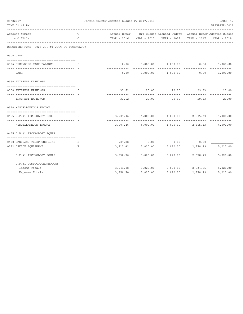| 09/22/17<br>TIME: 01:49 PM                                       |               | Fannin County Adopted Budget FY 2017/2018<br>PAGE 47<br>PREPARER: 0011 |             |                                                                    |                         |             |  |  |  |
|------------------------------------------------------------------|---------------|------------------------------------------------------------------------|-------------|--------------------------------------------------------------------|-------------------------|-------------|--|--|--|
| Account Number                                                   | T             |                                                                        |             | Actual Exper Org Budget Amended Budget Actual Exper Adopted Budget |                         |             |  |  |  |
| and Title                                                        | $\mathcal{C}$ |                                                                        |             | YEAR - 2016 YEAR - 2017 YEAR - 2017 YEAR - 2017                    |                         | YEAR - 2018 |  |  |  |
| REPORTING FUND: 0026 J.P.#1 JUST.CT.TECHNOLOGY                   |               |                                                                        |             |                                                                    |                         |             |  |  |  |
| 0300 CASH                                                        |               |                                                                        |             |                                                                    |                         |             |  |  |  |
|                                                                  |               |                                                                        |             |                                                                    |                         |             |  |  |  |
| 0126 BEGINNING CASH BALANCE                                      | T             |                                                                        |             | $0.00$ $1,000.00$ $1,000.00$ $0.00$ $1,000.00$                     |                         |             |  |  |  |
| CASH                                                             |               | 0.00                                                                   |             | 1,000.00 1,000.00 0.00                                             |                         | 1,000.00    |  |  |  |
| 0360 INTEREST EARNINGS                                           |               |                                                                        |             |                                                                    |                         |             |  |  |  |
| 0100 INTEREST EARNINGS                                           | T.            |                                                                        | 33.62 20.00 | 20.00                                                              |                         | 29.33 20.00 |  |  |  |
| INTEREST EARNINGS                                                |               | 33.62                                                                  | 20.00       | 20.00                                                              | 29.33                   | 20.00       |  |  |  |
| 0370 MISCELLANEOUS INCOME                                        |               |                                                                        |             |                                                                    |                         |             |  |  |  |
| 0455 J.P.#1 TECHNOLOGY FEES                                      | $\top$        | 3,907.46                                                               | 4,000.00    | 4,000.00 2,505.33                                                  |                         | 4,000.00    |  |  |  |
| MISCELLANEOUS INCOME                                             |               |                                                                        |             | 3,907.46 4,000.00 4,000.00 2,505.33                                |                         | 4,000.00    |  |  |  |
| 0455 J.P.#1 TECHNOLOGY EQUIP.                                    |               |                                                                        |             |                                                                    |                         |             |  |  |  |
| 0420 OMNIBASE TELEPHONE LINE                                     | E             | 737.28                                                                 | 0.00        | 0.00                                                               | 0.00                    |             |  |  |  |
| 0572 OFFICE EQUIPMENT                                            | Е             | 3, 213.42                                                              | 5,020.00    | 5,020.00                                                           | 2,878.79                | 5,020.00    |  |  |  |
| ------------------------------------<br>J.P.#1 TECHNOLOGY EQUIP. |               | -----------<br>3,950.70                                                | 5,020.00    | ----------<br>5,020.00                                             | -----------<br>2,878.79 | 5,020.00    |  |  |  |
| J.P.#1 JUST.CT.TECHNOLOGY                                        |               |                                                                        |             |                                                                    |                         |             |  |  |  |
| Income Totals                                                    |               | 3,941.08                                                               | 5,020.00    | 5,020.00 2,534.66                                                  |                         | 5,020.00    |  |  |  |
| Expense Totals                                                   |               | 3,950.70                                                               | 5,020.00    | 5,020.00                                                           | 2,878.79                | 5,020.00    |  |  |  |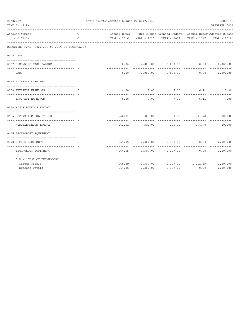| 09/22/17 | TIME: 01:49 PM                                                                     |                   | Fannin County Adopted Budget FY 2017/2018 |             |                                                                                                                                       |           | PAGE 48<br>PREPARER: 0011                     |
|----------|------------------------------------------------------------------------------------|-------------------|-------------------------------------------|-------------|---------------------------------------------------------------------------------------------------------------------------------------|-----------|-----------------------------------------------|
|          | Account Number<br>and Title                                                        | T<br>$\mathsf{C}$ |                                           |             | Actual Exper Org Budget Amended Budget Actual Exper Adopted Budget<br>YEAR - 2016  YEAR - 2017  YEAR - 2017  YEAR - 2017  YEAR - 2018 |           |                                               |
|          | ------------<br>REPORTING FUND: 0027 J.P.#2 JUST.CT.TECHNOLOGY                     |                   |                                           |             |                                                                                                                                       |           |                                               |
|          | 0300 CASH                                                                          |                   |                                           |             |                                                                                                                                       |           |                                               |
|          | 0127 BEGINNING CASH BALANCE<br>. The contract of the state $\mathbf{T}_\mathrm{c}$ |                   |                                           |             | $0.00$ $2,000.00$ $2,000.00$ $0.00$                                                                                                   |           | 2,000.00                                      |
|          | CASH                                                                               |                   |                                           |             | $0.00$ 2,000.00 2,000.00                                                                                                              | 0.00      | <u> - - - - - - - - - - - - -</u><br>2,000.00 |
|          | 0360 INTEREST EARNINGS                                                             |                   |                                           |             |                                                                                                                                       |           |                                               |
|          | 0100 INTEREST EARNINGS                                                             | T                 |                                           | 6.88 7.00   | 7.00 6.41 7.00                                                                                                                        |           |                                               |
|          | INTEREST EARNINGS                                                                  |                   | -----------<br>6.88                       | .<br>7.00   | ------------<br>7.00                                                                                                                  | .<br>6.41 | 7.00                                          |
|          | 0370 MISCELLANEOUS INCOME                                                          |                   |                                           |             |                                                                                                                                       |           |                                               |
|          | 0456 J.P.#2 TECHNOLOGY FEES<br>$\mathbf{I}$ and $\mathbf{I}$ and $\mathbf{I}$      |                   |                                           |             | 962.01 300.00 300.00 994.78 400.00                                                                                                    |           |                                               |
|          | ------------------------------------<br>MISCELLANEOUS INCOME                       |                   |                                           | ----------- | 962.01 300.00 300.00 994.78 400.00                                                                                                    |           |                                               |
|          | 0456 TECHNOLOGY EQUIPMENT                                                          |                   |                                           |             |                                                                                                                                       |           |                                               |
|          | 0572 OFFICE EQUIPMENT<br>-------------------------------                           | E                 |                                           |             | 264.05 2,307.00 2,307.00 0.00                                                                                                         |           | 2,407.00<br>------------                      |
|          | TECHNOLOGY EQUIPMENT                                                               |                   |                                           |             | 264.05 2,307.00 2,307.00 0.00                                                                                                         |           | 2,407.00                                      |
|          | J.P.#2 JUST.CT.TECHNOLOGY                                                          |                   |                                           |             |                                                                                                                                       |           |                                               |
|          | Income Totals                                                                      |                   |                                           |             | 968.89 2,307.00 2,307.00 1,001.19                                                                                                     |           | 2,407.00                                      |
|          | Expense Totals                                                                     |                   | 264.05                                    | 2,307.00    | 2,307.00                                                                                                                              | 0.00      | 2,407.00                                      |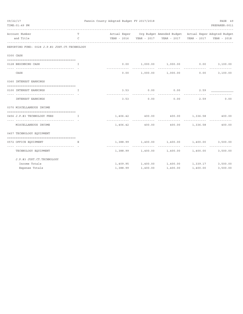| 09/22/17 | TIME: 01:49 PM                                                                                 |              | Fannin County Adopted Budget FY 2017/2018 |                  |                                                                    |          | PAGE 49<br>PREPARER: 0011 |
|----------|------------------------------------------------------------------------------------------------|--------------|-------------------------------------------|------------------|--------------------------------------------------------------------|----------|---------------------------|
|          | Account Number                                                                                 | T            |                                           |                  | Actual Exper Org Budget Amended Budget Actual Exper Adopted Budget |          |                           |
|          | and Title<br>------------------------                                                          | $\mathsf{C}$ |                                           |                  | YEAR - 2016  YEAR - 2017  YEAR - 2017  YEAR - 2017  YEAR - 2018    |          |                           |
|          | REPORTING FUND: 0028 J.P.#3 JUST.CT.TECHNOLOGY                                                 |              |                                           |                  |                                                                    |          |                           |
|          | 0300 CASH                                                                                      |              |                                           |                  |                                                                    |          |                           |
|          | 0128 BEGINNING CASH                                                                            | $\mathbb{I}$ |                                           |                  | $0.00$ $1,000.00$ $1,000.00$ $0.00$                                |          | 3,100.00                  |
|          | CASH                                                                                           |              |                                           |                  | $0.00$ 1,000.00 1,000.00                                           | 0.00     | -------------<br>3,100.00 |
|          | 0360 INTEREST EARNINGS                                                                         |              |                                           |                  |                                                                    |          |                           |
|          | 0100 INTEREST EARNINGS                                                                         | T            |                                           | $3.53$ 0.00      | 0.00                                                               | 2.59     |                           |
|          | INTEREST EARNINGS                                                                              |              | -----------                               | .<br>$3.53$ 0.00 | 0.00                                                               | 2.59     | 0.00                      |
|          | 0370 MISCELLANEOUS INCOME                                                                      |              |                                           |                  |                                                                    |          |                           |
|          | 0456 J.P.#3 TECHNOLOGY FEES<br>$\mathbf{I}$ and $\mathbf{I}$ and $\mathbf{I}$ and $\mathbf{I}$ |              |                                           |                  | $1,406.42$ $400.00$ $400.00$ $1,336.58$ $400.00$                   |          |                           |
|          | MISCELLANEOUS INCOME                                                                           |              |                                           |                  | $1,406.42$ $400.00$ $400.00$ $1,336.58$ $400.00$                   |          |                           |
|          | 0457 TECHNOLOGY EQUIPMENT                                                                      |              |                                           |                  |                                                                    |          |                           |
|          | 0572 OFFICE EQUIPMENT<br>--------------------------------                                      | E            |                                           |                  | 1,388.99   1,400.00   1,400.00   1,400.00                          |          | 3,500.00                  |
|          | TECHNOLOGY EQUIPMENT                                                                           |              |                                           |                  | $1,388.99$ $1,400.00$ $1,400.00$ $1,400.00$                        |          | 3,500.00                  |
|          | J.P.#3 JUST.CT.TECHNOLOGY                                                                      |              |                                           |                  |                                                                    |          |                           |
|          | Income Totals                                                                                  |              |                                           |                  | $1,409.95$ $1,400.00$ $1,400.00$ $1,339.17$ $3,500.00$             |          |                           |
|          | Expense Totals                                                                                 |              | 1,388.99                                  | 1,400.00         | 1,400.00                                                           | 1,400.00 | 3,500.00                  |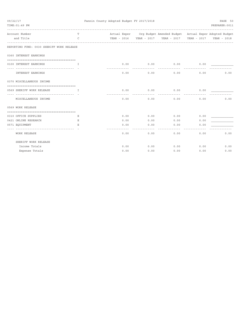| 09/22/17 | TIME: 01:49 PM                                           |              | Fannin County Adopted Budget FY 2017/2018 |                             |                                                                    |             | PAGE 50<br>PREPARER: 0011 |
|----------|----------------------------------------------------------|--------------|-------------------------------------------|-----------------------------|--------------------------------------------------------------------|-------------|---------------------------|
|          |                                                          |              |                                           |                             |                                                                    |             |                           |
|          | Account Number                                           | T            |                                           |                             | Actual Exper Org Budget Amended Budget Actual Exper Adopted Budget |             |                           |
|          | and Title                                                | $\mathsf{C}$ |                                           |                             | YEAR - 2016  YEAR - 2017  YEAR - 2017                              | YEAR - 2017 | YEAR - 2018               |
|          | REPORTING FUND: 0030 SHERIFF WORK RELEASE                |              |                                           |                             |                                                                    |             |                           |
|          | 0360 INTEREST EARNINGS                                   |              |                                           |                             |                                                                    |             |                           |
|          | 0100 INTEREST EARNINGS<br>-----------------              | T            |                                           |                             | $0.00$ $0.00$ $0.00$ $0.00$ $0.00$                                 |             |                           |
|          | INTEREST EARNINGS                                        |              | 0.00                                      | 0.00                        | 0.00                                                               | 0.00        | 0.00                      |
|          | 0370 MISCELLANEOUS INCOME                                |              |                                           |                             |                                                                    |             |                           |
|          | 0569 SHERIFF WORK RELEASE                                | Ι.           | 0.00                                      | 0.00                        | 0.00                                                               | 0.00        |                           |
|          | -------------------------------<br>MISCELLANEOUS INCOME  |              | 0.00                                      | $- - - - - - - - -$<br>0.00 | ----------<br>0.00                                                 | 0.00        | 0.00                      |
|          | 0569 WORK RELEASE                                        |              |                                           |                             |                                                                    |             |                           |
|          | ================================<br>0310 OFFICE SUPPLIES |              | 0.00                                      | 0.00                        | 0.00                                                               | 0.00        |                           |
|          | 0421 ONLINE RESEARCH                                     | Е<br>Е       | 0.00                                      | 0.00                        | 0.00                                                               | 0.00        |                           |
|          | 0571 EQUIPMENT                                           | E.           | 0.00                                      | 0.00                        | 0.00                                                               | 0.00        |                           |
|          |                                                          |              |                                           |                             |                                                                    |             |                           |
|          | <b>WORK RELEASE</b>                                      |              | 0.00                                      | 0.00                        | 0.00                                                               | 0.00        | 0.00                      |
|          | SHERIFF WORK RELEASE                                     |              |                                           |                             |                                                                    |             |                           |
|          | Income Totals                                            |              | 0.00                                      | 0.00                        | 0.00                                                               | 0.00        | 0.00                      |
|          | Expense Totals                                           |              | 0.00                                      | 0.00                        | 0.00                                                               | 0.00        | 0.00                      |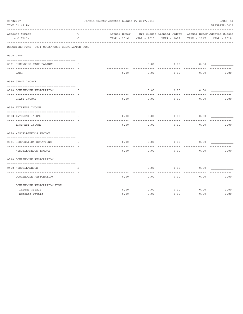| 09/22/17<br>TIME: 01:49 PM                       |             | Fannin County Adopted Budget FY 2017/2018 |             |                           |             | PAGE 51<br>PREPARER: 0011   |
|--------------------------------------------------|-------------|-------------------------------------------|-------------|---------------------------|-------------|-----------------------------|
| Account Number                                   | T           | Actual Exper                              |             | Org Budget Amended Budget |             | Actual Exper Adopted Budget |
| and Title                                        | $\mathsf C$ | YEAR - 2016                               | YEAR - 2017 | YEAR - 2017               | YEAR - 2017 | YEAR - 2018                 |
| REPORTING FUND: 0031 COURTHOUSE RESTORATION FUND |             |                                           |             |                           |             |                             |
| 0300 CASH                                        |             |                                           |             |                           |             |                             |
| 0131 BEGINNING CASH BALANCE                      | I           |                                           | 0.00        | 0.00                      | 0.00        |                             |
| CASH                                             |             | 0.00                                      | 0.00        | 0.00                      | 0.00        | 0.00                        |
| 0330 GRANT INCOME                                |             |                                           |             |                           |             |                             |
| 0510 COURTHOUSE RESTORATION                      | I           |                                           | 0.00        | 0.00                      | 0.00        |                             |
| GRANT INCOME                                     |             | 0.00                                      | 0.00        | 0.00                      | 0.00        | 0.00                        |
| 0360 INTEREST INCOME                             |             |                                           |             |                           |             |                             |
| 0100 INTEREST INCOME                             | I           | 0.00                                      | 0.00        | 0.00                      | 0.00        |                             |
|                                                  |             |                                           |             |                           |             |                             |
| INTEREST INCOME                                  |             | 0.00                                      | 0.00        | 0.00                      | 0.00        | 0.00                        |
| 0370 MISCELLANEOUS INCOME                        |             |                                           |             |                           |             |                             |
|                                                  |             |                                           |             |                           |             |                             |
| 0131 RESTORATION DONATIONS                       | I           | 0.00                                      | 0.00        | 0.00                      | 0.00        |                             |
| MISCELLANEOUS INCOME                             |             | 0.00                                      | 0.00        | 0.00                      | 0.00        | 0.00                        |
| 0510 COURTHOUSE RESTORATION                      |             |                                           |             |                           |             |                             |
| 0490 MISCELLANEOUS                               | Ε           |                                           | 0.00        | 0.00                      | 0.00        |                             |
| COURTHOUSE RESTORATION                           |             | 0.00                                      | 0.00        | 0.00                      | 0.00        | 0.00                        |
| COURTHOUSE RESTORATION FUND                      |             |                                           |             |                           |             |                             |
| Income Totals                                    |             | 0.00                                      | 0.00        | 0.00                      | 0.00        | 0.00                        |
| Expense Totals                                   |             | 0.00                                      | 0.00        | 0.00                      | 0.00        | 0.00                        |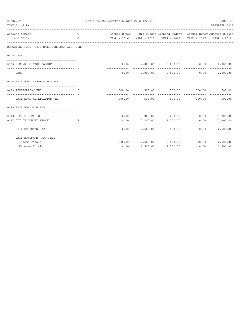| 09/22/17 |                                                                   |              | Fannin County Adopted Budget FY 2017/2018 |        |                                                                    |        | PAGE 52        |
|----------|-------------------------------------------------------------------|--------------|-------------------------------------------|--------|--------------------------------------------------------------------|--------|----------------|
|          | TIME: 01:49 PM                                                    |              |                                           |        |                                                                    |        | PREPARER: 0011 |
|          | Account Number                                                    | T            |                                           |        | Actual Exper Org Budget Amended Budget Actual Exper Adopted Budget |        |                |
|          | and Title                                                         | $\mathsf{C}$ |                                           |        | YEAR - 2016  YEAR - 2017  YEAR - 2017  YEAR - 2017  YEAR - 2018    |        |                |
|          | REPORTING FUND: 0033 BAIL BONDSMAN APP. FEES                      |              |                                           |        |                                                                    |        |                |
|          | 0300 CASH                                                         |              |                                           |        |                                                                    |        |                |
|          | 0133 BEGINNING CASH BALANCE                                       | I            |                                           |        | $0.00$ $2,000.00$ $2,000.00$ $0.00$                                |        | 2,000.00       |
|          | CASH                                                              |              |                                           | .      | $0.00$ 2,000.00 2,000.00                                           | 0.00   | 2,000.00       |
|          | 0340 BAIL BOND APPLICATION FEE                                    |              |                                           |        |                                                                    |        |                |
|          | 0480 APPLICATION FEE<br>the contract of the contract of the Table |              |                                           |        | 500.00 500.00 500.00 500.00 500.00 500.00                          |        |                |
|          | BAIL BOND APPLICATION FEE                                         |              | 500.00                                    | 500.00 | ------------- <b>-</b><br>500.00                                   | 500.00 | 500.00         |
|          | 0498 BAIL BONDSMAN EXP.                                           |              |                                           |        |                                                                    |        |                |
|          | 0310 OFFICE SUPPLIES                                              |              |                                           |        | $0.00$ 200.00 200.00 0.00 200.00                                   |        |                |
|          | 0427 OUT OF COUNTY TRAVEL<br>---------------------------------    | Ε            |                                           |        | $0.00$ 2,300.00 2,300.00                                           | 0.00   | 2,300.00       |
|          | BAIL BONDSMAN EXP.                                                |              | 0.00                                      |        | 2,500.00 2,500.00                                                  | 0.00   | .<br>2,500.00  |
|          | BAIL BONDSMAN APP. FEES                                           |              |                                           |        |                                                                    |        |                |
|          | Income Totals                                                     |              |                                           |        | 500.00 2,500.00 2,500.00 500.00                                    |        | 2,500.00       |
|          | Expense Totals                                                    |              | 0.00                                      |        | 2,500.00 2,500.00                                                  | 0.00   | 2,500.00       |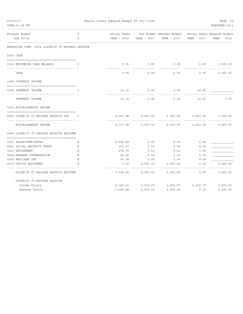| 09/22/17<br>TIME: 01:49 PM                       |             | Fannin County Adopted Budget FY 2017/2018 |            |                                                                    |                   | PAGE 53<br>PREPARER: 0011 |
|--------------------------------------------------|-------------|-------------------------------------------|------------|--------------------------------------------------------------------|-------------------|---------------------------|
| Account Number                                   | T           |                                           |            | Actual Exper Org Budget Amended Budget Actual Exper Adopted Budget |                   |                           |
| and Title                                        | C           |                                           |            |                                                                    | YEAR - 2017       | YEAR - 2018               |
| REPORTING FUND: 0034 DISTRICT CT.RECORDS ARCHIVE |             |                                           |            |                                                                    |                   |                           |
| 0300 CASH                                        |             |                                           |            |                                                                    |                   |                           |
| 0134 BEGINNING CASH BALANCE                      | I           | 0.00                                      | 0.00       | 0.00                                                               |                   | 0.00 1,000.00             |
| CASH                                             |             | 0.00                                      | 0.00       | 0.00                                                               | 0.00              | 1,000.00                  |
| 0360 INTEREST INCOME                             |             |                                           |            |                                                                    |                   |                           |
| 0100 INTEREST INCOME                             | I           |                                           | 12.35 0.00 | 0.00                                                               | 12.45             |                           |
| INTEREST INCOME                                  |             | 12.35                                     | 0.00       | 0.00                                                               | 12.45             | 0.00                      |
| 0370 MISCELLANEOUS INCOME                        |             |                                           |            |                                                                    |                   |                           |
| 0450 DISTRICT CT.RECORDS ARCHIVE FEE             | $\top$      | 4,127.98                                  | 2,000.00   |                                                                    | 2,000.00 4,403.34 | 2,000.00                  |
| ------------------------------                   |             |                                           |            |                                                                    |                   |                           |
| MISCELLANEOUS INCOME                             |             | 4,127.98                                  | 2,000.00   |                                                                    | 2,000.00 4,403.34 | 2,000.00                  |
| 0450 DISTRICT CT.RECORDS ARCHIVE EQUIPME         |             |                                           |            |                                                                    |                   |                           |
| 0107 SALARYTEMP/EXTRA                            | Е           | 2,556.88                                  | 0.00       | 0.00                                                               | 0.00              |                           |
| 0201 SOCIAL SECURITY TAXES                       | Е           | 155.47                                    | 0.00       | 0.00                                                               | 0.00              |                           |
| 0203 RETIREMENT                                  | Е           | 278.79                                    | 0.00       | 0.00                                                               | 0.00              |                           |
| 0204 WORKERS COMPENSATION                        | E           | 29.32                                     | 0.00       | 0.00                                                               | 0.00              |                           |
| 0205 MEDICARE TAX                                | $\mathbf E$ | 36.38                                     | 0.00       | 0.00                                                               | 0.00              |                           |
| 0572 OFFICE EQUIPMENT                            | E           | 0.00                                      | 2,000.00   | 2,000.00                                                           | 0.00              | 3,000.00                  |
| DISTRICT CT.RECORDS ARCHIVE EQUIPME              |             | 3,056.84                                  | 2,000.00   | 2,000.00                                                           | 0.00              | 3,000.00                  |
| DISTRICT CT.RECORDS ARCHIVE                      |             |                                           |            |                                                                    |                   |                           |
| Income Totals                                    |             | 4,140.33                                  |            | 2,000.00 2,000.00 4,415.79                                         |                   | 3,000.00                  |
| Expense Totals                                   |             | 3,056.84                                  | 2,000.00   | 2,000.00                                                           | 0.00              | 3,000.00                  |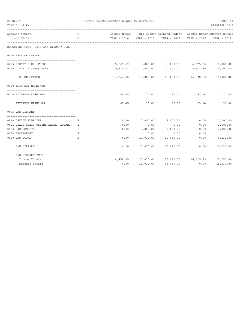| 09/22/17<br>TIME: 01:49 PM             |              | Fannin County Adopted Budget FY 2017/2018 |                    |                                                                    |          | PAGE 54<br>PREPARER: 0011 |
|----------------------------------------|--------------|-------------------------------------------|--------------------|--------------------------------------------------------------------|----------|---------------------------|
| Account Number                         | T            |                                           |                    | Actual Exper Org Budget Amended Budget Actual Exper Adopted Budget |          |                           |
| and Title                              | C            |                                           |                    | YEAR - 2016 YEAR - 2017 YEAR - 2017 YEAR - 2017                    |          | YEAR - 2018               |
| REPORTING FUND: 0035 LAW LIBRARY FUND  |              |                                           |                    |                                                                    |          |                           |
| 0340 FEES OF OFFICE                    |              |                                           |                    |                                                                    |          |                           |
| 0403 COUNTY CLERK FEES                 | $\mathbb{T}$ |                                           |                    | 5,045.69 5,000.00 5,000.00 6,625.34 5,000.00                       |          |                           |
| 0450 DISTRICT CLERK FEES               | I.           |                                           | 9,319.21 10,000.00 | 10,000.00                                                          | 9,907.35 | 10,000.00                 |
| FEES OF OFFICE                         |              | ----------                                |                    | 14,364.90  15,000.00  15,000.00  16,532.69                         |          | 15,000.00                 |
| 0360 INTEREST EARNINGS                 |              |                                           |                    |                                                                    |          |                           |
| 0100 INTEREST EARNINGS                 | T.           |                                           | 85.45 30.00        | 30.00                                                              | 83.14    | 30.00                     |
| INTEREST EARNINGS                      |              | 85.45                                     | 30.00              | 30.00                                                              | 83.14    | 30.00                     |
| 0475 LAW LIBRARY                       |              |                                           |                    |                                                                    |          |                           |
|                                        |              |                                           |                    |                                                                    |          |                           |
| 0310 OFFICE SUPPLIES                   | Е            | 0.00                                      | 2,000.00           | 2,000.00                                                           | 0.00     | 2,000.00                  |
| 0421 LEXIS NEXIS ONLINE LEGAL RESEARCH | Е            | 0.00                                      | 0.00               | 0.00                                                               | 0.00     | 3,600.00                  |
| 0453 R&M COMPUTER                      | Е            | 0.00                                      | 3,000.00           | 3,000.00                                                           | 0.00     | 3,000.00                  |
| 0574 TECHNOLOGY                        | Е            |                                           | 0.00               | 0.00                                                               | 0.00     |                           |
| 0590 LAW BOOKS                         | Е.           | 0.00                                      | 10,030.00          | 10,030.00                                                          | 0.00     | 6,430.00<br>---------     |
| LAW LIBRARY                            |              | 0.00                                      | 15,030.00          | 15,030.00                                                          | 0.00     | 15,030.00                 |
| LAW LIBRARY FUND                       |              |                                           |                    |                                                                    |          |                           |
| Income Totals                          |              |                                           |                    | 14,450.35 15,030.00 15,030.00 16,615.83                            |          | 15,030.00                 |
| Expense Totals                         |              | 0.00                                      | 15,030.00          | 15,030.00                                                          | 0.00     | 15,030.00                 |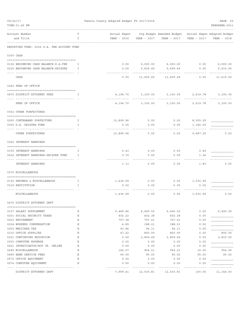| 09/22/17<br>TIME: 01:49 PM                                                 |         | Fannin County Adopted Budget FY 2017/2018 |             |                                                                      |              | PAGE 55<br>PREPARER: 0011 |
|----------------------------------------------------------------------------|---------|-------------------------------------------|-------------|----------------------------------------------------------------------|--------------|---------------------------|
| Account Number<br>and Title                                                | т<br>C  | Actual Exper<br>YEAR - 2016               | YEAR - 2017 | Org Budget Amended Budget Actual Exper Adopted Budget<br>YEAR - 2017 | YEAR - 2017  | YEAR - 2018               |
| REPORTING FUND: 0036 D.A. FEE ACCOUNT FUND                                 |         |                                           |             |                                                                      |              |                           |
| 0300 CASH                                                                  |         |                                           |             |                                                                      |              |                           |
| 0136 BEGINNING CASH BALANCE-D.A.FEE<br>0236 BEGINNING CASH BALANCE-SEIZURE | I<br>I. | 0.00<br>0.00                              | 5,609.49    | 6,000.00 6,000.00<br>5,609.49                                        | 0.00<br>0.00 | 6,000.00<br>5,610.00      |
| CASH                                                                       |         | 0.00                                      | 11,609.49   | 11,609.49                                                            | 0.00         | 11,610.00                 |
| 0340 FEES OF OFFICE                                                        |         |                                           |             |                                                                      |              |                           |
| 0475 DISTRICT ATTORNEY FEES                                                | I       | 4,194.70                                  | 3,100.00    | 3,100.00                                                             | 2,619.78     | 3,100.00                  |
| FEES OF OFFICE                                                             |         | 4,194.70                                  | 3,100.00    | 3,100.00                                                             | 2,619.78     | 3,100.00                  |
| 0352 OTHER FORFEITURES                                                     |         |                                           |             |                                                                      |              |                           |
| 0200 CONTRABAND FORFEITURE                                                 | I       | 12,899.96                                 | 0.00        | 0.00                                                                 | 8,505.29     |                           |
| 0300 D.A. SEIZURE FUND                                                     | I       | 0.00                                      | 0.00        | 0.00                                                                 | 1,182.00     |                           |
| OTHER FORFEITURES                                                          |         | ---------<br>12,899.96                    | 0.00        | 0.00                                                                 | 9,687.29     | 0.00                      |
| 0360 INTEREST EARNINGS                                                     |         |                                           |             |                                                                      |              |                           |
|                                                                            |         |                                           |             |                                                                      |              |                           |
| 0100 INTEREST EARNINGS                                                     | I       | 0.43                                      | 0.00        | 0.00                                                                 | 0.49         |                           |
| 0236 INTEREST EARNINGS-SEIZURE FUND                                        | I       | 0.70                                      | 0.00        | 0.00                                                                 | 1.34         |                           |
| <b>INTEREST EARNINGS</b>                                                   |         | 1.13                                      | 0.00        | 0.00                                                                 | 1.83         | 0.00                      |
| 0370 MISCELLANEOUS                                                         |         |                                           |             |                                                                      |              |                           |
| 0130 REFUNDS & MISCELLANEOUS                                               | Ι.      | 1,436.99                                  | 0.00        | 0.00                                                                 | 1,530.99     |                           |
| 0319 RESTITUTION                                                           | I.      | 0.00                                      | 0.00        | 0.00                                                                 | 0.00         |                           |
|                                                                            |         |                                           |             |                                                                      |              |                           |
| MISCELLANEOUS                                                              |         | 1,436.99                                  | 0.00        | 0.00                                                                 | 1,530.99     | 0.00                      |
| 0475 DISTRICT ATTORNEY DEPT                                                |         |                                           |             |                                                                      |              |                           |
| 0107 SALARY SUPPLEMENT                                                     | Ε       | 6,489.86                                  | 6,490.00    | 6,490.00                                                             | 0.00         | 6,490.00                  |
| 0201 SOCIAL SECURITY TAXES                                                 | Ε       | 402.22                                    | 402.38      | 402.38                                                               | 0.00         |                           |
| 0203 RETIREMENT                                                            | Ε       | 707.38                                    | 707.41      | 707.41                                                               | 0.00         |                           |
| 0204 WORKERS COMPENSATION                                                  | Ε       | 4.80                                      | 188.21      | 188.21                                                               | 0.00         |                           |
| 0205 MEDICARE TAX                                                          | Ε       | 93.86                                     | 94.11       | 94.11                                                                | 0.00         |                           |
| 0310 OFFICE SUPPLIES                                                       | E       | 47.22                                     | 800.00      | 800.00                                                               | 0.00         | 800.00                    |
| 0321 CONTINUING EDUCATION                                                  | Ε       | 0.00                                      | 2,809.49    | 2,809.49                                                             | 0.00         | 2,810.00                  |
| 0353 COMPUTER EXPENSE                                                      | Ε       | 0.00                                      | 0.00        | 0.00                                                                 | 0.00         |                           |
| 0421 INVESTIGATOR/HOT CK. ONLINE                                           | Ε       | 0.00                                      | 0.00        | 0.00                                                                 | 0.00         |                           |
| 0490 MISCELLANEOUS                                                         | Ε       | 164.07                                    | 954.21      | 954.21                                                               | 10.00        | 954.00                    |
| 0499 BANK SERVICE FEES                                                     | Ε       | 90.00                                     | 90.00       | 90.00                                                                | 90.00        | 90.00                     |
| 0572 OFFICE EQUIPMENT                                                      | Ε<br>Ε  | 0.00                                      | 0.00        | 0.00                                                                 | 0.00         |                           |
| 0574 COMPUTER EQUIPMENT                                                    |         | 0.00                                      | 0.00        | 0.00                                                                 | 0.00         |                           |
| DISTRICT ATTORNEY DEPT                                                     |         | 7,999.41                                  | 12,535.81   | 12,535.81                                                            | 100.00       | 11,144.00                 |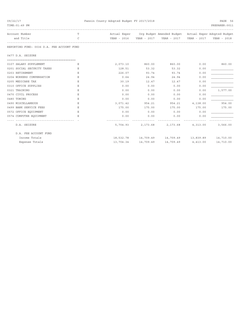| 09/22/17<br>TIME: 01:49 PM                 |        | Fannin County Adopted Budget FY 2017/2018 |           |                                                                    |             | PAGE 56<br>PREPARER: 0011 |
|--------------------------------------------|--------|-------------------------------------------|-----------|--------------------------------------------------------------------|-------------|---------------------------|
| Account Number<br>and Title                | T<br>C |                                           |           | Actual Exper Org Budget Amended Budget Actual Exper Adopted Budget | YEAR - 2017 | YEAR - 2018               |
| REPORTING FUND: 0036 D.A. FEE ACCOUNT FUND |        |                                           |           |                                                                    |             |                           |
| 0477 D.A. SEIZURE                          |        |                                           |           |                                                                    |             |                           |
| 0107 SALARY SUPPLEMENT                     | Ε      | 2,073.10                                  | 860.00    | 860.00                                                             | 0.00        | 860.00                    |
| 0201 SOCIAL SECURITY TAXES                 | Ε      | 128.51                                    | 53.32     | 53.32                                                              | 0.00        |                           |
| 0203 RETIREMENT                            | E.     | 226.07                                    | 93.74     | 93.74                                                              | 0.00        |                           |
| 0204 WORKERS COMPENSATION                  | Ε      | 0.64                                      | 24.94     | 24.94                                                              | 0.00        |                           |
| 0205 MEDICARE TAX                          | Ε      | 30.19                                     | 12.47     | 12.47                                                              | 0.00        |                           |
| 0310 OFFICE SUPPLIES                       | E.     | 0.00                                      | 0.00      | 0.00                                                               | 0.00        |                           |
| 0321 TRAINING                              | Ε      | 0.00                                      | 0.00      | 0.00                                                               | 0.00        | 1,577.00                  |
| 0470 CIVIL PROCESS                         | Ε      | 0.00                                      | 0.00      | 0.00                                                               | 0.00        |                           |
| 0480 TOWING                                | Ε      | 0.00                                      | 0.00      | 0.00                                                               | 0.00        |                           |
| 0490 MISCELLANEOUS                         | Ε      | 3,071.42                                  | 954.21    | 954.21                                                             | 4,138.00    | 954.00                    |
| 0499 BANK SERVICE FEES                     | Е      | 175.00                                    | 175.00    | 175.00                                                             | 175.00      | 175.00                    |
| 0572 OFFICE EQUIPMENT                      | Ε      | 0.00                                      | 0.00      | 0.00                                                               | 0.00        |                           |
| 0574 COMPUTER EQUIPMENT                    | E.     | 0.00                                      | 0.00      | 0.00                                                               | 0.00        |                           |
|                                            |        |                                           |           |                                                                    |             |                           |
| D.A. SEIZURE                               |        | 5,704.93                                  |           | 2,173.68 2,173.68 4,313.00                                         |             | 3,566.00                  |
| D.A. FEE ACCOUNT FUND                      |        |                                           |           |                                                                    |             |                           |
| Income Totals                              |        |                                           |           | 18,532.78 14,709.49 14,709.49 13,839.89 14,710.00                  |             |                           |
| Expense Totals                             |        | 13,704.34                                 | 14,709.49 | 14,709.49                                                          | 4,413.00    | 14,710.00                 |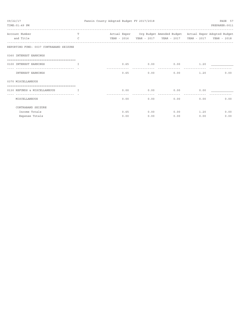| 09/22/17<br>TIME: 01:49 PM                               |               | Fannin County Adopted Budget FY 2017/2018 |      |                                                                                               |                      | PAGE 57<br>PREPARER: 0011 |
|----------------------------------------------------------|---------------|-------------------------------------------|------|-----------------------------------------------------------------------------------------------|----------------------|---------------------------|
| Account Number                                           | T             |                                           |      | -----------------------<br>Actual Exper Org Budget Amended Budget Actual Exper Adopted Budget | -------------------- |                           |
| and Title                                                | $\mathcal{C}$ |                                           |      |                                                                                               |                      | YEAR - 2017  YEAR - 2018  |
| REPORTING FUND: 0037 CONTRABAND SEIZURE                  |               |                                           |      |                                                                                               |                      |                           |
| 0360 INTEREST EARNINGS                                   |               |                                           |      |                                                                                               |                      |                           |
| 0100 INTEREST EARNINGS                                   | $\mathbb{T}$  | 0.65                                      | 0.00 | 0.00                                                                                          | 1.20                 |                           |
| -----------------------------------<br>INTEREST EARNINGS |               | 0.65                                      | 0.00 | 0.00                                                                                          | 1.20                 | 0.00                      |
| 0370 MISCELLANEOUS                                       |               |                                           |      |                                                                                               |                      |                           |
| 0130 REFUNDS & MISCELLANEOUS                             | $\mathsf{T}$  | 0.00                                      | 0.00 | 0.00                                                                                          | 0.00                 |                           |
| MISCELLANEOUS                                            |               | 0.00                                      | 0.00 | 0.00                                                                                          | 0.00                 | 0.00                      |
| CONTRABAND SEIZURE                                       |               |                                           |      |                                                                                               |                      |                           |
| Income Totals                                            |               | 0.65                                      | 0.00 | 0.00                                                                                          | 1.20                 | 0.00                      |
| Expense Totals                                           |               | 0.00                                      | 0.00 | 0.00                                                                                          | 0.00                 | 0.00                      |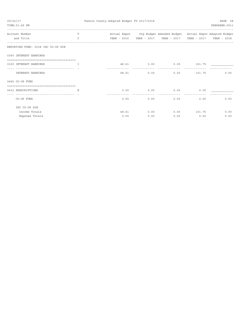| 09/22/17<br>TIME: 01:49 PM                                       |               | Fannin County Adopted Budget FY 2017/2018 |            |                                                                                               |                      | PAGE 58<br>PREPARER: 0011  |
|------------------------------------------------------------------|---------------|-------------------------------------------|------------|-----------------------------------------------------------------------------------------------|----------------------|----------------------------|
| Account Number                                                   | T             |                                           |            | -----------------------<br>Actual Exper Org Budget Amended Budget Actual Exper Adopted Budget | -------------------- |                            |
| and Title                                                        | $\mathcal{C}$ |                                           |            |                                                                                               |                      | YEAR - 2017    YEAR - 2018 |
| REPORTING FUND: 0038 IHC CO-OP GIN                               |               |                                           |            |                                                                                               |                      |                            |
| 0360 INTEREST EARNINGS                                           |               |                                           |            |                                                                                               |                      |                            |
| 0100 INTEREST EARNINGS                                           | $\mathbb{T}$  |                                           | 48.61 0.00 | 0.00                                                                                          | 101.75               |                            |
| -------------------------------- - -<br><b>INTEREST EARNINGS</b> |               | 48.61                                     | 0.00       | 0.00                                                                                          | 101.75               | 0.00                       |
| 0645 CO-OP FUND                                                  |               |                                           |            |                                                                                               |                      |                            |
| ----------------------------------<br>0412 PRESCRIPTIONS         | Ε             | 0.00                                      | 0.00       | 0.00                                                                                          | 0.00                 |                            |
| ---------------------------------<br>CO-OP FUND                  |               | 0.00                                      | 0.00       | 0.00                                                                                          | 0.00                 | 0.00                       |
| IHC CO-OP GIN                                                    |               |                                           |            |                                                                                               |                      |                            |
| Income Totals                                                    |               | 48.61                                     | 0.00       | 0.00                                                                                          | 101.75               | 0.00                       |
| Expense Totals                                                   |               | 0.00                                      | 0.00       | 0.00                                                                                          | 0.00                 | 0.00                       |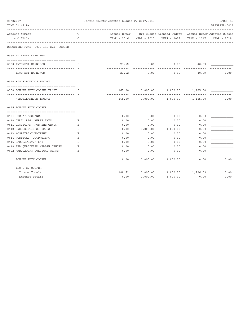| 09/22/17<br>TIME: 01:49 PM                                        |        | Fannin County Adopted Budget FY 2017/2018 |          | ---------------------                                              |             | PAGE 59<br>PREPARER: 0011 |
|-------------------------------------------------------------------|--------|-------------------------------------------|----------|--------------------------------------------------------------------|-------------|---------------------------|
| Account Number                                                    | T      |                                           |          | Actual Exper Org Budget Amended Budget Actual Exper Adopted Budget |             |                           |
| and Title                                                         | C      |                                           |          |                                                                    | YEAR - 2017 | YEAR - 2018               |
| REPORTING FUND: 0039 IHC B.R. COOPER                              |        |                                           |          |                                                                    |             |                           |
| 0360 INTEREST EARNINGS                                            |        |                                           |          |                                                                    |             |                           |
| 0100 INTEREST EARNINGS                                            | I      | 23.62                                     | 0.00     | 0.00                                                               | 40.59       |                           |
| INTEREST EARNINGS                                                 |        | 23.62                                     | 0.00     | 0.00                                                               | 40.59       | 0.00                      |
| 0370 MISCELLANEOUS INCOME                                         |        |                                           |          |                                                                    |             |                           |
|                                                                   |        |                                           |          |                                                                    |             |                           |
| 0150 BONNIE RUTH COOPER TRUST<br>-------------------------------- | I      | 165.00                                    | 1,000.00 | 1,000.00                                                           | 1,185.50    |                           |
| MISCELLANEOUS INCOME                                              |        | 165.00                                    | 1,000.00 | 1,000.00                                                           | 1,185.50    | 0.00                      |
| 0645 BONNIE RUTH COOPER                                           |        |                                           |          |                                                                    |             |                           |
|                                                                   |        |                                           |          |                                                                    |             |                           |
| 0404 COBRA/INSURANCE                                              | Ε      | 0.00                                      | 0.00     | 0.00                                                               | 0.00        |                           |
| 0410 CERT. REG. NURSE ANES.                                       | Ε      | 0.00                                      | 0.00     | 0.00                                                               | 0.00        |                           |
| 0411 PHYSICIAN, NON-EMERGENCY                                     | Ε      | 0.00                                      | 0.00     | 0.00                                                               | 0.00        |                           |
| 0412 PRESCRIPTIONS, DRUGS                                         | Ε      | 0.00                                      | 1,000.00 | 1,000.00                                                           | 0.00        |                           |
| 0413 HOSPITAL-INPATIENT                                           | Ε      | 0.00                                      | 0.00     | 0.00                                                               | 0.00        |                           |
| 0414 HOSPITAL, OUTPATIENT                                         | Ε      | 0.00                                      | 0.00     | 0.00                                                               | 0.00        |                           |
| 0415 LABORATORY/X-RAY                                             | Ε      | 0.00                                      | 0.00     | 0.00                                                               | 0.00        |                           |
| 0418 FED.QUALIFIED HEALTH CENTER                                  | Ε<br>E | 0.00                                      | 0.00     | 0.00                                                               | 0.00        |                           |
| 0422 AMBULATORY SURGICAL CENTER                                   |        | 0.00                                      | 0.00     | 0.00                                                               | 0.00        |                           |
| BONNIE RUTH COOPER                                                |        | 0.00                                      | 1,000.00 | 1,000.00                                                           | 0.00        | 0.00                      |
| IHC B.R. COOPER                                                   |        |                                           |          |                                                                    |             |                           |
| Income Totals                                                     |        | 188.62                                    | 1,000.00 | 1,000.00                                                           | 1,226.09    | 0.00                      |
| Expense Totals                                                    |        | 0.00                                      | 1,000.00 | 1,000.00                                                           | 0.00        | 0.00                      |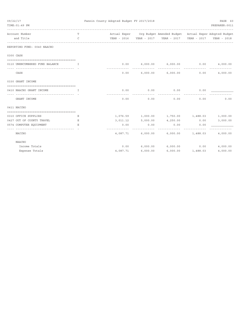| 09/22/17 |                                                                                                                                                         |               | Fannin County Adopted Budget FY 2017/2018 |                      | PAGE 60                                                            |                     |                |
|----------|---------------------------------------------------------------------------------------------------------------------------------------------------------|---------------|-------------------------------------------|----------------------|--------------------------------------------------------------------|---------------------|----------------|
|          | TIME: 01:49 PM                                                                                                                                          |               |                                           |                      | __________________                                                 |                     | PREPARER: 0011 |
|          | Account Number                                                                                                                                          | T             |                                           |                      | Actual Exper Org Budget Amended Budget Actual Exper Adopted Budget |                     |                |
|          | and Title                                                                                                                                               | $\mathcal{C}$ |                                           |                      | YEAR - 2016  YEAR - 2017  YEAR - 2017  YEAR - 2017  YEAR - 2018    |                     |                |
|          | REPORTING FUND: 0040 NAACHO                                                                                                                             |               |                                           |                      |                                                                    |                     |                |
|          | 0300 CASH                                                                                                                                               |               |                                           |                      |                                                                    |                     |                |
|          | 0110 UNENCUMBERED FUND BALANCE<br><b>The Contract of The Theory The Theory In the Theory Theory In the Theory In the Theory In the Theory In the Th</b> |               | $- - - - -$                               |                      | $0.00$ 6,000.00 6,000.00 0.00 4,000.00                             |                     |                |
|          | CASH                                                                                                                                                    |               | 0.00                                      |                      | $6,000.00$ $6,000.00$                                              | 0.00                | 4,000.00       |
|          | 0330 GRANT INCOME                                                                                                                                       |               |                                           |                      |                                                                    |                     |                |
|          | 0410 NAACHO GRANT INCOME<br>$\mathbf{I}$ . The state $\mathbf{I}$                                                                                       |               | 0.00                                      | 0.00                 | 0.00                                                               | 0.00                |                |
|          | ---------------------------------- - -<br>GRANT INCOME                                                                                                  |               | 0.00                                      | .<br>0.00            | <u>-----------</u><br>0.00                                         | 0.00                | 0.00           |
|          | 0411 NACCHO                                                                                                                                             |               |                                           |                      |                                                                    |                     |                |
|          | 0310 OFFICE SUPPLIES                                                                                                                                    | Е             |                                           |                      | 1,076.59 1,000.00 1,750.00 1,488.03 1,000.00                       |                     |                |
|          | 0427 OUT OF COUNTY TRAVEL                                                                                                                               | Е             |                                           | 3,011.12 5,000.00    | $4,250.00$ 0.00                                                    |                     | 3,000.00       |
|          | 0574 COMPUTER EQUIPMENT                                                                                                                                 | E.            | 0.00                                      | 0.00                 | 0.00                                                               | 0.00                |                |
|          | -----------------------------------<br>NACCHO                                                                                                           |               | --------------                            | <u>-------------</u> | .<br>$4,087.71$ 6,000.00 6,000.00 1,488.03                         | -------------       | 4,000.00       |
|          | <b>NAACHO</b>                                                                                                                                           |               |                                           |                      |                                                                    |                     |                |
|          | Income Totals                                                                                                                                           |               | 0.00                                      |                      | $6,000.00$ $6,000.00$ 0.00                                         |                     | 4,000.00       |
|          | Expense Totals                                                                                                                                          |               | 4,087.71                                  | 6,000.00             |                                                                    | $6,000.00$ 1,488.03 | 4,000.00       |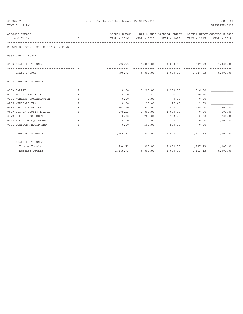| 09/22/17 | TIME: 01:49 PM                        |              | Fannin County Adopted Budget FY 2017/2018 |          |                                                                    |             | PAGE 61<br>PREPARER: 0011 |
|----------|---------------------------------------|--------------|-------------------------------------------|----------|--------------------------------------------------------------------|-------------|---------------------------|
|          | Account Number                        | Т            |                                           |          | Actual Exper Org Budget Amended Budget Actual Exper Adopted Budget |             |                           |
|          | and Title                             | $\mathsf{C}$ |                                           |          |                                                                    | YEAR - 2017 | YEAR - 2018               |
|          | REPORTING FUND: 0045 CHAPTER 19 FUNDS |              |                                           |          |                                                                    |             |                           |
|          | 0330 GRANT INCOME                     |              |                                           |          |                                                                    |             |                           |
|          | 0403 CHAPTER 19 FUNDS                 | T            |                                           |          | 796.73 4,000.00 4,000.00 1,647.93 4,000.00<br>--------------       |             |                           |
|          | GRANT INCOME                          |              | 796.73                                    |          | 4,000.00  4,000.00  1,647.93                                       |             | 4,000.00                  |
|          | 0403 CHAPTER 19 FUNDS                 |              |                                           |          |                                                                    |             |                           |
|          | 0103 SALARY                           | Е            | 0.00                                      |          | 1,200.00 1,200.00                                                  | 816.00      |                           |
|          | 0201 SOCIAL SECURITY                  | Ε            | 0.00                                      | 74.40    | 74.40                                                              | 50.60       |                           |
|          | 0204 WORKERS COMPENSATION             | Ε            | 0.00                                      | 0.00     | 0.00                                                               | 0.00        |                           |
|          | 0205 MEDICARE TAX                     | Ε            | 0.00                                      | 17.40    | 17.40                                                              | 11.83       |                           |
|          | 0310 OFFICE SUPPLIES                  | Ε            | 867.50                                    | 500.00   | 500.00                                                             | 525.00      | 500.00                    |
|          | 0427 OUT OF COUNTY TRAVEL             | Ε            | 279.23                                    | 1,000.00 | 1,000.00                                                           | 0.00        | 100.00                    |
|          | 0572 OFFICE EQUIPMENT                 | Ε            | 0.00                                      | 708.20   | 708.20                                                             | 0.00        | 700.00                    |
|          | 0573 ELECTION EQUIPMENT               | Ε            | 0.00                                      | 0.00     | 0.00                                                               | 0.00        | 2,700.00                  |
|          | 0574 COMPUTER EQUIPMENT               | Е.           | 0.00                                      | 500.00   | 500.00                                                             | 0.00        |                           |
|          | CHAPTER 19 FUNDS                      |              | 1,146.73                                  |          | 4,000.00 4,000.00 1,403.43                                         |             | 4,000.00                  |
|          | CHAPTER 19 FUNDS                      |              |                                           |          |                                                                    |             |                           |
|          | Income Totals                         |              |                                           |          | 796.73 4,000.00 4,000.00 1,647.93                                  |             | 4,000.00                  |
|          | Expense Totals                        |              | 1,146.73                                  | 4,000.00 | 4,000.00                                                           | 1,403.43    | 4,000.00                  |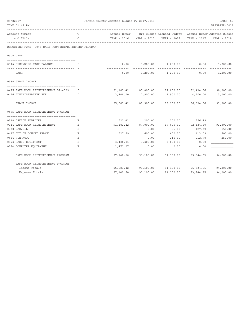| 09/22/17 |                                                              |              | Fannin County Adopted Budget FY 2017/2018 |                   |                                                                    |                     |                                      |  |
|----------|--------------------------------------------------------------|--------------|-------------------------------------------|-------------------|--------------------------------------------------------------------|---------------------|--------------------------------------|--|
|          | TIME: 01:49 PM                                               |              |                                           |                   |                                                                    |                     | PREPARER: 0011                       |  |
|          | Account Number                                               | $\mathbf{T}$ |                                           |                   | Actual Exper Org Budget Amended Budget Actual Exper Adopted Budget |                     |                                      |  |
|          | and Title                                                    | $\mathsf{C}$ |                                           |                   | YEAR - 2016 YEAR - 2017 YEAR - 2017                                |                     | YEAR - 2017 YEAR - 2018              |  |
|          | REPORTING FUND: 0046 SAFE ROOM REIMBURSEMENT PROGRAM         |              |                                           |                   |                                                                    |                     |                                      |  |
|          | 0300 CASH                                                    |              |                                           |                   |                                                                    |                     |                                      |  |
|          | 0146 BEGINNING CASH BALANCE                                  | T.           | 0.00                                      |                   | 1,200.00 1,200.00                                                  | 0.00                | 1,200.00                             |  |
|          | CASH                                                         |              | 0.00                                      |                   | 1,200.00 1,200.00                                                  | 0.00                | 1,200.00                             |  |
|          | 0330 GRANT INCOME                                            |              |                                           |                   |                                                                    |                     |                                      |  |
|          | 0475 SAFE ROOM REIMBURSEMENT DR-4029                         | I            |                                           |                   | 91,183.42 87,000.00 87,000.00 92,434.56                            |                     | 90,000.00                            |  |
|          | 0476 ADMINISTRATIVE FEE<br>--------------------------------- | $\mathbb{T}$ |                                           | 3,900.00 2,900.00 | 2,900.00<br>.                                                      | <u> -----------</u> | $4,200.00$ 3,000.00<br>------------- |  |
|          | GRANT INCOME                                                 |              |                                           |                   | 95,083.42 89,900.00 89,900.00 96,634.56                            |                     | 93,000.00                            |  |
|          | 0475 SAFE ROOM REIMBURSEMENT PROGRAM                         |              |                                           |                   |                                                                    |                     |                                      |  |
|          | 0310 OFFICE SUPPLIES                                         | Ε            | 522.41                                    | 200.00            | 200.00                                                             | 756.49              |                                      |  |
|          | 0314 SAFE ROOM REIMBURSEMENT                                 | Ε            | 91,183.42                                 | 87,000.00         | 87,000.00                                                          | 92,434.60           | 93,300.00                            |  |
|          | 0330 GAS/OIL                                                 | Ε            |                                           | 0.00              | 85.00                                                              | 127.39              | 150.00                               |  |
|          | 0427 OUT OF COUNTY TRAVEL                                    | E.           | 527.59                                    | 600.00            | 600.00                                                             | 413.09              | 500.00                               |  |
|          | 0454 R&M AUTO                                                | Ε            |                                           | 0.00              | 215.00                                                             | 212.78              | 250.00                               |  |
|          | 0573 RADIO EQUIPMENT                                         | Ε            | 3,438.01                                  | 3,300.00          | 3,000.00                                                           | 0.00                |                                      |  |
|          | 0574 COMPUTER EQUIPMENT                                      | E.           | 1,471.07                                  | 0.00              | 0.00                                                               | 0.00                |                                      |  |
|          | SAFE ROOM REIMBURSEMENT PROGRAM                              |              | 97,142.50                                 | 91,100.00         |                                                                    | 91,100.00 93,944.35 | 94,200.00                            |  |
|          | SAFE ROOM REIMBURSEMENT PROGRAM                              |              |                                           |                   |                                                                    |                     |                                      |  |
|          | Income Totals                                                |              |                                           |                   | 95,083.42 91,100.00 91,100.00 96,634.56 94,200.00                  |                     |                                      |  |
|          | Expense Totals                                               |              | 97,142.50                                 | 91,100.00         | 91,100.00                                                          | 93, 944.35          | 94,200.00                            |  |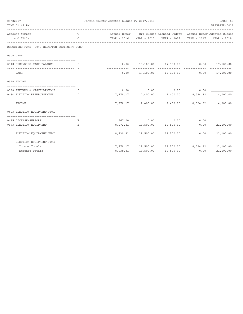| 09/22/17 |                                                               |               | Fannin County Adopted Budget FY 2017/2018 |           |                                                                    |      | PAGE 63        |
|----------|---------------------------------------------------------------|---------------|-------------------------------------------|-----------|--------------------------------------------------------------------|------|----------------|
|          | TIME: 01:49 PM                                                |               |                                           |           | _______________________                                            |      | PREPARER: 0011 |
|          | Account Number                                                | T             |                                           |           | Actual Exper Org Budget Amended Budget Actual Exper Adopted Budget |      |                |
|          | and Title                                                     | $\mathcal{C}$ |                                           |           | YEAR - 2016 YEAR - 2017 YEAR - 2017 YEAR - 2017 YEAR - 2018        |      |                |
|          | REPORTING FUND: 0048 ELECTION EQUIPMENT FUND                  |               |                                           |           |                                                                    |      |                |
|          | 0300 CASH                                                     |               |                                           |           |                                                                    |      |                |
|          |                                                               |               |                                           |           |                                                                    |      |                |
|          | 0148 BEGINNING CASH BALANCE                                   | T             |                                           |           | $0.00$ 17,100.00 17,100.00 0.00 17,100.00                          |      |                |
|          | CASH                                                          |               | 0.00                                      |           | 17,100.00 17,100.00 0.00 17,100.00                                 |      |                |
|          | 0340 INCOME                                                   |               |                                           |           |                                                                    |      |                |
|          | 0130 REFUNDS & MISCELLANEOUS<br>$\mathbf{I}$ and $\mathbf{I}$ |               |                                           |           | $0.00$ $0.00$ $0.00$ $0.00$ $0.00$                                 |      |                |
|          | 0484 ELECTION REIMBURSEMENT<br>and the state of the Table     |               |                                           |           | $7,270.17$ $2,400.00$ $2,400.00$ $8,524.32$                        |      | 4,000.00       |
|          |                                                               |               |                                           |           |                                                                    |      | .              |
|          | INCOME                                                        |               |                                           |           | 7,270.17 2,400.00 2,400.00 8,524.32 4,000.00                       |      |                |
|          | 0403 ELECTION EQUIPMENT FUND                                  |               |                                           |           |                                                                    |      |                |
|          | 0485 LICENSE/SUPPORT                                          | Е             |                                           |           | 667.00 0.00 0.00 0.00 0.00                                         |      |                |
|          | 0573 ELECTION EQUIPMENT                                       | E.            |                                           |           | 8,272.81  19,500.00  19,500.00                                     | 0.00 | 21,100.00      |
|          | ELECTION EQUIPMENT FUND                                       |               |                                           |           | 8,939.81  19,500.00  19,500.00                                     | 0.00 | 21,100.00      |
|          | ELECTION EQUIPMENT FUND                                       |               |                                           |           |                                                                    |      |                |
|          | Income Totals                                                 |               |                                           |           | 7,270.17 19,500.00 19,500.00 8,524.32 21,100.00                    |      |                |
|          | Expense Totals                                                |               | 8,939.81                                  | 19,500.00 | 19,500.00                                                          | 0.00 | 21,100.00      |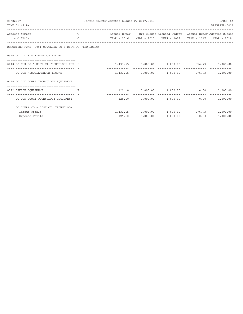| 09/22/17<br>TIME: 01:49 PM                                                    |               | Fannin County Adopted Budget FY 2017/2018 |          |                                                                    |             | PAGE 64<br>PREPARER: 0011 |
|-------------------------------------------------------------------------------|---------------|-------------------------------------------|----------|--------------------------------------------------------------------|-------------|---------------------------|
| Account Number                                                                | T.            |                                           |          | Actual Exper Org Budget Amended Budget Actual Exper Adopted Budget |             |                           |
| and Title                                                                     | $\mathcal{C}$ | YEAR - 2016                               |          | YEAR - 2017 YEAR - 2017                                            | YEAR - 2017 | YEAR - 2018               |
| REPORTING FUND: 0051 CO.CLERK CO.& DIST.CT. TECHNOLOGY                        |               |                                           |          |                                                                    |             |                           |
| 0370 CO.CLK.MISCELLANEOUS INCOME                                              |               |                                           |          |                                                                    |             |                           |
| 0440 CO.CLK.CO.& DIST.CT.TECHNOLOGY FEE I                                     |               |                                           |          | $1,433.65$ $1,000.00$ $1,000.00$ $976.73$ $1,000.00$               |             |                           |
| -------------------------------- -<br>CO. CLK. MISCELLANEOUS INCOME           |               |                                           |          | 1,433.65 1,000.00 1,000.00 976.73 1,000.00                         |             |                           |
| 0440 CO.CLK.COURT TECHNOLOGY EQUIPMENT<br>=================================== |               |                                           |          |                                                                    |             |                           |
| 0572 OFFICE EQUIPMENT                                                         |               |                                           |          | 129.10 1,000.00 1,000.00 0.00                                      |             | 1,000.00                  |
| CO. CLK. COURT TECHNOLOGY EQUIPMENT                                           |               | 129.10                                    |          | 1,000.00 1,000.00                                                  | 0.00        | 1,000.00                  |
| CO. CLERK CO. & DIST. CT. TECHNOLOGY                                          |               |                                           |          |                                                                    |             |                           |
| Income Totals                                                                 |               |                                           |          | $1,433.65$ $1,000.00$ $1,000.00$ $976.73$                          |             | 1,000.00                  |
| Expense Totals                                                                |               | 129.10                                    | 1,000.00 | 1,000.00                                                           | 0.00        | 1,000.00                  |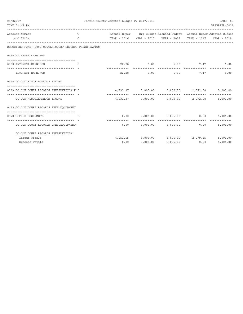| 09/22/17 |                                                                  | Fannin County Adopted Budget FY 2017/2018 |               | PAGE 65  |                                                                             |      |                |
|----------|------------------------------------------------------------------|-------------------------------------------|---------------|----------|-----------------------------------------------------------------------------|------|----------------|
|          | TIME: 01:49 PM                                                   |                                           |               |          |                                                                             |      | PREPARER: 0011 |
|          | Account Number                                                   | T                                         |               |          | Actual Exper Org Budget Amended Budget Actual Exper Adopted Budget          |      |                |
|          | and Title                                                        | $\mathcal{C}$                             |               |          | YEAR - 2016     YEAR - 2017     YEAR - 2017     YEAR - 2017     YEAR - 2018 |      |                |
|          | REPORTING FUND: 0052 CO.CLK.COURT RECORDS PRESERVATION           |                                           |               |          |                                                                             |      |                |
|          | 0360 INTEREST EARNINGS                                           |                                           |               |          |                                                                             |      |                |
|          | 0100 INTEREST EARNINGS<br>and the state of the Table             |                                           |               |          | $22.28$ 6.00 6.00 7.47 6.00                                                 |      |                |
|          | -------------------------------- - -<br><b>INTEREST EARNINGS</b> |                                           |               |          | 22.28 6.00 6.00                                                             |      | 7.47<br>6.00   |
|          | 0370 CO.CLK.MISCELLANEOUS INCOME                                 |                                           |               |          |                                                                             |      |                |
|          | 0133 CO.CLK.COURT RECORDS PRESERVATION F I                       |                                           |               |          | $4,231.37$ $5,000.00$ $5,000.00$ $2,072.08$                                 |      | 5,000.00       |
|          | CO. CLK. MISCELLANEOUS INCOME                                    |                                           | ------------- |          | $4,231.37$ $5,000.00$ $5,000.00$ $2,072.08$                                 |      | 5,000.00       |
|          | 0449 CO.CLK.COURT RECORDS PRES.EQUIPMENT                         |                                           |               |          |                                                                             |      |                |
|          | 0572 OFFICE EQUIPMENT                                            | E                                         |               |          | $0.00$ 5,006.00 5,006.00 0.00                                               |      | 5,006.00       |
|          | CO. CLK. COURT RECORDS PRES. EQUIPMENT                           |                                           |               |          | $0.00$ 5,006.00 5,006.00                                                    | 0.00 | 5,006.00       |
|          | CO. CLK. COURT RECORDS PRESERVATION                              |                                           |               |          |                                                                             |      |                |
|          | Income Totals                                                    |                                           |               |          | 4, 253.65 5, 006.00 5, 006.00 2, 079.55                                     |      | 5,006.00       |
|          | Expense Totals                                                   |                                           | 0.00          | 5,006.00 | $5,006.00$ 0.00                                                             |      | 5,006.00       |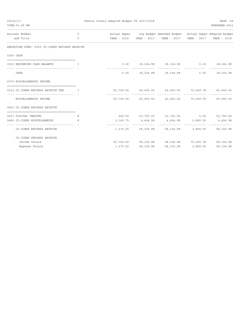| 09/22/17                                                      |                                                        | Fannin County Adopted Budget FY 2017/2018 |           |                                                                    |          | PAGE 66        |
|---------------------------------------------------------------|--------------------------------------------------------|-------------------------------------------|-----------|--------------------------------------------------------------------|----------|----------------|
| TIME: 01:49 PM                                                |                                                        |                                           |           |                                                                    |          | PREPARER: 0011 |
| Account Number                                                | <b>The Community of the Community of the Community</b> |                                           |           | Actual Exper Org Budget Amended Budget Actual Exper Adopted Budget |          |                |
| and Title                                                     | $\mathbb{C}$                                           |                                           |           |                                                                    |          |                |
| REPORTING FUND: 0053 CO.CLERK RECORDS ARCHIVE                 |                                                        |                                           |           |                                                                    |          |                |
| 0300 CASH                                                     |                                                        |                                           |           |                                                                    |          |                |
|                                                               |                                                        |                                           |           |                                                                    |          |                |
| 0153 BEGINNING CASH BALANCE I                                 |                                                        |                                           |           | $0.00$ 18,104.98 18,104.98 0.00 18,104.98                          |          |                |
| CASH                                                          |                                                        |                                           |           | $0.00$ 18, 104.98 18, 104.98 0.00 18, 104.98                       |          |                |
| 0370 MISCELLANEOUS INCOME                                     |                                                        |                                           |           |                                                                    |          |                |
| 0133 CO.CLERK RECORDS ARCHIVE FEE                             | $\mathbf{I}$                                           |                                           |           | $63,759.92$ $40,000.00$ $40,000.00$ $75,249.78$ $40,000.00$        |          |                |
| MISCELLANEOUS INCOME                                          |                                                        |                                           |           | $63,759.92$ $40,000.00$ $40,000.00$ $75,249.78$ $40,000.00$        |          |                |
| 0403 CO. CLERK RECORDS ARCHIVE                                |                                                        |                                           |           |                                                                    |          |                |
| 0437 DIGITAL IMAGING                                          | Е                                                      |                                           |           | 229.50 53,700.00 53,700.00 0.00 53,700.00                          |          |                |
| 0490 CO.CLERK MISCELLANEOUS                                   | E.                                                     |                                           |           | $1,140.75$ $4,404.98$ $4,404.98$ $3,899.00$ $4,404.98$             |          |                |
| --------------------------------<br>CO. CLERK RECORDS ARCHIVE |                                                        |                                           |           | 1,370.25 58,104.98 58,104.98 3,899.00 58,104.98                    |          |                |
| CO. CLERK RECORDS ARCHIVE                                     |                                                        |                                           |           |                                                                    |          |                |
| Income Totals                                                 |                                                        |                                           |           | 63, 759.92 58, 104.98 58, 104.98 75, 249.78 58, 104.98             |          |                |
| Expense Totals                                                |                                                        | 1,370.25                                  | 58,104.98 | 58,104.98                                                          | 3,899.00 | 58,104.98      |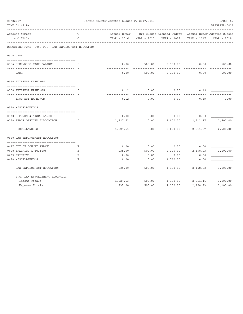| 09/22/17 | TIME: 01:49 PM                                      |    | Fannin County Adopted Budget FY 2017/2018 |             |                                                                    |             | PAGE 67<br>PREPARER: 0011 |
|----------|-----------------------------------------------------|----|-------------------------------------------|-------------|--------------------------------------------------------------------|-------------|---------------------------|
|          | Account Number                                      | T  |                                           |             | Actual Exper Org Budget Amended Budget Actual Exper Adopted Budget |             |                           |
|          | and Title                                           | C  | YEAR - 2016                               | YEAR - 2017 | YEAR - 2017                                                        | YEAR - 2017 | YEAR - 2018               |
|          | REPORTING FUND: 0055 F.C. LAW ENFORCEMENT EDUCATION |    |                                           |             |                                                                    |             |                           |
|          | 0300 CASH                                           |    |                                           |             |                                                                    |             |                           |
|          | 0156 BEGINNING CASH BALANCE                         | I  | 0.00                                      | 500.00      | 2,100.00                                                           | 0.00        | 500.00                    |
|          | CASH                                                |    | 0.00                                      | 500.00      | 2,100.00                                                           | 0.00        | 500.00                    |
|          | 0360 INTEREST EARNINGS                              |    |                                           |             |                                                                    |             |                           |
|          |                                                     |    |                                           |             |                                                                    |             |                           |
|          | 0100 INTEREST EARNINGS                              | T. | 0.12                                      | 0.00        | 0.00                                                               | 0.19        |                           |
|          | <b>INTEREST EARNINGS</b>                            |    | 0.12                                      | 0.00        | 0.00                                                               | 0.19        | 0.00                      |
|          | 0370 MISCELLANEOUS                                  |    |                                           |             |                                                                    |             |                           |
|          | 0130 REFUNDS & MISCELLANEOUS                        | T. | 0.00                                      | 0.00        | 0.00                                                               | 0.00        |                           |
|          | 0160 PEACE OFFICER ALLOCATION                       | I. | 1,827.51                                  | 0.00        | 2,000.00                                                           | 2,211.27    | 2,600.00                  |
|          | MISCELLANEOUS                                       |    | 1,827.51                                  | 0.00        | 2,000.00                                                           | 2,211.27    | 2,600.00                  |
|          | 0560 LAW ENFORCEMENT EDUCATION                      |    |                                           |             |                                                                    |             |                           |
|          | 0427 OUT OF COUNTY TRAVEL                           | Е  | 0.00                                      | 0.00        | 0.00                                                               | 0.00        |                           |
|          | 0428 TRAINING & TUITION                             | Е  | 235.00                                    | 500.00      | 2,340.00                                                           | 2,198.23    | 3,100.00                  |
|          | 0435 PRINTING                                       | Ε  | 0.00                                      | 0.00        | 0.00                                                               | 0.00        |                           |
|          | 0490 MISCELLANEOUS                                  | Ε  | 0.00                                      | 0.00        | 1,760.00                                                           | 0.00        |                           |
|          | LAW ENFORCEMENT EDUCATION                           |    | 235.00                                    | 500.00      | 4,100.00                                                           | 2,198.23    | 3,100.00                  |
|          | F.C. LAW ENFORCEMENT EDUCATION                      |    |                                           |             |                                                                    |             |                           |
|          | Income Totals                                       |    | 1,827.63                                  | 500.00      | 4,100.00                                                           | 2,211.46    | 3,100.00                  |
|          | Expense Totals                                      |    | 235.00                                    | 500.00      | 4,100.00                                                           | 2,198.23    | 3,100.00                  |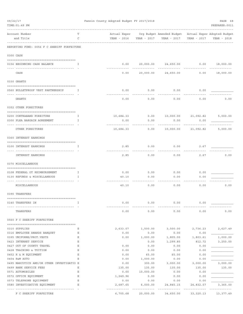| 09/22/17 |                                                                      |    | Fannin County Adopted Budget FY 2017/2018 |                  |                                                                    |                     | PAGE 68                  |
|----------|----------------------------------------------------------------------|----|-------------------------------------------|------------------|--------------------------------------------------------------------|---------------------|--------------------------|
|          | TIME: 01:49 PM                                                       |    |                                           |                  |                                                                    |                     | PREPARER: 0011           |
|          | Account Number                                                       | Т  |                                           |                  | Actual Exper Org Budget Amended Budget Actual Exper Adopted Budget |                     |                          |
|          | and Title                                                            | C  | YEAR - 2016                               | YEAR - 2017      | YEAR - 2017                                                        | YEAR - 2017         | YEAR - 2018              |
|          | REPORTING FUND: 0056 F C SHERIFF FORFEITURE                          |    |                                           |                  |                                                                    |                     |                          |
|          | 0300 CASH                                                            |    |                                           |                  |                                                                    |                     |                          |
|          | 0156 BEGINNING CASH BALANCE                                          | Ι. | 0.00                                      |                  | 20,000.00  24,650.00  0.00  18,000.00                              |                     |                          |
|          |                                                                      |    |                                           |                  |                                                                    |                     |                          |
|          | CASH                                                                 |    | 0.00                                      | 20,000.00        | 24,650.00                                                          | 0.00                | 18,000.00                |
|          | 0330 GRANTS                                                          |    |                                           |                  |                                                                    |                     |                          |
|          | 0560 BULLETPROOF VEST PARTNERSHIP                                    | Ι. | 0.00                                      | 0.00             | 0.00                                                               | 0.00                |                          |
|          | GRANTS                                                               |    | 0.00                                      | 0.00             | 0.00                                                               | 0.00                | 0.00                     |
|          | 0352 OTHER FOREITURES                                                |    |                                           |                  |                                                                    |                     |                          |
|          | 0200 CONTRABAND FOREITURE                                            | I. | 10,684.33                                 | 0.00             |                                                                    | 10,000.00 21,092.82 | 5,000.00                 |
|          | 0300 PLEA BARGAIN AGREEMENT                                          | I. | 0.00                                      | 0.00             | 0.00                                                               | 0.00                |                          |
|          |                                                                      |    |                                           |                  |                                                                    |                     |                          |
|          | OTHER FOREITURES                                                     |    | 10,684.33                                 | 0.00             |                                                                    | 10,000.00 21,092.82 | 5,000.00                 |
|          | 0360 INTEREST EARNINGS                                               |    |                                           |                  |                                                                    |                     |                          |
|          | 0100 INTEREST EARNINGS                                               | I. | 2.85                                      | 0.00             | 0.00                                                               | 2.67                |                          |
|          | INTEREST EARNINGS                                                    |    | 2.85                                      | 0.00             | 0.00                                                               | 2.67                | 0.00                     |
|          | 0370 MISCELLANEOUS                                                   |    |                                           |                  |                                                                    |                     |                          |
|          | 0108 FEDERAL OT REIMBURSEMENT                                        | I  | 0.00                                      | 0.00             | 0.00                                                               | 0.00                |                          |
|          | 0130 REFUNDS & MISCELLANEOUS                                         | I  | 40.10                                     | 0.00             | 0.00                                                               | 0.00                |                          |
|          | MISCELLANEOUS                                                        |    | 40.10                                     | 0.00             | 0.00                                                               | 0.00                | 0.00                     |
|          | 0390 TRANSFERS                                                       |    |                                           |                  |                                                                    |                     |                          |
|          |                                                                      |    |                                           |                  |                                                                    |                     |                          |
|          | 0140 TRANSFERS IN                                                    | I  | 0.00                                      | 0.00             | 0.00                                                               | 0.00                |                          |
|          | TRANSFERS                                                            |    | 0.00                                      | 0.00             | 0.00                                                               | 0.00                | 0.00                     |
|          | 0560 F C SHERIFF FORFEITURE                                          |    |                                           |                  |                                                                    |                     |                          |
|          | 0310 SUPPLIES                                                        | Ε  | 2,633.07                                  | 1,500.00         | 3,500.00                                                           | 2,736.23            | 2,627.49                 |
|          | 0316 EMPLOYEE AWARDS BANQUET                                         | Ε  | 0.00                                      | 0.00             | 0.00                                                               | 0.00                |                          |
|          | 0395 UNIFORMS/PROT.VESTS                                             | Ε  | 0.00                                      | 1,000.00         | 1,805.00                                                           | 1,803.61            | 1,000.00                 |
|          | 0423 INTERNET SERVICE                                                | Ε  |                                           | 0.00             | 1,299.85                                                           | 812.72              | 3,250.00                 |
|          | 0427 OUT OF COUNTY TRAVEL                                            | Ε  | 0.00                                      | 0.00             | 0.00                                                               | 0.00                |                          |
|          | 0428 TRAINING & TUITION                                              | Ε  | 0.00                                      | 0.00             | 0.00                                                               | 0.00                |                          |
|          | 0452 R & M EQUIPMENT                                                 | Ε  | 0.00                                      | 65.00            | 65.00                                                              | 0.00                |                          |
|          | 0454 R&M AUTO                                                        | E  | 0.00                                      | 1,000.00         | 0.00                                                               | 0.00                |                          |
|          | 0495 NARCOTICS AND/OR OTHER INVESTIGATIO E<br>0499 BANK SERVICE FEES | Ε  | 0.00<br>135.00                            | 300.00<br>135.00 | 3,000.00<br>135.00                                                 | 3,000.00<br>135.00  | 3,000.00<br>135.00       |
|          | 0571 AUTOMOBILES                                                     | Ε  | 0.00                                      | 10,000.00        | 0.00                                                               | 0.00                |                          |
|          | 0572 OFFICE EQUIPMENT                                                | Ε  | 1,249.96                                  | 0.00             | 0.00                                                               | 0.00                |                          |
|          | 0573 TELEPHONE EQUIPMENT                                             | Ε  | 0.00                                      | 0.00             | 0.00                                                               | 0.00                |                          |
|          | 0580 INVESTIGATIVE EQUIPMENT                                         | Ε  | 2,687.65                                  | 6,000.00         | 24,845.15                                                          | 24,832.57           | 3,365.00                 |
|          | F C SHERIFF FORFEITURE                                               |    | 6,705.68                                  | 20,000.00        | 34,650.00                                                          | 33,320.13           | -----------<br>13,377.49 |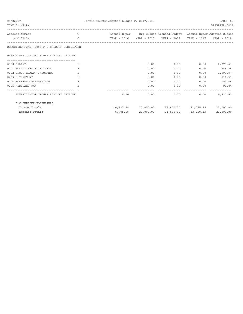| 09/22/17                                    |               | Fannin County Adopted Budget FY 2017/2018 | PAGE 69   |                                                                    |                     |                |
|---------------------------------------------|---------------|-------------------------------------------|-----------|--------------------------------------------------------------------|---------------------|----------------|
| TIME: 01:49 PM                              |               |                                           |           |                                                                    |                     | PREPARER: 0011 |
| Account Number                              | T.            |                                           |           | Actual Exper Org Budget Amended Budget Actual Exper Adopted Budget |                     |                |
| and Title                                   | $\mathcal{C}$ |                                           |           |                                                                    | YEAR - 2017         | YEAR - 2018    |
| REPORTING FUND: 0056 F C SHERIFF FORFEITURE |               |                                           |           |                                                                    |                     |                |
| 0565 INVESTIGATOR CRIMES AGAINST CHILDRE    |               |                                           |           |                                                                    |                     |                |
| 0108 SALARY                                 |               |                                           | 0.00      | 0.00                                                               | 0.00                | 6,278.63       |
| 0201 SOCIAL SECURITY TAXES                  | E             |                                           | 0.00      | 0.00                                                               | 0.00                | 389.28         |
| 0202 GROUP HEALTH INSURANCE                 | E.            |                                           | 0.00      | 0.00                                                               | 0.00                | 1,993.97       |
| 0203 RETIREMENT                             | E.            |                                           | 0.00      | 0.00                                                               | 0.00                | 714.51         |
| 0204 WORKERS COMPENSATION                   | Ε             |                                           | 0.00      | 0.00                                                               | 0.00                | 155.08         |
| 0205 MEDICARE TAX                           | E.            |                                           | 0.00      | 0.00                                                               | 0.00                | 91.04          |
| INVESTIGATOR CRIMES AGAINST CHILDRE         |               | 0.00                                      | 0.00      | 0.00                                                               | 0.00                | 9,622.51       |
| F C SHERIFF FORFEITURE                      |               |                                           |           |                                                                    |                     |                |
| Income Totals                               |               | 10,727.28                                 |           | 20,000.00 34,650.00 21,095.49                                      |                     | 23,000.00      |
| Expense Totals                              |               | 6,705.68                                  | 20,000.00 |                                                                    | 34,650.00 33,320.13 | 23,000.00      |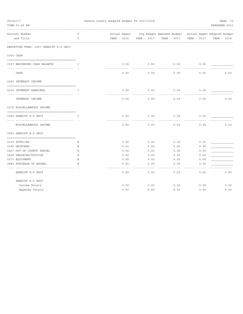| 09/22/17 |                                       |             | Fannin County Adopted Budget FY 2017/2018 |      |      |             |             | PAGE 70                                                            |
|----------|---------------------------------------|-------------|-------------------------------------------|------|------|-------------|-------------|--------------------------------------------------------------------|
|          | TIME: 01:49 PM                        |             |                                           |      |      |             |             | PREPARER: 0011                                                     |
|          | Account Number                        | т           |                                           |      |      |             |             | Actual Exper Org Budget Amended Budget Actual Exper Adopted Budget |
|          | and Title                             | C           |                                           |      |      | YEAR - 2017 | YEAR - 2017 | YEAR - 2018                                                        |
|          | REPORTING FUND: 0057 SHERIFF K-9 UNIT |             |                                           |      |      |             |             |                                                                    |
|          | 0300 CASH                             |             |                                           |      |      |             |             |                                                                    |
|          |                                       |             |                                           |      |      |             |             |                                                                    |
|          | 0157 BEGINNING CASH BALANCE           | I           |                                           | 0.00 | 0.00 | 0.00        | 0.00        |                                                                    |
|          | ____________________________________  |             |                                           |      |      |             |             |                                                                    |
|          | CASH                                  |             |                                           | 0.00 | 0.00 | 0.00        | 0.00        | 0.00                                                               |
|          | 0360 INTEREST INCOME                  |             |                                           |      |      |             |             |                                                                    |
|          |                                       |             |                                           |      |      |             |             |                                                                    |
|          | 0100 INTEREST EARNINGS                | I           |                                           | 0.00 | 0.00 | 0.00        | 0.00        |                                                                    |
|          |                                       |             |                                           |      |      |             |             |                                                                    |
|          | INTEREST INCOME                       |             |                                           | 0.00 | 0.00 | 0.00        | 0.00        | 0.00                                                               |
|          | 0370 MISCELLANEOUS INCOME             |             |                                           |      |      |             |             |                                                                    |
|          | 0560 SHERIFF K-9 UNIT                 | Ι           |                                           | 0.00 | 0.00 | 0.00        | 0.00        |                                                                    |
|          | MISCELLANEOUS INCOME                  |             |                                           | 0.00 | 0.00 | 0.00        | 0.00        | 0.00                                                               |
|          | 0560 SHERIFF K-9 UNIT                 |             |                                           |      |      |             |             |                                                                    |
|          |                                       |             |                                           |      |      |             |             |                                                                    |
|          | 0310 SUPPLIES                         | Ε           |                                           | 0.00 | 0.00 | 0.00        | 0.00        |                                                                    |
|          | 0395 UNIFORMS                         | Ε           |                                           | 0.00 | 0.00 | 0.00        | 0.00        |                                                                    |
|          | 0427 OUT OF COUNTY TRAVEL             | Ε           |                                           | 0.00 | 0.00 | 0.00        | 0.00        |                                                                    |
|          | 0428 TRAINING/TUITION                 | Ε           |                                           | 0.00 | 0.00 | 0.00        | 0.00        |                                                                    |
|          | 0571 EQUIPMENT                        | $\mathbf E$ |                                           | 0.00 | 0.00 | 0.00        | 0.00        |                                                                    |
|          | 0580 PURCHASE OF ANIMAL               | $\mathbf E$ |                                           | 0.00 | 0.00 | 0.00        | 0.00        |                                                                    |
|          |                                       |             |                                           |      |      |             |             |                                                                    |
|          | SHERIFF K-9 UNIT                      |             |                                           | 0.00 | 0.00 | 0.00        | 0.00        | 0.00                                                               |
|          | SHERIFF K-9 UNIT                      |             |                                           |      |      |             |             |                                                                    |
|          | Income Totals                         |             |                                           | 0.00 | 0.00 | 0.00        | 0.00        | 0.00                                                               |
|          | Expense Totals                        |             |                                           | 0.00 | 0.00 | 0.00        | 0.00        | 0.00                                                               |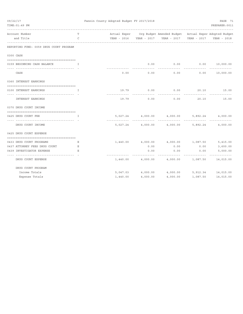| 09/22/17<br>TIME: 01:49 PM                               |    | Fannin County Adopted Budget FY 2017/2018 |                   |                                                                    |                | PAGE 71<br>PREPARER: 0011 |
|----------------------------------------------------------|----|-------------------------------------------|-------------------|--------------------------------------------------------------------|----------------|---------------------------|
| Account Number                                           | T  |                                           |                   | Actual Exper Org Budget Amended Budget Actual Exper Adopted Budget |                |                           |
| and Title                                                | C  |                                           |                   |                                                                    |                |                           |
| REPORTING FUND: 0059 DRUG COURT PROGRAM                  |    |                                           |                   |                                                                    |                |                           |
| 0300 CASH                                                |    |                                           |                   |                                                                    |                |                           |
|                                                          |    |                                           |                   |                                                                    |                |                           |
| 0159 BEGINNING CASH BALANCE<br>and the first part of the |    |                                           | 0.00              | 0.00                                                               | 0.00 10,000.00 |                           |
|                                                          |    |                                           |                   |                                                                    |                |                           |
| CASH                                                     |    | 0.00                                      |                   | $0.00$ 0.00                                                        | 0.00           | 10,000.00                 |
| 0360 INTEREST EARNINGS                                   |    |                                           |                   |                                                                    |                |                           |
| 0100 INTEREST EARNINGS<br>$\mathbf{I}$ and $\mathbf{I}$  |    | 19.79                                     | 0.00              | 0.00                                                               | 20.10          | 15.00                     |
| INTEREST EARNINGS                                        |    | 19.79                                     | 0.00              | 0.00                                                               | 20.10          | 15.00                     |
| 0370 DRUG COURT INCOME                                   |    |                                           |                   |                                                                    |                |                           |
| ====================================                     |    |                                           |                   |                                                                    |                |                           |
| 0425 DRUG COURT FEE                                      | I  |                                           |                   | $5,027.24$ $4,000.00$ $4,000.00$ $5,892.24$ $4,000.00$             |                |                           |
|                                                          |    |                                           |                   |                                                                    |                |                           |
| DRUG COURT INCOME                                        |    |                                           |                   | $5,027.24$ $4,000.00$ $4,000.00$                                   |                | 5,892.24 4,000.00         |
| 0425 DRUG COURT EXPENSE                                  |    |                                           |                   |                                                                    |                |                           |
|                                                          |    |                                           |                   |                                                                    |                |                           |
| 0433 DRUG COURT PROGRAMS                                 | Е  |                                           | 1,440.00 4,000.00 | 4,000.00 1,087.50 5,415.00                                         |                |                           |
| 0437 ATTORNEY FEES DRUG COURT<br>and a B                 |    |                                           | 0.00              | 0.00                                                               | 0.00           | 3,600.00                  |
| 0439 INVESTIGATOR EXPENSE                                | E. |                                           | 0.00              | 0.00                                                               | 0.00           | 5,000.00                  |
|                                                          |    |                                           |                   |                                                                    |                |                           |
| DRUG COURT EXPENSE                                       |    |                                           | 1,440.00 4,000.00 | 4,000.00                                                           | 1,087.50       | 14,015.00                 |
| DRUG COURT PROGRAM                                       |    |                                           |                   |                                                                    |                |                           |
| Income Totals                                            |    |                                           | 5,047.03 4,000.00 | 4,000.00 5,912.34 14,015.00                                        |                |                           |
| Expense Totals                                           |    | 1,440.00                                  | 4,000.00          | 4,000.00                                                           | 1,087.50       | 14,015.00                 |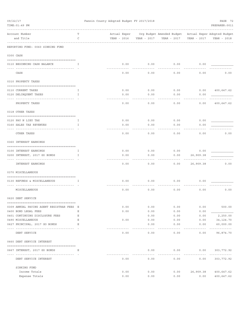| 09/22/17 |                                                         | Fannin County Adopted Budget FY 2017/2018 |              |                     |                                                       |              | PAGE 72                            |
|----------|---------------------------------------------------------|-------------------------------------------|--------------|---------------------|-------------------------------------------------------|--------------|------------------------------------|
|          | TIME: 01:49 PM                                          |                                           |              |                     |                                                       |              | PREPARER: 0011                     |
|          | Account Number                                          | Т                                         | Actual Exper |                     | Org Budget Amended Budget Actual Exper Adopted Budget |              |                                    |
|          | and Title                                               | $\mathsf C$                               | YEAR - 2016  | YEAR - 2017         | YEAR - 2017                                           | YEAR - 2017  | YEAR - 2018                        |
|          | REPORTING FUND: 0060 SINKING FUND                       |                                           |              |                     |                                                       |              |                                    |
|          | 0300 CASH                                               |                                           |              |                     |                                                       |              |                                    |
|          | 0110 BEGINNING CASH BALANCE                             | Ι.                                        | 0.00         | 0.00                | 0.00                                                  | 0.00         |                                    |
|          | CASH                                                    |                                           | 0.00         | 0.00                | 0.00                                                  | 0.00         | 0.00                               |
|          | 0310 PROPERTY TAXES                                     |                                           |              |                     |                                                       |              |                                    |
|          | 0110 CURRENT TAXES                                      | I                                         | 0.00         | 0.00                | 0.00                                                  | 0.00         | 400,647.62                         |
|          | 0120 DELINQUENT TAXES                                   | I                                         | 0.00         | 0.00                | 0.00                                                  | 0.00         |                                    |
|          | PROPERTY TAXES                                          |                                           | 0.00         | 0.00                | 0.00                                                  | 0.00         | 400,647.62                         |
|          | 0318 OTHER TAXES                                        |                                           |              |                     |                                                       |              |                                    |
|          |                                                         |                                           |              |                     |                                                       |              |                                    |
|          | 0120 PAY N LIEU TAX<br>0160 SALES TAX REVENUES          | I<br>I                                    | 0.00<br>0.00 | 0.00<br>0.00        | 0.00<br>0.00                                          | 0.00<br>0.00 |                                    |
|          |                                                         |                                           |              |                     |                                                       |              |                                    |
|          | OTHER TAXES                                             |                                           | 0.00         | 0.00                | 0.00                                                  | 0.00         | 0.00                               |
|          | 0360 INTEREST EARNINGS                                  |                                           |              |                     |                                                       |              |                                    |
|          | 0100 INTEREST EARNINGS                                  | I                                         | 0.00         | 0.00                | 0.00                                                  | 0.00         |                                    |
|          | 0200 INTEREST, 2017 GO BONDS                            | $\mathbf I$                               | 0.00         | 0.00                | 0.00                                                  | 26,909.38    |                                    |
|          | INTEREST EARNINGS                                       |                                           | 0.00         | 0.00                | 0.00                                                  | 26,909.38    | 0.00                               |
|          | 0370 MISCELLANEOUS                                      |                                           |              |                     |                                                       |              |                                    |
|          |                                                         |                                           |              |                     |                                                       |              |                                    |
|          | 0130 REFUNDS & MISCELLANEOUS                            | Ι.                                        | 0.00         | 0.00                | 0.00                                                  | 0.00         |                                    |
|          | MISCELLANEOUS                                           |                                           | 0.00         | 0.00                | 0.00                                                  | 0.00         | 0.00                               |
|          | 0620 DEBT SERVICE                                       |                                           |              |                     |                                                       |              |                                    |
|          | 0309 ANNUAL PAYING AGENT REGISTRAR FEES E               |                                           | 0.00         | 0.00                | 0.00                                                  | 0.00         | 500.00                             |
|          | 0400 BOND LEGAL FEES                                    | Ε                                         | 0.00         | 0.00                | 0.00                                                  | 0.00         |                                    |
|          | 0401 CONTINUING DISCLOSURE FEES                         | Ε                                         |              | 0.00                | 0.00                                                  | 0.00         | 2,250.00                           |
|          | 0490 MISCELLANEOUS                                      | Ε                                         | 0.00         | 0.00                | 0.00                                                  | 0.00         | 34, 124. 70                        |
|          | 0627 PRINCIPAL, 2017 GO BONDS<br>---------------------- | Ε                                         |              | 0.00                | 0.00                                                  | 0.00         | 60,000.00<br>- - - - - - - - - - - |
|          | DEBT SERVICE                                            |                                           | 0.00         | 0.00                | 0.00                                                  | 0.00         | 96,874.70                          |
|          | 0660 DEBT SERVICE INTEREST                              |                                           |              |                     |                                                       |              |                                    |
|          | 0667 INTEREST, 2017 GO BONDS                            | Е                                         |              | 0.00                | 0.00                                                  | 0.00         | 303,772.92                         |
|          | DEBT SERVICE INTEREST                                   |                                           | 0.00         | $- - - - -$<br>0.00 | $- - - - - - - -$<br>0.00                             | 0.00         | -----------<br>303,772.92          |
|          | SINKING FUND                                            |                                           |              |                     |                                                       |              |                                    |
|          | Income Totals                                           |                                           | 0.00         | 0.00                | 0.00                                                  | 26,909.38    | 400,647.62                         |
|          | Expense Totals                                          |                                           | 0.00         | 0.00                | 0.00                                                  | 0.00         | 400,647.62                         |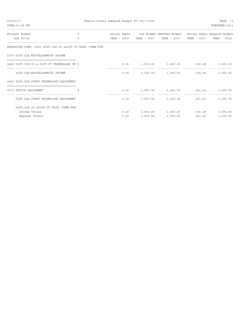| 09/22/17<br>TIME: 01:49 PM                                                         |               | Fannin County Adopted Budget FY 2017/2018 |          |                                                                    |             | PAGE 73<br>PREPARER: 0011 |
|------------------------------------------------------------------------------------|---------------|-------------------------------------------|----------|--------------------------------------------------------------------|-------------|---------------------------|
|                                                                                    |               |                                           |          |                                                                    |             |                           |
| Account Number                                                                     |               |                                           |          | Actual Exper Org Budget Amended Budget Actual Exper Adopted Budget |             |                           |
| and Title                                                                          | $\mathcal{C}$ | YEAR - 2016                               |          | YEAR - 2017 YEAR - 2017                                            | YEAR - 2017 | YEAR - 2018               |
| REPORTING FUND: 0061 DIST.CLK.CO.&DIST.CT.TECH.-COMB.FUN                           |               |                                           |          |                                                                    |             |                           |
| 0370 DIST.CLK.MISCELLANEOUS INCOME                                                 |               |                                           |          |                                                                    |             |                           |
| 0440 DIST.CLK.CO.& DIST.CT.TECHNOLOGY FE I                                         |               |                                           |          | $0.00$ 1,000.00 1,000.00 536.28 1,000.00                           |             |                           |
| DIST.CLK.MISCELLANEOUS INCOME                                                      |               | 0.00                                      |          | $1,000.00$ $1,000.00$ $536.28$ $1,000.00$                          |             |                           |
| 0440 DIST.CLK.COURT TECHNOLOGY EQUIPMENT<br>, ____________________________________ |               |                                           |          |                                                                    |             |                           |
| 0572 OFFICE EQUIPMENT                                                              |               |                                           |          | $0.00$ 1,000.00 1,000.00 451.43 1,000.00                           |             |                           |
| DIST. CLK. COURT TECHNOLOGY EQUIPMENT                                              |               | 0.00                                      |          | 1,000.00 1,000.00 451.43                                           |             | 1,000.00                  |
| DIST. CLK. CO. & DIST. CT. TECH. - COMB. FUN                                       |               |                                           |          |                                                                    |             |                           |
| Income Totals                                                                      |               |                                           |          | $0.00$ 1,000.00 1,000.00                                           | 536.28      | 1,000.00                  |
| Expense Totals                                                                     |               | 0.00                                      | 1,000.00 | 1,000.00                                                           | 451.43      | 1,000.00                  |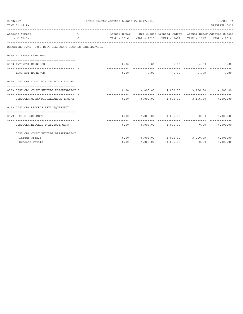| 09/22/17<br>TIME: 01:49 PM                                     |                    | Fannin County Adopted Budget FY 2017/2018 |          |                                                                    |       | PAGE 74<br>PREPARER: 0011 |
|----------------------------------------------------------------|--------------------|-------------------------------------------|----------|--------------------------------------------------------------------|-------|---------------------------|
| Account Number<br>and Title                                    | T<br>$\mathcal{C}$ |                                           |          | Actual Exper Org Budget Amended Budget Actual Exper Adopted Budget |       | YEAR - 2018               |
| REPORTING FUND: 0062 DIST.CLK.COURT RECORDS PRESERVATION       |                    |                                           |          |                                                                    |       |                           |
| 0360 INTEREST EARNINGS                                         |                    |                                           |          |                                                                    |       |                           |
| 0100 INTEREST EARNINGS<br>and the contract of the Table        |                    |                                           |          | $0.00$ $5.00$ $5.00$ $14.09$                                       |       | 5.00                      |
| INTEREST EARNINGS                                              |                    |                                           | 0.00     | 5.00<br>5.00                                                       | 14.09 | 5.00                      |
| 0370 DIST.CLK.COURT MISCELLAEOUS INCOME                        |                    |                                           |          |                                                                    |       |                           |
| 0133 DIST.CLK.COURT RECORDS PRESERVATION I                     |                    |                                           |          | $0.00$ $4,000.00$ $4,000.00$ $3,196.90$ $4,000.00$                 |       |                           |
| DIST.CLK.COURT MISCELLAEOUS INCOME                             |                    |                                           |          | ______________<br>$0.00$ 4,000.00 4,000.00 3,196.90 4,000.00       |       |                           |
| 0449 DIST.CLK.REOCRDS PRES.EQUIPMENT                           |                    |                                           |          |                                                                    |       |                           |
| =====================================<br>0572 OFFICE EQUIPMENT | E                  |                                           |          | $0.00$ $4,005.00$ $4,005.00$ $0.00$ $4,005.00$                     |       |                           |
| DIST. CLK. REOCRDS PRES. EQUIPMENT                             |                    |                                           |          | $0.00$ 4,005.00 4,005.00 0.00 4,005.00                             |       |                           |
| DIST. CLK. COURT RECORDS PRESERVATION                          |                    |                                           |          |                                                                    |       |                           |
| Income Totals                                                  |                    |                                           |          | $0.00$ $4,005.00$ $4,005.00$ $3,210.99$ $4,005.00$                 |       |                           |
| Expense Totals                                                 |                    | 0.00                                      | 4,005.00 | 4,005.00                                                           | 0.00  | 4,005.00                  |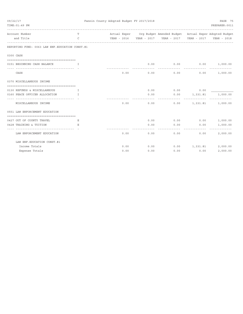| 09/22/17 | TIME: 01:49 PM                                              |              | Fannin County Adopted Budget FY 2017/2018 |      |                                                                    |                     | PAGE 75<br>PREPARER: 0011 |
|----------|-------------------------------------------------------------|--------------|-------------------------------------------|------|--------------------------------------------------------------------|---------------------|---------------------------|
|          | --------------------------------------                      |              |                                           |      |                                                                    |                     |                           |
|          | Account Number                                              | T.           |                                           |      | Actual Exper Org Budget Amended Budget Actual Exper Adopted Budget |                     |                           |
|          | and Title                                                   | $\mathsf{C}$ |                                           |      |                                                                    |                     |                           |
|          | REPORTING FUND: 0063 LAW ENF. EDUCATION CONST. #1           |              |                                           |      |                                                                    |                     |                           |
|          | 0300 CASH                                                   |              |                                           |      |                                                                    |                     |                           |
|          |                                                             | T            |                                           | 0.00 |                                                                    |                     |                           |
|          | 0151 BEGINNING CASH BALANCE                                 |              |                                           |      | $0.00$ $0.00$ $1,000.00$<br>-----------                            |                     |                           |
|          | CASH                                                        |              | 0.00                                      | 0.00 | 0.00                                                               | 0.00                | 1,000.00                  |
|          | 0370 MISCELLANEOUS INCOME                                   |              |                                           |      |                                                                    |                     |                           |
|          | 0130 REFUNDS & MISCELLANEOUS                                | Ι.           |                                           | 0.00 |                                                                    | $0.00$ 0.00         |                           |
|          | 0160 PEACE OFFICER ALLOCATION                               | T            |                                           | 0.00 | $0.00$ $1,331.81$                                                  |                     | 1,000.00                  |
|          | MISCELLANEOUS INCOME                                        |              | 0.00                                      | 0.00 |                                                                    |                     | $0.00$ 1,331.81 1,000.00  |
|          | 0551 LAW ENFORCEMENT EDUCATION                              |              |                                           |      |                                                                    |                     |                           |
|          |                                                             |              |                                           |      |                                                                    |                     |                           |
|          | 0427 OUT OF COUNTY TRAVEL                                   | Е            |                                           | 0.00 | $0.00$ 0.00                                                        |                     | 1,000.00                  |
|          | 0428 TRAINING & TUITION<br>-------------------------------- | E.           |                                           | 0.00 | 0.00                                                               | 0.00<br>----------- | 1,000.00<br>_____________ |
|          | LAW ENFORCEMENT EDUCATION                                   |              | 0.00                                      | 0.00 | 0.00                                                               | 0.00                | 2,000.00                  |
|          | LAW ENF. EDUCATION CONST. #1                                |              |                                           |      |                                                                    |                     |                           |
|          | Income Totals                                               |              | 0.00                                      | 0.00 | $0.00$ 1, 331.81                                                   |                     | 2,000.00                  |
|          | Expense Totals                                              |              | 0.00                                      | 0.00 | 0.00                                                               | 0.00                | 2,000.00                  |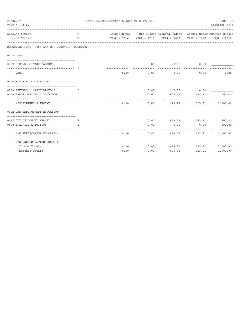| 09/22/17<br>TIME: 01:49 PM                                         |               | Fannin County Adopted Budget FY 2017/2018 |      |                                                                    |                        | PAGE 76<br>PREPARER: 0011 |
|--------------------------------------------------------------------|---------------|-------------------------------------------|------|--------------------------------------------------------------------|------------------------|---------------------------|
| Account Number                                                     | T.            |                                           |      | Actual Exper Org Budget Amended Budget Actual Exper Adopted Budget |                        |                           |
| and Title                                                          | $\mathcal{C}$ |                                           |      | YEAR - 2016  YEAR - 2017  YEAR - 2017                              | YEAR - 2017            | YEAR - 2018               |
| REPORTING FUND: 0064 LAW ENF. EDUCATION CONST. #2                  |               |                                           |      |                                                                    |                        |                           |
| 0300 CASH                                                          |               |                                           |      |                                                                    |                        |                           |
| 0152 BEGINNING CASH BALANCE<br>-------------------------------     | T             |                                           | 0.00 | $0.00$ 0.00                                                        |                        |                           |
| CASH                                                               |               | 0.00                                      | 0.00 | 0.00                                                               | 0.00                   | 0.00                      |
| 0370 MISCELLANEOUS INCOME                                          |               |                                           |      |                                                                    |                        |                           |
| 0130 REFUNDS & MISCELLANEOUS                                       | $\mathbb{T}$  |                                           | 0.00 | $0.00$ 0.00                                                        |                        |                           |
| 0160 PEACE OFFICER ALLOCATION<br>--------------------------------- | $\mathbb{T}$  |                                           | 0.00 | 623.21                                                             | 623.21                 | 1,000.00                  |
| MISCELLANEOUS INCOME                                               |               | 0.00                                      | 0.00 | 623.21                                                             | 623.21                 | 1,000.00                  |
| 0552 LAW ENFORCEMENT EDUCATION                                     |               |                                           |      |                                                                    |                        |                           |
| 0427 OUT OF COUNTY TRAVEL                                          | E.            |                                           | 0.00 |                                                                    | 623.21 623.21          | 500.00                    |
| 0428 TRAINING & TUITION                                            | E.            |                                           | 0.00 | 0.00                                                               | 0.00                   | 500.00                    |
| ----------------<br>LAW ENFORCEMENT EDUCATION                      |               | 0.00                                      | 0.00 | 623.21                                                             | ------------<br>623.21 | 1,000.00                  |
| LAW ENF. EDUCATION CONST. #2                                       |               |                                           |      |                                                                    |                        |                           |
| Income Totals                                                      |               | 0.00                                      | 0.00 |                                                                    | 623.21 623.21          | 1,000.00                  |
| Expense Totals                                                     |               | 0.00                                      | 0.00 | 623.21                                                             | 623.21                 | 1,000.00                  |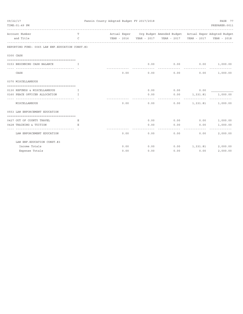| 09/22/17 | TIME: 01:49 PM                                    |              | Fannin County Adopted Budget FY 2017/2018 |      |                                                                    |               | PAGE 77<br>PREPARER: 0011                     |
|----------|---------------------------------------------------|--------------|-------------------------------------------|------|--------------------------------------------------------------------|---------------|-----------------------------------------------|
|          | Account Number                                    | T.           |                                           |      | Actual Exper Org Budget Amended Budget Actual Exper Adopted Budget |               |                                               |
|          | and Title                                         | $\mathsf{C}$ |                                           |      | YEAR - 2016 YEAR - 2017 YEAR - 2017 YEAR - 2017                    |               | YEAR - 2018                                   |
|          | REPORTING FUND: 0065 LAW ENF. EDUCATION CONST. #3 |              |                                           |      |                                                                    |               |                                               |
|          | 0300 CASH                                         |              |                                           |      |                                                                    |               |                                               |
|          | 0153 BEGINNING CASH BALANCE                       | T            |                                           | 0.00 | $0.00$ $0.00$ $1,000.00$<br>------------                           |               |                                               |
|          | CASH                                              |              | 0.00                                      | 0.00 | 0.00                                                               | 0.00          | 1,000.00                                      |
|          | 0370 MISCELLANEOUS                                |              |                                           |      |                                                                    |               |                                               |
|          | 0130 REFUNDS & MISCELLANEOUS                      | Ι.           |                                           | 0.00 |                                                                    | $0.00$ 0.00   |                                               |
|          | 0160 PEACE OFFICER ALLOCATION                     | T            |                                           | 0.00 | $0.00$ 1,331.81                                                    |               | 1,000.00                                      |
|          | MISCELLANEOUS                                     |              | 0.00                                      | 0.00 | -----------                                                        | _____________ | .<br>$0.00$ 1,331.81 1,000.00                 |
|          | 0553 LAW ENFORCEMENT EDUCATION                    |              |                                           |      |                                                                    |               |                                               |
|          | 0427 OUT OF COUNTY TRAVEL                         | Е            |                                           | 0.00 | $0.00$ 0.00                                                        |               | 1,000.00                                      |
|          | 0428 TRAINING & TUITION                           | E.           |                                           | 0.00 | 0.00                                                               | 0.00          | 1,000.00                                      |
|          | LAW ENFORCEMENT EDUCATION                         |              | 0.00                                      | 0.00 | 0.00                                                               | .<br>0.00     | <u> - - - - - - - - - - - - -</u><br>2,000.00 |
|          | LAW ENF. EDUCATION CONST. #3                      |              |                                           |      |                                                                    |               |                                               |
|          | Income Totals                                     |              | 0.00                                      | 0.00 | $0.00$ 1, 331.81                                                   |               | 2,000.00                                      |
|          | Expense Totals                                    |              | 0.00                                      | 0.00 | 0.00                                                               | 0.00          | 2,000.00                                      |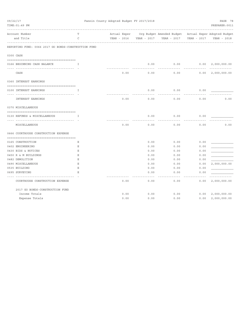| 09/22/17 | TIME: 01:49 PM                                       |        |              |      | Fannin County Adopted Budget FY 2017/2018 |                                                       |             | PAGE 78<br>PREPARER: 0011 |
|----------|------------------------------------------------------|--------|--------------|------|-------------------------------------------|-------------------------------------------------------|-------------|---------------------------|
|          | Account Number                                       | Т      | Actual Exper |      |                                           | Org Budget Amended Budget Actual Exper Adopted Budget |             |                           |
|          | and Title                                            | C      | YEAR - 2016  |      | YEAR - 2017                               | YEAR - 2017                                           | YEAR - 2017 | YEAR - 2018               |
|          | REPORTING FUND: 0066 2017 GO BONDS-CONSTRUCTION FUND |        |              |      |                                           |                                                       |             |                           |
|          | 0300 CASH                                            |        |              |      |                                           |                                                       |             |                           |
|          | 0166 BEGINNING CASH BALANCE                          | I      |              |      | 0.00                                      | 0.00                                                  | 0.00        | 2,000,000.00              |
|          | CASH                                                 |        |              | 0.00 | 0.00                                      | 0.00                                                  | 0.00        | 2,000,000.00              |
|          | 0360 INTEREST EARNINGS                               |        |              |      |                                           |                                                       |             |                           |
|          | 0100 INTEREST EARNINGS                               | $\top$ |              |      | 0.00                                      | 0.00                                                  | 0.00        |                           |
|          | <b>INTEREST EARNINGS</b>                             |        |              | 0.00 | 0.00                                      | 0.00                                                  | 0.00        | 0.00                      |
|          | 0370 MISCELLANEOUS                                   |        |              |      |                                           |                                                       |             |                           |
|          | 0130 REFUNDS & MISCELLANEOUS                         | I      |              |      | 0.00                                      | 0.00                                                  | 0.00        |                           |
|          | MISCELLANEOUS                                        |        |              | 0.00 | 0.00                                      | 0.00                                                  | 0.00        | 0.00                      |
|          | 0666 COURTHOUSE CONSTRUCTION EXPENSE                 |        |              |      |                                           |                                                       |             |                           |
|          | 0165 CONSTRUCTION                                    | Ε      |              |      | 0.00                                      | 0.00                                                  | 0.00        |                           |
|          | 0402 ENGINEERING                                     | Ε      |              |      | 0.00                                      | 0.00                                                  | 0.00        |                           |
|          | 0430 BIDS & NOTICES                                  | Ε      |              |      | 0.00                                      | 0.00                                                  | 0.00        |                           |
|          | 0450 R & M BUILDINGS                                 | Ε      |              |      | 0.00                                      | 0.00                                                  | 0.00        |                           |
|          | 0482 DEMOLITION                                      | Ε      |              |      | 0.00                                      | 0.00                                                  | 0.00        |                           |
|          | 0490 MISCELLANEOUS                                   | Ε      |              |      | 0.00                                      | 0.00                                                  | 0.00        | 2,000,000.00              |
|          | 0535 BUILDING                                        | Ε      |              |      | 0.00                                      | 0.00                                                  | 0.00        |                           |
|          | 0695 SURVEYING                                       | E.     |              |      | 0.00                                      | 0.00                                                  | 0.00        |                           |
|          | COURTHOUSE CONSTRUCTION EXPENSE                      |        |              | 0.00 | 0.00                                      | 0.00                                                  | 0.00        | 2,000,000.00              |
|          | 2017 GO BONDS-CONSTRUCTION FUND                      |        |              |      |                                           |                                                       |             |                           |
|          | Income Totals                                        |        |              | 0.00 | 0.00                                      | 0.00                                                  | 0.00        | 2,000,000.00              |
|          | Expense Totals                                       |        |              | 0.00 | 0.00                                      | 0.00                                                  | 0.00        | 2,000,000.00              |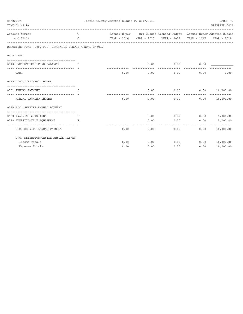| 09/22/17<br>TIME: 01:49 PM                                                |               | Fannin County Adopted Budget FY 2017/2018<br>PREPARER: 0011 |      |                                                                    |                     |                            |  |
|---------------------------------------------------------------------------|---------------|-------------------------------------------------------------|------|--------------------------------------------------------------------|---------------------|----------------------------|--|
| Account Number                                                            | T             |                                                             |      | Actual Exper Org Budget Amended Budget Actual Exper Adopted Budget |                     |                            |  |
| and Title                                                                 | $\mathcal{C}$ |                                                             |      |                                                                    |                     | YEAR - 2018                |  |
| REPORTING FUND: 0067 F.C. DETENTION CENTER ANNUAL PAYMEN                  |               |                                                             |      |                                                                    |                     |                            |  |
| 0300 CASH                                                                 |               |                                                             |      |                                                                    |                     |                            |  |
| 0110 UNENCUMBERED FUND BALANCE                                            | $\top$        |                                                             | 0.00 | 0.00<br>---------                                                  |                     | 0.00                       |  |
| CASH                                                                      |               | 0.00                                                        | 0.00 | 0.00                                                               | 0.00                | 0.00                       |  |
| 0319 ANNUAL PAYMENT INCOME                                                |               |                                                             |      |                                                                    |                     |                            |  |
| 0551 ANNUAL PAYMENT                                                       | I             |                                                             | 0.00 | 0.00                                                               | 0.00 10,000.00      |                            |  |
| ANNUAL PAYMENT INCOME                                                     |               | 0.00                                                        | 0.00 |                                                                    | 0.00                | 0.00 10,000.00             |  |
| 0560 F.C. SHERIFF ANNUAL PAYMENT<br>------------------------------------- |               |                                                             |      |                                                                    |                     |                            |  |
| 0428 TRAINING & TUITION                                                   | Е             |                                                             | 0.00 | $0.00$ 0.00                                                        |                     | 5,000.00                   |  |
| 0580 INVESTIGATIVE EQUIPMENT<br>and the state of the E                    |               |                                                             | 0.00 | 0.00                                                               | 0.00                | 5,000.00                   |  |
| F.C. SHERIFF ANNUAL PAYMENT                                               |               | 0.00                                                        | 0.00 | 0.00                                                               | -----------<br>0.00 | -------------<br>10,000.00 |  |
| F.C. DETENTION CENTER ANNUAL PAYMEN                                       |               |                                                             |      |                                                                    |                     |                            |  |
| Income Totals                                                             |               | 0.00                                                        | 0.00 | 0.00                                                               |                     | 0.00 10,000.00             |  |
| Expense Totals                                                            |               | 0.00                                                        | 0.00 | 0.00                                                               | 0.00                | 10,000.00                  |  |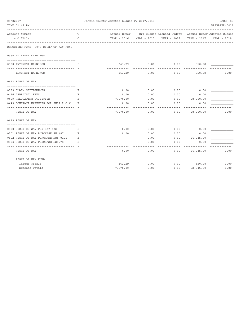| 09/22/17<br>TIME: 01:49 PM             |                  | Fannin County Adopted Budget FY 2017/2018 |      |                                                                    |                  | PAGE 80<br>PREPARER: 0011 |
|----------------------------------------|------------------|-------------------------------------------|------|--------------------------------------------------------------------|------------------|---------------------------|
| Account Number                         | T                |                                           |      | Actual Exper Org Budget Amended Budget Actual Exper Adopted Budget |                  |                           |
| and Title                              | C<br>----------- |                                           |      |                                                                    |                  | YEAR - 2018               |
| REPORTING FUND: 0070 RIGHT OF WAY FUND |                  |                                           |      |                                                                    |                  |                           |
| 0360 INTEREST EARNINGS                 |                  |                                           |      |                                                                    |                  |                           |
| 0100 INTEREST EARNINGS                 | I                | 363.29                                    | 0.00 | 0.00                                                               | 550.28           |                           |
| <b>INTEREST EARNINGS</b>               |                  | 363.29                                    | 0.00 | 0.00                                                               | 550.28           | 0.00                      |
| 0622 RIGHT OF WAY                      |                  |                                           |      |                                                                    |                  |                           |
|                                        |                  |                                           |      |                                                                    |                  |                           |
| 0399 CLAIM SETTLEMENTS                 | Е                | 0.00                                      | 0.00 | 0.00                                                               | 0.00             |                           |
| 0426 APPRAISAL FEES                    | Ε                | 0.00                                      | 0.00 | 0.00                                                               | 0.00             |                           |
| 0429 RELOCATING UTILITIES              | E                | 7,070.00                                  | 0.00 |                                                                    | 0.00 28,000.00   |                           |
| 0449 CONTRACT EXPENSES FOR FM87 R.O.W. | E                | 0.00                                      | 0.00 | 0.00                                                               | 0.00             |                           |
| RIGHT OF WAY                           |                  | ----------<br>7,070.00                    | 0.00 | 0.00                                                               | 28,000.00        | 0.00                      |
| 0629 RIGHT OF WAY                      |                  |                                           |      |                                                                    |                  |                           |
| 0500 RIGHT OF WAY PUR HWY #82          | Е                | 0.00                                      | 0.00 | 0.00                                                               | 0.00             |                           |
| 0501 RIGHT OF WAY PURCHASE FM #87      | Е                | 0.00                                      | 0.00 | 0.00                                                               | 0.00             |                           |
| 0502 RIGHT OF WAY PURCHASE HWY #121    | E                |                                           | 0.00 |                                                                    | $0.00$ 24,045.00 |                           |
| 0503 RIGHT OF WAY PURCHASE HWY.78      | E                |                                           | 0.00 | 0.00                                                               | 0.00             |                           |
| RIGHT OF WAY                           |                  | 0.00                                      | 0.00 | 0.00                                                               | 24,045.00        | 0.00                      |
| RIGHT OF WAY FUND                      |                  |                                           |      |                                                                    |                  |                           |
| Income Totals                          |                  | 363.29                                    | 0.00 |                                                                    | $0.00$ 550.28    | 0.00                      |
| Expense Totals                         |                  | 7,070.00                                  | 0.00 | 0.00                                                               | 52,045.00        | 0.00                      |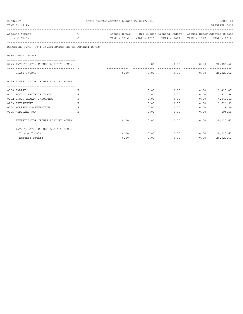| 09/22/17                                               |               | Fannin County Adopted Budget FY 2017/2018 |      |                                                                    |              |                  |  |
|--------------------------------------------------------|---------------|-------------------------------------------|------|--------------------------------------------------------------------|--------------|------------------|--|
| TIME: 01:49 PM                                         |               |                                           |      |                                                                    |              | PREPARER: 0011   |  |
| Account Number                                         | T             |                                           |      | Actual Exper Org Budget Amended Budget Actual Exper Adopted Budget |              |                  |  |
| and Title                                              | $\mathcal{C}$ |                                           |      |                                                                    |              |                  |  |
| REPORTING FUND: 0071 INVESTIGATOR CRIMES AGAINST WOMEN |               |                                           |      |                                                                    |              |                  |  |
| 0330 GRANT INCOME                                      |               |                                           |      |                                                                    |              |                  |  |
|                                                        |               |                                           |      |                                                                    |              |                  |  |
| 0475 INVESTIGATOR CRIMES AGAINST WOMEN I               |               | -------------- ---------------            | 0.00 | $0.00$ 0.00                                                        |              | 20,020.62        |  |
| GRANT INCOME                                           |               |                                           |      | $0.00$ 0.00 0.00                                                   |              | $0.00$ 20,020.62 |  |
| 0475 INVESTIGATOR CRIMES AGAINST WOMEN                 |               |                                           |      |                                                                    |              |                  |  |
| 0108 SALARY                                            | Е             |                                           | 0.00 |                                                                    | 0.00         | $0.00$ 13,417.47 |  |
| 0201 SOCIAL SECURITY TAXES                             | E             |                                           | 0.00 | 0.00                                                               |              | $0.00$ 831.88    |  |
| 0202 GROUP HEALTH INSURANCE                            | E             |                                           | 0.00 | 0.00                                                               | 0.00         | 4,040.42         |  |
| 0203 RETIREMENT                                        | E             |                                           | 0.00 | 0.00                                                               | 0.00         | 1,526.91         |  |
| 0204 WORKERS COMPENSATION                              | Ε             |                                           | 0.00 | $0.00$ and $0.00$                                                  | 0.00         | 9.39             |  |
| 0205 MEDICARE TAX                                      | E             |                                           | 0.00 | 0.00                                                               | 0.00         | 194.55           |  |
| INVESTIGATOR CRIMES AGAINST WOMEN                      |               | 0.00                                      |      | 0.00                                                               | 0.00<br>0.00 | 20,020.62        |  |
| INVESTIGATOR CRIMES AGAINST WOMEN                      |               |                                           |      |                                                                    |              |                  |  |
| Income Totals                                          |               | 0.00                                      | 0.00 | 0.00                                                               |              | $0.00$ 20,020.62 |  |
| Expense Totals                                         |               | 0.00                                      | 0.00 | 0.00                                                               | 0.00         | 20,020.62        |  |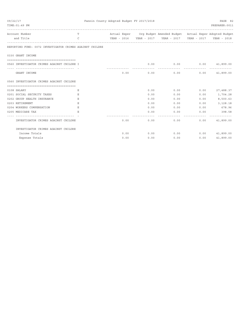| 09/22/17                                                 |               | Fannin County Adopted Budget FY 2017/2018 |      |                                                                    |              | PAGE 82          |
|----------------------------------------------------------|---------------|-------------------------------------------|------|--------------------------------------------------------------------|--------------|------------------|
| TIME: 01:49 PM                                           |               |                                           |      |                                                                    |              | PREPARER: 0011   |
| Account Number                                           | T             |                                           |      | Actual Exper Org Budget Amended Budget Actual Exper Adopted Budget |              |                  |
| and Title                                                | $\mathcal{C}$ |                                           |      |                                                                    |              |                  |
| REPORTING FUND: 0072 INVESTIGATOR CRIMES AGAINST CHILDRE |               |                                           |      |                                                                    |              |                  |
| 0330 GRANT INCOME                                        |               |                                           |      |                                                                    |              |                  |
|                                                          |               |                                           |      |                                                                    |              |                  |
| 0560 INVESTIGATOR CRIMES AGAINST CHILDRE I               |               |                                           | 0.00 | $0.00$ $0.00$ $41,899.00$                                          |              |                  |
| GRANT INCOME                                             |               |                                           |      | $0.00$ 0.00 0.00                                                   |              | 0.00 41,899.00   |
| 0560 INVESTIGATOR CRIMES AGAINST CHILDRE                 |               |                                           |      |                                                                    |              |                  |
| 0108 SALARY                                              | Е             |                                           | 0.00 | 0.00                                                               | 0.00         | 27,488.37        |
| 0201 SOCIAL SECURITY TAXES                               | E             |                                           | 0.00 | 0.00                                                               | 0.00         | 1,704.28         |
| 0202 GROUP HEALTH INSURANCE                              | E             |                                           | 0.00 | 0.00                                                               | 0.00         | 8,500.63         |
| 0203 RETIREMENT                                          | E             |                                           | 0.00 | 0.00                                                               | 0.00         | 3,128.18         |
| 0204 WORKERS COMPENSATION                                | Ε             |                                           | 0.00 |                                                                    | 0.00         | 0.00 678.96      |
| 0205 MEDICARE TAX                                        | E.            |                                           | 0.00 |                                                                    | 0.00<br>0.00 | 398.58           |
| ------------------------------- - -                      |               |                                           |      |                                                                    |              |                  |
| INVESTIGATOR CRIMES AGAINST CHILDRE                      |               | 0.00                                      |      | $0.00$ 0.00                                                        |              | 0.00 41,899.00   |
| INVESTIGATOR CRIMES AGAINST CHILDRE                      |               |                                           |      |                                                                    |              |                  |
| Income Totals                                            |               | 0.00                                      | 0.00 | 0.00                                                               |              | $0.00$ 41,899.00 |
| Expense Totals                                           |               | 0.00                                      | 0.00 | 0.00                                                               | 0.00         | 41,899.00        |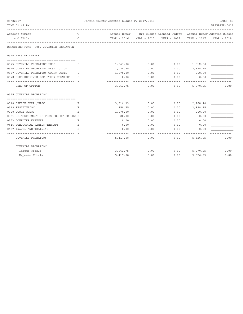| 09/22/17<br>TIME: 01:49 PM                 |              | Fannin County Adopted Budget FY 2017/2018 |      |                                                                    |                 |                |  |
|--------------------------------------------|--------------|-------------------------------------------|------|--------------------------------------------------------------------|-----------------|----------------|--|
|                                            |              |                                           |      |                                                                    |                 | PREPARER: 0011 |  |
| Account Number                             | T            |                                           |      | Actual Exper Org Budget Amended Budget Actual Exper Adopted Budget |                 |                |  |
| and Title                                  | $\mathsf{C}$ |                                           |      | YEAR - 2016  YEAR - 2017  YEAR - 2017                              | YEAR - 2017     | YEAR - 2018    |  |
| REPORTING FUND: 0087 JUVENILE PROBATION    |              |                                           |      |                                                                    |                 |                |  |
| 0340 FEES OF OFFICE                        |              |                                           |      |                                                                    |                 |                |  |
|                                            |              |                                           |      |                                                                    |                 |                |  |
| 0575 JUVENILE PROBATION FEES               | T            | 1,863.00                                  | 0.00 | $0.00$ 1,812.00                                                    |                 |                |  |
| 0576 JUVENILE PROBATION RESTITUTION        | T.           | 1,030.75                                  | 0.00 |                                                                    | $0.00$ 2,998.25 |                |  |
| 0577 JUVENILE PROBATION COURT COSTS        | I            | 1,070.00                                  | 0.00 | 0.00                                                               | 260.00          |                |  |
| 0578 FEES RECEIVED FOR OTHER COUNTIES      | T.           | 0.00<br>----------                        | 0.00 | 0.00                                                               | 0.00            |                |  |
| FEES OF OFFICE                             |              | 3,963.75                                  | 0.00 | 0.00                                                               | 5,070.25        | 0.00           |  |
| 0575 JUVENILE PROBATION                    |              |                                           |      |                                                                    |                 |                |  |
| 0310 OFFICE SUPP./MISC.                    | Е            | 3,316.33                                  | 0.00 | 0.00                                                               | 2,268.70        |                |  |
| 0319 RESTITUTION                           | Е            | 950.75                                    | 0.00 | 0.00                                                               | 2,998.25        |                |  |
| 0320 COURT COSTS                           | Ε            | 1,070.00                                  | 0.00 | 0.00                                                               | 260.00          |                |  |
| 0321 REIMBURSEMENT OF FEES FOR OTHER COU E |              | 80.00                                     | 0.00 | 0.00                                                               | 0.00            |                |  |
| 0353 COMPUTER EXPENSE                      | Ε            | 0.00                                      | 0.00 | 0.00                                                               | 0.00            |                |  |
| 0416 STRUCTURAL FAMILY THERAPY             | Ε            | 0.00                                      | 0.00 | 0.00                                                               | 0.00            |                |  |
| 0427 TRAVEL AND TRAINING                   | Е.           | 0.00                                      | 0.00 | 0.00                                                               | 0.00            |                |  |
| ----------------------------------         |              | -----------                               |      |                                                                    |                 |                |  |
| JUVENILE PROBATION                         |              | 5,417.08                                  | 0.00 | 0.00                                                               | 5,526.95        | 0.00           |  |
| JUVENILE PROBATION                         |              |                                           |      |                                                                    |                 |                |  |
| Income Totals                              |              | 3,963.75                                  |      | $0.00$ $0.00$ $5,070.25$                                           |                 | 0.00           |  |
| Expense Totals                             |              | 5,417.08                                  | 0.00 | 0.00                                                               | 5,526.95        | 0.00           |  |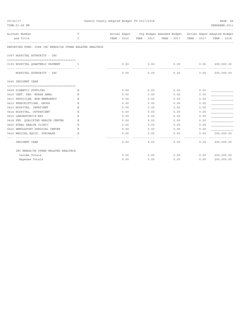| 09/22/17<br>TIME: 01:49 PM                               |              | Fannin County Adopted Budget FY 2017/2018 |                    | ________________                                                   | ---------------- | PAGE 84<br>PREPARER: 0011       |
|----------------------------------------------------------|--------------|-------------------------------------------|--------------------|--------------------------------------------------------------------|------------------|---------------------------------|
| Account Number                                           | T.           |                                           |                    | Actual Exper Org Budget Amended Budget Actual Exper Adopted Budget |                  |                                 |
| and Title<br>-----------------------                     | $\mathsf{C}$ |                                           |                    | YEAR - 2016  YEAR - 2017  YEAR - 2017                              | YEAR - 2017      | YEAR - 2018                     |
| REPORTING FUND: 0088 IHC NEEDS/OR OTHER RELATED HEALTHCA |              |                                           |                    |                                                                    |                  |                                 |
| 0367 HOSPITAL AUTHORITY - IHC                            |              |                                           |                    |                                                                    |                  |                                 |
| 0100 HOSPITAL QUARTERLY PAYMENT                          | . <b>T</b>   | 0.00<br>-------------                     | 0.00<br>---------- | $0.00$ $0.00$ $200,000.00$<br>-----------                          |                  | <u> - - - - - - - - - - - -</u> |
| HOSPITAL AUTHORITY - IHC                                 |              | 0.00                                      | 0.00               | 0.00                                                               | 0.00             | 200,000.00                      |
| 0645 INDIGENT CARE                                       |              |                                           |                    |                                                                    |                  |                                 |
|                                                          |              |                                           |                    |                                                                    |                  |                                 |
| 0409 DIABETIC SUPPLIES                                   | Ε            | 0.00                                      | 0.00               | 0.00                                                               | 0.00             |                                 |
| 0410 CERT. REG. NURSE ANES.                              | Ε            | 0.00                                      | 0.00               | 0.00                                                               | 0.00             |                                 |
| 0411 PHYSICIAN, NON-EMERGENCY                            | Ε            | 0.00                                      | 0.00               | 0.00                                                               | 0.00             |                                 |
| 0412 PRESCRIPTIONS, DRUGS                                | Ε            | 0.00                                      | 0.00               | 0.00                                                               | 0.00             |                                 |
| 0413 HOSPITAL, INPATIENT                                 | Ε            | 0.00                                      | 0.00               | 0.00                                                               | 0.00             |                                 |
| 0414 HOSPITAL, OUTPATIENT                                | E            | 0.00                                      | 0.00               | 0.00                                                               | 0.00             |                                 |
| 0415 LABORATORY/X-RAY                                    | Ε            | 0.00                                      | 0.00               | 0.00                                                               | 0.00             |                                 |
| 0418 FED. OUALIFIED HEALTH CENTER                        | Ε            | 0.00                                      | 0.00               | 0.00                                                               | 0.00             |                                 |
| 0420 RURAL HEALTH CLINIC                                 | E            | 0.00                                      | 0.00               | 0.00                                                               | 0.00             |                                 |
| 0422 AMBULATORY SURGICAL CENTER                          | Ε            | 0.00                                      | 0.00               | 0.00                                                               | 0.00             |                                 |
| 0423 MEDICAL EQUIP. PURCHASE                             | Ε            | 0.00                                      | 0.00               | 0.00                                                               | 0.00             | 200,000.00                      |
| --------------------------------                         |              |                                           |                    |                                                                    |                  | -----------                     |
| INDIGENT CARE                                            |              | 0.00                                      | 0.00               | 0.00                                                               | 0.00             | 200,000.00                      |
| IHC NEEDS/OR OTHER RELATED HEALTHCA                      |              |                                           |                    |                                                                    |                  |                                 |
| Income Totals                                            |              | 0.00                                      | 0.00               |                                                                    | 0.00<br>0.00     | 200,000.00                      |
| Expense Totals                                           |              | 0.00                                      | 0.00               | 0.00                                                               | 0.00             | 200,000.00                      |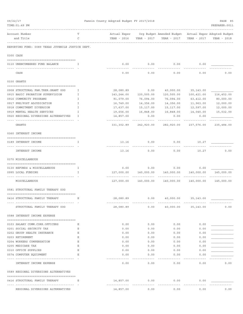| 09/22/17 | TIME: 01:49 PM                                                |             | Fannin County Adopted Budget FY 2017/2018 |                     |                                                                        |                     | PAGE 85<br>PREPARER: 0011 |
|----------|---------------------------------------------------------------|-------------|-------------------------------------------|---------------------|------------------------------------------------------------------------|---------------------|---------------------------|
|          | Account Number<br>and Title                                   | Т<br>C      | Actual Exper<br>YEAR - 2016               | YEAR - 2017         | Org Budget Amended Budget - Actual Exper Adopted Budget<br>YEAR - 2017 | YEAR - 2017         | YEAR - 2018               |
|          | REPORTING FUND: 0089 TEXAS JUVENILE JUSTICE DEPT.             |             |                                           |                     |                                                                        |                     |                           |
|          | 0300 CASH                                                     |             |                                           |                     |                                                                        |                     |                           |
|          | 0110 UNENCUMBERED FUND BALANCE                                | Ι.          | 0.00                                      | 0.00                | 0.00                                                                   | 0.00                |                           |
|          | CASH                                                          |             | 0.00                                      | 0.00                | 0.00                                                                   | 0.00                | 0.00                      |
|          | 0330 GRANTS                                                   |             |                                           |                     |                                                                        |                     |                           |
|          | 0908 STRUCTURAL FAM. THER. GRANT OOG                          | I           | 28,080.89                                 | 0.00                | 40,000.00                                                              | 35,143.00           |                           |
|          | 0915 BASIC PROBATION SUPERVISION                              | I           | 143,244.00                                | 120,505.00          | 120,505.00                                                             | 100,421.00          | 116,452.00                |
|          | 0916 COMMUNITY PROGRAMS                                       | I.          | 91,079.00                                 | 76,094.00           | 76,094.00                                                              | 63,412.00           | 80,000.00                 |
|          | 0917 PRE/POST ADJUDICATION                                    | I           | 16,749.00                                 | 14,356.00           | 14,356.00                                                              | 11,963.00           | 12,000.00                 |
|          | 0918 COMMITMENT DIVERSION                                     | $\mathbf I$ | 17,637.00                                 | 15,117.00           | 15,117.00                                                              | 12,597.00           | 12,000.00                 |
|          | 0919 MENTAL HEALTH SERVICES                                   | I           | 19,656.00                                 | 16,848.00           | 16,848.00                                                              | 14,040.00           | 15,032.00                 |
|          | 0920 REGIONAL DIVERSIONS ALTERNATIVES                         | I           | 14,857.00                                 | 0.00                | 0.00                                                                   | 0.00                |                           |
|          | GRANTS                                                        |             | 331,302.89                                | 242,920.00          | 282,920.00                                                             | 237,576.00          | 235,484.00                |
|          | 0360 INTEREST INCOME                                          |             |                                           |                     |                                                                        |                     |                           |
|          | 0189 INTEREST INCOME<br><u> - - - - - - - - - - - - - - -</u> | I           | 13.16<br>-------------                    | 0.00                | 0.00                                                                   | 10.27               |                           |
|          | INTEREST INCOME                                               |             | 13.16                                     | 0.00                | 0.00                                                                   | 10.27               | 0.00                      |
|          | 0370 MISCELLANEOUS                                            |             |                                           |                     |                                                                        |                     |                           |
|          |                                                               |             |                                           |                     |                                                                        |                     |                           |
|          | 0130 REFUNDS & MISCELLANEOUS<br>0995 LOCAL FUNDING            | Ι.<br>I.    | 0.00<br>127,000.00                        | 0.00<br>140,000.00  | $0.00$ 0.00<br>140,000.00                                              | 140,000.00          | 145,000.00                |
|          | MISCELLANEOUS                                                 |             | 127,000.00                                | 140,000.00          | 140,000.00                                                             | 140,000.00          | 145,000.00                |
|          | 0581 STRUCTURAL FAMILY THERAPY OOG                            |             |                                           |                     |                                                                        |                     |                           |
|          | 0416 STRUCTURAL FAMILY THERAPY                                | Е           | 28,080.89                                 | 0.00                |                                                                        | 40,000.00 35,143.00 |                           |
|          | STRUCTURAL FAMILY THERAPY OOG                                 |             | 28,080.89                                 | 0.00                | 40,000.00 35,143.00                                                    | .                   | 0.00                      |
|          | 0588 INTEREST INCOME EXPENSE                                  |             |                                           |                     |                                                                        |                     |                           |
|          | 0103 SALARY COMM.CORR.OFFICERS                                | Е           | 0.00                                      | 0.00                | 0.00                                                                   | 0.00                |                           |
|          | 0201 SOCIAL SECURITY TAX                                      | Е           | 0.00                                      | 0.00                | 0.00                                                                   | 0.00                |                           |
|          | 0202 GROUP HEALTH INSURANCE                                   | Е           | 0.00                                      | 0.00                | 0.00                                                                   | 0.00                |                           |
|          | 0203 RETIREMENT                                               | Е           | 0.00                                      | 0.00                | 0.00                                                                   | 0.00                |                           |
|          | 0204 WORKERS COMPENSATION                                     | Е           | 0.00                                      | 0.00                | 0.00                                                                   | 0.00                |                           |
|          | 0205 MEDICARE TAX                                             | Ε           | 0.00                                      | 0.00                | 0.00                                                                   | 0.00                |                           |
|          | 0310 OFFICE SUPPLIES                                          | Ε           | 0.00                                      | 0.00                | 0.00                                                                   | 0.00                |                           |
|          | 0574 COMPUTER EQUIPMENT                                       | Е           | 0.00                                      | 0.00                | 0.00                                                                   | 0.00                |                           |
|          | INTEREST INCOME EXPENSE                                       |             | .<br>0.00                                 | ----------<br>0.00  | -----<br>0.00                                                          | 0.00                | 0.00                      |
|          | 0589 REGIONAL DIVERSIONS ALTERNATIVES                         |             |                                           |                     |                                                                        |                     |                           |
|          | 0416 STRUCTURAL FAMILY THERAPY                                | Е           | 14,857.00                                 | 0.00<br>----------- | 0.00<br>---------                                                      | 0.00                |                           |
|          | REGIONAL DIVERSIONS ALTERNATIVES                              |             | 14,857.00                                 | 0.00                | 0.00                                                                   | 0.00                | 0.00                      |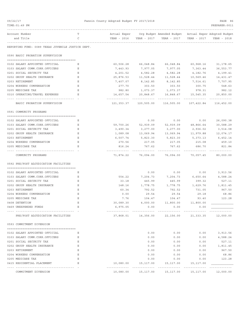| 09/22/17                                          |    | Fannin County Adopted Budget FY 2017/2018 |                     |                                                       |                          | PAGE 86        |
|---------------------------------------------------|----|-------------------------------------------|---------------------|-------------------------------------------------------|--------------------------|----------------|
| TIME: 01:49 PM                                    |    |                                           |                     |                                                       |                          | PREPARER: 0011 |
| Account Number                                    | т  | Actual Exper                              |                     | Org Budget Amended Budget Actual Exper Adopted Budget |                          |                |
| and Title                                         | C  | YEAR - 2016                               | YEAR - 2017         | YEAR - 2017                                           | YEAR - 2017              | YEAR - 2018    |
| REPORTING FUND: 0089 TEXAS JUVENILE JUSTICE DEPT. |    |                                           |                     |                                                       |                          |                |
| 0590 BASIC PROBATION SUPERVISION                  |    |                                           |                     |                                                       |                          |                |
| 0102 SALARY APPOINTED OFFICIAL                    | Ε  | 60,506.28                                 | 66,048.84           | 66,048.84                                             | 60,968.16                | 31,178.65      |
| 0103 SALARY COMM.CORR.OFFICERS                    | Ε  | 7,443.93                                  | 7,977.05            | 7,977.05                                              | 7,363.44                 | 36, 553.77     |
| 0201 SOCIAL SECURITY TAX                          | Ε  | 4,201.52                                  | 4,582.28            | 4,582.28                                              | 4,182.76                 | 4,199.41       |
| 0202 GROUP HEALTH INSURANCE                       | Ε  | 25,876.53                                 | 11,528.44           | 11,528.44                                             | 10,569.46                | 14,431.47      |
| 0203 RETIREMENT                                   | Ε  | 7,407.07                                  | 8,142.85            | 8,142.85                                              | 7,514.61                 | 7,707.95       |
| 0204 WORKERS COMPENSATION                         | Ε  | 277.70                                    | 303.50              | 303.50                                                | 300.75                   | 548.63         |
| 0205 MEDICARE TAX                                 | Ε  | 982.80                                    | 1,073.37            | 1,073.37                                              | 978.31                   | 982.12         |
| 0310 OPERATING/TRAVEL EXPENSES                    | Ε  | 14,657.54                                 | 20,848.67           | 16,848.67                                             | 15,545.35                | 20,850.00      |
| BASIC PROBATION SUPERVISION                       |    | -------------<br>121,353.37               | 120,505.00          | <u> - - - - - - - - - - - -</u><br>116,505.00         | . <u>.</u><br>107,422.84 | 116,452.00     |
| 0591 COMMUNITY PROGRAMS                           |    |                                           |                     |                                                       |                          |                |
| 0102 SALARY APPOINTED OFFICIAL                    | Ε  |                                           | 0.00                | 0.00                                                  | 0.00                     | 26,090.38      |
| 0103 SALARY COMM.CORR.OFFICERS                    | Ε  | 59,700.26                                 | 52,939.09           | 52,939.09                                             | 48,866.64                | 30,588.29      |
| 0201 SOCIAL SECURITY TAX                          | Ε  | 3,490.34                                  | 3,277.00            | 3,277.00                                              | 2,936.02                 | 3,514.08       |
| 0202 GROUP HEALTH INSURANCE                       | Ε  | 1,089.08                                  | 13,069.94           | 13,069.94                                             | 11,979.88                | 12,074.17      |
| 0203 RETIREMENT                                   | Ε  | 6,507.74                                  | 5,823.30            | 5,823.30                                              | 5,373.13                 | 6,452.14       |
| 0204 WORKERS COMPENSATION                         | Ε  | 270.56                                    | 217.05              | 217.05                                                | 215.08                   | 459.10         |
| 0205 MEDICARE TAX                                 | E. | 816.24                                    | 767.62              | 767.62                                                | 686.70                   | 821.84         |
| ---- ------------<br>COMMUNITY PROGRAMS           |    | -------------<br>71,874.22                | 76,094.00           | 76,094.00                                             | 70,057.45                | 80,000.00      |
| 0592 PRE/POST ADJUDICATION FACILITIES             |    |                                           |                     |                                                       |                          |                |
| 0102 SALARY APPOINTED OFFICIAL                    | Ε  |                                           | 0.00                | 0.00                                                  | 0.00                     | 3,913.56       |
| 0103 SALARY COMM.CORR.OFFICERS                    | Ε  | 554.22                                    | 7,204.73            | 7,204.73                                              | 6,650.64                 | 4,588.24       |
| 0201 SOCIAL SECURITY TAX                          | Ε  | 33.18                                     | 445.99              | 445.99                                                | 399.32                   | 527.11         |
| 0202 GROUP HEALTH INSURANCE                       | Ε  | 148.16                                    | 1,778.75            | 1,778.75                                              | 1,629.76                 | 1,811.45       |
| 0203 RETIREMENT                                   | Ε  | 60.34                                     | 792.52              | 792.52                                                | 731.05                   | 967.50         |
| 0204 WORKERS COMPENSATION                         | Ε  | 0.00                                      | 29.54               | 29.54                                                 | 29.18                    | 68.86          |
| 0205 MEDICARE TAX                                 | Ε  | 7.76                                      | 104.47              | 104.47                                                | 93.40                    | 123.28         |
| 0408 DETENTION                                    | Ε  |                                           |                     | 30,089.30 4,000.00 11,800.00 11,800.00                |                          |                |
| 0469 UNEXPENDED FUNDS                             | Ε  | 6,975.05                                  | 0.00                | 0.00                                                  | 0.00                     |                |
|                                                   |    |                                           |                     | _____________                                         | . <u>.</u>               |                |
| PRE/POST ADJUDICATION FACILITIES                  |    |                                           | 37,868.01 14,356.00 | 22,156.00                                             | 21,333.35                | 12,000.00      |
| 0593 COMMITMENT DIVERSION                         |    |                                           |                     |                                                       |                          |                |
| 0102 SALARY APPOINTED OFFICIAL                    | Ε  |                                           | 0.00                | 0.00                                                  | 0.00                     | 3,913.56       |
| 0103 SALARY COMM.CORR.OFFICERS                    | Ε  |                                           | 0.00                | 0.00                                                  | 0.00                     | 4,588.24       |
| 0201 SOCIAL SECURITY TAX                          | Ε  |                                           | 0.00                | 0.00                                                  | 0.00                     | 527.11         |
| 0202 GROUP HEALTH INSURANCE                       | Ε  |                                           | 0.00                | 0.00                                                  | 0.00                     | 1,811.45       |
| 0203 RETIREMENT                                   | Ε  |                                           | 0.00                | 0.00                                                  | 0.00                     | 967.50         |
| 0204 WORKERS COMPENSATION                         | Ε  |                                           | 0.00                | 0.00                                                  | 0.00                     | 68.86          |
| 0205 MEDICARE TAX                                 | Ε  |                                           | 0.00                | 0.00                                                  | 0.00                     | 123.28         |
| 0415 RESIDENTIAL PLACEMENT                        | Ε  | 10,080.00                                 | 15,117.00           | 15,117.00                                             | 15,117.00                |                |
|                                                   |    |                                           | -----------         | <u> - - - - - - - - - - - -</u>                       |                          |                |
| COMMITMENT DIVERSION                              |    |                                           |                     | 10,080.00  15,117.00  15,117.00  15,117.00            |                          | 12,000.00      |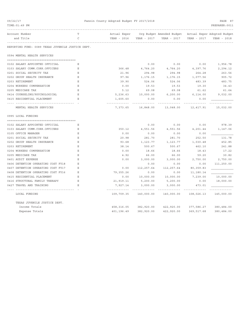| 09/22/17                                                         |    | Fannin County Adopted Budget FY 2017/2018 |               |                                                       |                      |                |
|------------------------------------------------------------------|----|-------------------------------------------|---------------|-------------------------------------------------------|----------------------|----------------|
| TIME: 01:49 PM                                                   |    |                                           |               |                                                       |                      | PREPARER: 0011 |
| Account Number                                                   |    | Actual Exper                              |               | Org Budget Amended Budget Actual Exper Adopted Budget |                      |                |
| and Title                                                        | C  | YEAR - 2016                               |               | YEAR - 2017 YEAR - 2017                               | YEAR - 2017          | YEAR - 2018    |
| REPORTING FUND: 0089 TEXAS JUVENILE JUSTICE DEPT.                |    |                                           |               |                                                       |                      |                |
| 0594 MENTAL HEALTH SERVICES                                      |    |                                           |               |                                                       |                      |                |
|                                                                  | E. |                                           | 0.00          | 0.00                                                  | 0.00                 | 1,956.78       |
| 0102 SALARY APPOINTED OFFICIAL<br>0103 SALARY COMM.CORR.OFFICERS | Ε  | 366.48                                    | 4,764.20      | 4,764.20                                              | 4,397.76             | 2,294.12       |
| 0201 SOCIAL SECURITY TAX                                         | Е  | 21.96                                     | 294.98        | 294.98                                                | 264.28               | 263.56         |
| 0202 GROUP HEALTH INSURANCE                                      | Е  | 97.96                                     | 1,176.15      | 1,176.15                                              | 1,077.56             | 905.72         |
| 0203 RETIREMENT                                                  | Ε  | 39.90                                     | 524.06        | 524.06                                                | 483.39               | 483.75         |
| 0204 WORKERS COMPENSATION                                        | Ε  | 0.00                                      | 19.53         | 19.53                                                 | 19.30                | 34.43          |
| 0205 MEDICARE TAX                                                | E. | 5.12                                      | 69.08         | 69.08                                                 | 61.62                | 61.64          |
| 0414 COUNSELING/PSYCHOLOGICAL                                    | Е  | 5,236.63                                  | 10,000.00     | 6, 200.00                                             | 6,114.00             | 9,032.00       |
| 0415 RESIDENTIAL PLACEMENT                                       | Ε  | 1,605.60                                  | 0.00          | 0.00                                                  | 0.00                 |                |
| ----------------------                                           |    |                                           |               |                                                       |                      |                |
| MENTAL HEALTH SERVICES                                           |    | 7,373.65                                  | 16,848.00     | 13,048.00                                             | 12,417.91            | 15,032.00      |
| 0995 LOCAL FUNDING                                               |    |                                           |               |                                                       |                      |                |
|                                                                  |    |                                           |               |                                                       |                      |                |
| 0102 SALARY APPOINTED OFFICIAL                                   | Ε  |                                           | 0.00          | 0.00                                                  | 0.00                 | 978.39         |
| 0103 SALARY COMM.CORR.OFFICERS                                   | Е  | 350.12                                    | 4,551.56      | 4,551.56                                              | 4,201.44             | 1,147.06       |
| 0105 OFFICE MANAGER                                              | Е  | 0.00                                      | 0.00          | 0.00                                                  | 0.00                 |                |
| 0201 SOCIAL SECURITY TAX                                         | Е  | 20.98                                     | 281.70        | 281.70                                                | 252.50               | 131.78         |
| 0202 GROUP HEALTH INSURANCE                                      | Ε  | 93.68                                     | 1,123.77      | 1,123.77                                              | 1,030.48             | 452.85         |
| 0203 RETIREMENT                                                  | Ε  | 38.14                                     | 500.67        | 500.67                                                | 462.10               | 241.88         |
| 0204 WORKERS COMPENSATION                                        | Ε  | 0.00                                      | 18.66         | 18.66                                                 | 18.43                | 17.22          |
| 0205 MEDICARE TAX                                                | E  | 4.92                                      | 66.00         | 66.00                                                 | 59.20                | 30.82          |
| 0401 AUDIT EXPENSE                                               | Ε  | 0.00                                      | 3,000.00      | 3,000.00                                              | 2,750.00             | 2,750.00       |
| 0406 DETENTION OPERATING COST FY18                               | Ε  |                                           | 0.00          | 0.00                                                  | 0.00                 | 111,250.00     |
| 0407 DETENTION OPERATING COST FY17                               | Ε  | 0.00                                      | 112, 257.64   | 112,257.64                                            | 80, 359.83           |                |
| 0408 DETENTION OPERATING COST FY16                               | Е  | 79, 355.26                                | 0.00          | 0.00                                                  | 11,180.14            |                |
| 0415 RESIDENTIAL PLACEMENT                                       | Ε  | 0.00                                      | 10,000.00     | 10,000.00                                             | 7,239.00             | 10,000.00      |
| 0416 STRUCTURAL FAMILY THERAPY                                   | Ε  | 21,919.11                                 | 5,200.00      | 5,200.00                                              | 0.00                 | 18,000.00      |
| 0427 TRAVEL AND TRAINING                                         | Ε  | 7,927.14<br>.                             | 3,000.00<br>. | 3,000.00<br>-----------                               | 473.01<br>---------- | ----------     |
| LOCAL FUNDING                                                    |    | 109,709.35                                | 140,000.00    | 140,000.00                                            | 108,026.13           | 145,000.00     |
| TEXAS JUVENILE JUSTICE DEPT.                                     |    |                                           |               |                                                       |                      |                |
| Income Totals                                                    |    | 458,316.05                                |               | 382,920.00 422,920.00                                 | 377,586.27           | 380,484.00     |
| Expense Totals                                                   |    | 401,196.49                                | 382,920.00    | 422,920.00                                            | 369,517.68           | 380,484.00     |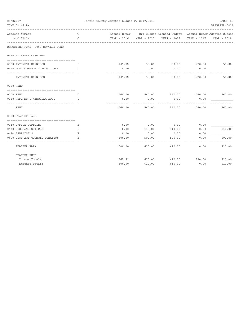| 09/22/17                                                              |              | Fannin County Adopted Budget FY 2017/2018 |               |                                                                                  | PAGE 88              |                      |
|-----------------------------------------------------------------------|--------------|-------------------------------------------|---------------|----------------------------------------------------------------------------------|----------------------|----------------------|
| TIME: 01:49 PM                                                        |              |                                           |               |                                                                                  |                      | PREPARER: 0011       |
| Account Number                                                        | T            |                                           |               | Actual Exper Org Budget Amended Budget Actual Exper Adopted Budget               |                      |                      |
| and Title                                                             | C            |                                           |               | YEAR - 2016 YEAR - 2017 YEAR - 2017 YEAR - 2017<br>----------------------------- |                      | YEAR - 2018          |
| REPORTING FUND: 0092 STATZER FUND                                     |              |                                           |               |                                                                                  |                      |                      |
| 0360 INTEREST EARNINGS                                                |              |                                           |               |                                                                                  |                      |                      |
| 0100 INTEREST EARNINGS                                                | T.           | 105.72                                    | 50.00         | 50.00 220.50                                                                     |                      | 50.00                |
| 0350 GOV. COMMODITY PROG. ASCS I<br>--------------------------------- |              | 0.00                                      | 0.00          | 0.00                                                                             | 0.00                 |                      |
| INTEREST EARNINGS                                                     |              | 105.72                                    | 50.00         | 50.00                                                                            | 220.50               | 50.00                |
| 0370 RENT                                                             |              |                                           |               |                                                                                  |                      |                      |
| 0100 RENT                                                             | $\mathbf{I}$ |                                           |               | 560.00 560.00 560.00 560.00 560.00 560.00                                        |                      |                      |
| 0130 REFUNDS & MISCELLANEOUS<br>___________________________           | $\top$       | 0.00                                      | 0.00          | 0.00                                                                             | 0.00                 |                      |
| RENT                                                                  |              | 560.00                                    | 560.00        | 560.00                                                                           | 560.00               | 560.00               |
| 0700 STATZER FARM                                                     |              |                                           |               |                                                                                  |                      |                      |
| 0310 OFFICE SUPPLIES                                                  | Е            | 0.00                                      | 0.00          | 0.00                                                                             | 0.00                 |                      |
| 0430 BIDS AND NOTICES                                                 | Ε            | 0.00                                      | 110.00        | 110.00                                                                           | 0.00                 | 110.00               |
| 0484 APPRAISALS                                                       | E.           | 0.00                                      | 0.00          | 0.00                                                                             | 0.00                 |                      |
| 0490 LITERACY COUNCIL DONATION                                        | E.           | 500.00                                    | 500.00        | 500.00                                                                           | 0.00                 | 500.00               |
| STATZER FARM                                                          |              | 500.00                                    | 610.00        | 610.00                                                                           | 0.00                 | ----------<br>610.00 |
| STATZER FUND                                                          |              |                                           |               |                                                                                  |                      |                      |
| Income Totals                                                         |              |                                           | 665.72 610.00 |                                                                                  | 610.00 780.50 610.00 |                      |
| Expense Totals                                                        |              | 500.00                                    | 610.00        | 610.00                                                                           | 0.00                 | 610.00               |